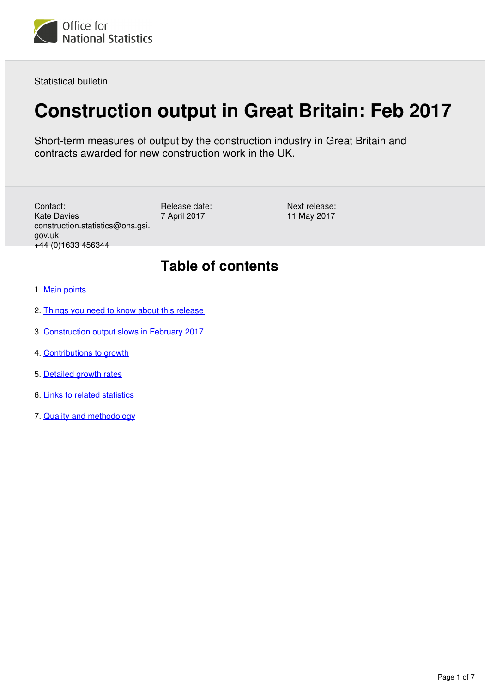

Statistical bulletin

# **Construction output in Great Britain: Feb 2017**

Short-term measures of output by the construction industry in Great Britain and contracts awarded for new construction work in the UK.

Contact: Kate Davies construction.statistics@ons.gsi. gov.uk +44 (0)1633 456344

Release date: 7 April 2017

Next release: 11 May 2017

# **Table of contents**

- 1. [Main points](#page-1-0)
- 2. [Things you need to know about this release](#page-1-1)
- 3. [Construction output slows in February 2017](#page-2-0)
- 4. [Contributions to growth](#page-3-0)
- 5. [Detailed growth rates](#page-4-0)
- 6. [Links to related statistics](#page-6-0)
- 7. [Quality and methodology](#page-6-1)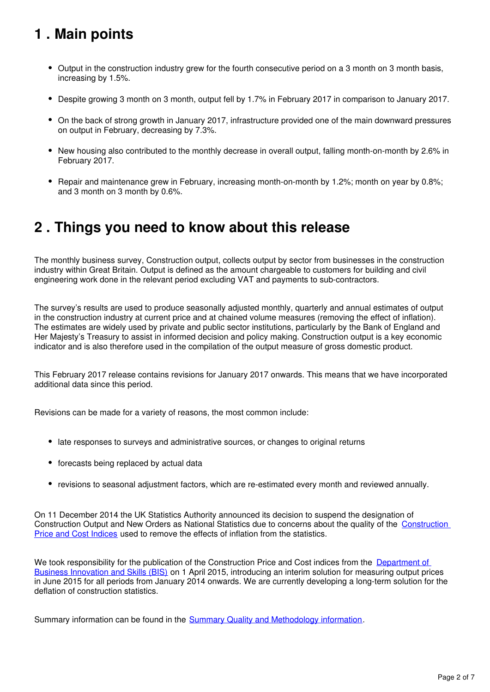# <span id="page-1-0"></span>**1 . Main points**

- Output in the construction industry grew for the fourth consecutive period on a 3 month on 3 month basis, increasing by 1.5%.
- Despite growing 3 month on 3 month, output fell by 1.7% in February 2017 in comparison to January 2017.
- On the back of strong growth in January 2017, infrastructure provided one of the main downward pressures on output in February, decreasing by 7.3%.
- New housing also contributed to the monthly decrease in overall output, falling month-on-month by 2.6% in February 2017.
- Repair and maintenance grew in February, increasing month-on-month by 1.2%; month on year by 0.8%; and 3 month on 3 month by 0.6%.

# <span id="page-1-1"></span>**2 . Things you need to know about this release**

The monthly business survey, Construction output, collects output by sector from businesses in the construction industry within Great Britain. Output is defined as the amount chargeable to customers for building and civil engineering work done in the relevant period excluding VAT and payments to sub-contractors.

The survey's results are used to produce seasonally adjusted monthly, quarterly and annual estimates of output in the construction industry at current price and at chained volume measures (removing the effect of inflation). The estimates are widely used by private and public sector institutions, particularly by the Bank of England and Her Majesty's Treasury to assist in informed decision and policy making. Construction output is a key economic indicator and is also therefore used in the compilation of the output measure of gross domestic product.

This February 2017 release contains revisions for January 2017 onwards. This means that we have incorporated additional data since this period.

Revisions can be made for a variety of reasons, the most common include:

- late responses to surveys and administrative sources, or changes to original returns
- forecasts being replaced by actual data
- revisions to seasonal adjustment factors, which are re-estimated every month and reviewed annually.

On 11 December 2014 the UK Statistics Authority announced its decision to suspend the designation of Construction Output and New Orders as National Statistics due to concerns about the quality of the [Construction](http://www.statisticsauthority.gov.uk/reports---correspondence/correspondence/index.html)  [Price and Cost Indices](http://www.statisticsauthority.gov.uk/reports---correspondence/correspondence/index.html) used to remove the effects of inflation from the statistics.

We took responsibility for the publication of the Construction Price and Cost indices from the Department of [Business Innovation and Skills \(BIS\)](https://www.gov.uk/government/organisations/department-for-business-energy-and-industrial-strategy) on 1 April 2015, introducing an interim solution for measuring output prices in June 2015 for all periods from January 2014 onwards. We are currently developing a long-term solution for the deflation of construction statistics.

Summary information can be found in the **Summary Quality and Methodology information**.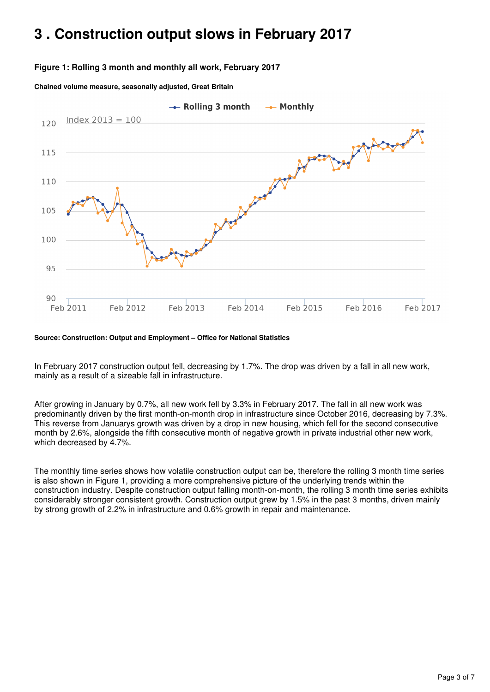# <span id="page-2-0"></span>**3 . Construction output slows in February 2017**

#### **Figure 1: Rolling 3 month and monthly all work, February 2017**

**Chained volume measure, seasonally adjusted, Great Britain**



**Source: Construction: Output and Employment – Office for National Statistics**

In February 2017 construction output fell, decreasing by 1.7%. The drop was driven by a fall in all new work, mainly as a result of a sizeable fall in infrastructure.

After growing in January by 0.7%, all new work fell by 3.3% in February 2017. The fall in all new work was predominantly driven by the first month-on-month drop in infrastructure since October 2016, decreasing by 7.3%. This reverse from Januarys growth was driven by a drop in new housing, which fell for the second consecutive month by 2.6%, alongside the fifth consecutive month of negative growth in private industrial other new work, which decreased by 4.7%.

The monthly time series shows how volatile construction output can be, therefore the rolling 3 month time series is also shown in Figure 1, providing a more comprehensive picture of the underlying trends within the construction industry. Despite construction output falling month-on-month, the rolling 3 month time series exhibits considerably stronger consistent growth. Construction output grew by 1.5% in the past 3 months, driven mainly by strong growth of 2.2% in infrastructure and 0.6% growth in repair and maintenance.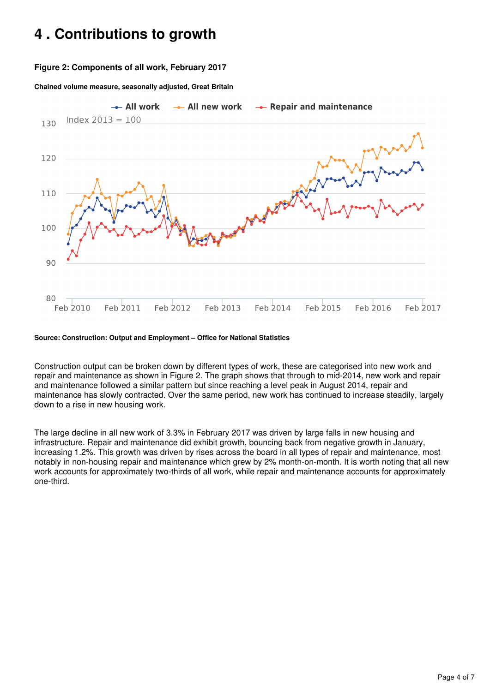# <span id="page-3-0"></span>**4 . Contributions to growth**

#### **Figure 2: Components of all work, February 2017**

**Chained volume measure, seasonally adjusted, Great Britain**



#### **Source: Construction: Output and Employment – Office for National Statistics**

Construction output can be broken down by different types of work, these are categorised into new work and repair and maintenance as shown in Figure 2. The graph shows that through to mid-2014, new work and repair and maintenance followed a similar pattern but since reaching a level peak in August 2014, repair and maintenance has slowly contracted. Over the same period, new work has continued to increase steadily, largely down to a rise in new housing work.

The large decline in all new work of 3.3% in February 2017 was driven by large falls in new housing and infrastructure. Repair and maintenance did exhibit growth, bouncing back from negative growth in January, increasing 1.2%. This growth was driven by rises across the board in all types of repair and maintenance, most notably in non-housing repair and maintenance which grew by 2% month-on-month. It is worth noting that all new work accounts for approximately two-thirds of all work, while repair and maintenance accounts for approximately one-third.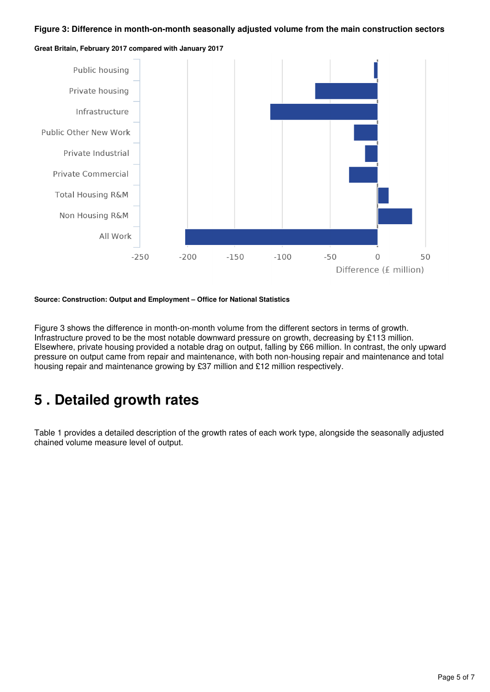#### **Figure 3: Difference in month-on-month seasonally adjusted volume from the main construction sectors**



**Great Britain, February 2017 compared with January 2017**

**Source: Construction: Output and Employment – Office for National Statistics**

Figure 3 shows the difference in month-on-month volume from the different sectors in terms of growth. Infrastructure proved to be the most notable downward pressure on growth, decreasing by £113 million. Elsewhere, private housing provided a notable drag on output, falling by £66 million. In contrast, the only upward pressure on output came from repair and maintenance, with both non-housing repair and maintenance and total housing repair and maintenance growing by £37 million and £12 million respectively.

# <span id="page-4-0"></span>**5 . Detailed growth rates**

Table 1 provides a detailed description of the growth rates of each work type, alongside the seasonally adjusted chained volume measure level of output.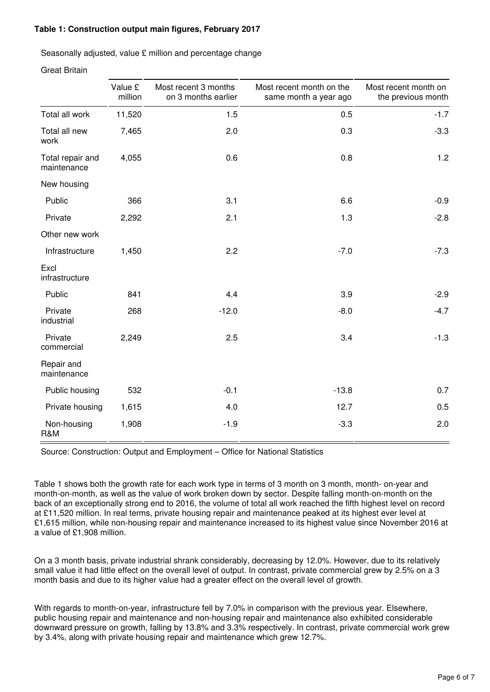#### **Table 1: Construction output main figures, February 2017**

Seasonally adjusted, value £ million and percentage change

Great Britain

|                                 | Value £ | Most recent 3 months | Most recent month on the | Most recent month on |
|---------------------------------|---------|----------------------|--------------------------|----------------------|
|                                 | million | on 3 months earlier  | same month a year ago    | the previous month   |
| Total all work                  | 11,520  | 1.5                  | 0.5                      | $-1.7$               |
| Total all new<br>work           | 7,465   | 2.0                  | 0.3                      | $-3.3$               |
| Total repair and<br>maintenance | 4,055   | 0.6                  | 0.8                      | 1.2                  |
| New housing                     |         |                      |                          |                      |
| Public                          | 366     | 3.1                  | 6.6                      | $-0.9$               |
| Private                         | 2,292   | 2.1                  | 1.3                      | $-2.8$               |
| Other new work                  |         |                      |                          |                      |
| Infrastructure                  | 1,450   | 2.2                  | $-7.0$                   | $-7.3$               |
| Excl<br>infrastructure          |         |                      |                          |                      |
| Public                          | 841     | 4.4                  | 3.9                      | $-2.9$               |
| Private<br>industrial           | 268     | $-12.0$              | $-8.0$                   | $-4.7$               |
| Private<br>commercial           | 2,249   | 2.5                  | 3.4                      | $-1.3$               |
| Repair and<br>maintenance       |         |                      |                          |                      |
| Public housing                  | 532     | $-0.1$               | $-13.8$                  | 0.7                  |
| Private housing                 | 1,615   | 4.0                  | 12.7                     | 0.5                  |
| Non-housing<br>R&M              | 1,908   | $-1.9$               | $-3.3$                   | 2.0                  |

Source: Construction: Output and Employment – Office for National Statistics

Table 1 shows both the growth rate for each work type in terms of 3 month on 3 month, month- on-year and month-on-month, as well as the value of work broken down by sector. Despite falling month-on-month on the back of an exceptionally strong end to 2016, the volume of total all work reached the fifth highest level on record at £11,520 million. In real terms, private housing repair and maintenance peaked at its highest ever level at £1,615 million, while non-housing repair and maintenance increased to its highest value since November 2016 at a value of £1,908 million.

On a 3 month basis, private industrial shrank considerably, decreasing by 12.0%. However, due to its relatively small value it had little effect on the overall level of output. In contrast, private commercial grew by 2.5% on a 3 month basis and due to its higher value had a greater effect on the overall level of growth.

With regards to month-on-year, infrastructure fell by 7.0% in comparison with the previous year. Elsewhere, public housing repair and maintenance and non-housing repair and maintenance also exhibited considerable downward pressure on growth, falling by 13.8% and 3.3% respectively. In contrast, private commercial work grew by 3.4%, along with private housing repair and maintenance which grew 12.7%.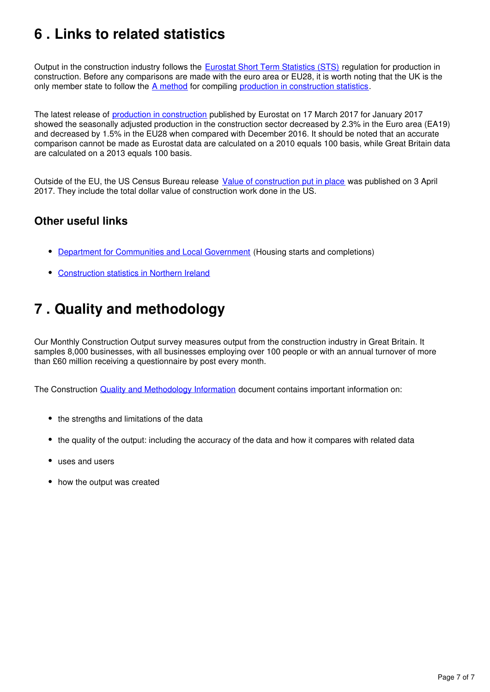# <span id="page-6-0"></span>**6 . Links to related statistics**

Output in the construction industry follows the [Eurostat Short Term Statistics \(STS\)](http://ec.europa.eu/eurostat/c/portal/layout?p_l_id=1916630&p_v_l_s_g_id=0) regulation for production in construction. Before any comparisons are made with the euro area or EU28, it is worth noting that the UK is the only member state to follow the A method for compiling production in construction statistics.

The latest release of [production in construction](http://ec.europa.eu/eurostat/documents/2995521/7921624/4-17032017-AP-EN.pdf/d54e6cb6-52ff-4c6f-97ed-d1e1b5f5d6ff) published by Eurostat on 17 March 2017 for January 2017 showed the seasonally adjusted production in the construction sector decreased by 2.3% in the Euro area (EA19) and decreased by 1.5% in the EU28 when compared with December 2016. It should be noted that an accurate comparison cannot be made as Eurostat data are calculated on a 2010 equals 100 basis, while Great Britain data are calculated on a 2013 equals 100 basis.

Outside of the EU, the US Census Bureau release [Value of construction put in place](https://www.census.gov/construction/c30/pdf/release.pdf) was published on 3 April 2017. They include the total dollar value of construction work done in the US.

#### **Other useful links**

- [Department for Communities and Local Government](https://www.gov.uk/government/organisations/department-for-communities-and-local-government) (Housing starts and completions)
- [Construction statistics in Northern Ireland](https://www.economy-ni.gov.uk/articles/construction-output-statistics)

# <span id="page-6-1"></span>**7 . Quality and methodology**

Our Monthly Construction Output survey measures output from the construction industry in Great Britain. It samples 8,000 businesses, with all businesses employing over 100 people or with an annual turnover of more than £60 million receiving a questionnaire by post every month.

The Construction **[Quality and Methodology Information](https://www.ons.gov.uk/businessindustryandtrade/constructionindustry/qmis/constructionoutputqmi)** document contains important information on:

- the strengths and limitations of the data
- the quality of the output: including the accuracy of the data and how it compares with related data
- uses and users
- how the output was created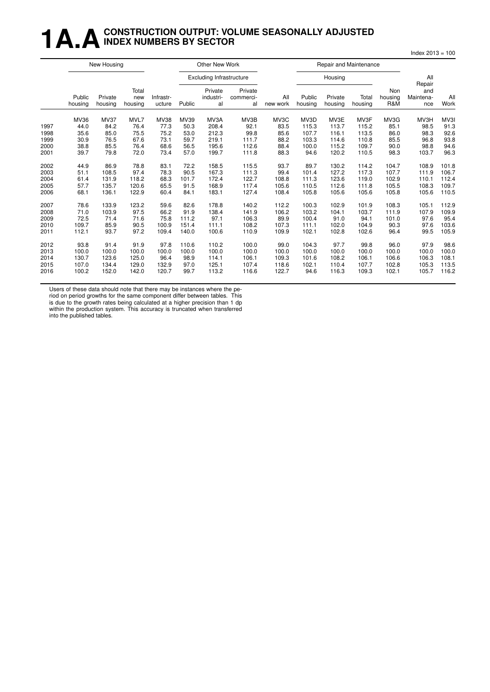#### **1 A.A.** CONSTRUCTION OUTPUT: VOLUME SEASONALLY ADJUSTED **INDEX NUMBERS BY SECTOR**

|      |                   | New Housing        |                         |                     |        | Other New Work                  |                            |                 |                   | Repair and Maintenance |                  |                       |                                   |             |
|------|-------------------|--------------------|-------------------------|---------------------|--------|---------------------------------|----------------------------|-----------------|-------------------|------------------------|------------------|-----------------------|-----------------------------------|-------------|
|      |                   |                    |                         |                     |        | <b>Excluding Infrastructure</b> |                            |                 |                   | Housing                |                  |                       | All                               |             |
|      | Public<br>housing | Private<br>housing | Total<br>new<br>housing | Infrastr-<br>ucture | Public | Private<br>industri-<br>al      | Private<br>commerci-<br>al | All<br>new work | Public<br>housing | Private<br>housing     | Total<br>housing | Non<br>housing<br>R&M | Repair<br>and<br>Maintena-<br>nce | All<br>Work |
|      | MV36              | <b>MV37</b>        | MVL7                    | MV38                | MV39   | MV3A                            | MV3B                       | MV3C            | MV3D              | MV3E                   | MV3F             | MV3G                  | MV3H                              | MV3I        |
| 1997 | 44.0              | 84.2               | 76.4                    | 77.3                | 50.3   | 208.4                           | 92.1                       | 83.5            | 115.3             | 113.7                  | 115.2            | 85.1                  | 98.5                              | 91.3        |
| 1998 | 35.6              | 85.0               | 75.5                    | 75.2                | 53.0   | 212.3                           | 99.8                       | 85.6            | 107.7             | 116.1                  | 113.5            | 86.0                  | 98.3                              | 92.6        |
| 1999 | 30.9              | 76.5               | 67.6                    | 73.1                | 59.7   | 219.1                           | 111.7                      | 88.2            | 103.3             | 114.6                  | 110.8            | 85.5                  | 96.8                              | 93.8        |
| 2000 | 38.8              | 85.5               | 76.4                    | 68.6                | 56.5   | 195.6                           | 112.6                      | 88.4            | 100.0             | 115.2                  | 109.7            | 90.0                  | 98.8                              | 94.6        |
| 2001 | 39.7              | 79.8               | 72.0                    | 73.4                | 57.0   | 199.7                           | 111.8                      | 88.3            | 94.6              | 120.2                  | 110.5            | 98.3                  | 103.7                             | 96.3        |
| 2002 | 44.9              | 86.9               | 78.8                    | 83.1                | 72.2   | 158.5                           | 115.5                      | 93.7            | 89.7              | 130.2                  | 114.2            | 104.7                 | 108.9                             | 101.8       |
| 2003 | 51.1              | 108.5              | 97.4                    | 78.3                | 90.5   | 167.3                           | 111.3                      | 99.4            | 101.4             | 127.2                  | 117.3            | 107.7                 | 111.9                             | 106.7       |
| 2004 | 61.4              | 131.9              | 118.2                   | 68.3                | 101.7  | 172.4                           | 122.7                      | 108.8           | 111.3             | 123.6                  | 119.0            | 102.9                 | 110.1                             | 112.4       |
| 2005 | 57.7              | 135.7              | 120.6                   | 65.5                | 91.5   | 168.9                           | 117.4                      | 105.6           | 110.5             | 112.6                  | 111.8            | 105.5                 | 108.3                             | 109.7       |
| 2006 | 68.1              | 136.1              | 122.9                   | 60.4                | 84.1   | 183.1                           | 127.4                      | 108.4           | 105.8             | 105.6                  | 105.6            | 105.8                 | 105.6                             | 110.5       |
| 2007 | 78.6              | 133.9              | 123.2                   | 59.6                | 82.6   | 178.8                           | 140.2                      | 112.2           | 100.3             | 102.9                  | 101.9            | 108.3                 | 105.1                             | 112.9       |
| 2008 | 71.0              | 103.9              | 97.5                    | 66.2                | 91.9   | 138.4                           | 141.9                      | 106.2           | 103.2             | 104.1                  | 103.7            | 111.9                 | 107.9                             | 109.9       |
| 2009 | 72.5              | 71.4               | 71.6                    | 75.8                | 111.2  | 97.1                            | 106.3                      | 89.9            | 100.4             | 91.0                   | 94.1             | 101.0                 | 97.6                              | 95.4        |
| 2010 | 109.7             | 85.9               | 90.5                    | 100.9               | 151.4  | 111.1                           | 108.2                      | 107.3           | 111.1             | 102.0                  | 104.9            | 90.3                  | 97.6                              | 103.6       |
| 2011 | 112.1             | 93.7               | 97.2                    | 109.4               | 140.0  | 100.6                           | 110.9                      | 109.9           | 102.1             | 102.8                  | 102.6            | 96.4                  | 99.5                              | 105.9       |
| 2012 | 93.8              | 91.4               | 91.9                    | 97.8                | 110.6  | 110.2                           | 100.0                      | 99.0            | 104.3             | 97.7                   | 99.8             | 96.0                  | 97.9                              | 98.6        |
| 2013 | 100.0             | 100.0              | 100.0                   | 100.0               | 100.0  | 100.0                           | 100.0                      | 100.0           | 100.0             | 100.0                  | 100.0            | 100.0                 | 100.0                             | 100.0       |
| 2014 | 130.7             | 123.6              | 125.0                   | 96.4                | 98.9   | 114.1                           | 106.1                      | 109.3           | 101.6             | 108.2                  | 106.1            | 106.6                 | 106.3                             | 108.1       |
| 2015 | 107.0             | 134.4              | 129.0                   | 132.9               | 97.0   | 125.1                           | 107.4                      | 118.6           | 102.1             | 110.4                  | 107.7            | 102.8                 | 105.3                             | 113.5       |
| 2016 | 100.2             | 152.0              | 142.0                   | 120.7               | 99.7   | 113.2                           | 116.6                      | 122.7           | 94.6              | 116.3                  | 109.3            | 102.1                 | 105.7                             | 116.2       |

Index 2013 = 100

Users of these data should note that there may be instances where the pe-

riod on period growths for the same component differ between tables. This is due to the growth rates being calculated at a higher precision than 1 dp within the production system. This accuracy is truncated when transferred

into the published tables.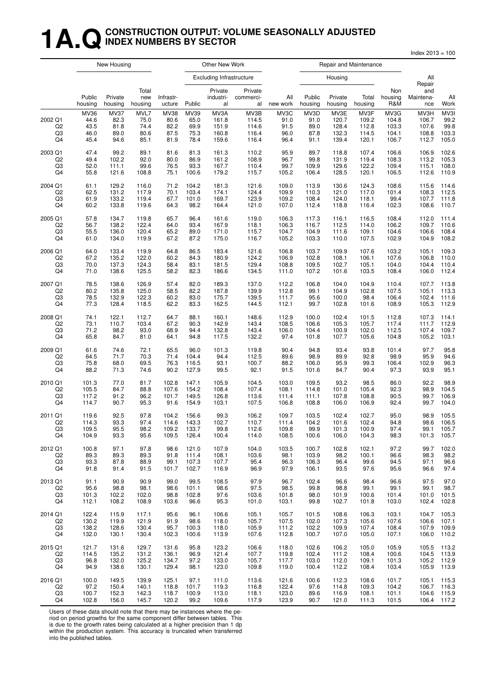## **1A.QCONSTRUCTION OUTPUT: VOLUME SEASONALLY ADJUSTED INDEX NUMBERS BY SECTOR**

Index 2013 = 100

|                                       |                                      | New Housing                                 |                                      |                                             |                                      | Other New Work                           |                                          |                                      |                                      | Repair and Maintenance                   |                                          |                                          |                                          |                                        |
|---------------------------------------|--------------------------------------|---------------------------------------------|--------------------------------------|---------------------------------------------|--------------------------------------|------------------------------------------|------------------------------------------|--------------------------------------|--------------------------------------|------------------------------------------|------------------------------------------|------------------------------------------|------------------------------------------|----------------------------------------|
|                                       |                                      |                                             |                                      |                                             |                                      | <b>Excluding Infrastructure</b>          |                                          |                                      |                                      | Housing                                  |                                          |                                          | All<br>Repair                            |                                        |
|                                       | Public<br>housing                    | Private<br>housing                          | Total<br>new<br>housing              | Infrastr-<br>ucture                         | Public                               | Private<br>industri-<br>al               | Private<br>commerci-<br>al               | All<br>new work                      | Public<br>housing                    | Private<br>housing                       | Total<br>housing                         | Non<br>housing<br>R&M                    | and<br>Maintena-<br>nce                  | All<br>Work                            |
| 2002 Q1<br>Q2<br>Q3<br>Q <sub>4</sub> | MV36<br>44.6<br>43.5<br>46.0<br>45.4 | <b>MV37</b><br>82.3<br>81.8<br>89.0<br>94.6 | MVL7<br>75.0<br>74.4<br>80.6<br>85.1 | <b>MV38</b><br>80.6<br>82.2<br>87.5<br>81.9 | MV39<br>65.0<br>69.9<br>75.3<br>78.4 | MV3A<br>161.8<br>151.9<br>160.8<br>159.6 | MV3B<br>114.5<br>114.6<br>116.4<br>116.4 | MV3C<br>91.0<br>91.5<br>96.0<br>96.4 | MV3D<br>91.0<br>89.0<br>87.8<br>91.1 | MV3E<br>120.7<br>128.4<br>132.3<br>139.4 | MV3F<br>109.2<br>112.8<br>114.5<br>120.1 | MV3G<br>104.8<br>103.3<br>104.1<br>106.7 | MV3H<br>106.7<br>107.6<br>108.8<br>112.7 | MV3I<br>99.2<br>99.8<br>103.3<br>105.0 |
| 2003 Q1                               | 47.4                                 | 99.2                                        | 89.1                                 | 81.6                                        | 81.3                                 | 161.3                                    | 110.2                                    | 95.9                                 | 89.7                                 | 118.8                                    | 107.4                                    | 106.6                                    | 106.9                                    | 102.6                                  |
| Q2                                    | 49.4                                 | 102.2                                       | 92.0                                 | 80.0                                        | 86.9                                 | 161.2                                    | 108.9                                    | 96.7                                 | 99.8                                 | 131.9                                    | 119.4                                    | 108.3                                    | 113.2                                    | 105.3                                  |
| Q3                                    | 52.0                                 | 111.1                                       | 99.6                                 | 76.5                                        | 93.3                                 | 167.7                                    | 110.4                                    | 99.7                                 | 109.9                                | 129.6                                    | 122.2                                    | 109.4                                    | 115.1                                    | 108.0                                  |
| Q4                                    | 55.8                                 | 121.6                                       | 108.8                                | 75.1                                        | 100.6                                | 179.2                                    | 115.7                                    | 105.2                                | 106.4                                | 128.5                                    | 120.1                                    | 106.5                                    | 112.6                                    | 110.9                                  |
| 2004 Q1                               | 61.1                                 | 129.2                                       | 116.0                                | 71.2                                        | 104.2                                | 181.3                                    | 121.6                                    | 109.0                                | 113.9                                | 130.6                                    | 124.3                                    | 108.6                                    | 115.6                                    | 114.6                                  |
| Q2                                    | 62.5                                 | 131.2                                       | 117.9                                | 70.1                                        | 103.4                                | 174.1                                    | 124.4                                    | 109.9                                | 110.3                                | 121.0                                    | 117.0                                    | 101.4                                    | 108.3                                    | 112.5                                  |
| Q3                                    | 61.9                                 | 133.2                                       | 119.4                                | 67.7                                        | 101.0                                | 169.7                                    | 123.9                                    | 109.2                                | 108.4                                | 124.0                                    | 118.1                                    | 99.4                                     | 107.7                                    | 111.8                                  |
| Q <sub>4</sub>                        | 60.2                                 | 133.8                                       | 119.6                                | 64.3                                        | 98.2                                 | 164.4                                    | 121.0                                    | 107.0                                | 112.4                                | 118.8                                    | 116.4                                    | 102.3                                    | 108.6                                    | 110.7                                  |
| 2005 Q1                               | 57.8                                 | 134.7                                       | 119.8                                | 65.7                                        | 96.4                                 | 161.6                                    | 119.0                                    | 106.3                                | 117.3                                | 116.1                                    | 116.5                                    | 108.4                                    | 112.0                                    | 111.4                                  |
| Q <sub>2</sub>                        | 56.7                                 | 138.2                                       | 122.4                                | 64.0                                        | 93.4                                 | 167.9                                    | 118.1                                    | 106.3                                | 116.7                                | 112.5                                    | 114.0                                    | 106.2                                    | 109.7                                    | 110.6                                  |
| Q3                                    | 55.5                                 | 136.0                                       | 120.4                                | 65.2                                        | 89.0                                 | 171.0                                    | 115.7                                    | 104.7                                | 104.9                                | 111.6                                    | 109.1                                    | 104.6                                    | 106.6                                    | 108.4                                  |
| Q <sub>4</sub>                        | 61.0                                 | 134.0                                       | 119.9                                | 67.2                                        | 87.2                                 | 175.0                                    | 116.7                                    | 105.2                                | 103.3                                | 110.0                                    | 107.5                                    | 102.9                                    | 104.9                                    | 108.2                                  |
| 2006 Q1                               | 64.0                                 | 133.4                                       | 119.9                                | 64.8                                        | 86.5                                 | 183.4                                    | 121.6                                    | 106.8                                | 103.7                                | 109.9                                    | 107.6                                    | 103.2                                    | 105.1                                    | 109.3                                  |
| Q2                                    | 67.2                                 | 135.2                                       | 122.0                                | 60.2                                        | 84.3                                 | 180.9                                    | 124.2                                    | 106.9                                | 102.8                                | 108.1                                    | 106.1                                    | 107.6                                    | 106.8                                    | 110.0                                  |
| Q3                                    | 70.0                                 | 137.3                                       | 124.3                                | 58.4                                        | 83.1                                 | 181.5                                    | 129.4                                    | 108.8                                | 109.5                                | 102.7                                    | 105.1                                    | 104.0                                    | 104.4                                    | 110.4                                  |
| Q4                                    | 71.0                                 | 138.6                                       | 125.5                                | 58.2                                        | 82.3                                 | 186.6                                    | 134.5                                    | 111.0                                | 107.2                                | 101.6                                    | 103.5                                    | 108.4                                    | 106.0                                    | 112.4                                  |
| 2007 Q1                               | 78.5                                 | 138.6                                       | 126.9                                | 57.4                                        | 82.0                                 | 189.3                                    | 137.0                                    | 112.2                                | 106.8                                | 104.0                                    | 104.9                                    | 110.4                                    | 107.7                                    | 113.8                                  |
| Q2                                    | 80.2                                 | 135.8                                       | 125.0                                | 58.5                                        | 82.2                                 | 187.8                                    | 139.9                                    | 112.8                                | 99.1                                 | 104.9                                    | 102.8                                    | 107.5                                    | 105.1                                    | 113.3                                  |
| Q3                                    | 78.5                                 | 132.9                                       | 122.3                                | 60.2                                        | 83.0                                 | 175.7                                    | 139.5                                    | 111.7                                | 95.6                                 | 100.0                                    | 98.4                                     | 106.4                                    | 102.4                                    | 111.6                                  |
| Q <sub>4</sub>                        | 77.3                                 | 128.4                                       | 118.5                                | 62.2                                        | 83.3                                 | 162.5                                    | 144.5                                    | 112.1                                | 99.7                                 | 102.8                                    | 101.6                                    | 108.9                                    | 105.3                                    | 112.9                                  |
| 2008 Q1                               | 74.1                                 | 122.1                                       | 112.7                                | 64.7                                        | 88.1                                 | 160.1                                    | 148.6                                    | 112.9                                | 100.0                                | 102.4                                    | 101.5                                    | 112.8                                    | 107.3                                    | 114.1                                  |
| Q <sub>2</sub>                        | 73.1                                 | 110.7                                       | 103.4                                | 67.2                                        | 90.3                                 | 142.9                                    | 143.4                                    | 108.5                                | 106.6                                | 105.3                                    | 105.7                                    | 117.4                                    | 111.7                                    | 112.9                                  |
| Q3                                    | 71.2                                 | 98.2                                        | 93.0                                 | 68.9                                        | 94.4                                 | 132.8                                    | 143.4                                    | 106.0                                | 104.4                                | 100.9                                    | 102.0                                    | 112.5                                    | 107.4                                    | 109.7                                  |
| Q <sub>4</sub>                        | 65.8                                 | 84.7                                        | 81.0                                 | 64.1                                        | 94.8                                 | 117.5                                    | 132.2                                    | 97.4                                 | 101.8                                | 107.7                                    | 105.6                                    | 104.8                                    | 105.2                                    | 103.1                                  |
| 2009 Q1                               | 61.6                                 | 74.6                                        | 72.1                                 | 65.5                                        | 96.0                                 | 101.3                                    | 119.8                                    | 90.4                                 | 94.8                                 | 93.4                                     | 93.8                                     | 101.4                                    | 97.7                                     | 95.8                                   |
| Q2                                    | 64.5                                 | 71.7                                        | 70.3                                 | 71.4                                        | 104.4                                | 94.4                                     | 112.5                                    | 89.6                                 | 98.9                                 | 89.9                                     | 92.8                                     | 98.9                                     | 95.9                                     | 94.6                                   |
| Q3                                    | 75.8                                 | 68.0                                        | 69.5                                 | 76.3                                        | 116.5                                | 93.1                                     | 100.7                                    | 88.2                                 | 106.0                                | 95.9                                     | 99.3                                     | 106.4                                    | 102.9                                    | 96.3                                   |
| Q4                                    | 88.2                                 | 71.3                                        | 74.6                                 | 90.2                                        | 127.9                                | 99.5                                     | 92.1                                     | 91.5                                 | 101.6                                | 84.7                                     | 90.4                                     | 97.3                                     | 93.9                                     | 95.1                                   |
| 2010 Q1                               | 101.3                                | 77.0                                        | 81.7                                 | 102.8                                       | 147.1                                | 105.9                                    | 104.5                                    | 103.0                                | 109.5                                | 93.2                                     | 98.5                                     | 86.0                                     | 92.2                                     | 98.9                                   |
| Q2                                    | 105.5                                | 84.7                                        | 88.8                                 | 107.6                                       | 154.2                                | 108.4                                    | 107.4                                    | 108.1                                | 114.8                                | 101.0                                    | 105.4                                    | 92.3                                     | 98.9                                     | 104.5                                  |
| Q3                                    | 117.2                                | 91.2                                        | 96.2                                 | 101.7                                       | 149.5                                | 126.8                                    | 113.6                                    | 111.4                                | 111.1                                | 107.8                                    | 108.8                                    | 90.5                                     | 99.7                                     | 106.9                                  |
| Q <sub>4</sub>                        | 114.7                                | 90.7                                        | 95.3                                 | 91.6                                        | 154.9                                | 103.1                                    | 107.5                                    | 106.8                                | 108.8                                | 106.0                                    | 106.9                                    | 92.4                                     | 99.7                                     | 104.0                                  |
| 2011 Q1                               | 119.6                                | 92.5                                        | 97.8                                 | 104.2                                       | 156.6                                | 99.3                                     | 106.2                                    | 109.7                                | 103.5                                | 102.4                                    | 102.7                                    | 95.0                                     | 98.9                                     | 105.5                                  |
| Q2                                    | 114.3                                | 93.3                                        | 97.4                                 | 114.6                                       | 143.3                                | 102.7                                    | 110.7                                    | 111.4                                | 104.2                                | 101.6                                    | 102.4                                    | 94.8                                     | 98.6                                     | 106.5                                  |
| Q3                                    | 109.5                                | 95.5                                        | 98.2                                 | 109.2                                       | 133.7                                | 99.8                                     | 112.6                                    | 109.8                                | 99.9                                 | 101.3                                    | 100.9                                    | 97.4                                     | 99.1                                     | 105.7                                  |
| Q4                                    | 104.9                                | 93.3                                        | 95.6                                 | 109.5                                       | 126.4                                | 100.4                                    | 114.0                                    | 108.5                                | 100.6                                | 106.0                                    | 104.3                                    | 98.3                                     | 101.3                                    | 105.7                                  |
| 2012 Q1                               | 100.8                                | 97.1                                        | 97.8                                 | 98.6                                        | 121.0                                | 107.9                                    | 104.0                                    | 103.5                                | 100.7                                | 102.8                                    | 102.1                                    | 97.2                                     | 99.7                                     | 102.0                                  |
| Q2                                    | 89.3                                 | 89.3                                        | 89.3                                 | 91.8                                        | 111.4                                | 108.1                                    | 103.6                                    | 98.1                                 | 103.9                                | 98.2                                     | 100.1                                    | 96.6                                     | 98.3                                     | 98.2                                   |
| Q3                                    | 93.3                                 | 87.8                                        | 88.9                                 | 99.1                                        | 107.3                                | 107.7                                    | 95.4                                     | 96.3                                 | 106.3                                | 96.4                                     | 99.6                                     | 94.5                                     | 97.1                                     | 96.6                                   |
| Q4                                    | 91.8                                 | 91.4                                        | 91.5                                 | 101.7                                       | 102.7                                | 116.9                                    | 96.9                                     | 97.9                                 | 106.1                                | 93.5                                     | 97.6                                     | 95.6                                     | 96.6                                     | 97.4                                   |
| 2013 Q1                               | 91.1                                 | 90.9                                        | 90.9                                 | 99.0                                        | 99.5                                 | 108.5                                    | 97.9                                     | 96.7                                 | 102.4                                | 96.6                                     | 98.4                                     | 96.6                                     | 97.5                                     | 97.0                                   |
| Q2                                    | 95.6                                 | 98.8                                        | 98.1                                 | 98.6                                        | 101.1                                | 98.6                                     | 97.5                                     | 98.5                                 | 99.8                                 | 98.8                                     | 99.1                                     | 99.1                                     | 99.1                                     | 98.7                                   |
| Q3                                    | 101.3                                | 102.2                                       | 102.0                                | 98.8                                        | 102.8                                | 97.6                                     | 103.6                                    | 101.8                                | 98.0                                 | 101.9                                    | 100.6                                    | 101.4                                    | 101.0                                    | 101.5                                  |
| Q4                                    | 112.1                                | 108.2                                       | 108.9                                | 103.6                                       | 96.6                                 | 95.3                                     | 101.0                                    | 103.1                                | 99.8                                 | 102.7                                    | 101.8                                    | 103.0                                    | 102.4                                    | 102.8                                  |
| 2014 Q1                               | 122.4                                | 115.9                                       | 117.1                                | 95.6                                        | 96.1                                 | 106.6                                    | 105.1                                    | 105.7                                | 101.5                                | 108.6                                    | 106.3                                    | 103.1                                    | 104.7                                    | 105.3                                  |
| Q2                                    | 130.2                                | 119.9                                       | 121.9                                | 91.9                                        | 98.6                                 | 118.0                                    | 105.7                                    | 107.5                                | 102.0                                | 107.3                                    | 105.6                                    | 107.6                                    | 106.6                                    | 107.1                                  |
| Q3                                    | 138.2                                | 128.6                                       | 130.4                                | 95.7                                        | 100.3                                | 118.0                                    | 105.9                                    | 111.2                                | 102.2                                | 109.9                                    | 107.4                                    | 108.4                                    | 107.9                                    | 109.9                                  |
| Q4                                    | 132.0                                | 130.1                                       | 130.4                                | 102.3                                       | 100.6                                | 113.9                                    | 107.6                                    | 112.8                                | 100.7                                | 107.0                                    | 105.0                                    | 107.1                                    | 106.0                                    | 110.2                                  |
| 2015 Q1                               | 121.7                                | 131.6                                       | 129.7                                | 131.6                                       | 95.8                                 | 123.2                                    | 106.6                                    | 118.0                                | 102.6                                | 106.2                                    | 105.0                                    | 105.9                                    | 105.5                                    | 113.2                                  |
| Q2                                    | 114.5                                | 135.2                                       | 131.2                                | 136.1                                       | 96.9                                 | 121.4                                    | 107.7                                    | 119.8                                | 102.4                                | 111.2                                    | 108.4                                    | 100.6                                    | 104.5                                    | 113.9                                  |
| Q3                                    | 96.8                                 | 132.0                                       | 125.2                                | 134.7                                       | 97.2                                 | 133.0                                    | 105.7                                    | 117.7                                | 103.0                                | 112.0                                    | 109.1                                    | 101.3                                    | 105.2                                    | 112.9                                  |
| Q4                                    | 94.9                                 | 138.6                                       | 130.1                                | 129.4                                       | 98.1                                 | 123.0                                    | 109.8                                    | 119.0                                | 100.4                                | 112.2                                    | 108.4                                    | 103.4                                    | 105.9                                    | 113.9                                  |
| 2016 Q1                               | 100.0                                | 149.5                                       | 139.9                                | 125.1                                       | 97.1                                 | 111.0                                    | 113.6                                    | 121.6                                | 100.6                                | 112.3                                    | 108.6                                    | 101.7                                    | 105.1                                    | 115.3                                  |
| Q2                                    | 97.2                                 | 150.4                                       | 140.1                                | 118.8                                       | 101.7                                | 119.3                                    | 116.8                                    | 122.4                                | 97.6                                 | 114.8                                    | 109.3                                    | 104.2                                    | 106.7                                    | 116.3                                  |
| Q3                                    | 100.7                                | 152.3                                       | 142.3                                | 118.7                                       | 100.9                                | 113.0                                    | 118.1                                    | 123.0                                | 89.6                                 | 116.9                                    | 108.1                                    | 101.1                                    | 104.6                                    | 115.9                                  |
| Q4                                    | 102.8                                | 156.0                                       | 145.7                                | 120.2                                       | 99.2                                 | 109.6                                    | 117.9                                    | 123.9                                | 90.7                                 | 121.0                                    | 111.3                                    | 101.5                                    | 106.4                                    | 117.2                                  |

Users of these data should note that there may be instances where the pe-

riod on period growths for the same component differ between tables. This

is due to the growth rates being calculated at a higher precision than 1 dp within the production system. This accuracy is truncated when transferred into the published tables.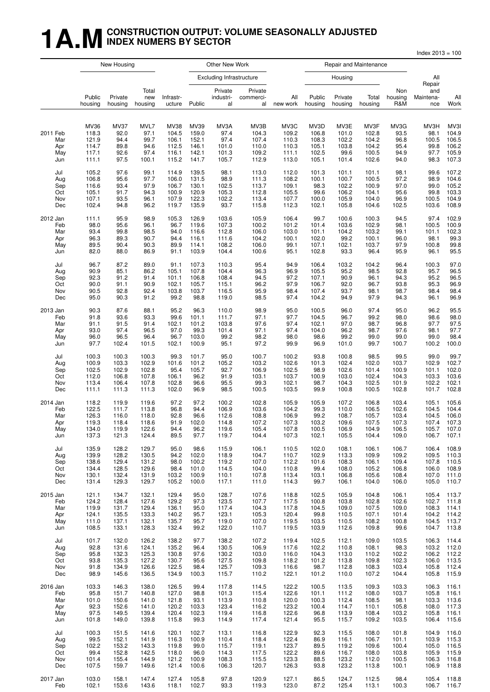#### **1 A.M** CONSTRUCTION OUTPUT: VOLUME SEASONALLY ADJUSTED **INDEX NUMERS BY SECTOR**

 $Index 2013 = 100$ 

New Housing **New York** Cher New Work **New York** Repair and Maintenance Excluding Infrastr ucture Housing All **Repair** Total Private Private Non and Public Private new Infrastr- industri- commerci- All Public Private Total housing Maintena- All housing housing housing ucture Public al al new work housing housing housing R&M ance Work MV36 MV37 MVL7 MV38 MV39 MV3A MV3B MV3C MV3D MV3E MV3F MV3G MV3H MV3I 2011 Feb 118.3 92.0 97.1 104.5 159.0 97.4 104.3 109.2 106.8 101.0 102.8 93.5 98.1 104.9 Mar 121.9 94.4 99.7 106.1 152.1 97.4 107.4 110.3 108.3 102.2 104.2 96.8 100.5 106.5 Apr 114.7 89.8 94.6 112.5 146.1 101.0 110.0 110.3 105.1 103.8 104.2 95.4 99.8 106.2 May 117.1 92.6 97.4 116.1 142.1 101.3 109.2 111.1 102.5 99.6 100.5 94.9 97.7 105.9 Jun 111.1 97.5 100.1 115.2 141.7 105.7 112.9 113.0 105.1 101.4 102.6 94.0 98.3 107.3 Jul 105.2 97.6 99.1 114.9 139.5 98.1 113.0 112.0 101.3 101.1 101.1 98.1 99.6 107.2 Aug 106.8 95.6 97.7 106.0 131.5 98.9 111.3 108.2 100.1 100.7 100.5 97.2 98.9 104.6 Sep 116.6 93.4 97.9 106.7 130.1 102.5 113.7 109.1 98.3 102.2 100.9 97.0 99.0 105.2 Oct 105.1 91.7 94.3 100.9 120.9 105.3 112.8 105.5 99.6 106.2 104.1 95.6 99.8 103.3 Nov 107.1 93.5 96.1 107.9 122.3 102.2 113.4 107.7 100.0 105.9 104.0 96.9 100.5 104.9 Dec 102.4 94.8 96.2 119.7 135.9 93.7 115.8 112.3 102.1 105.8 104.6 102.5 103.6 108.9 2012 Jan 111.1 95.9 98.9 105.3 126.9 103.6 105.9 106.4 99.7 100.6 100.3 94.5 97.4 102.9 Feb 98.0 95.6 96.1 96.7 119.6 107.3 100.2 101.2 101.4 103.6 102.9 98.1 100.5 100.9 Mar 93.4 99.8 98.5 94.0 116.6 112.8 106.0 103.0 101.1 104.2 103.2 99.1 101.1 102.3 Apr 96.3 89.3 90.7 94.4 116.1 111.6 104.2 100.1 102.0 99.2 100.1 96.0 98.1 99.3 May 89.5 90.4 90.3 89.9 114.1 108.2 106.0 99.1 107.1 102.1 103.7 97.9 100.8 99.8 Jun 82.0 88.0 86.9 91.1 103.9 104.4 100.6 95.1 102.8 93.3 96.4 95.9 96.1 95.5 Jul 96.7 87.2 89.0 91.1 107.3 110.3 95.4 94.9 106.4 103.2 104.2 96.4 100.3 97.0 Aug 90.9 85.1 86.2 105.1 107.8 104.4 96.3 96.9 105.5 95.2 98.5 92.8 95.7 96.5 Sep 92.3 91.2 91.4 101.1 106.8 108.4 94.5 97.2 107.1 90.9 96.1 94.3 95.2 96.5 Oct 90.0 91.1 90.9 102.1 105.7 115.1 96.2 97.9 106.7 92.0 96.7 93.8 95.3 96.9 Nov 90.5 92.8 92.4 103.8 103.7 116.5 95.9 98.4 107.4 93.7 98.1 98.7 98.4 98.4 Dec 95.0 90.3 91.2 99.2 98.8 119.0 98.5 97.4 104.2 94.9 97.9 94.3 96.1 96.9 2013 Jan 90.3 87.6 88.1 95.2 96.3 110.0 98.9 95.0 100.5 96.0 97.4 95.0 96.2 95.5 Feb 91.8 93.6 93.3 99.6 101.1 111.7 97.1 97.7 104.5 96.7 99.2 98.0 98.6 98.0 Mar 91.1 91.5 91.4 102.1 101.2 103.8 97.6 97.4 102.1 97.0 98.7 96.8 97.7 97.5 Apr 93.0 97.4 96.5 97.0 99.3 101.4 97.1 97.4 104.0 96.2 98.7 97.6 98.1 97.7 May 96.0 96.5 96.4 96.7 103.0 99.2 98.2 98.0 98.6 99.2 99.0 99.0 99.0 98.4 Jun 97.7 102.4 101.5 102.1 100.9 95.1 97.2 99.9 96.9 101.0 99.7 100.7 100.2 100.0 Jul 100.3 100.3 100.3 99.3 101.7 95.0 100.7 100.2 93.8 100.8 98.5 99.5 99.0 99.7 Aug 100.9 103.3 102.9 101.6 101.2 105.2 103.2 102.6 101.3 102.4 102.0 103.7 102.9 102.7 Sep 102.5 102.9 102.8 95.4 105.7 92.7 106.9 102.5 98.9 102.6 101.4 100.9 101.1 102.0 Oct 112.0 106.8 107.8 106.1 96.2 91.9 103.1 103.7 100.9 103.0 102.4 104.3 103.3 103.6 Nov 113.4 106.4 107.8 102.8 96.6 95.5 99.3 102.1 98.7 104.3 102.5 101.9 102.2 102.1 Dec 111.1 111.3 111.3 102.0 96.9 98.5 100.5 103.5 99.9 100.8 100.5 102.8 101.7 102.8 2014 Jan 118.2 119.9 119.6 97.2 97.2 100.2 102.8 105.9 105.9 107.2 106.8 103.4 105.1 105.6 Feb 122.5 111.7 113.8 96.8 94.4 106.9 103.6 104.2 99.3 110.0 106.5 102.6 104.5 104.4 Mar 126.3 116.0 118.0 92.8 96.6 112.6 108.8 106.9 99.2 108.7 105.7 103.4 104.5 106.0 Apr 119.3 118.4 118.6 91.9 102.0 114.8 107.2 107.3 103.2 109.6 107.5 107.3 107.4 107.3 May 134.0 119.9 122.6 94.4 96.2 119.6 105.4 107.8 100.5 106.9 104.9 106.5 105.7 107.0 Jun 137.3 121.3 124.4 89.5 97.7 119.7 104.4 107.3 102.1 105.5 104.4 109.0 106.7 107.1 Jul 135.9 128.2 129.7 95.0 98.6 115.9 106.1 110.5 102.0 108.1 106.1 106.7 106.4 108.9 Aug 139.9 128.2 130.5 94.2 102.0 118.9 104.7 110.7 102.9 113.3 109.9 109.2 109.5 110.3 Sep 138.6 129.4 131.2 98.0 100.2 119.2 107.0 112.2 101.6 108.3 106.1 109.4 107.8 110.5 Oct 134.4 128.5 129.6 98.4 101.0 114.5 104.0 110.8 99.4 108.0 105.2 106.8 106.0 108.9 Nov 130.1 132.4 131.9 103.2 100.9 110.1 107.8 113.4 103.1 106.8 105.6 108.4 107.0 111.0 Dec 131.4 129.3 129.7 105.2 100.0 117.1 111.0 114.3 99.7 106.1 104.0 106.0 105.0 110.7 2015 Jan 121.1 134.7 132.1 129.4 95.0 128.7 107.6 118.8 102.5 105.9 104.8 106.1 105.4 113.7 Feb 124.2 128.4 127.6 129.2 97.3 123.5 107.7 117.5 100.8 103.8 102.8 102.6 102.7 111.8 Mar 119.9 131.7 129.4 136.1 95.0 117.4 104.3 117.8 104.5 109.0 107.5 109.0 108.3 114.1 Apr 124.1 135.5 133.3 140.2 95.7 123.1 105.3 120.4 99.8 110.5 107.1 101.4 104.2 114.2 May 111.0 137.1 132.1 135.7 95.7 119.0 107.0 119.5 103.5 110.5 108.2 100.8 104.5 113.7 Jun 108.5 133.1 128.3 132.4 99.2 122.0 110.7 119.5 103.9 112.6 109.8 99.6 104.7 113.8 Jul 101.7 132.0 126.2 138.2 97.7 138.2 107.2 119.4 102.5 112.1 109.0 103.5 106.3 114.4 Aug 92.8 131.6 124.1 135.2 96.4 130.5 106.9 117.6 102.2 110.8 108.1 98.3 103.2 112.0 Sep 95.8 132.3 125.3 130.8 97.6 130.2 103.0 116.0 104.3 113.0 110.2 102.2 106.2 112.2 Oct 93.8 135.3 127.2 130.7 95.6 127.5 109.8 118.2 101.2 113.8 109.8 102.3 106.0 113.5 Nov 91.8 134.9 126.6 122.5 98.4 125.7 109.3 116.6 98.7 112.8 108.3 103.4 105.8 112.4 Dec 98.9 145.6 136.5 134.9 100.3 115.7 110.2 122.1 101.2 110.0 107.2 104.4 105.8 115.9 2016 Jan 103.3 146.3 138.0 126.5 99.4 117.8 114.5 122.2 100.5 113.5 109.3 103.3 106.3 116.1 Feb 95.8 151.7 140.8 127.0 98.8 101.3 115.4 122.6 101.1 111.2 108.0 103.7 105.8 116.1 Mar 101.0 150.6 141.0 121.8 93.1 113.9 110.8 120.0 100.3 112.4 108.5 98.1 103.3 113.6 Apr 92.3 152.6 141.0 120.2 103.3 123.4 116.2 123.2 100.4 114.7 110.1 105.8 108.0 117.3 May 97.5 149.5 139.4 120.4 102.3 119.4 116.8 122.6 96.8 113.9 108.4 103.2 105.8 116.1 Jun 101.8 149.0 139.8 115.8 99.3 114.9 117.4 121.4 95.5 115.7 109.2 103.5 106.4 115.6 Jul 100.3 151.5 141.6 120.1 102.7 113.1 116.8 122.9 92.3 115.5 108.0 101.8 104.9 116.0 Aug 99.5 152.1 141.9 116.3 100.9 110.4 118.4 122.4 86.9 116.1 106.7 101.1 103.9 115.3 Sep 102.2 153.2 143.3 119.8 99.0 115.7 119.1 123.7 89.5 119.2 109.6 100.4 105.0 116.5 Oct 99.4 152.8 142.5 118.0 96.0 114.3 117.5 122.2 89.6 116.7 108.0 103.8 105.9 115.9 Nov 101.4 155.4 144.9 121.2 100.9 108.3 115.5 123.3 88.5 123.2 112.0 100.5 106.3 116.8 Dec 107.5 159.7 149.6 121.4 100.6 106.3 120.7 126.3 93.8 123.2 113.8 100.1 106.9 118.8

2017 Jan 103.0 158.1 147.4 127.4 105.8 97.8 120.9 127.1 86.5 124.7 112.5 98.4 105.4 118.8 Feb 102.1 153.6 143.6 118.1 102.7 93.3 119.3 123.0 87.2 125.4 113.1 100.3 106.7 116.7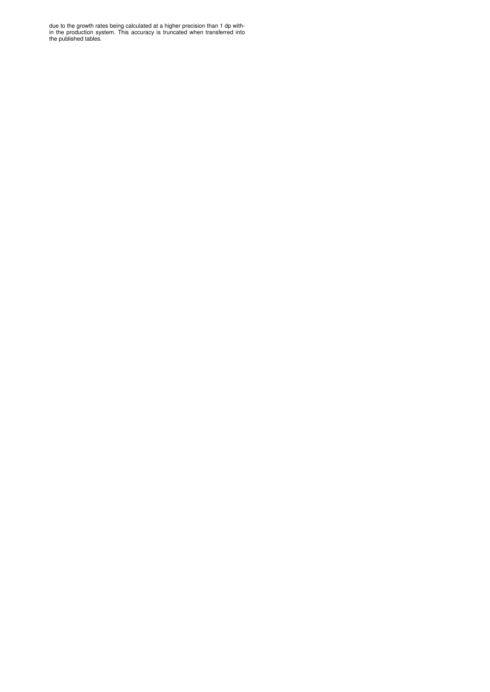due to the growth rates being calculated at a higher precision than 1 dp within the production system. This accuracy is truncated when transferred into the published tables.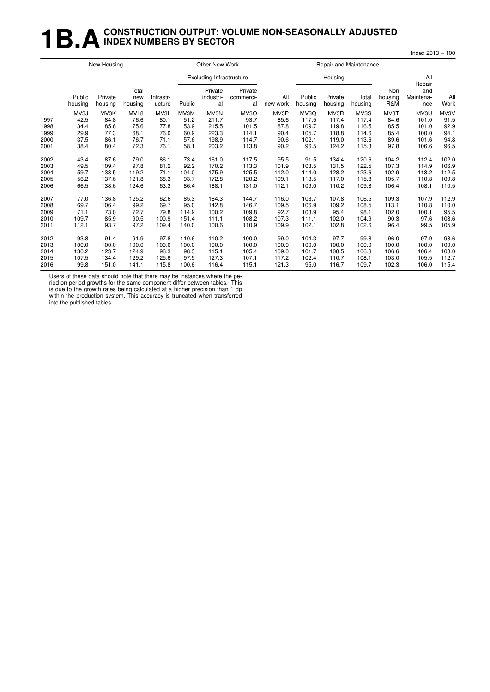## **1B.A** CONSTRUCTION OUTPUT: VOLUME NON-SEASONALLY ADJUSTED **INDEX NUMBERS BY SECTOR**

|      |                   | New Housing        |                         |                     |        | Other New Work                  |                            |                 |                   | Repair and Maintenance |                  |                       |                                   |             |
|------|-------------------|--------------------|-------------------------|---------------------|--------|---------------------------------|----------------------------|-----------------|-------------------|------------------------|------------------|-----------------------|-----------------------------------|-------------|
|      |                   |                    |                         |                     |        | <b>Excluding Infrastructure</b> |                            |                 |                   | Housing                |                  |                       | All                               |             |
|      | Public<br>housing | Private<br>housing | Total<br>new<br>housing | Infrastr-<br>ucture | Public | Private<br>industri-<br>al      | Private<br>commerci-<br>al | All<br>new work | Public<br>housing | Private<br>housing     | Total<br>housing | Non<br>housing<br>R&M | Repair<br>and<br>Maintena-<br>nce | All<br>Work |
|      | MV3J              | MV3K               | MVL8                    | MV3L                | MV3M   | MV3N                            | MV3O                       | MV3P            | MV3Q              | MV3R                   | MV3S             | MV3T                  | MV3U                              | MV3V        |
| 1997 | 42.5              | 84.8               | 76.6                    | 80.1                | 51.2   | 211.7                           | 93.7                       | 85.6            | 117.5             | 117.4                  | 117.4            | 84.6                  | 101.0                             | 91.5        |
| 1998 | 34.4              | 85.6               | 75.6                    | 77.8                | 53.9   | 215.5                           | 101.5                      | 87.8            | 109.7             | 119.8                  | 116.5            | 85.5                  | 101.0                             | 92.9        |
| 1999 | 29.9              | 77.3               | 68.1                    | 76.0                | 60.9   | 223.3                           | 114.1                      | 90.4            | 105.7             | 118.8                  | 114.6            | 85.4                  | 100.0                             | 94.1        |
| 2000 | 37.5              | 86.1               | 76.7                    | 71.1                | 57.6   | 198.9                           | 114.7                      | 90.6            | 102.1             | 119.0                  | 113.6            | 89.6                  | 101.6                             | 94.8        |
| 2001 | 38.4              | 80.4               | 72.3                    | 76.1                | 58.1   | 203.2                           | 113.8                      | 90.2            | 96.5              | 124.2                  | 115.3            | 97.8                  | 106.6                             | 96.5        |
| 2002 | 43.4              | 87.6               | 79.0                    | 86.1                | 73.4   | 161.0                           | 117.5                      | 95.5            | 91.5              | 134.4                  | 120.6            | 104.2                 | 112.4                             | 102.0       |
| 2003 | 49.5              | 109.4              | 97.8                    | 81.2                | 92.2   | 170.2                           | 113.3                      | 101.9           | 103.5             | 131.5                  | 122.5            | 107.3                 | 114.9                             | 106.9       |
| 2004 | 59.7              | 133.5              | 119.2                   | 71.1                | 104.0  | 175.9                           | 125.5                      | 112.0           | 114.0             | 128.2                  | 123.6            | 102.9                 | 113.2                             | 112.5       |
| 2005 | 56.2              | 137.6              | 121.8                   | 68.3                | 93.7   | 172.8                           | 120.2                      | 109.1           | 113.5             | 117.0                  | 115.8            | 105.7                 | 110.8                             | 109.8       |
| 2006 | 66.5              | 138.6              | 124.6                   | 63.3                | 86.4   | 188.1                           | 131.0                      | 112.1           | 109.0             | 110.2                  | 109.8            | 106.4                 | 108.1                             | 110.5       |
| 2007 | 77.0              | 136.8              | 125.2                   | 62.6                | 85.3   | 184.3                           | 144.7                      | 116.0           | 103.7             | 107.8                  | 106.5            | 109.3                 | 107.9                             | 112.9       |
| 2008 | 69.7              | 106.4              | 99.2                    | 69.7                | 95.0   | 142.8                           | 146.7                      | 109.5           | 106.9             | 109.2                  | 108.5            | 113.1                 | 110.8                             | 110.0       |
| 2009 | 71.1              | 73.0               | 72.7                    | 79.8                | 114.9  | 100.2                           | 109.8                      | 92.7            | 103.9             | 95.4                   | 98.1             | 102.0                 | 100.1                             | 95.5        |
| 2010 | 109.7             | 85.9               | 90.5                    | 100.9               | 151.4  | 111.1                           | 108.2                      | 107.3           | 111.1             | 102.0                  | 104.9            | 90.3                  | 97.6                              | 103.6       |
| 2011 | 112.1             | 93.7               | 97.2                    | 109.4               | 140.0  | 100.6                           | 110.9                      | 109.9           | 102.1             | 102.8                  | 102.6            | 96.4                  | 99.5                              | 105.9       |
| 2012 | 93.8              | 91.4               | 91.9                    | 97.8                | 110.6  | 110.2                           | 100.0                      | 99.0            | 104.3             | 97.7                   | 99.8             | 96.0                  | 97.9                              | 98.6        |
| 2013 | 100.0             | 100.0              | 100.0                   | 100.0               | 100.0  | 100.0                           | 100.0                      | 100.0           | 100.0             | 100.0                  | 100.0            | 100.0                 | 100.0                             | 100.0       |
| 2014 | 130.2             | 123.7              | 124.9                   | 96.3                | 98.3   | 115.1                           | 105.4                      | 109.0           | 101.7             | 108.5                  | 106.3            | 106.6                 | 106.4                             | 108.0       |
| 2015 | 107.5             | 134.4              | 129.2                   | 125.6               | 97.5   | 127.3                           | 107.1                      | 117.2           | 102.4             | 110.7                  | 108.1            | 103.0                 | 105.5                             | 112.7       |
| 2016 | 99.8              | 151.0              | 141.1                   | 115.8               | 100.6  | 116.4                           | 115.1                      | 121.3           | 95.0              | 116.7                  | 109.7            | 102.3                 | 106.0                             | 115.4       |

Index 2013 = 100

Users of these data should note that there may be instances where the pe-

riod on period growths for the same component differ between tables. This is due to the growth rates being calculated at a higher precision than 1 dp within the production system. This accuracy is truncated when transferred into the published tables.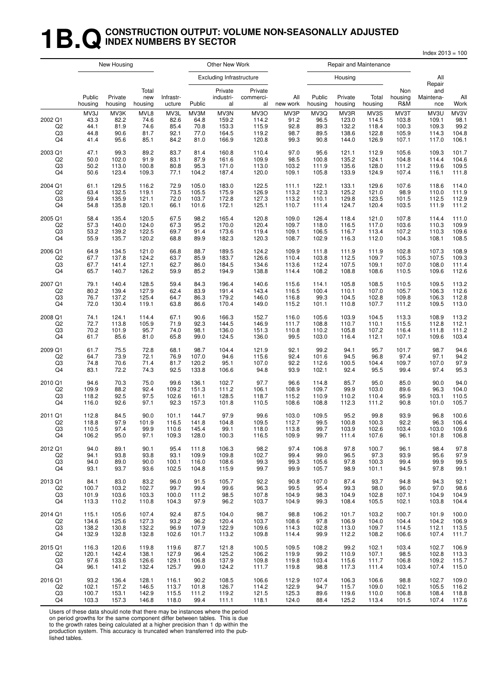## **1B.Q** CONSTRUCTION OUTPUT: VOLUME NON-SEASONALLY ADJUSTED **INDEX NUMBERS BY SECTOR**

Index 2013 = 100

|                           |                                      | New Housing                          |                                      |                                      |                                      | Other New Work                           |                                          |                                      |                                      | Repair and Maintenance                   |                                          |                                          |                                          |                                        |
|---------------------------|--------------------------------------|--------------------------------------|--------------------------------------|--------------------------------------|--------------------------------------|------------------------------------------|------------------------------------------|--------------------------------------|--------------------------------------|------------------------------------------|------------------------------------------|------------------------------------------|------------------------------------------|----------------------------------------|
|                           |                                      |                                      |                                      |                                      |                                      | <b>Excluding Infrastructure</b>          |                                          |                                      |                                      | Housing                                  |                                          |                                          | All<br>Repair                            |                                        |
|                           | Public<br>housing                    | Private<br>housing                   | Total<br>new<br>housing              | Infrastr-<br>ucture                  | Public                               | Private<br>industri-<br>al               | Private<br>commerci-<br>al               | All<br>new work                      | Public<br>housing                    | Private<br>housing                       | Total<br>housing                         | Non<br>housing<br>R&M                    | and<br>Maintena-<br>nce                  | All<br>Work                            |
| 2002 Q1<br>Q2<br>Q3<br>Q4 | MV3J<br>43.3<br>44.1<br>44.8<br>41.4 | MV3K<br>82.2<br>81.9<br>90.6<br>95.6 | MVL8<br>74.6<br>74.6<br>81.7<br>85.1 | MV3L<br>82.6<br>85.4<br>92.1<br>84.2 | MV3M<br>64.8<br>70.8<br>77.0<br>81.0 | MV3N<br>159.2<br>153.3<br>164.5<br>166.9 | MV3O<br>114.2<br>115.9<br>119.2<br>120.8 | MV3P<br>91.2<br>92.8<br>98.7<br>99.3 | MV3Q<br>96.5<br>89.3<br>89.5<br>90.8 | MV3R<br>123.0<br>132.2<br>138.6<br>144.0 | MV3S<br>114.5<br>118.4<br>122.8<br>126.9 | MV3T<br>103.8<br>100.3<br>105.9<br>107.1 | MV3U<br>109.1<br>109.3<br>114.3<br>117.0 | MV3V<br>98.1<br>99.2<br>104.8<br>106.1 |
| 2003 Q1                   | 47.1                                 | 99.3                                 | 89.2                                 | 83.7                                 | 81.4                                 | 160.8                                    | 110.4                                    | 97.0                                 | 95.6                                 | 121.1                                    | 112.9                                    | 105.6                                    | 109.3                                    | 101.7                                  |
| Q <sub>2</sub>            | 50.0                                 | 102.0                                | 91.9                                 | 83.1                                 | 87.9                                 | 161.6                                    | 109.9                                    | 98.5                                 | 100.8                                | 135.2                                    | 124.1                                    | 104.8                                    | 114.4                                    | 104.6                                  |
| Q3                        | 50.2                                 | 113.0                                | 100.8                                | 80.8                                 | 95.3                                 | 171.0                                    | 113.0                                    | 103.2                                | 111.9                                | 135.6                                    | 128.0                                    | 111.2                                    | 119.6                                    | 109.5                                  |
| Q <sub>4</sub>            | 50.6                                 | 123.4                                | 109.3                                | 77.1                                 | 104.2                                | 187.4                                    | 120.0                                    | 109.1                                | 105.8                                | 133.9                                    | 124.9                                    | 107.4                                    | 116.1                                    | 111.8                                  |
| 2004 Q1                   | 61.1                                 | 129.5                                | 116.2                                | 72.9                                 | 105.0                                | 183.0                                    | 122.5                                    | 111.1                                | 122.1                                | 133.1                                    | 129.6                                    | 107.6                                    | 118.6                                    | 114.0                                  |
| Q2                        | 63.4                                 | 132.5                                | 119.1                                | 73.5                                 | 105.5                                | 175.9                                    | 126.9                                    | 113.2                                | 112.3                                | 125.2                                    | 121.0                                    | 98.9                                     | 110.0                                    | 111.9                                  |
| Q3                        | 59.4                                 | 135.9                                | 121.1                                | 72.0                                 | 103.7                                | 172.8                                    | 127.3                                    | 113.2                                | 110.1                                | 129.8                                    | 123.5                                    | 101.5                                    | 112.5                                    | 112.9                                  |
| Q4                        | 54.8                                 | 135.8                                | 120.1                                | 66.1                                 | 101.6                                | 172.1                                    | 125.1                                    | 110.7                                | 111.4                                | 124.7                                    | 120.4                                    | 103.5                                    | 111.9                                    | 111.2                                  |
| 2005 Q1                   | 58.4                                 | 135.4                                | 120.5                                | 67.5                                 | 98.2                                 | 165.4                                    | 120.8                                    | 109.0                                | 126.4                                | 118.4                                    | 121.0                                    | 107.8                                    | 114.4                                    | 111.0                                  |
| Q <sub>2</sub>            | 57.3                                 | 140.0                                | 124.0                                | 67.3                                 | 95.2                                 | 170.0                                    | 120.4                                    | 109.7                                | 118.0                                | 116.5                                    | 117.0                                    | 103.6                                    | 110.3                                    | 109.9                                  |
| Q3                        | 53.2                                 | 139.2                                | 122.5                                | 69.7                                 | 91.4                                 | 173.6                                    | 119.4                                    | 109.1                                | 106.5                                | 116.7                                    | 113.4                                    | 107.2                                    | 110.3                                    | 109.6                                  |
| Q4                        | 55.9                                 | 135.7                                | 120.2                                | 68.8                                 | 89.9                                 | 182.3                                    | 120.3                                    | 108.7                                | 102.9                                | 116.3                                    | 112.0                                    | 104.3                                    | 108.1                                    | 108.5                                  |
| 2006 Q1                   | 64.9                                 | 134.5                                | 121.0                                | 66.8                                 | 88.7                                 | 189.5                                    | 124.2                                    | 109.9                                | 111.8                                | 111.9                                    | 111.9                                    | 102.8                                    | 107.3                                    | 108.9                                  |
| Q <sub>2</sub>            | 67.7                                 | 137.8                                | 124.2                                | 63.7                                 | 85.9                                 | 183.7                                    | 126.6                                    | 110.4                                | 103.8                                | 112.5                                    | 109.7                                    | 105.3                                    | 107.5                                    | 109.3                                  |
| Q3                        | 67.7                                 | 141.4                                | 127.1                                | 62.7                                 | 86.0                                 | 184.5                                    | 134.6                                    | 113.6                                | 112.4                                | 107.5                                    | 109.1                                    | 107.0                                    | 108.0                                    | 111.4                                  |
| Q <sub>4</sub>            | 65.7                                 | 140.7                                | 126.2                                | 59.9                                 | 85.2                                 | 194.9                                    | 138.8                                    | 114.4                                | 108.2                                | 108.8                                    | 108.6                                    | 110.5                                    | 109.6                                    | 112.6                                  |
| 2007 Q1                   | 79.1                                 | 140.4                                | 128.5                                | 59.4                                 | 84.3                                 | 196.4                                    | 140.6                                    | 115.6                                | 114.1                                | 105.8                                    | 108.5                                    | 110.5                                    | 109.5                                    | 113.2                                  |
| Q2                        | 80.2                                 | 139.4                                | 127.9                                | 62.4                                 | 83.9                                 | 191.4                                    | 143.4                                    | 116.5                                | 100.4                                | 110.1                                    | 107.0                                    | 105.7                                    | 106.3                                    | 112.6                                  |
| Q <sub>3</sub>            | 76.7                                 | 137.2                                | 125.4                                | 64.7                                 | 86.3                                 | 179.2                                    | 146.0                                    | 116.8                                | 99.3                                 | 104.5                                    | 102.8                                    | 109.8                                    | 106.3                                    | 112.8                                  |
| Q4                        | 72.0                                 | 130.4                                | 119.1                                | 63.8                                 | 86.6                                 | 170.4                                    | 149.0                                    | 115.2                                | 101.1                                | 110.8                                    | 107.7                                    | 111.2                                    | 109.5                                    | 113.0                                  |
| 2008 Q1                   | 74.1                                 | 124.1                                | 114.4                                | 67.1                                 | 90.6                                 | 166.3                                    | 152.7                                    | 116.0                                | 105.6                                | 103.9                                    | 104.5                                    | 113.3                                    | 108.9                                    | 113.2                                  |
| Q <sub>2</sub>            | 72.7                                 | 113.8                                | 105.9                                | 71.9                                 | 92.3                                 | 144.5                                    | 146.9                                    | 111.7                                | 108.8                                | 110.7                                    | 110.1                                    | 115.5                                    | 112.8                                    | 112.1                                  |
| Q3                        | 70.2                                 | 101.9                                | 95.7                                 | 74.0                                 | 98.1                                 | 136.0                                    | 151.3                                    | 110.8                                | 110.2                                | 105.8                                    | 107.2                                    | 116.4                                    | 111.8                                    | 111.2                                  |
| Q4                        | 61.7                                 | 85.6                                 | 81.0                                 | 65.8                                 | 99.0                                 | 124.5                                    | 136.0                                    | 99.5                                 | 103.0                                | 116.4                                    | 112.1                                    | 107.1                                    | 109.6                                    | 103.4                                  |
| 2009 Q1                   | 61.7                                 | 75.5                                 | 72.8                                 | 68.1                                 | 98.7                                 | 104.4                                    | 121.9                                    | 92.1                                 | 99.2                                 | 94.1                                     | 95.7                                     | 101.7                                    | 98.7                                     | 94.6                                   |
| Q <sub>2</sub>            | 64.7                                 | 73.9                                 | 72.1                                 | 76.9                                 | 107.0                                | 94.6                                     | 115.6                                    | 92.4                                 | 101.6                                | 94.5                                     | 96.8                                     | 97.4                                     | 97.1                                     | 94.2                                   |
| Q3                        | 74.8                                 | 70.6                                 | 71.4                                 | 81.7                                 | 120.2                                | 95.1                                     | 107.0                                    | 92.2                                 | 112.6                                | 100.5                                    | 104.4                                    | 109.7                                    | 107.0                                    | 97.9                                   |
| Q <sub>4</sub>            | 83.1                                 | 72.2                                 | 74.3                                 | 92.5                                 | 133.8                                | 106.6                                    | 94.8                                     | 93.9                                 | 102.1                                | 92.4                                     | 95.5                                     | 99.4                                     | 97.4                                     | 95.3                                   |
| 2010 Q1                   | 94.6                                 | 70.3                                 | 75.0                                 | 99.6                                 | 136.1                                | 102.7                                    | 97.7                                     | 96.6                                 | 114.8                                | 85.7                                     | 95.0                                     | 85.0                                     | 90.0                                     | 94.0                                   |
| Q2                        | 109.9                                | 88.2                                 | 92.4                                 | 109.2                                | 151.3                                | 111.2                                    | 106.1                                    | 108.9                                | 109.7                                | 99.9                                     | 103.0                                    | 89.6                                     | 96.3                                     | 104.0                                  |
| Q3                        | 118.2                                | 92.5                                 | 97.5                                 | 102.6                                | 161.1                                | 128.5                                    | 118.7                                    | 115.2                                | 110.9                                | 110.2                                    | 110.4                                    | 95.9                                     | 103.1                                    | 110.5                                  |
| Q4                        | 116.0                                | 92.6                                 | 97.1                                 | 92.3                                 | 157.3                                | 101.8                                    | 110.5                                    | 108.6                                | 108.8                                | 112.3                                    | 111.2                                    | 90.8                                     | 101.0                                    | 105.7                                  |
| 2011 Q1                   | 112.8                                | 84.5                                 | 90.0                                 | 101.1                                | 144.7                                | 97.9                                     | 99.6                                     | 103.0                                | 109.5                                | 95.2                                     | 99.8                                     | 93.9                                     | 96.8                                     | 100.6                                  |
| Q2                        | 118.8                                | 97.9                                 | 101.9                                | 116.5                                | 141.8                                | 104.8                                    | 109.5                                    | 112.7                                | 99.5                                 | 100.8                                    | 100.3                                    | 92.2                                     | 96.3                                     | 106.4                                  |
| Q3                        | 110.5                                | 97.4                                 | 99.9                                 | 110.6                                | 145.4                                | 99.1                                     | 118.0                                    | 113.8                                | 99.7                                 | 103.9                                    | 102.6                                    | 103.4                                    | 103.0                                    | 109.6                                  |
| Q4                        | 106.2                                | 95.0                                 | 97.1                                 | 109.3                                | 128.0                                | 100.3                                    | 116.5                                    | 109.9                                | 99.7                                 | 111.4                                    | 107.6                                    | 96.1                                     | 101.8                                    | 106.8                                  |
| 2012 Q1                   | 94.0                                 | 89.1                                 | 90.1                                 | 95.4                                 | 111.8                                | 106.3                                    | 98.2                                     | 97.4                                 | 106.8                                | 97.8                                     | 100.7                                    | 96.1                                     | 98.4                                     | 97.8                                   |
| Q2                        | 94.1                                 | 93.8                                 | 93.8                                 | 93.1                                 | 109.9                                | 109.8                                    | 102.7                                    | 99.4                                 | 99.0                                 | 96.5                                     | 97.3                                     | 93.9                                     | 95.6                                     | 97.9                                   |
| Q3                        | 94.0                                 | 89.0                                 | 90.0                                 | 100.1                                | 116.0                                | 108.6                                    | 99.3                                     | 99.3                                 | 105.6                                | 97.8                                     | 100.3                                    | 99.4                                     | 99.9                                     | 99.5                                   |
| Q4                        | 93.1                                 | 93.7                                 | 93.6                                 | 102.5                                | 104.8                                | 115.9                                    | 99.7                                     | 99.9                                 | 105.7                                | 98.9                                     | 101.1                                    | 94.5                                     | 97.8                                     | 99.1                                   |
| 2013 Q1                   | 84.1                                 | 83.0                                 | 83.2                                 | 96.0                                 | 91.5                                 | 105.7                                    | 92.2                                     | 90.8                                 | 107.0                                | 87.4                                     | 93.7                                     | 94.8                                     | 94.3                                     | 92.1                                   |
| Q2                        | 100.7                                | 103.2                                | 102.7                                | 99.7                                 | 99.4                                 | 99.6                                     | 96.3                                     | 99.5                                 | 95.4                                 | 99.3                                     | 98.0                                     | 96.0                                     | 97.0                                     | 98.6                                   |
| Q3                        | 101.9                                | 103.6                                | 103.3                                | 100.0                                | 111.2                                | 98.5                                     | 107.8                                    | 104.9                                | 98.3                                 | 104.9                                    | 102.8                                    | 107.1                                    | 104.9                                    | 104.9                                  |
| Q4                        | 113.3                                | 110.2                                | 110.8                                | 104.3                                | 97.9                                 | 96.2                                     | 103.7                                    | 104.9                                | 99.3                                 | 108.4                                    | 105.5                                    | 102.1                                    | 103.8                                    | 104.4                                  |
| 2014 Q1                   | 115.1                                | 105.6                                | 107.4                                | 92.4                                 | 87.5                                 | 104.0                                    | 98.7                                     | 98.8                                 | 106.2                                | 101.7                                    | 103.2                                    | 100.7                                    | 101.9                                    | 100.0                                  |
| Q2                        | 134.6                                | 125.6                                | 127.3                                | 93.2                                 | 96.2                                 | 120.4                                    | 103.7                                    | 108.6                                | 97.8                                 | 106.9                                    | 104.0                                    | 104.4                                    | 104.2                                    | 106.9                                  |
| Q3                        | 138.2                                | 130.8                                | 132.2                                | 96.9                                 | 107.9                                | 122.9                                    | 109.6                                    | 114.3                                | 102.8                                | 113.0                                    | 109.7                                    | 114.5                                    | 112.1                                    | 113.5                                  |
| Q4                        | 132.9                                | 132.8                                | 132.8                                | 102.6                                | 101.7                                | 113.2                                    | 109.8                                    | 114.4                                | 99.9                                 | 112.2                                    | 108.2                                    | 106.6                                    | 107.4                                    | 111.7                                  |
| 2015 Q1                   | 116.3                                | 120.6                                | 119.8                                | 119.6                                | 87.7                                 | 121.8                                    | 100.5                                    | 109.5                                | 108.2                                | 99.2                                     | 102.1                                    | 103.4                                    | 102.7                                    | 106.9                                  |
| Q <sub>2</sub>            | 120.1                                | 142.4                                | 138.1                                | 127.9                                | 96.4                                 | 125.2                                    | 106.2                                    | 119.9                                | 99.2                                 | 110.9                                    | 107.1                                    | 98.5                                     | 102.8                                    | 113.3                                  |
| Q3                        | 97.6                                 | 133.6                                | 126.6                                | 129.1                                | 106.8                                | 137.9                                    | 109.8                                    | 119.8                                | 103.4                                | 115.6                                    | 111.7                                    | 106.8                                    | 109.2                                    | 115.7                                  |
| Q4                        | 96.1                                 | 141.2                                | 132.4                                | 125.7                                | 99.0                                 | 124.2                                    | 111.7                                    | 119.8                                | 98.8                                 | 117.3                                    | 111.4                                    | 103.4                                    | 107.4                                    | 115.0                                  |
| 2016 Q1                   | 93.2                                 | 136.4                                | 128.1                                | 116.1                                | 90.2                                 | 108.5                                    | 106.6                                    | 112.9                                | 107.4                                | 106.3                                    | 106.6                                    | 98.8                                     | 102.7                                    | 109.0                                  |
| Q2                        | 102.1                                | 157.2                                | 146.5                                | 113.7                                | 101.8                                | 126.7                                    | 114.2                                    | 122.9                                | 94.7                                 | 115.7                                    | 109.0                                    | 102.1                                    | 105.5                                    | 116.2                                  |
| Q3                        | 100.7                                | 153.1                                | 142.9                                | 115.5                                | 111.2                                | 119.2                                    | 121.5                                    | 125.3                                | 89.6                                 | 119.6                                    | 110.0                                    | 106.8                                    | 108.4                                    | 118.8                                  |
| Q4                        | 103.3                                | 157.3                                | 146.8                                | 118.0                                | 99.4                                 | 111.1                                    | 118.1                                    | 124.0                                | 88.4                                 | 125.2                                    | 113.4                                    | 101.5                                    | 107.4                                    | 117.6                                  |

Users of these data should note that there may be instances where the period

on period growths for the same component differ between tables. This is due to the growth rates being calculated at a higher precision than 1 dp within the

production system. This accuracy is truncated when transferred into the published tables.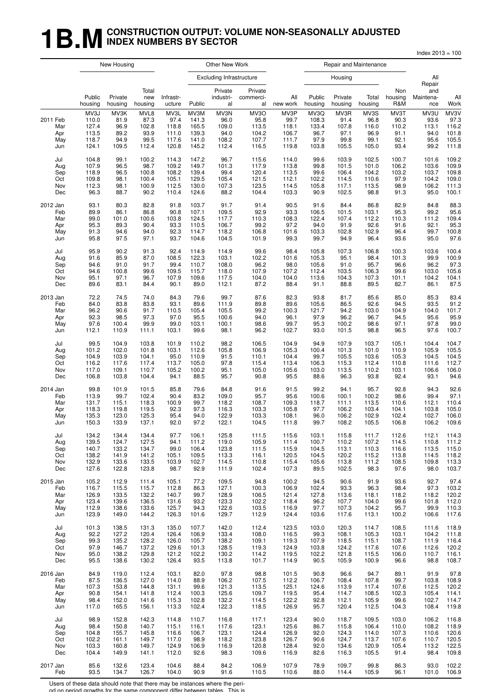## **1B.M** CONSTRUCTION OUTPUT: VOLUME NON-SEASONALLY ADJUSTED **INDEX NUMBERS BY SECTOR**

|                                      |                                                   |                                               |                                                |                                                  |                                                   |                                                 |                                                  |                                                  |                                                 |                                                |                                                |                                               | Index $2013 = 100$                            |                                                  |
|--------------------------------------|---------------------------------------------------|-----------------------------------------------|------------------------------------------------|--------------------------------------------------|---------------------------------------------------|-------------------------------------------------|--------------------------------------------------|--------------------------------------------------|-------------------------------------------------|------------------------------------------------|------------------------------------------------|-----------------------------------------------|-----------------------------------------------|--------------------------------------------------|
|                                      |                                                   | New Housing                                   |                                                |                                                  |                                                   | Other New Work                                  |                                                  |                                                  |                                                 | Repair and Maintenance                         |                                                |                                               |                                               |                                                  |
|                                      |                                                   |                                               |                                                |                                                  |                                                   | <b>Excluding Infrastructure</b>                 |                                                  |                                                  |                                                 | Housing                                        |                                                |                                               | All                                           |                                                  |
|                                      | Public<br>housing                                 | Private<br>housing                            | Total<br>new<br>housing                        | Infrastr-<br>ucture                              | Public                                            | Private<br>industri-<br>al                      | Private<br>commerci-<br>al                       | All<br>new work                                  | Public<br>housing                               | Private<br>housing                             | Total<br>housing                               | Non<br>housing<br>R&M                         | Repair<br>and<br>Maintena-<br>nce             | All<br>Work                                      |
| 2011 Feb<br>Mar<br>Apr<br>May<br>Jun | MV3J<br>110.0<br>127.4<br>113.5<br>118.7<br>124.1 | MV3K<br>81.9<br>96.9<br>89.2<br>94.9<br>109.5 | MVL8<br>87.3<br>102.8<br>93.9<br>99.5<br>112.4 | MV3L<br>97.4<br>118.8<br>111.0<br>117.6<br>120.8 | MV3M<br>141.3<br>165.5<br>139.3<br>141.0<br>145.2 | MV3N<br>96.0<br>109.0<br>94.0<br>108.2<br>112.4 | MV3O<br>95.8<br>113.5<br>104.2<br>107.7<br>116.5 | MV3P<br>99.7<br>118.1<br>106.7<br>111.7<br>119.8 | MV3Q<br>108.3<br>133.4<br>96.7<br>97.9<br>103.8 | MV3R<br>91.4<br>107.8<br>97.1<br>99.8<br>105.5 | MV3S<br>96.8<br>116.0<br>96.9<br>99.1<br>105.0 | MV3T<br>90.3<br>110.2<br>91.1<br>92.1<br>93.4 | MV3U<br>93.6<br>113.1<br>94.0<br>95.6<br>99.2 | MV3V<br>97.3<br>116.2<br>101.8<br>105.5<br>111.8 |
| Jul                                  | 104.8                                             | 99.1                                          | 100.2                                          | 114.3                                            | 147.2                                             | 96.7                                            | 115.6                                            | 114.0                                            | 99.6                                            | 103.9                                          | 102.5                                          | 100.7                                         | 101.6                                         | 109.2                                            |
| Aug                                  | 107.9                                             | 96.5                                          | 98.7                                           | 109.2                                            | 149.7                                             | 101.3                                           | 117.9                                            | 113.8                                            | 99.8                                            | 101.5                                          | 101.0                                          | 106.2                                         | 103.6                                         | 109.9                                            |
| Sep                                  | 118.9                                             | 96.5                                          | 100.8                                          | 108.2                                            | 139.4                                             | 99.4                                            | 120.4                                            | 113.5                                            | 99.6                                            | 106.4                                          | 104.2                                          | 103.2                                         | 103.7                                         | 109.8                                            |
| Oct                                  | 109.8                                             | 98.1                                          | 100.4                                          | 105.1                                            | 129.5                                             | 105.4                                           | 121.5                                            | 112.1                                            | 102.2                                           | 114.5                                          | 110.6                                          | 97.9                                          | 104.2                                         | 109.0                                            |
| Nov                                  | 112.3                                             | 98.1                                          | 100.9                                          | 112.5                                            | 130.0                                             | 107.3                                           | 123.5                                            | 114.5                                            | 105.8                                           | 117.1                                          | 113.5                                          | 98.9                                          | 106.2                                         | 111.3                                            |
| Dec                                  | 96.3                                              | 88.7                                          | 90.2                                           | 110.4                                            | 124.6                                             | 88.2                                            | 104.4                                            | 103.3                                            | 90.9                                            | 102.5                                          | 98.8                                           | 91.3                                          | 95.0                                          | 100.1                                            |
| 2012 Jan                             | 93.1                                              | 80.3                                          | 82.8                                           | 91.8                                             | 103.7                                             | 91.7                                            | 91.4                                             | 90.5                                             | 91.6                                            | 84.4                                           | 86.8                                           | 82.9                                          | 84.8                                          | 88.3                                             |
| Feb                                  | 89.9                                              | 86.1                                          | 86.8                                           | 90.8                                             | 107.1                                             | 109.5                                           | 92.9                                             | 93.3                                             | 106.5                                           | 101.5                                          | 103.1                                          | 95.3                                          | 99.2                                          | 95.6                                             |
| Mar                                  | 99.0                                              | 101.0                                         | 100.6                                          | 103.8                                            | 124.5                                             | 117.7                                           | 110.3                                            | 108.3                                            | 122.4                                           | 107.4                                          | 112.2                                          | 110.3                                         | 111.2                                         | 109.4                                            |
| Apr                                  | 95.3                                              | 89.3                                          | 90.4                                           | 93.3                                             | 110.5                                             | 106.7                                           | 99.2                                             | 97.2                                             | 94.0                                            | 91.9                                           | 92.6                                           | 91.6                                          | 92.1                                          | 95.3                                             |
| May                                  | 91.3                                              | 94.6                                          | 94.0                                           | 92.3                                             | 114.7                                             | 118.2                                           | 106.8                                            | 101.6                                            | 103.3                                           | 102.8                                          | 102.9                                          | 96.4                                          | 99.7                                          | 100.8                                            |
| Jun                                  | 95.8                                              | 97.5                                          | 97.1                                           | 93.7                                             | 104.6                                             | 104.5                                           | 101.9                                            | 99.3                                             | 99.7                                            | 94.9                                           | 96.4                                           | 93.6                                          | 95.0                                          | 97.6                                             |
| Jul                                  | 95.9                                              | 90.2                                          | 91.3                                           | 92.4                                             | 114.9                                             | 114.9                                           | 99.6                                             | 98.4                                             | 105.8                                           | 107.3                                          | 106.8                                          | 100.3                                         | 103.6                                         | 100.4                                            |
| Aug                                  | 91.6                                              | 85.9                                          | 87.0                                           | 108.5                                            | 122.3                                             | 103.1                                           | 102.2                                            | 101.6                                            | 105.3                                           | 95.1                                           | 98.4                                           | 101.3                                         | 99.9                                          | 100.9                                            |
| Sep                                  | 94.6                                              | 91.0                                          | 91.7                                           | 99.4                                             | 110.7                                             | 108.0                                           | 96.2                                             | 98.0                                             | 105.6                                           | 91.0                                           | 95.7                                           | 96.6                                          | 96.2                                          | 97.3                                             |
| Oct                                  | 94.6                                              | 100.8                                         | 99.6                                           | 109.5                                            | 115.7                                             | 118.0                                           | 107.9                                            | 107.2                                            | 112.4                                           | 103.5                                          | 106.3                                          | 99.6                                          | 103.0                                         | 105.6                                            |
| Nov                                  | 95.1                                              | 97.1                                          | 96.7                                           | 107.9                                            | 109.6                                             | 117.5                                           | 104.0                                            | 104.0                                            | 113.6                                           | 104.3                                          | 107.3                                          | 101.1                                         | 104.2                                         | 104.1                                            |
| Dec                                  | 89.6                                              | 83.1                                          | 84.4                                           | 90.1                                             | 89.0                                              | 112.1                                           | 87.2                                             | 88.4                                             | 91.1                                            | 88.8                                           | 89.5                                           | 82.7                                          | 86.1                                          | 87.5                                             |
| 2013 Jan                             | 72.2                                              | 74.5                                          | 74.0                                           | 84.3                                             | 79.6                                              | 99.7                                            | 87.6                                             | 82.3                                             | 93.8                                            | 81.7                                           | 85.6                                           | 85.0                                          | 85.3                                          | 83.4                                             |
| Feb                                  | 84.0                                              | 83.8                                          | 83.8                                           | 93.1                                             | 89.6                                              | 111.9                                           | 89.8                                             | 89.6                                             | 105.6                                           | 86.5                                           | 92.6                                           | 94.5                                          | 93.5                                          | 91.2                                             |
| Mar                                  | 96.2                                              | 90.6                                          | 91.7                                           | 110.5                                            | 105.4                                             | 105.5                                           | 99.2                                             | 100.3                                            | 121.7                                           | 94.2                                           | 103.0                                          | 104.9                                         | 104.0                                         | 101.7                                            |
| Apr                                  | 92.3                                              | 98.5                                          | 97.3                                           | 97.0                                             | 95.5                                              | 100.6                                           | 94.0                                             | 96.1                                             | 97.9                                            | 96.2                                           | 96.7                                           | 94.5                                          | 95.6                                          | 95.9                                             |
| May                                  | 97.6                                              | 100.4                                         | 99.9                                           | 99.0                                             | 103.1                                             | 100.1                                           | 98.6                                             | 99.7                                             | 95.3                                            | 100.2                                          | 98.6                                           | 97.1                                          | 97.8                                          | 99.0                                             |
| Jun                                  | 112.1                                             | 110.9                                         | 111.1                                          | 103.1                                            | 99.6                                              | 98.1                                            | 96.2                                             | 102.7                                            | 93.0                                            | 101.5                                          | 98.8                                           | 96.5                                          | 97.6                                          | 100.7                                            |
| Jul                                  | 99.5                                              | 104.9                                         | 103.8                                          | 101.9                                            | 110.2                                             | 98.2                                            | 106.5                                            | 104.9                                            | 94.9                                            | 107.9                                          | 103.7                                          | 105.1                                         | 104.4                                         | 104.7                                            |
| Aug                                  | 101.2                                             | 102.0                                         | 101.8                                          | 103.1                                            | 112.6                                             | 105.8                                           | 106.9                                            | 105.3                                            | 100.4                                           | 101.3                                          | 101.0                                          | 110.9                                         | 105.9                                         | 105.5                                            |
| Sep                                  | 104.9                                             | 103.9                                         | 104.1                                          | 95.0                                             | 110.9                                             | 91.5                                            | 110.1                                            | 104.4                                            | 99.7                                            | 105.5                                          | 103.6                                          | 105.3                                         | 104.5                                         | 104.5                                            |
| Oct                                  | 116.2                                             | 117.6                                         | 117.4                                          | 113.7                                            | 105.0                                             | 97.8                                            | 115.4                                            | 113.4                                            | 106.3                                           | 115.3                                          | 112.4                                          | 110.8                                         | 111.6                                         | 112.7                                            |
| Nov                                  | 117.0                                             | 109.1                                         | 110.7                                          | 105.2                                            | 100.2                                             | 95.1                                            | 105.0                                            | 105.6                                            | 103.0                                           | 113.5                                          | 110.2                                          | 103.1                                         | 106.6                                         | 106.0                                            |
| Dec                                  | 106.8                                             | 103.8                                         | 104.4                                          | 94.1                                             | 88.5                                              | 95.7                                            | 90.8                                             | 95.5                                             | 88.6                                            | 96.3                                           | 93.8                                           | 92.4                                          | 93.1                                          | 94.6                                             |
| 2014 Jan                             | 99.8                                              | 101.9                                         | 101.5                                          | 85.8                                             | 79.6                                              | 84.8                                            | 91.6                                             | 91.5                                             | 99.2                                            | 94.1                                           | 95.7                                           | 92.8                                          | 94.3                                          | 92.6                                             |
| Feb                                  | 113.9                                             | 99.7                                          | 102.4                                          | 90.4                                             | 83.2                                              | 109.0                                           | 95.7                                             | 95.6                                             | 100.6                                           | 100.1                                          | 100.2                                          | 98.6                                          | 99.4                                          | 97.1                                             |
| Mar                                  | 131.7                                             | 115.1                                         | 118.3                                          | 100.9                                            | 99.7                                              | 118.2                                           | 108.7                                            | 109.3                                            | 118.7                                           | 111.1                                          | 113.5                                          | 110.6                                         | 112.1                                         | 110.4                                            |
| Apr                                  | 118.3                                             | 119.8                                         | 119.5                                          | 92.3                                             | 97.3                                              | 116.3                                           | 103.3                                            | 105.8                                            | 97.7                                            | 106.2                                          | 103.4                                          | 104.1                                         | 103.8                                         | 105.0                                            |
| May                                  | 135.3                                             | 123.0                                         | 125.3                                          | 95.4                                             | 94.0                                              | 122.9                                           | 103.3                                            | 108.1                                            | 96.0                                            | 106.2                                          | 102.9                                          | 102.4                                         | 102.7                                         | 106.0                                            |
| Jun                                  | 150.3                                             | 133.9                                         | 137.1                                          | 92.0                                             | 97.2                                              | 122.1                                           | 104.5                                            | 111.8                                            | 99.7                                            | 108.2                                          | 105.5                                          | 106.8                                         | 106.2                                         | 109.6                                            |
| Jul                                  | 134.2                                             | 134.4                                         | 134.4                                          | 97.7                                             | 106.1                                             | 125.8                                           | 111.5                                            | 115.6                                            | 103.1                                           | 115.8                                          | 111.7                                          | 112.6                                         | 112.1                                         | 114.3                                            |
| Aug                                  | 139.5                                             | 124.7                                         | 127.5                                          | 94.1                                             | 111.2                                             | 119.0                                           | 105.9                                            | 111.4                                            | 100.7                                           | 110.2                                          | 107.2                                          | 114.5                                         | 110.8                                         | 111.2                                            |
| Sep                                  | 140.7                                             | 133.2                                         | 134.7                                          | 99.0                                             | 106.4                                             | 123.8                                           | 111.5                                            | 115.9                                            | 104.5                                           | 113.1                                          | 110.3                                          | 116.6                                         | 113.5                                         | 115.0                                            |
| Oct                                  | 138.2                                             | 141.9                                         | 141.2                                          | 105.1                                            | 109.5                                             | 113.3                                           | 116.1                                            | 120.5                                            | 104.5                                           | 120.2                                          | 115.2                                          | 113.8                                         | 114.5                                         | 118.2                                            |
| Nov                                  | 132.9                                             | 133.6                                         | 133.5                                          | 103.9                                            | 102.7                                             | 114.5                                           | 110.8                                            | 115.4                                            | 105.6                                           | 113.8                                          | 111.2                                          | 108.5                                         | 109.8                                         | 113.3                                            |
| Dec                                  | 127.6                                             | 122.8                                         | 123.8                                          | 98.7                                             | 92.9                                              | 111.9                                           | 102.4                                            | 107.3                                            | 89.5                                            | 102.5                                          | 98.3                                           | 97.6                                          | 98.0                                          | 103.7                                            |
| 2015 Jan                             | 105.2                                             | 112.9                                         | 111.4                                          | 105.1                                            | 77.2                                              | 109.5                                           | 94.8                                             | 100.2                                            | 94.5                                            | 90.6                                           | 91.9                                           | 93.6                                          | 92.7                                          | 97.4                                             |
| Feb                                  | 116.7                                             | 115.5                                         | 115.7                                          | 112.8                                            | 86.3                                              | 127.1                                           | 100.3                                            | 106.9                                            | 102.4                                           | 93.3                                           | 96.3                                           | 98.4                                          | 97.3                                          | 103.2                                            |
| Mar                                  | 126.9                                             | 133.5                                         | 132.2                                          | 140.7                                            | 99.7                                              | 128.9                                           | 106.5                                            | 121.4                                            | 127.8                                           | 113.6                                          | 118.1                                          | 118.2                                         | 118.2                                         | 120.2                                            |
| Apr                                  | 123.4                                             | 139.6                                         | 136.5                                          | 131.6                                            | 93.2                                              | 123.3                                           | 102.2                                            | 118.4                                            | 96.2                                            | 107.7                                          | 104.0                                          | 99.6                                          | 101.8                                         | 112.0                                            |
| May                                  | 112.9                                             | 138.6                                         | 133.6                                          | 125.7                                            | 94.3                                              | 122.6                                           | 103.5                                            | 116.9                                            | 97.7                                            | 107.3                                          | 104.2                                          | 95.7                                          | 99.9                                          | 110.3                                            |
| Jun                                  | 123.9                                             | 149.0                                         | 144.2                                          | 126.3                                            | 101.6                                             | 129.7                                           | 112.9                                            | 124.4                                            | 103.6                                           | 117.6                                          | 113.1                                          | 100.2                                         | 106.6                                         | 117.6                                            |
| Jul                                  | 101.3                                             | 138.5                                         | 131.3                                          | 135.0                                            | 107.7                                             | 142.0                                           | 112.4                                            | 123.5                                            | 103.0                                           | 120.3                                          | 114.7                                          | 108.5                                         | 111.6                                         | 118.9                                            |
| Aug                                  | 92.2                                              | 127.2                                         | 120.4                                          | 126.4                                            | 106.9                                             | 133.4                                           | 108.0                                            | 116.5                                            | 99.3                                            | 108.1                                          | 105.3                                          | 103.1                                         | 104.2                                         | 111.8                                            |
| Sep                                  | 99.3                                              | 135.2                                         | 128.2                                          | 126.0                                            | 105.7                                             | 138.2                                           | 109.1                                            | 119.3                                            | 107.9                                           | 118.5                                          | 115.1                                          | 108.7                                         | 111.9                                         | 116.4                                            |
| Oct                                  | 97.9                                              | 146.7                                         | 137.2                                          | 129.6                                            | 101.3                                             | 128.5                                           | 119.3                                            | 124.9                                            | 103.8                                           | 124.2                                          | 117.6                                          | 107.6                                         | 112.6                                         | 120.2                                            |
| Nov                                  | 95.0                                              | 138.2                                         | 129.8                                          | 121.2                                            | 102.2                                             | 130.2                                           | 114.2                                            | 119.5                                            | 102.2                                           | 121.8                                          | 115.5                                          | 106.0                                         | 110.7                                         | 116.1                                            |
| Dec                                  | 95.5                                              | 138.6                                         | 130.2                                          | 126.4                                            | 93.5                                              | 113.8                                           | 101.7                                            | 114.9                                            | 90.5                                            | 105.9                                          | 100.9                                          | 96.6                                          | 98.8                                          | 108.7                                            |
| 2016 Jan                             | 84.9                                              | 119.0                                         | 112.4                                          | 103.1                                            | 82.0                                              | 97.8                                            | 98.8                                             | 101.5                                            | 90.8                                            | 96.6                                           | 94.7                                           | 89.1                                          | 91.9                                          | 97.8                                             |
| Feb                                  | 87.5                                              | 136.5                                         | 127.0                                          | 114.0                                            | 88.9                                              | 106.2                                           | 107.5                                            | 112.2                                            | 106.7                                           | 108.4                                          | 107.8                                          | 99.7                                          | 103.8                                         | 108.9                                            |
| Mar                                  | 107.3                                             | 153.8                                         | 144.8                                          | 131.1                                            | 99.6                                              | 121.3                                           | 113.5                                            | 125.1                                            | 124.6                                           | 113.9                                          | 117.4                                          | 107.6                                         | 112.5                                         | 120.2                                            |
| Apr                                  | 90.8                                              | 154.1                                         | 141.8                                          | 112.4                                            | 100.3                                             | 125.6                                           | 109.7                                            | 119.5                                            | 95.4                                            | 114.7                                          | 108.5                                          | 102.3                                         | 105.4                                         | 114.1                                            |
| May                                  | 98.4                                              | 152.0                                         | 141.6                                          | 115.3                                            | 102.8                                             | 132.2                                           | 114.5                                            | 122.2                                            | 92.8                                            | 112.1                                          | 105.9                                          | 99.6                                          | 102.7                                         | 114.7                                            |
| Jun                                  | 117.0                                             | 165.5                                         | 156.1                                          | 113.3                                            | 102.4                                             | 122.3                                           | 118.5                                            | 126.9                                            | 95.7                                            | 120.4                                          | 112.5                                          | 104.3                                         | 108.4                                         | 119.8                                            |
| Jul                                  | 98.9                                              | 152.8                                         | 142.3                                          | 114.8                                            | 110.7                                             | 116.8                                           | 117.1                                            | 123.4                                            | 90.0                                            | 118.7                                          | 109.5                                          | 103.0                                         | 106.2                                         | 116.8                                            |
| Aug                                  | 98.4                                              | 150.8                                         | 140.7                                          | 115.1                                            | 116.1                                             | 117.6                                           | 123.1                                            | 125.6                                            | 86.7                                            | 115.8                                          | 106.4                                          | 110.0                                         | 108.2                                         | 118.9                                            |
| Sep                                  | 104.8                                             | 155.7                                         | 145.8                                          | 116.6                                            | 106.7                                             | 123.1                                           | 124.4                                            | 126.9                                            | 92.0                                            | 124.3                                          | 114.0                                          | 107.3                                         | 110.6                                         | 120.6                                            |
| Oct                                  | 102.2                                             | 161.1                                         | 149.7                                          | 117.0                                            | 98.9                                              | 118.2                                           | 123.8                                            | 126.7                                            | 90.6                                            | 124.7                                          | 113.7                                          | 107.6                                         | 110.7                                         | 120.5                                            |
| Nov                                  | 103.3                                             | 160.8                                         | 149.7                                          | 124.9                                            | 106.9                                             | 116.9                                           | 120.8                                            | 128.4                                            | 92.0                                            | 134.6                                          | 120.9                                          | 105.4                                         | 113.2                                         | 122.5                                            |
| Dec                                  | 104.4                                             | 149.9                                         | 141.1                                          | 112.0                                            | 92.6                                              | 98.3                                            | 109.6                                            | 116.9                                            | 82.6                                            | 116.3                                          | 105.5                                          | 91.4                                          | 98.4                                          | 109.8                                            |
| 2017 Jan                             | 85.6                                              | 132.6                                         | 123.4                                          | 104.6                                            | 88.4                                              | 84.2                                            | 106.9                                            | 107.9                                            | 78.9                                            | 109.7                                          | 99.8                                           | 86.3                                          | 93.0                                          | 102.2                                            |
| Feb                                  | 93.5                                              | 134.7                                         | 126.7                                          | 104.0                                            | 90.9                                              | 91.6                                            | 110.5                                            | 110.6                                            | 88.0                                            | 114.4                                          | 105.9                                          | 96.1                                          | 101.0                                         | 106.9                                            |

Users of these data should note that there may be instances where the peri-

od on period growths for the same component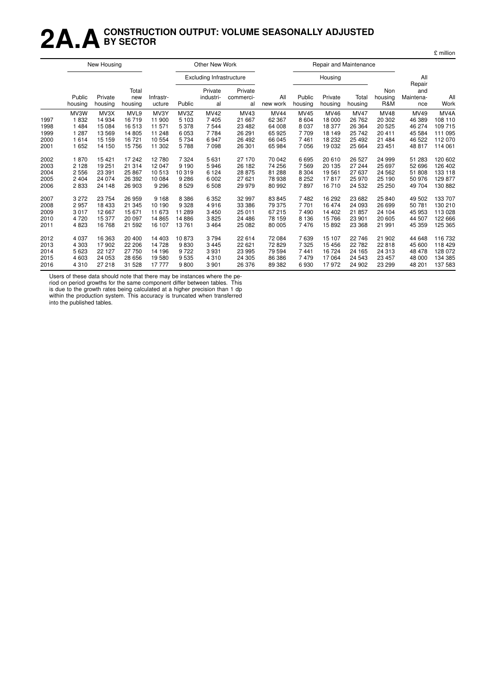## **2A.ACONSTRUCTION OUTPUT: VOLUME SEASONALLY ADJUSTED BY SECTOR**

|      | New Housing       |                    |                         |                     |         | <b>Other New Work</b>           |                            |                 |                   |                    | Repair and Maintenance |                       |                                   |                   |
|------|-------------------|--------------------|-------------------------|---------------------|---------|---------------------------------|----------------------------|-----------------|-------------------|--------------------|------------------------|-----------------------|-----------------------------------|-------------------|
|      |                   |                    |                         |                     |         | <b>Excluding Infrastructure</b> |                            |                 |                   | Housing            |                        |                       | All                               |                   |
|      | Public<br>housing | Private<br>housing | Total<br>new<br>housing | Infrastr-<br>ucture | Public  | Private<br>industri-<br>al      | Private<br>commerci-<br>al | All<br>new work | Public<br>housing | Private<br>housing | Total<br>housing       | Non<br>housing<br>R&M | Repair<br>and<br>Maintena-<br>nce | All<br>Work       |
|      | MV3W              | MV3X               | MVL9                    | MV3Y                | MV3Z    | <b>MV42</b>                     | MV43                       | <b>MV44</b>     | MV45              | MV46               | <b>MV47</b>            | <b>MV48</b>           | MV49                              | MV <sub>4</sub> A |
| 1997 | 1832              | 14 934             | 16719                   | 11 900              | 5 1 0 3 | 7 4 0 5                         | 21 667                     | 62 3 67         | 8 6 0 4           | 18 000             | 26 762                 | 20 30 2               | 46 389                            | 108 110           |
| 1998 | 1 4 8 4           | 15 0 84            | 16513                   | 11 571              | 5 3 7 8 | 7 5 4 4                         | 23 4 82                    | 64 008          | 8 0 3 7           | 18 377             | 26 364                 | 20 5 25               | 46 274                            | 109 715           |
| 1999 | 1 287             | 13569              | 14 805                  | 11 248              | 6 0 5 3 | 7 7 8 4                         | 26 291                     | 65 925          | 7709              | 18 149             | 25 742                 | 20 411                | 45 584                            | 111 095           |
| 2000 | 1614              | 15 15 9            | 16 721                  | 10 554              | 5 7 3 4 | 6947                            | 26 492                     | 66 045          | 7461              | 18 232             | 25 4 9 2               | 21 4 8 4              | 46 522                            | 112070            |
| 2001 | 1 6 5 2           | 14 150             | 15 756                  | 11 302              | 5788    | 7 0 9 8                         | 26 301                     | 65 984          | 7 0 5 6           | 19 0 32            | 25 664                 | 23 451                | 48 817                            | 114 061           |
| 2002 | 1870              | 15 4 21            | 17 242                  | 12780               | 7 3 2 4 | 5631                            | 27 170                     | 70 042          | 6695              | 20 610             | 26 5 27                | 24 999                | 51 283                            | 120 602           |
| 2003 | 2 1 2 8           | 19 251             | 21 314                  | 12047               | 9 1 9 0 | 5946                            | 26 182                     | 74 256          | 7569              | 20 135             | 27 244                 | 25 697                | 52 696                            | 126 402           |
| 2004 | 2 5 5 6           | 23 391             | 25 867                  | 10513               | 10 319  | 6 1 2 4                         | 28 875                     | 81 288          | 8 3 0 4           | 19561              | 27 637                 | 24 5 62               | 51 808                            | 133 118           |
| 2005 | 2 4 0 4           | 24 0 74            | 26 392                  | 10 084              | 9 2 8 6 | 6 0 0 2                         | 27 621                     | 78 938          | 8 2 5 2           | 17817              | 25 970                 | 25 190                | 50 976                            | 129 877           |
| 2006 | 2833              | 24 148             | 26 903                  | 9 2 9 6             | 8529    | 6508                            | 29 979                     | 80 992          | 7897              | 16 710             | 24 532                 | 25 250                | 49 704                            | 130 882           |
| 2007 | 3 2 7 2           | 23 7 54            | 26 959                  | 9 1 6 8             | 8 3 8 6 | 6 3 5 2                         | 32 997                     | 83 845          | 7482              | 16 29 2            | 23 682                 | 25 840                | 49 502                            | 133 707           |
| 2008 | 2957              | 18 4 33            | 21 345                  | 10 190              | 9 3 28  | 4916                            | 33 386                     | 79 375          | 7 7 0 1           | 16 474             | 24 093                 | 26 699                | 50 781                            | 130 210           |
| 2009 | 3017              | 12 667             | 15 671                  | 11 673              | 11 289  | 3 4 5 0                         | 25 011                     | 67 215          | 7490              | 14 402             | 21 857                 | 24 104                | 45 953                            | 113 028           |
| 2010 | 4 7 2 0           | 15 377             | 20 097                  | 14 8 65             | 14 8 86 | 3825                            | 24 48 6                    | 78 159          | 8 1 3 6           | 15 766             | 23 901                 | 20 605                | 44 507                            | 122 666           |
| 2011 | 4823              | 16768              | 21 592                  | 16 107              | 13761   | 3 4 6 4                         | 25 082                     | 80 005          | 7476              | 15 892             | 23 368                 | 21 991                | 45 359                            | 125 365           |
| 2012 | 4 0 3 7           | 16 363             | 20 400                  | 14 403              | 10873   | 3794                            | 22 614                     | 72 084          | 7639              | 15 107             | 22 746                 | 21 902                | 44 648                            | 116 732           |
| 2013 | 4 3 0 3           | 17902              | 22 206                  | 14728               | 9830    | 3 4 4 5                         | 22 621                     | 72 829          | 7 3 2 5           | 15 45 6            | 22 782                 | 22818                 | 45 600                            | 118 429           |
| 2014 | 5 6 23            | 22 127             | 27 750                  | 14 196              | 9722    | 3 9 3 1                         | 23 995                     | 79 594          | 7 4 4 1           | 16 724             | 24 165                 | 24 3 1 3              | 48 478                            | 128 072           |
| 2015 | 4 603             | 24 053             | 28 656                  | 19580               | 9535    | 4310                            | 24 305                     | 86 386          | 7479              | 17 064             | 24 5 43                | 23 457                | 48 000                            | 134 385           |
| 2016 | 4 3 1 0           | 27 218             | 31 528                  | 17777               | 9800    | 3 9 0 1                         | 26 376                     | 89 382          | 6930              | 17972              | 24 902                 | 23 299                | 48 201                            | 137 583           |

Users of these data should note that there may be instances where the pe-

riod on period growths for the same component differ between tables. This is due to the growth rates being calculated at a higher precision than 1 dp within the production system. This accuracy is truncated when transferred into the published tables.

£ million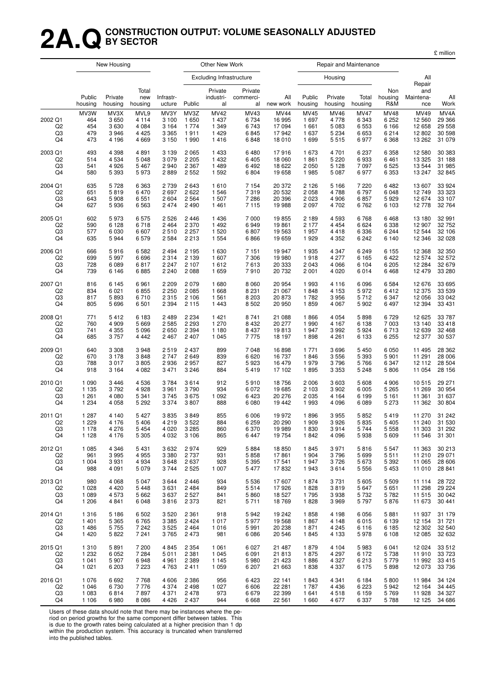## **2A.QCONSTRUCTION OUTPUT: VOLUME SEASONALLY ADJUSTED BY SECTOR**

£ million

|                           |                                  | New Housing                             |                                                  |                                                  |                                             | Other New Work                                |                                      |                                                    |                                                       | Repair and Maintenance                     |                                             |                                                         |                                              |                                              |
|---------------------------|----------------------------------|-----------------------------------------|--------------------------------------------------|--------------------------------------------------|---------------------------------------------|-----------------------------------------------|--------------------------------------|----------------------------------------------------|-------------------------------------------------------|--------------------------------------------|---------------------------------------------|---------------------------------------------------------|----------------------------------------------|----------------------------------------------|
|                           |                                  |                                         |                                                  |                                                  |                                             | <b>Excluding Infrastructure</b>               |                                      |                                                    |                                                       | Housing                                    |                                             |                                                         | All<br>Repair                                |                                              |
|                           | Public<br>housing                | Private<br>housing                      | Total<br>new<br>housing                          | Infrastr-<br>ucture                              | Public                                      | Private<br>industri-<br>al                    | Private<br>commerci-<br>al           | All<br>new work                                    | Public<br>housing                                     | Private<br>housing                         | Total<br>housing                            | Non<br>housing<br>R&M                                   | and<br>Maintena-<br>nce                      | All<br>Work                                  |
| 2002 Q1<br>Q2<br>Q3<br>Q4 | MV3W<br>464<br>454<br>479<br>473 | MV3X<br>3650<br>3630<br>3946<br>4 1 9 6 | MVL9<br>4 1 1 4<br>4 0 8 4<br>4 4 2 5<br>4 6 6 9 | MV3Y<br>3 1 0 0<br>3 1 6 4<br>3 3 6 5<br>3 1 5 0 | MV3Z<br>1 650<br>1 7 7 4<br>1911<br>1 9 9 0 | MV42<br>1 4 3 7<br>1 3 4 9<br>1 4 2 9<br>1416 | MV43<br>6734<br>6743<br>6845<br>6848 | <b>MV44</b><br>16 995<br>17 094<br>17942<br>18 010 | <b>MV45</b><br>1 6 9 7<br>1 6 6 1<br>1 637<br>1 6 9 9 | MV46<br>4778<br>5 0 8 3<br>5 2 3 4<br>5515 | <b>MV47</b><br>6343<br>6553<br>6653<br>6977 | <b>MV48</b><br>6 2 5 2<br>6 1 6 6<br>6 2 1 4<br>6 3 6 8 | MV49<br>12 5 60<br>12 658<br>12802<br>13 262 | MV4A<br>29 366<br>29 558<br>30 598<br>31 079 |
| 2003 Q1                   | 493                              | 4 3 9 8                                 | 4891                                             | 3 1 3 9                                          | 2 0 6 5                                     | 1 4 3 3                                       | 6480                                 | 17916                                              | 1673                                                  | 4 701                                      | 6 2 3 7                                     | 6 3 5 8                                                 | 12 5 8 0                                     | 30 383                                       |
| Q2                        | 514                              | 4 5 3 4                                 | 5 0 4 8                                          | 3079                                             | 2 2 0 5                                     | 1 4 3 2                                       | 6405                                 | 18 060                                             | 1861                                                  | 5 2 2 0                                    | 6933                                        | 6461                                                    | 13 3 25                                      | 31 188                                       |
| Q3                        | 541                              | 4926                                    | 5 4 6 7                                          | 2940                                             | 2 3 6 7                                     | 1 4 8 9                                       | 6492                                 | 18 622                                             | 2 0 5 0                                               | 5 1 2 8                                    | 7097                                        | 6 5 25                                                  | 13 544                                       | 31 985                                       |
| Q4                        | 580                              | 5 3 9 3                                 | 5973                                             | 2889                                             | 2 5 5 2                                     | 1 5 9 2                                       | 6804                                 | 19658                                              | 1985                                                  | 5 0 8 7                                    | 6977                                        | 6 3 5 3                                                 | 13 247                                       | 32 845                                       |
| 2004 Q1                   | 635                              | 5728                                    | 6 3 6 3                                          | 2739                                             | 2643                                        | 1610                                          | 7 1 5 4                              | 20 372                                             | 2 1 2 6                                               | 5 1 6 6                                    | 7 2 2 0                                     | 6482                                                    | 13 607                                       | 33 924                                       |
| Q <sub>2</sub>            | 651                              | 5819                                    | 6470                                             | 2697                                             | 2622                                        | 1 546                                         | 7319                                 | 20 532                                             | 2 0 5 8                                               | 4788                                       | 6797                                        | 6 0 4 8                                                 | 12749                                        | 33 323                                       |
| Q3                        | 643                              | 5 9 0 8                                 | 6 5 5 1                                          | 2604                                             | 2 5 6 4                                     | 1 507                                         | 7286                                 | 20 396                                             | 2 0 2 3                                               | 4 9 0 6                                    | 6857                                        | 5929                                                    | 12674                                        | 33 107                                       |
| Q4                        | 627                              | 5936                                    | 6 5 6 3                                          | 2474                                             | 2 4 9 0                                     | 1461                                          | 7115                                 | 19 988                                             | 2 0 9 7                                               | 4 702                                      | 6762                                        | 6 1 0 3                                                 | 12778                                        | 32 764                                       |
| 2005 Q1                   | 602                              | 5973                                    | 6575                                             | 2526                                             | 2 4 4 6                                     | 1 4 3 6                                       | 7 0 0 0                              | 19855                                              | 2 1 8 9                                               | 4593                                       | 6768                                        | 6468                                                    | 13 180                                       | 32 991                                       |
| Q <sub>2</sub>            | 590                              | 6 1 2 8                                 | 6718                                             | 2464                                             | 2 3 7 0                                     | 1 4 9 2                                       | 6949                                 | 19861                                              | 2 177                                                 | 4 4 5 4                                    | 6624                                        | 6 3 3 8                                                 | 12 907                                       | 32 752                                       |
| Q3                        | 577                              | 6 0 3 0                                 | 6607                                             | 2510                                             | 2 2 5 7                                     | 1 5 2 0                                       | 6807                                 | 19 5 63                                            | 1957                                                  | 4 4 1 8                                    | 6 3 3 6                                     | 6 2 4 4                                                 | 12 544                                       | 32 106                                       |
| Q4                        | 635                              | 5944                                    | 6579                                             | 2584                                             | 2 2 1 3                                     | 1 5 5 4                                       | 6866                                 | 19 659                                             | 1929                                                  | 4 3 5 2                                    | 6 2 4 2                                     | 6 140                                                   | 12 3 46                                      | 32 028                                       |
| 2006 Q1                   | 666                              | 5916                                    | 6 5 8 2                                          | 2494                                             | 2 1 9 5                                     | 1 630                                         | 7 1 5 1                              | 19 947                                             | 1935                                                  | 4 3 4 7                                    | 6249                                        | 6 1 5 5                                                 | 12 3 68                                      | 32 350                                       |
| Q2                        | 699                              | 5997                                    | 6696                                             | 2314                                             | 2 1 3 9                                     | 1 607                                         | 7 3 0 6                              | 19 980                                             | 1918                                                  | 4 277                                      | 6 1 6 5                                     | 6422                                                    | 12 574                                       | 32 572                                       |
| Q3                        | 728                              | 6 0 8 9                                 | 6817                                             | 2 2 4 7                                          | 2 107                                       | 1612                                          | 7613                                 | 20 333                                             | 2 0 4 3                                               | 4 0 6 6                                    | 6 1 0 4                                     | 6 2 0 5                                                 | 12 2 84                                      | 32 679                                       |
| Q4                        | 739                              | 6 1 4 6                                 | 6885                                             | 2 2 4 0                                          | 2 0 8 8                                     | 1659                                          | 7910                                 | 20 732                                             | 2 0 0 1                                               | 4 0 20                                     | 6014                                        | 6468                                                    | 12 479                                       | 33 280                                       |
| 2007 Q1                   | 816                              | 6 1 4 5                                 | 6961                                             | 2 2 0 9                                          | 2 0 7 9                                     | 1680                                          | 8 0 6 0                              | 20 954                                             | 1993                                                  | 4 1 1 6                                    | 6096                                        | 6 5 8 4                                                 | 12676                                        | 33 695                                       |
| Q <sub>2</sub>            | 834                              | 6 0 21                                  | 6855                                             | 2 2 5 0                                          | 2 0 8 5                                     | 1668                                          | 8 2 3 1                              | 21 067                                             | 1848                                                  | 4 1 5 3                                    | 5972                                        | 6412                                                    | 12 375                                       | 33 539                                       |
| Q3                        | 817                              | 5893                                    | 6710                                             | 2315                                             | 2 1 0 6                                     | 1 5 6 1                                       | 8 2 0 3                              | 20 873                                             | 1782                                                  | 3956                                       | 5712                                        | 6 3 4 7                                                 | 12 0 56                                      | 33 042                                       |
| Q4                        | 805                              | 5696                                    | 6 5 0 1                                          | 2 3 9 4                                          | 2 1 1 5                                     | 1 4 4 3                                       | 8502                                 | 20 950                                             | 1859                                                  | 4 0 6 7                                    | 5902                                        | 6497                                                    | 12 3 94                                      | 33 431                                       |
| 2008 Q1                   | 771                              | 5412                                    | 6 183                                            | 2489                                             | 2 2 3 4                                     | 1 4 2 1                                       | 8741                                 | 21 088                                             | 1866                                                  | 4 0 5 4                                    | 5898                                        | 6729                                                    | 12 6 25                                      | 33 787                                       |
| Q2                        | 760                              | 4 9 0 9                                 | 5 6 6 9                                          | 2585                                             | 2 2 9 3                                     | 1 270                                         | 8432                                 | 20 277                                             | 1990                                                  | 4 1 6 7                                    | 6 1 3 8                                     | 7 0 0 3                                                 | 13 140                                       | 33 418                                       |
| Q3                        | 741                              | 4 3 5 5                                 | 5 0 9 6                                          | 2650                                             | 2 3 9 4                                     | 1 1 8 0                                       | 8437                                 | 19813                                              | 1947                                                  | 3992                                       | 5924                                        | 6713                                                    | 12 639                                       | 32 468                                       |
| Q4                        | 685                              | 3757                                    | 4 4 4 2                                          | 2467                                             | 2 4 0 7                                     | 1 0 4 5                                       | 7775                                 | 18 197                                             | 1898                                                  | 4 2 6 1                                    | 6 1 3 3                                     | 6 2 5 5                                                 | 12 377                                       | 30 537                                       |
| 2009 Q1                   | 640                              | 3 3 0 8                                 | 3948                                             | 2519                                             | 2 4 3 7                                     | 899                                           | 7048                                 | 16898                                              | 1 7 7 1                                               | 3696                                       | 5450                                        | 6 0 5 0                                                 | 11 4 9 5                                     | 28 362                                       |
| Q2                        | 670                              | 3 1 7 8                                 | 3848                                             | 2747                                             | 2649                                        | 839                                           | 6620                                 | 16 737                                             | 1846                                                  | 3556                                       | 5 3 9 3                                     | 5 9 0 1                                                 | 11 291                                       | 28 006                                       |
| Q3                        | 788                              | 3017                                    | 3805                                             | 2936                                             | 2957                                        | 827                                           | 5923                                 | 16 479                                             | 1979                                                  | 3796                                       | 5766                                        | 6 3 4 7                                                 | 12 112                                       | 28 504                                       |
| Q4                        | 918                              | 3 1 6 4                                 | 4 0 8 2                                          | 3471                                             | 3 2 4 6                                     | 884                                           | 5419                                 | 17 102                                             | 1895                                                  | 3 3 5 3                                    | 5 2 4 8                                     | 5806                                                    | 11 054                                       | 28 156                                       |
| 2010 Q1                   | 1 0 9 0                          | 3 4 4 6                                 | 4536                                             | 3784                                             | 3614                                        | 912                                           | 5910                                 | 18756                                              | 2 0 0 6                                               | 3603                                       | 5608                                        | 4 9 0 6                                                 | 10515                                        | 29 271                                       |
| Q2                        | 1 1 3 5                          | 3792                                    | 4928                                             | 3961                                             | 3790                                        | 934                                           | 6072                                 | 19 685                                             | 2 1 0 3                                               | 3 902                                      | 6 0 0 5                                     | 5 2 6 5                                                 | 11 269                                       | 30 954                                       |
| Q3                        | 1 2 6 1                          | 4 0 8 0                                 | 5 3 4 1                                          | 3745                                             | 3675                                        | 1 0 9 2                                       | 6423                                 | 20 276                                             | 2 0 3 5                                               | 4 1 6 4                                    | 6 1 9 9                                     | 5 1 6 1                                                 | 11 361                                       | 31 637                                       |
| Q4                        | 1 2 3 4                          | 4 0 5 8                                 | 5 2 9 2                                          | 3 3 7 4                                          | 3807                                        | 888                                           | 6080                                 | 19 442                                             | 1993                                                  | 4 0 9 6                                    | 6089                                        | 5 2 7 3                                                 | 11 362                                       | 30 804                                       |
| 2011 Q1                   | 1 2 8 7                          | 4 1 4 0                                 | 5 4 2 7                                          | 3835                                             | 3849                                        | 855                                           | 6006                                 | 19 972                                             | 1896                                                  | 3955                                       | 5852                                        | 5419                                                    | 11 270                                       | 31 24 2                                      |
| Q2                        | 1 2 2 9                          | 4 1 7 6                                 | 5406                                             | 4 2 1 9                                          | 3 5 2 2                                     | 884                                           | 6259                                 | 20 290                                             | 1 909                                                 | 3926                                       | 5835                                        | 5 4 0 5                                                 | 11 240                                       | 31 530                                       |
| Q3                        | 11/8                             | 4 276                                   | 5 454                                            | 4 0 2 0                                          | 3 285                                       | 860                                           | 6370                                 | 19 989                                             | 1830                                                  | 3914                                       | 5 / 44                                      | 5 558                                                   | 11 303                                       | 31 292                                       |
| Q4                        | 1 1 2 8                          | 4 1 7 6                                 | 5 3 0 5                                          | 4 0 3 2                                          | 3 1 0 6                                     | 865                                           | 6447                                 | 19754                                              | 1842                                                  | 4 0 9 6                                    | 5938                                        | 5 609                                                   | 11 546                                       | 31 301                                       |
| 2012 Q1                   | 1 0 8 5                          | 4 3 4 6                                 | 5 4 3 1                                          | 3632                                             | 2974                                        | 929                                           | 5884                                 | 18 850                                             | 1845                                                  | 3971                                       | 5816                                        | 5 5 4 7                                                 | 11 363                                       | 30 213                                       |
| Q2                        | 961                              | 3 9 9 5                                 | 4 9 5 5                                          | 3 3 8 0                                          | 2 7 3 7                                     | 931                                           | 5858                                 | 17861                                              | 1 904                                                 | 3796                                       | 5699                                        | 5511                                                    | 11 210                                       | 29 071                                       |
| Q3                        | 1 0 0 4                          | 3 9 3 1                                 | 4 9 34                                           | 3648                                             | 2637                                        | 928                                           | 5 3 9 5                              | 17541                                              | 1947                                                  | 3726                                       | 5673                                        | 5 3 9 2                                                 | 11 065                                       | 28 606                                       |
| Q4                        | 988                              | 4 0 9 1                                 | 5 0 7 9                                          | 3744                                             | 2 5 2 5                                     | 1 0 0 7                                       | 5477                                 | 17832                                              | 1943                                                  | 3614                                       | 5556                                        | 5453                                                    | 11 010                                       | 28 841                                       |
| 2013 Q1                   | 980                              | 4 0 6 8                                 | 5 0 4 7                                          | 3644                                             | 2 4 4 6                                     | 934                                           | 5536                                 | 17607                                              | 1874                                                  | 3731                                       | 5605                                        | 5 5 0 9                                                 | 11 114                                       | 28 722                                       |
| Q <sub>2</sub>            | 1 0 2 8                          | 4 4 2 0                                 | 5 4 4 8                                          | 3631                                             | 2 4 8 4                                     | 849                                           | 5514                                 | 17926                                              | 1828                                                  | 3819                                       | 5647                                        | 5651                                                    | 11 298                                       | 29 224                                       |
| Q3                        | 1 0 8 9                          | 4573                                    | 5 6 6 2                                          | 3637                                             | 2 5 2 7                                     | 841                                           | 5860                                 | 18 527                                             | 1795                                                  | 3938                                       | 5732                                        | 5782                                                    | 11 515                                       | 30 042                                       |
| Q4                        | 1 2 0 6                          | 4 8 4 1                                 | 6048                                             | 3816                                             | 2 3 7 3                                     | 821                                           | 5711                                 | 18769                                              | 1828                                                  | 3 9 6 9                                    | 5797                                        | 5876                                                    | 11 673                                       | 30 441                                       |
| 2014 Q1                   | 1316                             | 5 1 8 6                                 | 6 5 0 2                                          | 3520                                             | 2 3 6 1                                     | 918                                           | 5942                                 | 19 242                                             | 1858                                                  | 4 1 9 8                                    | 6056                                        | 5881                                                    | 11937                                        | 31 179                                       |
| Q <sub>2</sub>            | 1 4 0 1                          | 5 3 6 5                                 | 6765                                             | 3 3 8 5                                          | 2 4 2 4                                     | 1017                                          | 5977                                 | 19 5 68                                            | 1867                                                  | 4 1 4 8                                    | 6015                                        | 6 1 3 9                                                 | 12 154                                       | 31 721                                       |
| Q3                        | 1486                             | 5 7 5 5                                 | 7 242                                            | 3525                                             | 2 4 6 4                                     | 1016                                          | 5991                                 | 20 238                                             | 1871                                                  | 4 2 4 5                                    | 6116                                        | 6 1 8 5                                                 | 12 302                                       | 32 540                                       |
| Q4                        | 1420                             | 5822                                    | 7 241                                            | 3765                                             | 2 4 7 3                                     | 981                                           | 6086                                 | 20 546                                             | 1845                                                  | 4 1 3 3                                    | 5978                                        | 6 1 0 8                                                 | 12 0 8 5                                     | 32 632                                       |
| 2015 Q1                   | 1310                             | 5891                                    | 7 200                                            | 4845                                             | 2 3 5 4                                     | 1 0 6 1                                       | 6027                                 | 21 487                                             | 1879                                                  | 4 104                                      | 5983                                        | 6 0 4 1                                                 | 12 0 24                                      | 33 512                                       |
| Q2                        | 1 2 3 2                          | 6 0 5 2                                 | 7 2 8 4                                          | 5011                                             | 2 3 8 1                                     | 1 0 4 5                                       | 6091                                 | 21 813                                             | 1875                                                  | 4 2 9 7                                    | 6 1 7 2                                     | 5738                                                    | 11910                                        | 33 723                                       |
| Q3                        | 1 0 4 1                          | 5 9 0 7                                 | 6948                                             | 4961                                             | 2 3 8 9                                     | 1 1 4 5                                       | 5980                                 | 21 4 23                                            | 1886                                                  | 4 3 2 7                                    | 6213                                        | 5 7 7 9                                                 | 11 992                                       | 33 415                                       |
| Q4                        | 1 0 2 1                          | 6 203                                   | 7 2 2 3                                          | 4763                                             | 2411                                        | 1 0 5 9                                       | 6 207                                | 21 663                                             | 1838                                                  | 4 3 3 7                                    | 6 1 7 5                                     | 5898                                                    | 12073                                        | 33 736                                       |
| 2016 Q1                   | 1076                             | 6692                                    | 7768                                             | 4606                                             | 2 3 8 6                                     | 956                                           | 6423                                 | 22 141                                             | 1843                                                  | 4 3 4 1                                    | 6 1 8 4                                     | 5800                                                    | 11984                                        | 34 124                                       |
| Q2                        | 1 0 4 6                          | 6730                                    | 7776                                             | 4 3 7 4                                          | 2498                                        | 1 0 2 7                                       | 6606                                 | 22 281                                             | 1787                                                  | 4 4 3 6                                    | 6 2 2 3                                     | 5942                                                    | 12 164                                       | 34 4 45                                      |
| Q3                        | 1 0 8 3                          | 6814                                    | 7897                                             | 4 3 7 1                                          | 2478                                        | 973                                           | 6679                                 | 22 399                                             | 1 641                                                 | 4518                                       | 6 1 5 9                                     | 5769                                                    | 11928                                        | 34 327                                       |
| Q4                        | 1 1 0 6                          | 6980                                    | 8 0 8 6                                          | 4426                                             | 2 4 3 7                                     | 944                                           | 6668                                 | 22 561                                             | 1 660                                                 | 4677                                       | 6 3 3 7                                     | 5788                                                    | 12 1 25                                      | 34 686                                       |

Users of these data should note that there may be instances where the pe-

riod on period growths for the same component differ between tables. This

is due to the growth rates being calculated at a higher precision than 1 dp within the production system. This accuracy is truncated when transferred into the published tables.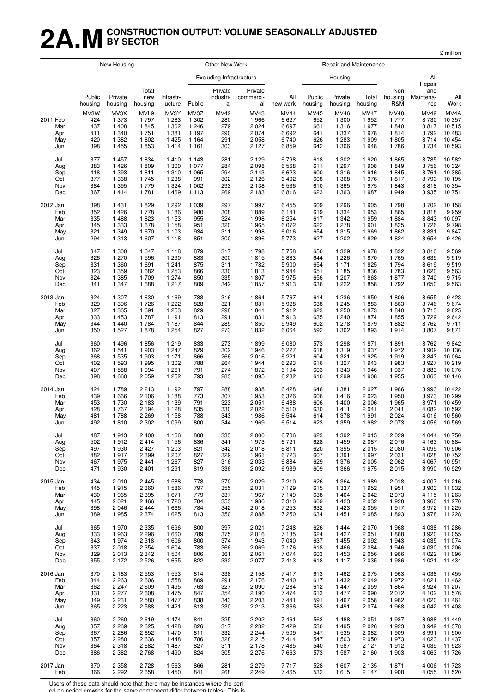## **2A.MCONSTRUCTION OUTPUT: VOLUME SEASONALLY ADJUSTED BY SECTOR**

£ million

|                               |                                  | New Housing                                    |                                      |                                                  |                                                | Other New Work                          |                                               |                                             |                                  |                                                | Repair and Maintenance                         |                                                |                                      |                                              |
|-------------------------------|----------------------------------|------------------------------------------------|--------------------------------------|--------------------------------------------------|------------------------------------------------|-----------------------------------------|-----------------------------------------------|---------------------------------------------|----------------------------------|------------------------------------------------|------------------------------------------------|------------------------------------------------|--------------------------------------|----------------------------------------------|
|                               |                                  |                                                |                                      |                                                  |                                                | <b>Excluding Infrastructure</b>         |                                               |                                             |                                  | Housing                                        |                                                |                                                | All                                  |                                              |
|                               | Public<br>housing                | Private<br>housing                             | Total<br>new<br>housing              | Infrastr-<br>ucture                              | Public                                         | Private<br>industri-<br>al              | Private<br>commerci-<br>al                    | All<br>new work                             | Public<br>housing                | Private<br>housing                             | Total<br>housing                               | Non<br>housing<br>R&M                          | Repair<br>and<br>Maintena-<br>nce    | Al<br>Work                                   |
| 2011 Feb<br>Mar<br>Apr<br>May | MV3W<br>424<br>437<br>411<br>420 | MV3X<br>1 373<br>1 4 0 8<br>1 3 4 0<br>1 3 8 2 | MVL9<br>1797<br>1845<br>1751<br>1802 | MV3Y<br>1 2 8 3<br>1 3 0 2<br>1 3 8 1<br>1 4 2 5 | MV3Z<br>1 302<br>1 2 4 6<br>1 1 9 7<br>1 1 6 4 | <b>MV42</b><br>280<br>279<br>290<br>291 | MV43<br>1966<br>2 0 2 4<br>2 0 7 4<br>2 0 5 8 | <b>MV44</b><br>6627<br>6697<br>6692<br>6740 | MV45<br>652<br>661<br>641<br>626 | MV46<br>1 300<br>1 3 1 6<br>1 3 3 7<br>1 2 8 3 | <b>MV47</b><br>1952<br>1977<br>1978<br>1 9 0 9 | <b>MV48</b><br>1 7 7 7<br>1840<br>1814<br>1805 | MV49<br>3730<br>3817<br>3792<br>3714 | MV4A<br>10 357<br>10 515<br>10 483<br>10 454 |
| Jun                           | 398                              | 1 4 5 5                                        | 1853                                 | 1414                                             | 1 1 6 1                                        | 303                                     | 2 1 2 7                                       | 6859                                        | 642                              | 1 3 0 6                                        | 1948                                           | 1786                                           | 3 7 3 4                              | 10 593                                       |
| Jul                           | 377                              | 1 4 5 7                                        | 1834                                 | 1410                                             | 1 1 4 3                                        | 281                                     | 2 1 2 9                                       | 6798                                        | 618                              | 1 302                                          | 1920                                           | 1865                                           | 3785                                 | 10 582                                       |
| Aug                           | 383                              | 1 4 2 6                                        | 1809                                 | 1 300                                            | 1 0 7 7                                        | 284                                     | 2 0 9 8                                       | 6568                                        | 611                              | 1 2 9 7                                        | 1908                                           | 1849                                           | 3756                                 | 10 324                                       |
| Sep                           | 418                              | 1 3 9 3                                        | 1811                                 | 1 3 1 0                                          | 1 0 6 5                                        | 294                                     | 2 1 4 3                                       | 6623                                        | 600                              | 1 3 1 6                                        | 1916                                           | 1845                                           | 3761                                 | 10 385                                       |
| Oct                           | 377                              | 1 3 6 8                                        | 1745                                 | 1 2 3 8                                          | 991                                            | 302                                     | 2 1 2 6                                       | 6 4 0 2                                     | 608                              | 1 3 6 8                                        | 1976                                           | 1817                                           | 3793                                 | 10 195                                       |
| Nov                           | 384                              | 1 3 9 5                                        | 1779                                 | 1 3 2 4                                          | 1 0 0 2                                        | 293                                     | 2 1 3 8                                       | 6536                                        | 610                              | 1 3 6 5                                        | 1975                                           | 1843                                           | 3818                                 | 10 354                                       |
| Dec                           | 367                              | 1414                                           | 1781                                 | 1 4 6 9                                          | 1 1 1 3                                        | 269                                     | 2 1 8 3                                       | 6816                                        | 623                              | 1 3 6 3                                        | 1987                                           | 1949                                           | 3 9 3 5                              | 10 751                                       |
| 2012 Jan                      | 398                              | 1 4 3 1                                        | 1829                                 | 1 2 9 2                                          | 1 0 3 9                                        | 297                                     | 1997                                          | 6455                                        | 609                              | 1 2 9 6                                        | 1 9 0 5                                        | 1798                                           | 3702                                 | 10 158                                       |
| Feb                           | 352                              | 1 4 2 6                                        | 1778                                 | 1 1 8 6                                          | 980                                            | 308                                     | 1889                                          | 6 1 4 1                                     | 619                              | 1 3 3 4                                        | 1953                                           | 1865                                           | 3818                                 | 9 9 5 9                                      |
| Mar                           | 335                              | 1488                                           | 1823                                 | 1 1 5 3                                          | 955                                            | 324                                     | 1998                                          | 6 2 5 4                                     | 617                              | 1 3 4 2                                        | 1959                                           | 1884                                           | 3843                                 | 10 097                                       |
| Apr                           | 345                              | 1 3 3 3                                        | 1678                                 | 1 1 5 8                                          | 951                                            | 320                                     | 1965                                          | 6 0 7 2                                     | 622                              | 1 278                                          | 1 901                                          | 1825                                           | 3726                                 | 9 7 9 8                                      |
| May                           | 321                              | 1 3 4 9                                        | 1670                                 | 1 1 0 3                                          | 934                                            | 311                                     | 1998                                          | 6016                                        | 654                              | 1 3 1 5                                        | 1969                                           | 1862                                           | 3831                                 | 9847                                         |
| Jun                           | 294                              | 1 3 1 3                                        | 1607                                 | 1 1 1 8                                          | 851                                            | 300                                     | 1896                                          | 5 7 7 3                                     | 627                              | 1 202                                          | 1829                                           | 1824                                           | 3654                                 | 9 4 2 6                                      |
| Jul                           | 347                              | 1 300                                          | 1647                                 | 1 1 1 8                                          | 879                                            | 317                                     | 1798                                          | 5758                                        | 650                              | 1 3 2 9                                        | 1978                                           | 1832                                           | 3810                                 | 9 5 6 9                                      |
| Aug                           | 326                              | 1 270                                          | 1596                                 | 1 2 9 0                                          | 883                                            | 300                                     | 1815                                          | 5883                                        | 644                              | 1 2 2 6                                        | 1870                                           | 1765                                           | 3635                                 | 9519                                         |
| Sep                           | 331                              | 1 3 6 0                                        | 1691                                 | 1 2 4 1                                          | 875                                            | 311                                     | 1782                                          | 5 900                                       | 654                              | 1 1 7 1                                        | 1825                                           | 1794                                           | 3619                                 | 9519                                         |
| Oct                           | 323                              | 1 3 5 9                                        | 1682                                 | 1 2 5 3                                          | 866                                            | 330                                     | 1813                                          | 5944                                        | 651                              | 1 1 8 5                                        | 1836                                           | 1783                                           | 3 6 20                               | 9 5 6 3                                      |
| Nov                           | 324                              | 1 3 8 5                                        | 1709                                 | 1 2 7 4                                          | 850                                            | 335                                     | 1807                                          | 5975                                        | 656                              | 1 207                                          | 1863                                           | 1877                                           | 3740                                 | 9715                                         |
| Dec                           | 341                              | 1 3 4 7                                        | 1688                                 | 1 2 1 7                                          | 809                                            | 342                                     | 1857                                          | 5913                                        | 636                              | 1 2 2 2                                        | 1858                                           | 1792                                           | 3650                                 | 9 5 63                                       |
| 2013 Jan                      | 324                              | 1 307                                          | 1630                                 | 1 1 6 9                                          | 788                                            | 316                                     | 1864                                          | 5767                                        | 614                              | 1 2 3 6                                        | 1850                                           | 1806                                           | 3655                                 | 9 4 23                                       |
| Feb                           | 329                              | 1 3 9 6                                        | 1726                                 | 1 2 2 2                                          | 828                                            | 321                                     | 1831                                          | 5928                                        | 638                              | 1 2 4 5                                        | 1883                                           | 1863                                           | 3746                                 | 9674                                         |
| Mar                           | 327                              | 1 3 6 5                                        | 1691                                 | 1 2 5 3                                          | 829                                            | 298                                     | 1841                                          | 5912                                        | 623                              | 1 250                                          | 1873                                           | 1840                                           | 3713                                 | 9 6 25                                       |
| Apr                           | 333                              | 1 4 5 3                                        | 1787                                 | 1 1 9 1                                          | 813                                            | 291                                     | 1831                                          | 5913                                        | 635                              | 1 2 4 0                                        | 1874                                           | 1855                                           | 3729                                 | 9642                                         |
| May                           | 344                              | 1 4 4 0                                        | 1784                                 | 1 1 8 7                                          | 844                                            | 285                                     | 1850                                          | 5949                                        | 602                              | 1 278                                          | 1879                                           | 1882                                           | 3762                                 | 9711                                         |
| Jun                           | 350                              | 1 5 2 7                                        | 1878                                 | 1 2 5 4                                          | 827                                            | 273                                     | 1832                                          | 6 0 64                                      | 592                              | 1 302                                          | 1893                                           | 1914                                           | 3807                                 | 9871                                         |
| Jul                           | 360                              | 1496                                           | 1856                                 | 1 2 1 9                                          | 833                                            | 273                                     | 1899                                          | 6 0 8 0                                     | 573                              | 1 2 9 8                                        | 1871                                           | 1891                                           | 3762                                 | 9842                                         |
| Aug                           | 362                              | 1 541                                          | 1903                                 | 1 2 4 7                                          | 829                                            | 302                                     | 1946                                          | 6 2 2 7                                     | 618                              | 1 3 1 9                                        | 1937                                           | 1972                                           | 3 9 0 9                              | 10 136                                       |
| Sep                           | 368                              | 1 5 3 5                                        | 1903                                 | 1 1 7 1                                          | 866                                            | 266                                     | 2016                                          | 6 2 2 1                                     | 604                              | 1 3 2 1                                        | 1925                                           | 1919                                           | 3843                                 | 10 064                                       |
| Oct                           | 402                              | 1 5 9 3                                        | 1995                                 | 1 3 0 2                                          | 788                                            | 264                                     | 1944                                          | 6 2 9 3                                     | 616                              | 1 3 2 7                                        | 1943                                           | 1983                                           | 3 9 2 7                              | 10 219                                       |
| Nov                           | 407                              | 1588                                           | 1994                                 | 1 2 6 1                                          | 791                                            | 274                                     | 1872                                          | 6 1 9 4                                     | 603                              | 1 3 4 3                                        | 1946                                           | 1937                                           | 3883                                 | 10 076                                       |
| Dec                           | 398                              | 1 660                                          | 2059                                 | 1 2 5 2                                          | 793                                            | 283                                     | 1895                                          | 6 2 8 2                                     | 610                              | 1 2 9 9                                        | 1908                                           | 1955                                           | 3863                                 | 10 146                                       |
| 2014 Jan                      | 424                              | 1789                                           | 2 2 1 3                              | 1 1 9 2                                          | 797                                            | 288                                     | 1938                                          | 6428                                        | 646                              | 1 3 8 1                                        | 2027                                           | 1966                                           | 3993                                 | 10 422                                       |
| Feb                           | 439                              | 1666                                           | 2 1 0 6                              | 1 1 8 8                                          | 773                                            | 307                                     | 1953                                          | 6 3 2 6                                     | 606                              | 1416                                           | 2023                                           | 1 950                                          | 3973                                 | 10 299                                       |
| Mar                           | 453                              | 1730                                           | 2 1 8 3                              | 1 1 3 9                                          | 791                                            | 323                                     | 2 0 5 1                                       | 6488                                        | 606                              | 1 400                                          | 2006                                           | 1965                                           | 3971                                 | 10 459                                       |
| Apr                           | 428                              | 1767                                           | 2 1 9 4                              | 1 1 2 8                                          | 835                                            | 330                                     | 2 0 2 2                                       | 6510                                        | 630                              | 1411                                           | 2 0 4 1                                        | 2 0 4 1                                        | 4 0 8 2                              | 10 592                                       |
| May                           | 481                              | 1788                                           | 2 2 6 9                              | 1 1 5 8                                          | 788                                            | 343                                     | 1986                                          | 6 5 4 4                                     | 614                              | 1 378                                          | 1991                                           | 2 0 2 4                                        | 4 0 1 6                              | 10 560                                       |
| Jun                           | 492                              | 1810                                           | 2 3 0 2                              | 1 0 9 9                                          | 800                                            | 344                                     | 1969                                          | 6514                                        | 623                              | 1 359                                          | 1982                                           | 2 0 7 3                                        | 4 0 5 6                              | 10 569                                       |
| Jul                           | 487                              | 1913                                           | 2400                                 | 1 1 6 6                                          | 808                                            | 333                                     | 2 0 0 0                                       | 6706                                        | 623                              | 1 3 9 2                                        | 2015                                           | 2 0 2 9                                        | 4 0 4 4                              | 10 750                                       |
| Aug                           | 502                              | 1912                                           | 2414                                 | 1 1 5 6                                          | 836                                            | 341                                     | 1973                                          | 6721                                        | 628                              | 1 4 5 9                                        | 2 0 8 7                                        | 2076                                           | 4 1 6 3                              | 10 884                                       |
| Sep                           | 497                              | 1930                                           | 2 4 2 7                              | 1 203                                            | 821                                            | 342                                     | 2018                                          | 6811                                        | 620                              | 1 3 9 5                                        | 2015                                           | 2 0 8 0                                        | 4 0 9 5                              | 10 906                                       |
| Oct                           | 482                              | 1917                                           | 2 3 9 9                              | 1 207                                            | 827                                            | 329                                     | 1961                                          | 6723                                        | 607                              | 1 3 9 1                                        | 1997                                           | 2 0 3 1                                        | 4 0 28                               | 10 752                                       |
| Nov                           | 467                              | 1975                                           | 2441                                 | 1 2 6 7                                          | 827                                            | 316                                     | 2 0 3 3                                       | 6884                                        | 629                              | 1 376                                          | 2 0 0 5                                        | 2 0 6 2                                        | 4 0 6 7                              | 10 951                                       |
| Dec                           | 471                              | 1930                                           | 2401                                 | 1 2 9 1                                          | 819                                            | 336                                     | 2 0 9 2                                       | 6939                                        | 609                              | 1 3 6 6                                        | 1975                                           | 2015                                           | 3 9 9 0                              | 10 929                                       |
| 2015 Jan                      | 434                              | 2010                                           | 2445                                 | 1588                                             | 778                                            | 370                                     | 2 0 2 9                                       | 7210                                        | 626                              | 1 3 6 4                                        | 1989                                           | 2018                                           | 4 0 0 7                              | 11 216                                       |
| Feb                           | 445                              | 1915                                           | 2 3 6 0                              | 1586                                             | 797                                            | 355                                     | 2 0 3 1                                       | 7 1 2 9                                     | 615                              | 1 3 3 7                                        | 1952                                           | 1951                                           | 3 9 0 3                              | 11 032                                       |
| Mar                           | 430                              | 1965                                           | 2 3 9 5                              | 1 671                                            | 779                                            | 337                                     | 1967                                          | 7 1 4 9                                     | 638                              | 1 4 0 4                                        | 2042                                           | 2 0 7 3                                        | 4 1 1 5                              | 11 263                                       |
| Apr                           | 445                              | 2 0 2 1                                        | 2466                                 | 1720                                             | 784                                            | 353                                     | 1986                                          | 7310                                        | 609                              | 1 4 2 3                                        | 2032                                           | 1928                                           | 3 9 6 0                              | 11 270                                       |
| May                           | 398                              | 2 0 4 6                                        | 2444                                 | 1666                                             | 784                                            | 342                                     | 2018                                          | 7 2 5 3                                     | 632                              | 1 4 2 3                                        | 2055                                           | 1917                                           | 3972                                 | 11 225                                       |
| Jun                           | 389                              | 1985                                           | 2 3 7 4                              | 1625                                             | 813                                            | 350                                     | 2 0 8 8                                       | 7 250                                       | 634                              | 1 4 5 1                                        | 2085                                           | 1893                                           | 3978                                 | 11 228                                       |
| Jul                           | 365                              | 1970                                           | 2 3 3 5                              | 1696                                             | 800                                            | 397                                     | 2 0 2 1                                       | 7 2 4 8                                     | 626                              | 1444                                           | 2070                                           | 1968                                           | 4 0 38                               | 11 286                                       |
| Aug                           | 333                              | 1963                                           | 2 2 9 6                              | 1660                                             | 789                                            | 375                                     | 2016                                          | 7 1 3 5                                     | 624                              | 1 4 2 7                                        | 2 0 5 1                                        | 1868                                           | 3920                                 | 11 055                                       |
| Sep                           | 343                              | 1974                                           | 2318                                 | 1 606                                            | 800                                            | 374                                     | 1943                                          | 7 0 4 0                                     | 637                              | 1 4 5 5                                        | 2092                                           | 1943                                           | 4 0 3 5                              | 11 074                                       |
| Oct                           | 337                              | 2018                                           | 2 3 5 4                              | 1 604                                            | 783                                            | 366                                     | 2 0 6 9                                       | 7 1 7 6                                     | 618                              | 1466                                           | 2084                                           | 1946                                           | 4 0 3 0                              | 11 206                                       |
| Nov                           | 329                              | 2013                                           | 2 3 4 2                              | 1 504                                            | 806                                            | 361                                     | 2 0 6 1                                       | 7 0 7 4                                     | 603                              | 1 4 5 3                                        | 2056                                           | 1966                                           | 4 0 2 2                              | 11 096                                       |
| Dec                           | 355                              | 2 1 7 2                                        | 2526                                 | 1655                                             | 822                                            | 332                                     | 2 0 7 7                                       | 7413                                        | 618                              | 1417                                           | 2 0 3 5                                        | 1986                                           | 4 0 21                               | 11 434                                       |
| 2016 Jan                      | 370                              | 2 1 8 3                                        | 2 5 5 3                              | 1 5 5 3                                          | 814                                            | 338                                     | 2 1 5 8                                       | 7417                                        | 613                              | 1462                                           | 2075                                           | 1963                                           | 4 0 38                               | 11 455                                       |
| Feb                           | 344                              | 2 2 6 3                                        | 2606                                 | 1 5 5 8                                          | 809                                            | 291                                     | 2 1 7 6                                       | 7 4 4 0                                     | 617                              | 1 4 3 2                                        | 2049                                           | 1972                                           | 4 0 21                               | 11 462                                       |
| Mar                           | 362                              | 2 2 4 7                                        | 2609                                 | 1 4 9 5                                          | 763                                            | 327                                     | 2 0 9 0                                       | 7 2 8 4                                     | 612                              | 1 4 4 7                                        | 2059                                           | 1864                                           | 3 9 2 4                              | 11 207                                       |
| Apr                           | 331                              | 2 2 7 7                                        | 2608                                 | 1 4 7 5                                          | 847                                            | 354                                     | 2 1 9 0                                       | 7474                                        | 613                              | 1 477                                          | 2090                                           | 2012                                           | 4 102                                | 11 576                                       |
| May                           | 349                              | 2 2 3 1                                        | 2580                                 | 1 477                                            | 838                                            | 343                                     | 2 2 0 3                                       | 7 4 4 1                                     | 591                              | 1 4 6 7                                        | 2058                                           | 1962                                           | 4 0 20                               | 11 461                                       |
| Jun                           | 365                              | 2 2 2 3                                        | 2588                                 | 1 4 2 1                                          | 813                                            | 330                                     | 2 2 1 3                                       | 7 3 6 6                                     | 583                              | 1491                                           | 2074                                           | 1968                                           | 4 0 4 2                              | 11 408                                       |
| Jul                           | 360                              | 2 2 6 0                                        | 2619                                 | 1474                                             | 841                                            | 325                                     | 2 2 0 2                                       | 7461                                        | 563                              | 1488                                           | 2 0 5 1                                        | 1937                                           | 3988                                 | 11 449                                       |
| Aug                           | 357                              | 2 2 6 9                                        | 2625                                 | 1 4 2 8                                          | 826                                            | 317                                     | 2 2 3 2                                       | 7429                                        | 530                              | 1 4 9 5                                        | 2026                                           | 1923                                           | 3949                                 | 11 378                                       |
| Sep                           | 367                              | 2 2 8 6                                        | 2652                                 | 1470                                             | 811                                            | 332                                     | 2 2 4 4                                       | 7 5 0 9                                     | 547                              | 1 5 3 5                                        | 2082                                           | 1 9 0 9                                        | 3991                                 | 11 500                                       |
| Oct                           | 357                              | 2 2 8 0                                        | 2636                                 | 1448                                             | 786                                            | 328                                     | 2 2 1 5                                       | 7414                                        | 547                              | 1 503                                          | 2050                                           | 1973                                           | 4 0 23                               | 11 437                                       |
| Nov                           | 364                              | 2 3 1 8                                        | 2682                                 | 1487                                             | 827                                            | 311                                     | 2 1 7 8                                       | 7485                                        | 540                              | 1587                                           | 2 1 2 7                                        | 1912                                           | 4 0 3 9                              | 11 523                                       |
| Dec                           | 386                              | 2 3 8 2                                        | 2768                                 | 1 4 9 0                                          | 824                                            | 305                                     | 2 2 7 6                                       | 7663                                        | 573                              | 1 587                                          | 2 1 6 0                                        | 1 903                                          | 4 0 6 3                              | 11 726                                       |
| 2017 Jan                      | 370                              | 2 3 5 8                                        | 2728                                 | 1 5 6 3                                          | 866                                            | 281                                     | 2 2 7 9                                       | 7717                                        | 528                              | 1 607                                          | 2 1 3 5                                        | 1871                                           | 4 0 0 6                              | 11 723                                       |
| Feb                           | 366                              | 2 2 9 2                                        | 2658                                 | 1 4 5 0                                          | 841                                            | 268                                     | 2 2 4 9                                       | 7465                                        | 532                              | 1615                                           | 2 1 4 7                                        | 1 908                                          | 4 0 5 5                              | 11 520                                       |

Users of these data should note that there may be instances where the peri-

od on period growths for the same component differ between tables. This is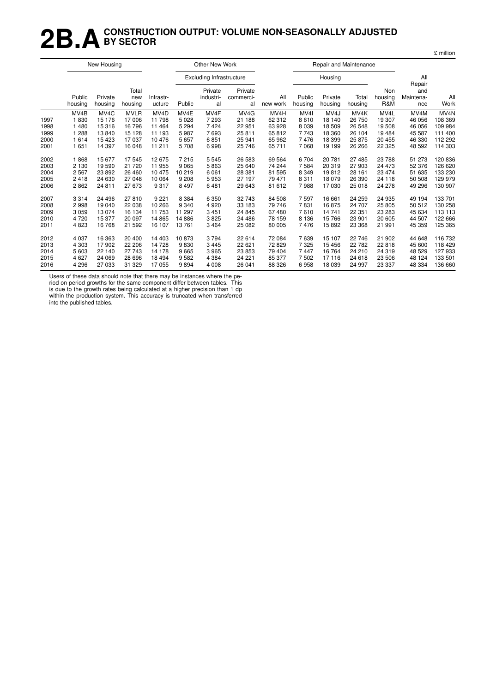## **2B.ACONSTRUCTION OUTPUT: VOLUME NON-SEASONALLY ADJUSTED BY SECTOR**

|                                                      |                                                                                    | New Housing                                                                            |                                                                                  |                                                                                       |                                                                            | Other New Work                                                     |                                                                                         |                                                                                          |                                                                                  |                                                                                         | Repair and Maintenance                                                      |                                                                            |                                                                                         |                                                                                                |
|------------------------------------------------------|------------------------------------------------------------------------------------|----------------------------------------------------------------------------------------|----------------------------------------------------------------------------------|---------------------------------------------------------------------------------------|----------------------------------------------------------------------------|--------------------------------------------------------------------|-----------------------------------------------------------------------------------------|------------------------------------------------------------------------------------------|----------------------------------------------------------------------------------|-----------------------------------------------------------------------------------------|-----------------------------------------------------------------------------|----------------------------------------------------------------------------|-----------------------------------------------------------------------------------------|------------------------------------------------------------------------------------------------|
|                                                      |                                                                                    |                                                                                        |                                                                                  |                                                                                       |                                                                            | <b>Excluding Infrastructure</b>                                    |                                                                                         |                                                                                          |                                                                                  | Housing                                                                                 |                                                                             |                                                                            | All                                                                                     |                                                                                                |
|                                                      | Public<br>housing                                                                  | Private<br>housing                                                                     | Total<br>new<br>housing                                                          | Infrastr-<br>ucture                                                                   | Public                                                                     | Private<br>industri-<br>al                                         | Private<br>commerci-<br>al                                                              | All<br>new work                                                                          | Public<br>housing                                                                | Private<br>housing                                                                      | Total<br>housing                                                            | Non<br>housing<br>R&M                                                      | Repair<br>and<br>Maintena-<br>nce                                                       | All<br>Work                                                                                    |
| 1997<br>1998<br>1999<br>2000<br>2001<br>2002<br>2003 | MV <sub>4</sub> B<br>1830<br>1 4 8 0<br>1 2 8 8<br>1614<br>1651<br>1868<br>2 1 3 0 | MV <sub>4</sub> C<br>15 176<br>15316<br>13840<br>15 4 23<br>14 3 9 7<br>15677<br>19590 | <b>MVLR</b><br>17 006<br>16 796<br>15 1 28<br>17037<br>16 048<br>17545<br>21 720 | MV <sub>4</sub> D<br>11798<br>11 4 64<br>11 193<br>10476<br>11 211<br>12675<br>11 955 | MV4E<br>5 0 28<br>5 2 9 4<br>5987<br>5 6 5 7<br>5708<br>7 2 1 5<br>9 0 6 5 | MV4F<br>7 2 9 3<br>7424<br>7693<br>6851<br>6998<br>5 5 4 5<br>5863 | MV <sub>4</sub> G<br>21 188<br>22 951<br>25 811<br>25 941<br>25 746<br>26 583<br>25 640 | MV <sub>4</sub> H<br>62 312<br>63 928<br>65 812<br>65 962<br>65 711<br>69 5 64<br>74 244 | MV <sub>4</sub><br>8610<br>8 0 3 9<br>7743<br>7476<br>7 0 6 8<br>6704<br>7 5 8 4 | MV <sub>4</sub> J<br>18 140<br>18 509<br>18 360<br>18 399<br>19 199<br>20 781<br>20 319 | MV4K<br>26 750<br>26 548<br>26 104<br>25 875<br>26 26 6<br>27 485<br>27 903 | MV4L<br>19 307<br>19508<br>19484<br>20 455<br>22 3 25<br>23 788<br>24 4 73 | MV <sub>4</sub> M<br>46 056<br>46 056<br>45 587<br>46 330<br>48 592<br>51 273<br>52 376 | MV <sub>4</sub> N<br>108 369<br>109 984<br>111 400<br>112 292<br>114 303<br>120 836<br>126 620 |
| 2004<br>2005<br>2006<br>2007<br>2008                 | 2 5 6 7<br>2418<br>2862<br>3314<br>2998                                            | 23892<br>24 630<br>24 811<br>24 4 96<br>19 040                                         | 26 460<br>27 048<br>27 673<br>27810<br>22 038                                    | 10 475<br>10 064<br>9317<br>9 2 2 1<br>10 266                                         | 10 219<br>9 2 0 8<br>8 4 9 7<br>8 3 8 4<br>9 3 4 0                         | 6 0 61<br>5953<br>6481<br>6 3 5 0<br>4 9 2 0                       | 28 381<br>27 197<br>29 643<br>32 743<br>33 183                                          | 81 595<br>79 471<br>81 612<br>84 508<br>79 746                                           | 8 3 4 9<br>8 3 1 1<br>7988<br>7 5 9 7<br>7831                                    | 19812<br>18 079<br>17 030<br>16 661<br>16875                                            | 28 161<br>26 390<br>25 018<br>24 259<br>24 707                              | 23 4 74<br>24 118<br>24 278<br>24 935<br>25 805                            | 51 635<br>50 508<br>49 29 6<br>49 194<br>50 512                                         | 133 230<br>129 979<br>130 907<br>133 701<br>130 258                                            |
| 2009<br>2010<br>2011                                 | 3 0 5 9<br>4720<br>4823                                                            | 13074<br>15 377<br>16768                                                               | 16 134<br>20 097<br>21 592                                                       | 11 753<br>14 8 65<br>16 107                                                           | 11 297<br>14 8 86<br>13761                                                 | 3 4 5 1<br>3825<br>3 4 6 4                                         | 24 845<br>24 486<br>25 082                                                              | 67 480<br>78 159<br>80 005                                                               | 7610<br>8 1 3 6<br>7476                                                          | 14 741<br>15766<br>15892                                                                | 22 351<br>23 901<br>23 3 68                                                 | 23 283<br>20 605<br>21 991                                                 | 45 634<br>44 507<br>45 359                                                              | 113 113<br>122 666<br>125 365                                                                  |
| 2012<br>2013<br>2014<br>2015<br>2016                 | 4 0 3 7<br>4 3 0 3<br>5 603<br>4 6 27<br>4 2 9 6                                   | 16 363<br>17902<br>22 140<br>24 069<br>27 033                                          | 20 400<br>22 206<br>27 743<br>28 696<br>31 329                                   | 14 403<br>14728<br>14 178<br>18 4 94<br>17055                                         | 10873<br>9830<br>9665<br>9582<br>9894                                      | 3794<br>3 4 4 5<br>3965<br>4 3 8 4<br>4 0 0 8                      | 22 614<br>22 621<br>23 853<br>24 221<br>26 041                                          | 72 084<br>72 829<br>79 404<br>85 377<br>88 326                                           | 7639<br>7 3 2 5<br>7 4 4 7<br>7502<br>6958                                       | 15 107<br>15 45 6<br>16 764<br>17 116<br>18 039                                         | 22 746<br>22 782<br>24 210<br>24 618<br>24 997                              | 21 902<br>22818<br>24 3 19<br>23 506<br>23 337                             | 44 648<br>45 600<br>48 529<br>48 124<br>48 334                                          | 116 732<br>118 429<br>127933<br>133 501<br>136 660                                             |

£ million

Users of these data should note that there may be instances where the pe-

riod on period growths for the same component differ between tables. This is due to the growth rates being calculated at a higher precision than 1 dp within the production system. This accuracy is truncated when transferred into the published tables.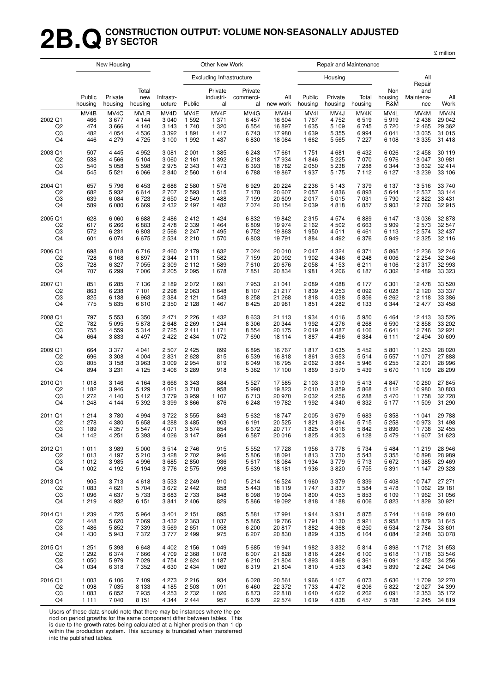## **2B.QCONSTRUCTION OUTPUT: VOLUME NON-SEASONALLY ADJUSTED BY SECTOR**

£ million

|                           |                                  | New Housing                                   |                                                   |                                                             |                                         | Other New Work                                |                                            |                                             |                                                        | Repair and Maintenance                                     |                                         |                                            |                                                  |                                                           |
|---------------------------|----------------------------------|-----------------------------------------------|---------------------------------------------------|-------------------------------------------------------------|-----------------------------------------|-----------------------------------------------|--------------------------------------------|---------------------------------------------|--------------------------------------------------------|------------------------------------------------------------|-----------------------------------------|--------------------------------------------|--------------------------------------------------|-----------------------------------------------------------|
|                           |                                  |                                               |                                                   |                                                             |                                         | <b>Excluding Infrastructure</b>               |                                            |                                             |                                                        | Housing                                                    |                                         |                                            | All<br>Repair                                    |                                                           |
|                           | Public<br>housing                | Private<br>housing                            | Total<br>new<br>housing                           | Infrastr-<br>ucture                                         | Public                                  | Private<br>industri-<br>al                    | Private<br>commerci-<br>al                 | All<br>new work                             | Public<br>housing                                      | Private<br>housing                                         | Total<br>housing                        | Non<br>housing<br>R&M                      | and<br>Maintena-<br>nce                          | All<br>Work                                               |
| 2002 Q1<br>Q2<br>Q3<br>Q4 | MV4B<br>466<br>474<br>482<br>446 | MV4C<br>3677<br>3 6 6 6<br>4 0 5 4<br>4 2 7 9 | <b>MVLR</b><br>4 1 4 4<br>4 1 4 0<br>4536<br>4725 | MV <sub>4</sub> D<br>3 0 4 0<br>3 1 4 3<br>3 3 9 2<br>3 100 | MV4E<br>1 5 9 2<br>1740<br>1891<br>1992 | MV4F<br>1 3 7 1<br>1 3 2 0<br>1417<br>1 4 3 7 | MV4G<br>6 4 5 7<br>6 5 5 4<br>6743<br>6830 | MV4H<br>16 604<br>16897<br>17980<br>18 0 84 | MV <sub>4</sub><br>1767<br>1 6 3 5<br>1 639<br>1 6 6 2 | MV <sub>4</sub> J<br>4752<br>5 1 0 9<br>5 3 5 5<br>5 5 6 5 | MV4K<br>6519<br>6745<br>6994<br>7 2 2 7 | MV4L<br>5919<br>5720<br>6 0 4 1<br>6 1 0 8 | MV4M<br>12 4 38<br>12 4 65<br>13 0 35<br>13 3 35 | MV <sub>4</sub> N<br>29 042<br>29 362<br>31 015<br>31 418 |
| 2003 Q1                   | 507                              | 4 4 4 5                                       | 4952                                              | 3 0 8 1                                                     | 2 0 0 1                                 | 1 3 8 5                                       | 6 2 4 3                                    | 17 661                                      | 1751                                                   | 4681                                                       | 6432                                    | 6 0 26                                     | 12 4 5 8                                         | 30 119                                                    |
| Q2                        | 538                              | 4566                                          | 5 1 0 4                                           | 3 0 6 0                                                     | 2 1 6 1                                 | 1 3 9 2                                       | 6218                                       | 17934                                       | 1846                                                   | 5 2 2 5                                                    | 7 0 7 0                                 | 5976                                       | 13 047                                           | 30 981                                                    |
| Q3                        | 540                              | 5 0 5 8                                       | 5598                                              | 2975                                                        | 2 3 4 3                                 | 1473                                          | 6 3 9 3                                    | 18782                                       | 2 0 5 0                                                | 5 2 3 8                                                    | 7 2 8 8                                 | 6 3 4 4                                    | 13 632                                           | 32 414                                                    |
| Q4                        | 545                              | 5 5 21                                        | 6066                                              | 2840                                                        | 2 5 6 0                                 | 1614                                          | 6788                                       | 19867                                       | 1937                                                   | 5 1 7 5                                                    | 7 1 1 2                                 | 6 1 2 7                                    | 13 239                                           | 33 106                                                    |
| 2004 Q1                   | 657                              | 5796                                          | 6453                                              | 2686                                                        | 2 5 8 0                                 | 1576                                          | 6929                                       | 20 224                                      | 2 2 3 6                                                | 5 1 4 3                                                    | 7 3 7 9                                 | 6 1 3 7                                    | 13516                                            | 33 740                                                    |
| Q2                        | 682                              | 5932                                          | 6614                                              | 2 707                                                       | 2 5 9 3                                 | 1515                                          | 7 1 7 8                                    | 20 607                                      | 2 0 5 7                                                | 4836                                                       | 6893                                    | 5 6 4 4                                    | 12 537                                           | 33 144                                                    |
| Q3                        | 639                              | 6 0 8 4                                       | 6723                                              | 2650                                                        | 2 5 4 9                                 | 1488                                          | 7 1 9 9                                    | 20 609                                      | 2017                                                   | 5015                                                       | 7 0 31                                  | 5790                                       | 12822                                            | 33 431                                                    |
| Q4                        | 589                              | 6 0 8 0                                       | 6669                                              | 2 4 3 2                                                     | 2 4 9 7                                 | 1482                                          | 7074                                       | 20 154                                      | 2 0 3 9                                                | 4818                                                       | 6857                                    | 5 9 0 3                                    | 12760                                            | 32 915                                                    |
| 2005 Q1                   | 628                              | 6 0 6 0                                       | 6688                                              | 2 4 8 6                                                     | 2412                                    | 1 4 2 4                                       | 6832                                       | 19842                                       | 2 3 1 5                                                | 4574                                                       | 6889                                    | 6 147                                      | 13 0 36                                          | 32 878                                                    |
| Q <sub>2</sub>            | 617                              | 6 2 6 6                                       | 6883                                              | 2478                                                        | 2 3 3 9                                 | 1464                                          | 6809                                       | 19 974                                      | 2 1 6 2                                                | 4 5 0 2                                                    | 6663                                    | 5 9 0 9                                    | 12 573                                           | 32 547                                                    |
| Q3                        | 572                              | 6 2 3 1                                       | 6803                                              | 2 5 6 6                                                     | 2 2 4 7                                 | 1495                                          | 6752                                       | 19863                                       | 1950                                                   | 4511                                                       | 6461                                    | 6 1 1 3                                    | 12 574                                           | 32 437                                                    |
| Q4                        | 601                              | 6 0 7 4                                       | 6675                                              | 2 5 3 4                                                     | 2 2 1 0                                 | 1570                                          | 6803                                       | 19791                                       | 1884                                                   | 4 4 9 2                                                    | 6 3 7 6                                 | 5949                                       | 12 3 25                                          | 32 116                                                    |
| 2006 Q1                   | 698                              | 6018                                          | 6716                                              | 2 4 6 0                                                     | 2 1 7 9                                 | 1632                                          | 7 0 24                                     | 20 010                                      | 2 0 4 7                                                | 4 3 2 4                                                    | 6 3 7 1                                 | 5865                                       | 12 2 36                                          | 32 246                                                    |
| Q2                        | 728                              | 6 1 6 8                                       | 6897                                              | 2 3 4 4                                                     | 2 1 1 1                                 | 1582                                          | 7 1 5 9                                    | 20 092                                      | 1 902                                                  | 4 3 4 6                                                    | 6 2 4 8                                 | 6 0 0 6                                    | 12 2 54                                          | 32 346                                                    |
| Q3                        | 728                              | 6 3 2 7                                       | 7055                                              | 2 3 0 9                                                     | 2 1 1 2                                 | 1589                                          | 7610                                       | 20 676                                      | 2 0 5 8                                                | 4 1 5 3                                                    | 6211                                    | 6 10 6                                     | 12317                                            | 32 993                                                    |
| Q4                        | 707                              | 6 2 9 9                                       | 7006                                              | 2 2 0 5                                                     | 2 0 9 5                                 | 1678                                          | 7851                                       | 20 834                                      | 1981                                                   | 4 206                                                      | 6 187                                   | 6 3 0 2                                    | 12489                                            | 33 323                                                    |
| 2007 Q1                   | 851                              | 6 2 8 5                                       | 7 1 3 6                                           | 2 1 8 9                                                     | 2072                                    | 1691                                          | 7953                                       | 21 041                                      | 2 0 8 9                                                | 4 0 8 8                                                    | 6 177                                   | 6 3 0 1                                    | 12478                                            | 33 520                                                    |
| Q2                        | 863                              | 6 2 3 8                                       | 7 101                                             | 2 2 9 8                                                     | 2 0 6 3                                 | 1648                                          | 8 1 0 7                                    | 21 217                                      | 1839                                                   | 4 2 5 3                                                    | 6 0 9 2                                 | 6 0 28                                     | 12 1 20                                          | 33 337                                                    |
| Q3                        | 825                              | 6 1 3 8                                       | 6963                                              | 2 3 8 4                                                     | 2 1 2 1                                 | 1 5 4 3                                       | 8 2 5 8                                    | 21 268                                      | 1818                                                   | 4 0 38                                                     | 5856                                    | 6 2 6 2                                    | 12 118                                           | 33 386                                                    |
| Q4                        | 775                              | 5835                                          | 6610                                              | 2 3 5 0                                                     | 2 1 2 8                                 | 1467                                          | 8 4 2 5                                    | 20 981                                      | 1851                                                   | 4 2 8 2                                                    | 6 1 3 3                                 | 6 3 4 4                                    | 12 477                                           | 33 458                                                    |
| 2008 Q1                   | 797                              | 5 5 5 3                                       | 6 3 5 0                                           | 2 4 7 1                                                     | 2 2 2 6                                 | 1 4 3 2                                       | 8 6 3 3                                    | 21 113                                      | 1934                                                   | 4 0 16                                                     | 5 9 5 0                                 | 6464                                       | 12413                                            | 33 526                                                    |
| Q <sub>2</sub>            | 782                              | 5 0 9 5                                       | 5878                                              | 2648                                                        | 2 2 6 9                                 | 1 2 4 4                                       | 8 3 0 6                                    | 20 344                                      | 1992                                                   | 4 2 7 6                                                    | 6 2 6 8                                 | 6 5 9 0                                    | 12858                                            | 33 202                                                    |
| Q3                        | 755                              | 4559                                          | 5314                                              | 2725                                                        | 2411                                    | 1 1 7 1                                       | 8 5 5 4                                    | 20 175                                      | 2019                                                   | 4 0 8 7                                                    | 6 10 6                                  | 6641                                       | 12746                                            | 32 921                                                    |
| Q4                        | 664                              | 3833                                          | 4 4 9 7                                           | 2 4 2 2                                                     | 2 4 3 4                                 | 1 0 7 2                                       | 7690                                       | 18 114                                      | 1887                                                   | 4 4 9 6                                                    | 6 3 8 4                                 | 6 1 1 1                                    | 12 4 94                                          | 30 609                                                    |
| 2009 Q1                   | 664                              | 3 3 7 7                                       | 4 0 4 1                                           | 2 5 0 7                                                     | 2 4 2 5                                 | 899                                           | 6895                                       | 16 767                                      | 1817                                                   | 3635                                                       | 5452                                    | 5801                                       | 11 253                                           | 28 0 20                                                   |
| Q2                        | 696                              | 3 3 0 8                                       | 4 0 0 4                                           | 2831                                                        | 2628                                    | 815                                           | 6539                                       | 16818                                       | 1861                                                   | 3653                                                       | 5514                                    | 5 5 5 7                                    | 11 071                                           | 27888                                                     |
| Q3                        | 805                              | 3 1 5 8                                       | 3963                                              | 3 0 0 9                                                     | 2954                                    | 819                                           | 6 0 4 9                                    | 16 795                                      | 2 0 6 2                                                | 3884                                                       | 5946                                    | 6 2 5 5                                    | 12 201                                           | 28 996                                                    |
| Q4                        | 894                              | 3 2 3 1                                       | 4 1 2 5                                           | 3 4 0 6                                                     | 3 2 8 9                                 | 918                                           | 5 3 6 2                                    | 17 100                                      | 1869                                                   | 3570                                                       | 5 4 3 9                                 | 5670                                       | 11 109                                           | 28 209                                                    |
| 2010 Q1                   | 1018                             | 3 1 4 6                                       | 4 1 6 4                                           | 3666                                                        | 3 3 4 3                                 | 884                                           | 5 5 27                                     | 17 585                                      | 2 1 0 3                                                | 3310                                                       | 5413                                    | 4 8 4 7                                    | 10 260                                           | 27 845                                                    |
| Q2                        | 1 1 8 2                          | 3946                                          | 5 1 2 9                                           | 4 0 21                                                      | 3718                                    | 958                                           | 5998                                       | 19823                                       | 2010                                                   | 3859                                                       | 5868                                    | 5 1 1 2                                    | 10 980                                           | 30 803                                                    |
| Q3                        | 1 2 7 2                          | 4 1 4 0                                       | 5412                                              | 3779                                                        | 3959                                    | 1 1 0 7                                       | 6713                                       | 20 970                                      | 2 0 3 2                                                | 4 2 5 6                                                    | 6 2 8 8                                 | 5 4 7 0                                    | 11 758                                           | 32 728                                                    |
| Q4                        | 1 2 4 8                          | 4 1 4 4                                       | 5 3 9 2                                           | 3 3 9 9                                                     | 3866                                    | 876                                           | 6 2 4 8                                    | 19782                                       | 1992                                                   | 4 3 4 0                                                    | 6 3 3 2                                 | 5 1 7 7                                    | 11 509                                           | 31 290                                                    |
| 2011 Q1                   | 1 2 1 4                          | 3780                                          | 4 9 9 4                                           | 3722                                                        | 3 5 5 5                                 | 843                                           | 5 6 3 2                                    | 18747                                       | 2 0 0 5                                                | 3679                                                       | 5683                                    | 5 3 5 8                                    | 11 041                                           | 29 788                                                    |
| Q2                        | 1 2 7 8                          | 4 3 8 0                                       | 5658                                              | 4 2 8 8                                                     | 3 4 8 5                                 | 903                                           | 6 1 9 1                                    | 20 525                                      | 1821                                                   | 3894                                                       | 5715                                    | 5 2 5 8                                    | 10973                                            | 31 498                                                    |
| Q3                        | 1 189                            | 4 357                                         | 5 547                                             | 4 071                                                       | 3574                                    | 854                                           | 6 672                                      | 20 717                                      | 1825                                                   | 4 0 1 6                                                    | 5 842                                   | 5896                                       | 11 738                                           | 32 455                                                    |
| Q4                        | 1 1 4 2                          | 4 2 5 1                                       | 5 3 9 3                                           | 4 0 2 6                                                     | 3 1 4 7                                 | 864                                           | 6587                                       | 20 016                                      | 1825                                                   | 4 3 0 3                                                    | 6 1 2 8                                 | 5479                                       | 11 607                                           | 31 623                                                    |
| 2012 Q1                   | 1011                             | 3989                                          | 5 0 0 0                                           | 3514                                                        | 2746                                    | 915                                           | 5 5 5 2                                    | 17728                                       | 1956                                                   | 3778                                                       | 5 7 3 4                                 | 5484                                       | 11 219                                           | 28 946                                                    |
| Q <sub>2</sub>            | 1013                             | 4 1 9 7                                       | 5210                                              | 3 4 2 8                                                     | 2 7 0 2                                 | 946                                           | 5806                                       | 18 091                                      | 1813                                                   | 3730                                                       | 5 5 4 3                                 | 5 3 5 5                                    | 10898                                            | 28 989                                                    |
| Q3                        | 1012                             | 3 9 8 5                                       | 4996                                              | 3685                                                        | 2850                                    | 936                                           | 5617                                       | 18 0 84                                     | 1934                                                   | 3779                                                       | 5713                                    | 5672                                       | 11 385                                           | 29 4 69                                                   |
| Q4                        | 1 0 0 2                          | 4 1 9 2                                       | 5 1 9 4                                           | 3776                                                        | 2 5 7 5                                 | 998                                           | 5639                                       | 18 18 1                                     | 1936                                                   | 3820                                                       | 5 7 5 5                                 | 5 3 9 1                                    | 11 147                                           | 29 3 28                                                   |
| 2013 Q1                   | 905                              | 3713                                          | 4618                                              | 3 5 3 3                                                     | 2 2 4 9                                 | 910                                           | 5214                                       | 16 524                                      | 1960                                                   | 3 3 7 9                                                    | 5 3 3 9                                 | 5408                                       | 10747                                            | 27 271                                                    |
| Q <sub>2</sub>            | 1 0 8 3                          | 4 6 21                                        | 5704                                              | 3672                                                        | 2 4 4 2                                 | 858                                           | 5443                                       | 18 119                                      | 1 7 4 7                                                | 3837                                                       | 5 5 8 4                                 | 5478                                       | 11 062                                           | 29 181                                                    |
| Q3                        | 1 0 9 6                          | 4 6 3 7                                       | 5733                                              | 3683                                                        | 2 7 3 3                                 | 848                                           | 6098                                       | 19 094                                      | 1800                                                   | 4 0 5 3                                                    | 5853                                    | 6 1 0 9                                    | 11 962                                           | 31 056                                                    |
| Q4                        | 1 2 1 9                          | 4 9 3 2                                       | 6 1 5 1                                           | 3841                                                        | 2 4 0 6                                 | 829                                           | 5866                                       | 19 092                                      | 1818                                                   | 4 188                                                      | 6 0 0 6                                 | 5823                                       | 11829                                            | 30 921                                                    |
| 2014 Q1                   | 1 2 3 9                          | 4 7 2 5                                       | 5964                                              | 3 4 0 1                                                     | 2 1 5 1                                 | 895                                           | 5 5 8 1                                    | 17991                                       | 1944                                                   | 3931                                                       | 5875                                    | 5744                                       | 11 619                                           | 29 610                                                    |
| Q2                        | 1448                             | 5 6 20                                        | 7069                                              | 3 4 3 2                                                     | 2 3 6 3                                 | 1 0 3 7                                       | 5865                                       | 19 766                                      | 1791                                                   | 4 1 3 0                                                    | 5921                                    | 5958                                       | 11879                                            | 31 645                                                    |
| Q3                        | 1486                             | 5852                                          | 7 3 3 9                                           | 3569                                                        | 2651                                    | 1 0 5 8                                       | 6 200                                      | 20817                                       | 1882                                                   | 4 3 6 8                                                    | 6 2 5 0                                 | 6 5 34                                     | 12 784                                           | 33 601                                                    |
| Q4                        | 1 4 3 0                          | 5943                                          | 7372                                              | 3777                                                        | 2 4 9 9                                 | 975                                           | 6 207                                      | 20 830                                      | 1829                                                   | 4 3 3 5                                                    | 6 1 6 4                                 | 6 0 8 4                                    | 12 248                                           | 33 078                                                    |
| 2015 Q1                   | 1 2 5 1                          | 5 3 9 8                                       | 6648                                              | 4 4 0 2                                                     | 2 1 5 6                                 | 1 0 4 9                                       | 5685                                       | 19 941                                      | 1982                                                   | 3832                                                       | 5814                                    | 5898                                       | 11712                                            | 31 653                                                    |
| Q <sub>2</sub>            | 1 2 9 2                          | 6 3 7 4                                       | 7666                                              | 4 709                                                       | 2 3 6 8                                 | 1 0 7 8                                       | 6 0 0 7                                    | 21 828                                      | 1816                                                   | 4 2 8 4                                                    | 6 100                                   | 5618                                       | 11718                                            | 33 546                                                    |
| Q3                        | 1 0 5 0                          | 5979                                          | 7029                                              | 4 7 5 4                                                     | 2 6 2 4                                 | 1 1 8 7                                       | 6 2 1 0                                    | 21 804                                      | 1893                                                   | 4 4 6 8                                                    | 6 3 6 1                                 | 6 0 9 1                                    | 12 452                                           | 34 256                                                    |
| Q4                        | 1 0 3 4                          | 6318                                          | 7 3 5 2                                           | 4 6 3 0                                                     | 2 4 3 4                                 | 1 0 6 9                                       | 6319                                       | 21 804                                      | 1810                                                   | 4 5 3 3                                                    | 6 3 4 3                                 | 5899                                       | 12 242                                           | 34 046                                                    |
| 2016 Q1                   | 1 0 0 3                          | 6 10 6                                        | 7 109                                             | 4 2 7 3                                                     | 2 2 1 6                                 | 934                                           | 6028                                       | 20 561                                      | 1966                                                   | 4 107                                                      | 6073                                    | 5636                                       | 11709                                            | 32 270                                                    |
| Q2                        | 1 0 9 8                          | 7 0 3 5                                       | 8 1 3 3                                           | 4 1 8 5                                                     | 2 5 0 3                                 | 1 0 9 1                                       | 6460                                       | 22 372                                      | 1733                                                   | 4 4 7 2                                                    | 6 20 6                                  | 5822                                       | 12027                                            | 34 399                                                    |
| Q3                        | 1 0 8 3                          | 6852                                          | 7935                                              | 4 2 5 3                                                     | 2 7 3 2                                 | 1 0 2 6                                       | 6873                                       | 22 818                                      | 1 640                                                  | 4 6 22                                                     | 6 2 6 2                                 | 6 0 9 1                                    | 12 3 5 3                                         | 35 172                                                    |
| Q4                        | 1 1 1 1                          | 7 0 4 0                                       | 8 1 5 1                                           | 4 3 4 4                                                     | 2 4 4 4                                 | 957                                           | 6679                                       | 22 574                                      | 1619                                                   | 4838                                                       | 6457                                    | 5788                                       | 12 245                                           | 34 819                                                    |

Users of these data should note that there may be instances where the pe-

riod on period growths for the same component differ between tables. This

is due to the growth rates being calculated at a higher precision than 1 dp within the production system. This accuracy is truncated when transferred into the published tables.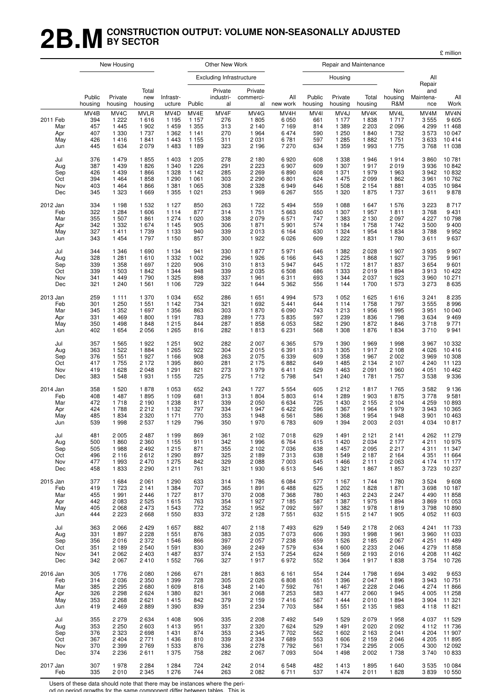## **2B.MCONSTRUCTION OUTPUT: VOLUME NON-SEASONALLY ADJUSTED BY SECTOR**

£ million

|                                      |                                         | New Housing                                              |                                                            |                                                             |                                                             | Other New Work                          |                                                       |                                                 |                                                    |                                                                        | Repair and Maintenance                          |                                                             |                                                 |                                                                     |
|--------------------------------------|-----------------------------------------|----------------------------------------------------------|------------------------------------------------------------|-------------------------------------------------------------|-------------------------------------------------------------|-----------------------------------------|-------------------------------------------------------|-------------------------------------------------|----------------------------------------------------|------------------------------------------------------------------------|-------------------------------------------------|-------------------------------------------------------------|-------------------------------------------------|---------------------------------------------------------------------|
|                                      |                                         |                                                          |                                                            |                                                             |                                                             | <b>Excluding Infrastructure</b>         |                                                       |                                                 |                                                    | Housing                                                                |                                                 |                                                             | All<br>Repair                                   |                                                                     |
|                                      | Public<br>housing                       | Private<br>housing                                       | Total<br>new<br>housing                                    | Infrastr-<br>ucture                                         | Public                                                      | Private<br>industri-<br>al              | Private<br>commerci-<br>al                            | All<br>new work                                 | Public<br>housing                                  | Private<br>housing                                                     | Total<br>housing                                | Non<br>housing<br>R&M                                       | and<br>Maintena-<br>nce                         | All<br>Work                                                         |
| 2011 Feb<br>Mar<br>Apr<br>May<br>Jun | MV4B<br>394<br>457<br>407<br>426<br>445 | MV4C<br>1 2 2 2<br>1 4 4 5<br>1 3 3 0<br>1416<br>1 6 3 4 | <b>MVLR</b><br>1616<br>1 902<br>1 7 3 7<br>1841<br>2 0 7 9 | MV4D<br>1 1 9 5<br>1 4 5 9<br>1 3 6 2<br>1 4 4 3<br>1 4 8 3 | MV4E<br>1 1 5 7<br>1 3 5 5<br>1 1 4 1<br>1 1 5 5<br>1 1 8 9 | MV4F<br>276<br>313<br>270<br>311<br>323 | MV4G<br>1805<br>2 1 4 0<br>1964<br>2 0 3 1<br>2 1 9 6 | MV4H<br>6 0 5 0<br>7169<br>6474<br>6781<br>7270 | MV <sub>4</sub><br>661<br>814<br>590<br>597<br>634 | MV <sub>4</sub> J<br>1 1 7 7<br>1 3 8 9<br>1 250<br>1 2 8 5<br>1 3 5 9 | MV4K<br>1838<br>2 2 0 3<br>1840<br>1882<br>1993 | MV4L<br>1 7 1 7<br>2 0 9 6<br>1 7 3 2<br>1 7 5 1<br>1 7 7 5 | MV4M<br>3555<br>4 2 9 9<br>3573<br>3633<br>3768 | MV <sub>4</sub> N<br>9 6 0 5<br>11 468<br>10 047<br>10414<br>11 038 |
| Jul                                  | 376                                     | 1479                                                     | 1855                                                       | 1 4 0 3                                                     | 1 205                                                       | 278                                     | 2 1 8 0                                               | 6920                                            | 608                                                | 1 3 3 8                                                                | 1946                                            | 1914                                                        | 3860                                            | 10781                                                               |
| Aug                                  | 387                                     | 1 4 3 9                                                  | 1826                                                       | 1 340                                                       | 1 2 2 6                                                     | 291                                     | 2 2 2 3                                               | 6907                                            | 609                                                | 1 307                                                                  | 1917                                            | 2019                                                        | 3936                                            | 10842                                                               |
| Sep                                  | 426                                     | 1 4 3 9                                                  | 1866                                                       | 1 3 2 8                                                     | 1 1 4 2                                                     | 285                                     | 2 2 6 9                                               | 6890                                            | 608                                                | 1 371                                                                  | 1979                                            | 1963                                                        | 3942                                            | 10832                                                               |
| Oct                                  | 394                                     | 1 4 6 4                                                  | 1858                                                       | 1 2 9 0                                                     | 1 0 6 1                                                     | 303                                     | 2 2 9 0                                               | 6801                                            | 624                                                | 1 4 7 5                                                                | 2099                                            | 1862                                                        | 3961                                            | 10762                                                               |
| Nov                                  | 403                                     | 1 4 6 4                                                  | 1866                                                       | 1 3 8 1                                                     | 1 0 6 5                                                     | 308                                     | 2 3 2 8                                               | 6949                                            | 646                                                | 1 508                                                                  | 2 1 5 4                                         | 1881                                                        | 4 0 3 5                                         | 10 984                                                              |
| Dec                                  | 345                                     | 1 3 2 3                                                  | 1 6 6 9                                                    | 1 3 5 5                                                     | 1 0 2 1                                                     | 253                                     | 1969                                                  | 6 2 6 7                                         | 555                                                | 1 3 2 0                                                                | 1875                                            | 1 7 3 7                                                     | 3611                                            | 9878                                                                |
| 2012 Jan                             | 334                                     | 1 1 9 8                                                  | 1 5 3 2                                                    | 1 1 2 7                                                     | 850                                                         | 263                                     | 1722                                                  | 5494                                            | 559                                                | 1 0 8 8                                                                | 1 647                                           | 1 576                                                       | 3 2 2 3                                         | 8717                                                                |
| Feb                                  | 322                                     | 1 2 8 4                                                  | 1 606                                                      | 1 1 1 4                                                     | 877                                                         | 314                                     | 1751                                                  | 5 6 6 3                                         | 650                                                | 1 307                                                                  | 1957                                            | 1811                                                        | 3768                                            | 9 4 31                                                              |
| Mar                                  | 355                                     | 1 507                                                    | 1861                                                       | 1 2 7 4                                                     | 1 0 2 0                                                     | 338                                     | 2079                                                  | 6571                                            | 747                                                | 1 3 8 3                                                                | 2 1 3 0                                         | 2 0 9 7                                                     | 4 2 2 7                                         | 10798                                                               |
| Apr                                  | 342                                     | 1 3 3 2                                                  | 1674                                                       | 1 1 4 5                                                     | 905                                                         | 306                                     | 1871                                                  | 5 9 0 1                                         | 574                                                | 1 1 8 4                                                                | 1758                                            | 1742                                                        | 3500                                            | 9 4 0 0                                                             |
| May                                  | 327                                     | 1411                                                     | 1739                                                       | 1 1 3 3                                                     | 940                                                         | 339                                     | 2013                                                  | 6 1 6 4                                         | 630                                                | 1 3 2 4                                                                | 1954                                            | 1834                                                        | 3788                                            | 9952                                                                |
| Jun                                  | 343                                     | 1 4 5 4                                                  | 1797                                                       | 1 150                                                       | 857                                                         | 300                                     | 1922                                                  | 6026                                            | 609                                                | 1 2 2 2                                                                | 1831                                            | 1780                                                        | 3611                                            | 9637                                                                |
| Jul                                  | 344                                     | 1 3 4 6                                                  | 1690                                                       | 1 1 3 4                                                     | 941                                                         | 330                                     | 1877                                                  | 5971                                            | 646                                                | 1 3 8 2                                                                | 2 0 2 8                                         | 1 907                                                       | 3935                                            | 9 9 0 7                                                             |
| Aug                                  | 328                                     | 1 2 8 1                                                  | 1610                                                       | 1 3 3 2                                                     | 1 0 0 2                                                     | 296                                     | 1926                                                  | 6 1 6 6                                         | 643                                                | 1 2 2 5                                                                | 1868                                            | 1927                                                        | 3795                                            | 9961                                                                |
| Sep                                  | 339                                     | 1 3 5 8                                                  | 1697                                                       | 1 2 2 0                                                     | 906                                                         | 310                                     | 1813                                                  | 5947                                            | 645                                                | 1 172                                                                  | 1817                                            | 1837                                                        | 3654                                            | 9601                                                                |
| Oct                                  | 339                                     | 1 503                                                    | 1842                                                       | 1 3 4 4                                                     | 948                                                         | 339                                     | 2035                                                  | 6508                                            | 686                                                | 1 3 3 3                                                                | 2019                                            | 1894                                                        | 3913                                            | 10 422                                                              |
| Nov                                  | 341                                     | 1449                                                     | 1790                                                       | 1 3 2 5                                                     | 898                                                         | 337                                     | 1961                                                  | 6311                                            | 693                                                | 1 3 4 4                                                                | 2 0 3 7                                         | 1923                                                        | 3960                                            | 10 271                                                              |
| Dec                                  | 321                                     | 1 2 4 0                                                  | 1 5 6 1                                                    | 1 1 0 6                                                     | 729                                                         | 322                                     | 1 6 4 4                                               | 5 3 6 2                                         | 556                                                | 1 1 4 4                                                                | 1700                                            | 1 573                                                       | 3 2 7 3                                         | 8 6 3 5                                                             |
| 2013 Jan                             | 259                                     | 1 1 1 1                                                  | 1 370                                                      | 1 0 3 4                                                     | 652                                                         | 286                                     | 1651                                                  | 4994                                            | 573                                                | 1 0 5 2                                                                | 1 6 2 5                                         | 1616                                                        | 3 2 4 1                                         | 8 2 3 5                                                             |
| Feb                                  | 301                                     | 1 250                                                    | 1 5 5 1                                                    | 1 1 4 2                                                     | 734                                                         | 321                                     | 1692                                                  | 5 4 4 1                                         | 644                                                | 1 1 1 4                                                                | 1758                                            | 1 7 9 7                                                     | 3555                                            | 8996                                                                |
| Mar                                  | 345                                     | 1 3 5 2                                                  | 1697                                                       | 1 3 5 6                                                     | 863                                                         | 303                                     | 1870                                                  | 6090                                            | 743                                                | 1 2 1 3                                                                | 1956                                            | 1995                                                        | 3951                                            | 10 040                                                              |
| Apr                                  | 331                                     | 1469                                                     | 1800                                                       | 1 1 9 1                                                     | 783                                                         | 289                                     | 1 7 7 3                                               | 5835                                            | 597                                                | 1 2 3 9                                                                | 1836                                            | 1798                                                        | 3634                                            | 9 4 6 9                                                             |
| May                                  | 350                                     | 1 4 9 8                                                  | 1848                                                       | 1 2 1 5                                                     | 844                                                         | 287                                     | 1858                                                  | 6053                                            | 582                                                | 1 2 9 0                                                                | 1872                                            | 1846                                                        | 3718                                            | 9771                                                                |
| Jun                                  | 402                                     | 1 6 5 4                                                  | 2 0 5 6                                                    | 1 2 6 5                                                     | 816                                                         | 282                                     | 1813                                                  | 6 2 3 1                                         | 568                                                | 1 3 0 8                                                                | 1876                                            | 1834                                                        | 3710                                            | 9 9 4 1                                                             |
| Jul                                  | 357                                     | 1 5 6 5                                                  | 1922                                                       | 1 2 5 1                                                     | 902                                                         | 282                                     | 2 0 0 7                                               | 6 3 6 5                                         | 579                                                | 1 3 9 0                                                                | 1969                                            | 1998                                                        | 3 9 6 7                                         | 10 332                                                              |
| Aug                                  | 363                                     | 1 5 2 2                                                  | 1884                                                       | 1 2 6 5                                                     | 922                                                         | 304                                     | 2015                                                  | 6 3 9 1                                         | 613                                                | 1 3 0 5                                                                | 1917                                            | 2 1 0 8                                                     | 4 0 26                                          | 10416                                                               |
| Sep                                  | 376                                     | 1 5 5 1                                                  | 1927                                                       | 1 1 6 6                                                     | 908                                                         | 263                                     | 2075                                                  | 6339                                            | 609                                                | 1 3 5 8                                                                | 1967                                            | 2 0 0 2                                                     | 3969                                            | 10 308                                                              |
| Oct                                  | 417                                     | 1755                                                     | 2 1 7 2                                                    | 1 3 9 5                                                     | 860                                                         | 281                                     | 2 1 7 5                                               | 6882                                            | 649                                                | 1 4 8 5                                                                | 2 1 3 4                                         | 2 107                                                       | 4 2 4 0                                         | 11 123                                                              |
| Nov                                  | 419                                     | 1 6 2 8                                                  | 2 0 4 8                                                    | 1 2 9 1                                                     | 821                                                         | 273                                     | 1979                                                  | 6411                                            | 629                                                | 1 4 6 3                                                                | 2 0 9 1                                         | 1 960                                                       | 4 0 5 1                                         | 10 462                                                              |
| Dec                                  | 383                                     | 1 5 4 8                                                  | 1931                                                       | 1 1 5 5                                                     | 725                                                         | 275                                     | 1712                                                  | 5798                                            | 541                                                | 1 240                                                                  | 1781                                            | 1 7 5 7                                                     | 3538                                            | 9 3 3 6                                                             |
| 2014 Jan                             | 358                                     | 1 5 2 0                                                  | 1878                                                       | 1 0 5 3                                                     | 652                                                         | 243                                     | 1727                                                  | 5 5 5 4                                         | 605                                                | 1 2 1 2                                                                | 1817                                            | 1765                                                        | 3582                                            | 9 1 3 6                                                             |
| Feb                                  | 408                                     | 1 4 8 7                                                  | 1895                                                       | 1 1 0 9                                                     | 681                                                         | 313                                     | 1804                                                  | 5803                                            | 614                                                | 1 2 8 9                                                                | 1 903                                           | 1875                                                        | 3778                                            | 9581                                                                |
| Mar                                  | 472                                     | 1718                                                     | 2 1 9 0                                                    | 1 2 3 8                                                     | 817                                                         | 339                                     | 2050                                                  | 6634                                            | 725                                                | 1 4 3 0                                                                | 2 1 5 5                                         | 2 1 0 4                                                     | 4 2 5 9                                         | 10893                                                               |
| Apr                                  | 424                                     | 1788                                                     | 2 2 1 2                                                    | 1 1 3 2                                                     | 797                                                         | 334                                     | 1947                                                  | 6422                                            | 596                                                | 1 3 6 7                                                                | 1964                                            | 1979                                                        | 3943                                            | 10 365                                                              |
| May                                  | 485                                     | 1834                                                     | 2 3 2 0                                                    | 1 1 7 1                                                     | 770                                                         | 353                                     | 1948                                                  | 6561                                            | 586                                                | 1 3 6 8                                                                | 1954                                            | 1948                                                        | 3 9 0 1                                         | 10 463                                                              |
| Jun                                  | 539                                     | 1998                                                     | 2 5 3 7                                                    | 1 1 2 9                                                     | 796                                                         | 350                                     | 1970                                                  | 6783                                            | 609                                                | 1 3 9 4                                                                | 2 0 0 3                                         | 2 0 3 1                                                     | 4 0 34                                          | 10817                                                               |
| Jul                                  | 481                                     | 2 0 0 5                                                  | 2 4 8 7                                                    | 1 1 9 9                                                     | 869                                                         | 361                                     | 2 1 0 2                                               | 7018                                            | 629                                                | 1491                                                                   | 2 1 2 1                                         | 2 1 4 1                                                     | 4 2 6 2                                         | 11 279                                                              |
| Aug                                  | 500                                     | 1860                                                     | 2 3 6 0                                                    | 1 1 5 5                                                     | 911                                                         | 342                                     | 1996                                                  | 6764                                            | 615                                                | 1 4 2 0                                                                | 2 0 3 4                                         | 2 177                                                       | 4 2 1 1                                         | 10 975                                                              |
| Sep                                  | 505                                     | 1988                                                     | 2 4 9 2                                                    | 1 2 1 5                                                     | 871                                                         | 355                                     | 2 1 0 2                                               | 7036                                            | 638                                                | 1 4 5 7                                                                | 2095                                            | 2 2 1 7                                                     | 4 3 1 1                                         | 11 347                                                              |
| Oct                                  | 496                                     | 2 1 1 6                                                  | 2612                                                       | 1 2 9 0                                                     | 897                                                         | 325                                     | 2 1 8 9                                               | 7313                                            | 638                                                | 1 5 4 9                                                                | 2 1 8 7                                         | 2 1 6 4                                                     | 4 3 5 1                                         | 11 664                                                              |
| Nov                                  | 477                                     | 1993                                                     | 2 4 7 0                                                    | 1 2 7 5                                                     | 842                                                         | 329                                     | 2088                                                  | 7 0 0 3                                         | 645                                                | 1466                                                                   | 2 1 1 1                                         | 2 0 6 3                                                     | 4 174                                           | 11 177                                                              |
| Dec                                  | 458                                     | 1833                                                     | 2 2 9 0                                                    | 1211                                                        | 761                                                         | 321                                     | 1930                                                  | 6513                                            | 546                                                | 1 3 2 1                                                                | 1867                                            | 1857                                                        | 3723                                            | 10 237                                                              |
| 2015 Jan                             | 377                                     | 1 6 8 4                                                  | 2 0 6 1                                                    | 1 2 9 0                                                     | 633                                                         | 314                                     | 1786                                                  | 6084                                            | 577                                                | 1 1 6 7                                                                | 1 744                                           | 1780                                                        | 3 5 24                                          | 9608                                                                |
| Feb                                  | 419                                     | 1 7 2 3                                                  | 2 1 4 1                                                    | 1 3 8 4                                                     | 707                                                         | 365                                     | 1891                                                  | 6488                                            | 625                                                | 1 202                                                                  | 1828                                            | 1871                                                        | 3698                                            | 10 187                                                              |
| Mar                                  | 455                                     | 1991                                                     | 2446                                                       | 1 7 2 7                                                     | 817                                                         | 370                                     | 2 0 0 8                                               | 7 3 6 8                                         | 780                                                | 1 4 6 3                                                                | 2 2 4 3                                         | 2 2 4 7                                                     | 4 4 9 0                                         | 11858                                                               |
| Apr                                  | 442                                     | 2 0 8 3                                                  | 2 5 2 5                                                    | 1615                                                        | 763                                                         | 354                                     | 1927                                                  | 7185                                            | 587                                                | 1 3 8 7                                                                | 1975                                            | 1894                                                        | 3869                                            | 11 053                                                              |
| May                                  | 405                                     | 2 0 6 8                                                  | 2 4 7 3                                                    | 1 5 4 3                                                     | 772                                                         | 352                                     | 1952                                                  | 7092                                            | 597                                                | 1 3 8 2                                                                | 1978                                            | 1819                                                        | 3798                                            | 10890                                                               |
| Jun                                  | 444                                     | 2 2 2 3                                                  | 2668                                                       | 1 550                                                       | 833                                                         | 372                                     | 2 1 2 8                                               | 7551                                            | 632                                                | 1515                                                                   | 2 1 4 7                                         | 1 9 0 5                                                     | 4 0 5 2                                         | 11 603                                                              |
| Jul                                  | 363                                     | 2 0 6 6                                                  | 2 4 2 9                                                    | 1 657                                                       | 882                                                         | 407                                     | 2118                                                  | 7493                                            | 629                                                | 1 5 4 9                                                                | 2 1 7 8                                         | 2 0 6 3                                                     | 4 241                                           | 11 733                                                              |
| Aug                                  | 331                                     | 1897                                                     | 2 2 2 8                                                    | 1 5 5 1                                                     | 876                                                         | 383                                     | 2 0 3 5                                               | 7073                                            | 606                                                | 1 3 9 3                                                                | 1998                                            | 1961                                                        | 3 9 6 0                                         | 11 033                                                              |
| Sep                                  | 356                                     | 2016                                                     | 2 3 7 2                                                    | 1 546                                                       | 866                                                         | 397                                     | 2057                                                  | 7 2 3 8                                         | 659                                                | 1 5 2 6                                                                | 2 1 8 5                                         | 2 0 6 7                                                     | 4 2 5 1                                         | 11 489                                                              |
| Oct                                  | 351                                     | 2 1 8 9                                                  | 2 5 4 0                                                    | 1 5 9 1                                                     | 830                                                         | 369                                     | 2 2 4 9                                               | 7579                                            | 634                                                | 1 600                                                                  | 2 2 3 3                                         | 2 0 4 6                                                     | 4 2 7 9                                         | 11858                                                               |
| Nov                                  | 341                                     | 2 0 6 2                                                  | 2 4 0 3                                                    | 1 4 8 7                                                     | 837                                                         | 374                                     | 2 1 5 3                                               | 7 2 5 4                                         | 624                                                | 1 5 6 9                                                                | 2 1 9 3                                         | 2016                                                        | 4 208                                           | 11 462                                                              |
| Dec                                  | 342                                     | 2 0 6 7                                                  | 2410                                                       | 1 5 5 2                                                     | 766                                                         | 327                                     | 1917                                                  | 6972                                            | 552                                                | 1 3 6 4                                                                | 1917                                            | 1838                                                        | 3754                                            | 10726                                                               |
| 2016 Jan                             | 305                                     | 1776                                                     | 2 0 8 0                                                    | 1 2 6 6                                                     | 671                                                         | 281                                     | 1863                                                  | 6 1 6 1                                         | 554                                                | 1 2 4 4                                                                | 1798                                            | 1 6 9 4                                                     | 3 4 9 2                                         | 9653                                                                |
| Feb                                  | 314                                     | 2 0 3 6                                                  | 2 3 5 0                                                    | 1 3 9 9                                                     | 728                                                         | 305                                     | 2026                                                  | 6808                                            | 651                                                | 1 3 9 6                                                                | 2 0 4 7                                         | 1896                                                        | 3943                                            | 10751                                                               |
| Mar                                  | 385                                     | 2 2 9 5                                                  | 2680                                                       | 1 609                                                       | 816                                                         | 348                                     | 2 1 4 0                                               | 7592                                            | 761                                                | 1 4 6 7                                                                | 2 2 2 8                                         | 2 0 4 6                                                     | 4 2 7 4                                         | 11 866                                                              |
| Apr                                  | 326                                     | 2 2 9 8                                                  | 2624                                                       | 1 3 8 0                                                     | 821                                                         | 361                                     | 2068                                                  | 7 2 5 3                                         | 583                                                | 1 477                                                                  | 2060                                            | 1945                                                        | 4 0 0 5                                         | 11 258                                                              |
| May                                  | 353                                     | 2 2 6 8                                                  | 2621                                                       | 1415                                                        | 842                                                         | 379                                     | 2 1 5 9                                               | 7416                                            | 567                                                | 1 4 4 4                                                                | 2010                                            | 1894                                                        | 3 9 0 4                                         | 11 321                                                              |
| Jun                                  | 419                                     | 2 4 6 9                                                  | 2889                                                       | 1 3 9 0                                                     | 839                                                         | 351                                     | 2 2 3 4                                               | 7703                                            | 584                                                | 1 5 5 1                                                                | 2 1 3 5                                         | 1983                                                        | 4 1 1 8                                         | 11 821                                                              |
| Jul                                  | 355                                     | 2 2 7 9                                                  | 2 6 3 4                                                    | 1 4 0 8                                                     | 906                                                         | 335                                     | 2 2 0 8                                               | 7492                                            | 549                                                | 1 5 2 9                                                                | 2 0 7 9                                         | 1958                                                        | 4 0 3 7                                         | 11 529                                                              |
| Aug                                  | 353                                     | 2 2 5 0                                                  | 2 6 0 3                                                    | 1413                                                        | 951                                                         | 337                                     | 2 3 2 0                                               | 7624                                            | 529                                                | 1 4 9 1                                                                | 2 0 2 0                                         | 2 0 9 2                                                     | 4 1 1 2                                         | 11 736                                                              |
| Sep                                  | 376                                     | 2 3 2 3                                                  | 2698                                                       | 1 4 3 1                                                     | 874                                                         | 353                                     | 2 3 4 5                                               | 7702                                            | 562                                                | 1 602                                                                  | 2 1 6 3                                         | 2 0 4 1                                                     | 4 204                                           | 11 907                                                              |
| Oct                                  | 367                                     | 2 4 0 4                                                  | 2 7 7 1                                                    | 1 4 3 6                                                     | 810                                                         | 339                                     | 2 3 3 4                                               | 7689                                            | 553                                                | 1 606                                                                  | 2 1 5 9                                         | 2 0 4 6                                                     | 4 205                                           | 11 895                                                              |
| Nov                                  | 370                                     | 2 3 9 9                                                  | 2769                                                       | 1 5 3 3                                                     | 876                                                         | 336                                     | 2 2 7 8                                               | 7792                                            | 561                                                | 1 7 3 4                                                                | 2 2 9 5                                         | 2 0 0 5                                                     | 4 3 0 0                                         | 12 092                                                              |
| Dec                                  | 374                                     | 2 2 3 6                                                  | 2611                                                       | 1 375                                                       | 758                                                         | 282                                     | 2067                                                  | 7093                                            | 504                                                | 1498                                                                   | 2002                                            | 1738                                                        | 3740                                            | 10833                                                               |
| 2017 Jan                             | 307                                     | 1978                                                     | 2 2 8 4                                                    | 1 2 8 4                                                     | 724                                                         | 242                                     | 2014                                                  | 6548                                            | 482                                                | 1413                                                                   | 1895                                            | 1 640                                                       | 3 5 3 5                                         | 10 084                                                              |
| Feb                                  | 335                                     | 2010                                                     | 2 3 4 5                                                    | 1 276                                                       | 744                                                         | 263                                     | 2082                                                  | 6711                                            | 537                                                | 1474                                                                   | 2011                                            | 1828                                                        | 3839                                            | 10 550                                                              |

Users of these data should note that there may be instances where the peri-

od on period growths for the same component differ between tables. This is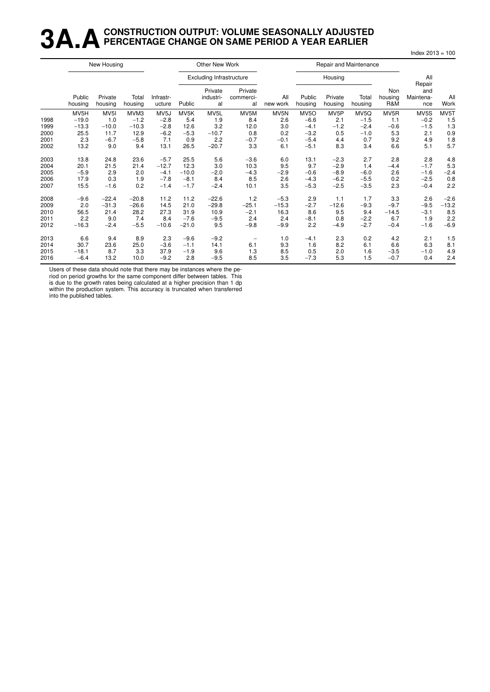# 3A A CONSTRUCTION OUTPUT: VOLUME SEASONALLY ADJUSTED

Index  $2013 = 100$ 

|      |                   | New Housing        |                  |                     |         | Other New Work                  |                            |                 |                   | Repair and Maintenance |                  |                       |                                   |             |
|------|-------------------|--------------------|------------------|---------------------|---------|---------------------------------|----------------------------|-----------------|-------------------|------------------------|------------------|-----------------------|-----------------------------------|-------------|
|      |                   |                    |                  |                     |         | <b>Excluding Infrastructure</b> |                            |                 |                   | Housing                |                  |                       | All                               |             |
|      | Public<br>housing | Private<br>housing | Total<br>housing | Infrastr-<br>ucture | Public  | Private<br>industri-<br>al      | Private<br>commerci-<br>al | All<br>new work | Public<br>housing | Private<br>housing     | Total<br>housing | Non<br>housing<br>R&M | Repair<br>and<br>Maintena-<br>nce | All<br>Work |
|      | MV5H              | MV <sub>5</sub> I  | MVM3             | MV <sub>5</sub> J   | MV5K    | MV5L                            | MV5M                       | MV5N            | MV <sub>50</sub>  | MV <sub>5</sub> P      | MV5Q             | MV <sub>5</sub> R     | MV5S                              | MV5T        |
| 1998 | $-19.0$           | 1.0                | $-1.2$           | $-2.8$              | 5.4     | 1.9                             | 8.4                        | 2.6             | $-6.6$            | 2.1                    | $-1.5$           | 1.1                   | $-0.2$                            | 1.5         |
| 1999 | $-13.3$           | $-10.0$            | $-10.3$          | $-2.8$              | 12.6    | 3.2                             | 12.0                       | 3.0             | $-4.1$            | $-1.2$                 | $-2.4$           | $-0.6$                | $-1.5$                            | 1.3         |
| 2000 | 25.5              | 11.7               | 12.9             | $-6.2$              | $-5.3$  | $-10.7$                         | 0.8                        | 0.2             | $-3.2$            | 0.5                    | $-1.0$           | 5.3                   | 2.1                               | 0.9         |
| 2001 | 2.3               | $-6.7$             | $-5.8$           | 7.1                 | 0.9     | 2.2                             | $-0.7$                     | $-0.1$          | $-5.4$            | 4.4                    | 0.7              | 9.2                   | 4.9                               | 1.8         |
| 2002 | 13.2              | 9.0                | 9.4              | 13.1                | 26.5    | $-20.7$                         | 3.3                        | 6.1             | $-5.1$            | 8.3                    | 3.4              | 6.6                   | 5.1                               | 5.7         |
| 2003 | 13.8              | 24.8               | 23.6             | $-5.7$              | 25.5    | 5.6                             | $-3.6$                     | 6.0             | 13.1              | $-2.3$                 | 2.7              | 2.8                   | 2.8                               | 4.8         |
| 2004 | 20.1              | 21.5               | 21.4             | $-12.7$             | 12.3    | 3.0                             | 10.3                       | 9.5             | 9.7               | $-2.9$                 | 1.4              | $-4.4$                | $-1.7$                            | 5.3         |
| 2005 | $-5.9$            | 2.9                | 2.0              | $-4.1$              | $-10.0$ | $-2.0$                          | $-4.3$                     | $-2.9$          | $-0.6$            | $-8.9$                 | $-6.0$           | 2.6                   | $-1.6$                            | $-2.4$      |
| 2006 | 17.9              | 0.3                | 1.9              | $-7.8$              | $-8.1$  | 8.4                             | 8.5                        | 2.6             | $-4.3$            | $-6.2$                 | $-5.5$           | 0.2                   | $-2.5$                            | 0.8         |
| 2007 | 15.5              | $-1.6$             | 0.2              | $-1.4$              | $-1.7$  | $-2.4$                          | 10.1                       | 3.5             | $-5.3$            | $-2.5$                 | $-3.5$           | 2.3                   | $-0.4$                            | 2.2         |
| 2008 | $-9.6$            | $-22.4$            | $-20.8$          | 11.2                | 11.2    | $-22.6$                         | 1.2                        | $-5.3$          | 2.9               | 1.1                    | 1.7              | 3.3                   | 2.6                               | $-2.6$      |
| 2009 | 2.0               | $-31.3$            | $-26.6$          | 14.5                | 21.0    | $-29.8$                         | $-25.1$                    | $-15.3$         | $-2.7$            | $-12.6$                | $-9.3$           | $-9.7$                | $-9.5$                            | $-13.2$     |
| 2010 | 56.5              | 21.4               | 28.2             | 27.3                | 31.9    | 10.9                            | $-2.1$                     | 16.3            | 8.6               | 9.5                    | 9.4              | $-14.5$               | $-3.1$                            | 8.5         |
| 2011 | 2.2               | 9.0                | 7.4              | 8.4                 | $-7.6$  | $-9.5$                          | 2.4                        | 2.4             | $-8.1$            | 0.8                    | $-2.2$           | 6.7                   | 1.9                               | 2.2         |
| 2012 | $-16.3$           | $-2.4$             | $-5.5$           | $-10.6$             | $-21.0$ | 9.5                             | $-9.8$                     | $-9.9$          | 2.2               | $-4.9$                 | $-2.7$           | $-0.4$                | $-1.6$                            | $-6.9$      |
| 2013 | 6.6               | 9.4                | 8.9              | 2.3                 | $-9.6$  | $-9.2$                          | $\overline{\phantom{a}}$   | 1.0             | $-4.1$            | 2.3                    | 0.2              | 4.2                   | 2.1                               | 1.5         |
| 2014 | 30.7              | 23.6               | 25.0             | $-3.6$              | $-1.1$  | 14.1                            | 6.1                        | 9.3             | 1.6               | 8.2                    | 6.1              | 6.6                   | 6.3                               | 8.1         |
| 2015 | $-18.1$           | 8.7                | 3.3              | 37.9                | $-1.9$  | 9.6                             | 1.3                        | 8.5             | 0.5               | 2.0                    | 1.6              | $-3.5$                | $-1.0$                            | 4.9         |
| 2016 | $-6.4$            | 13.2               | 10.0             | $-9.2$              | 2.8     | $-9.5$                          | 8.5                        | 3.5             | $-7.3$            | 5.3                    | 1.5              | $-0.7$                | 0.4                               | 2.4         |

Users of these data should note that there may be instances where the period on period growths for the same component differ between tables. This

is due to the growth rates being calculated at a higher precision than 1 dp within the production system. This accuracy is truncated when transferred<br>into the published tables.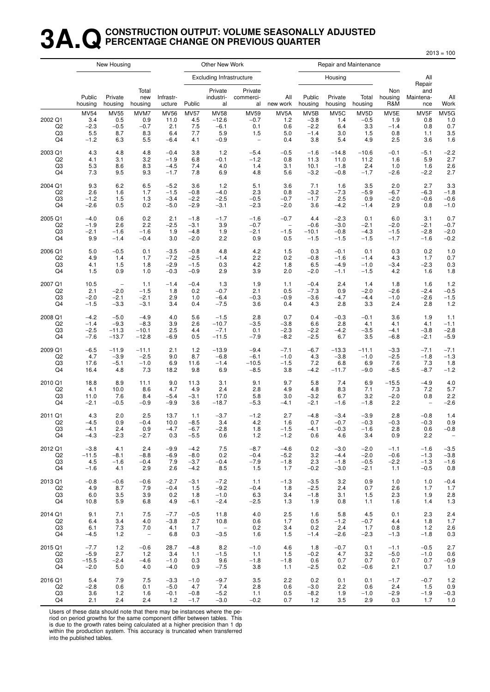#### **3A.QCONSTRUCTION OUTPUT: VOLUME SEASONALLY ADJUSTED PERCENTAGE CHANGE ON PREVIOUS QUARTER**

New Housing **New York Club Account Contains Container** Other New Work **Repair and Maintenance** Excluding Infrastr ucture Housing All Repair Total Private Private Non and Public Private new Infrastr- industri- commerci- All Public Private Total housing Maintena- All housing housing housing ucture Public al al new work housing housing housing R&M nce Work MV54 MV55 MVM7 MV56 MV57 MV58 MV59 MV5A MV5B MV5C MV5D MV5E MV5F MV5G 2002 Q1 3.4 0.5 0.9 11.0 4.5 −12.6 −0.7 1.2 −3.8 1.4 −0.5 1.9 0.8 1.0 Q2 −2.3 −0.5 −0.7 2.1 7.5 −6.1 0.1 0.6 −2.2 6.4 3.3 −1.4 0.8 0.7 Q3 5.5 8.7 8.3 6.4 7.7 5.9 1.5 5.0 −1.4 3.0 1.5 0.8 1.1 3.5 Q4 −1.2 6.3 5.5 −6.4 4.1 −0.9 − 0.4 3.8 5.4 4.9 2.5 3.6 1.6 2003 Q1 4.3 4.8 4.8 −0.4 3.8 1.2 −5.4 −0.5 −1.6 −14.8 −10.6 −0.1 −5.1 −2.2 Q2 4.1 3.1 3.2 −1.9 6.8 −0.1 −1.2 0.8 11.3 11.0 11.2 1.6 5.9 2.7 Q3 5.3 8.6 8.3 −4.5 7.4 4.0 1.4 3.1 10.1 −1.8 2.4 1.0 1.6 2.6 Q4 7.3 9.5 9.3 −1.7 7.8 6.9 4.8 5.6 −3.2 −0.8 −1.7 −2.6 −2.2 2.7 2004 Q1 9.3 6.2 6.5 −5.2 3.6 1.2 5.1 3.6 7.1 1.6 3.5 2.0 2.7 3.3 Q2 2.6 1.6 1.7 −1.5 −0.8 −4.0 2.3 0.8 −3.2 −7.3 −5.9 −6.7 −6.3 −1.8 Q3 −1.2 1.5 1.3 −3.4 −2.2 −2.5 −0.5 −0.7 −1.7 2.5 0.9 −2.0 −0.6 −0.6 Q4 −2.6 0.5 0.2 −5.0 −2.9 −3.1 −2.3 −2.0 3.6 −4.2 −1.4 2.9 0.8 −1.0 2005 Q1 −4.0 0.6 0.2 2.1 −1.8 −1.7 −1.6 −0.7 4.4 −2.3 0.1 6.0 3.1 0.7 Q2 −1.9 2.6 2.2 −2.5 −3.1 3.9 −0.7 − −0.6 −3.0 −2.1 −2.0 −2.1 −0.7 Q3 −2.1 −1.6 −1.6 1.9 −4.8 1.9 −2.1 −1.5 −10.1 −0.8 −4.3 −1.5 −2.8 −2.0 Q4 9.9 −1.4 −0.4 3.0 −2.0 2.2 0.9 0.5 −1.5 −1.5 −1.5 −1.7 −1.6 −0.2 2006 Q1 5.0 −0.5 0.1 −3.5 −0.8 4.8 4.2 1.5 0.3 −0.1 0.1 0.3 0.2 1.0 Q2 4.9 1.4 1.7 −7.2 −2.5 −1.4 2.2 0.2 −0.8 −1.6 −1.4 4.3 1.7 0.7 Q3 4.1 1.5 1.8 −2.9 −1.5 0.3 4.2 1.8 6.5 −4.9 −1.0 −3.4 −2.3 0.3 Q4 1.5 0.9 1.0 −0.3 −0.9 2.9 3.9 2.0 −2.0 −1.1 −1.5 4.2 1.6 1.8 2007 Q1 10.5 − 1.1 −1.4 −0.4 1.3 1.9 1.1 −0.4 2.4 1.4 1.8 1.6 1.2 Q2 2.1 −2.0 −1.5 1.8 0.2 −0.7 2.1 0.5 −7.3 0.9 −2.0 −2.6 −2.4 −0.5 Q3 −2.0 −2.1 −2.1 2.9 1.0 −6.4 −0.3 −0.9 −3.6 −4.7 −4.4 −1.0 −2.6 −1.5 Q4 −1.5 −3.3 −3.1 3.4 0.4 −7.5 3.6 0.4 4.3 2.8 3.3 2.4 2.8 1.2 2008 Q1 −4.2 −5.0 −4.9 4.0 5.6 −1.5 2.8 0.7 0.4 −0.3 −0.1 3.6 1.9 1.1 Q2 −1.4 −9.3 −8.3 3.9 2.6 −10.7 −3.5 −3.8 6.6 2.8 4.1 4.1 4.1 −1.1 Q3 −2.5 −11.3 −10.1 2.5 4.4 −7.1 0.1 −2.3 −2.2 −4.2 −3.5 −4.1 −3.8 −2.8 Q4 −7.6 −13.7 −12.8 −6.9 0.5 −11.5 −7.9 −8.2 −2.5 6.7 3.5 −6.8 −2.1 −5.9 2009 Q1 −6.5 −11.9 −11.1 2.1 1.2 −13.9 −9.4 −7.1 −6.7 −13.3 −11.1 −3.3 −7.1 −7.1 Q2 4.7 −3.9 −2.5 9.0 8.7 −6.8 −6.1 −1.0 4.3 −3.8 −1.0 −2.5 −1.8 −1.3 Q3 17.6 −5.1 −1.0 6.9 11.6 −1.4 −10.5 −1.5 7.2 6.8 6.9 7.6 7.3 1.8 Q4 16.4 4.8 7.3 18.2 9.8 6.9 −8.5 3.8 −4.2 −11.7 −9.0 −8.5 −8.7 −1.2 2010 Q1 18.8 8.9 11.1 9.0 11.3 3.1 9.1 9.7 5.8 7.4 6.9 −15.5 −4.9 4.0 Q2 4.1 10.0 8.6 4.7 4.9 2.4 2.8 4.9 4.8 8.3 7.1 7.3 7.2 5.7 Q3 11.0 7.6 8.4 −5.4 −3.1 17.0 5.8 3.0 −3.2 6.7 3.2 −2.0 0.8 2.2 Q4 −2.1 −0.5 −0.9 −9.9 3.6 −18.7 −5.3 −4.1 −2.1 −1.6 −1.8 2.2 − −2.6 2011 Q1 4.3 2.0 2.5 13.7 1.1 −3.7 −1.2 2.7 −4.8 −3.4 −3.9 2.8 −0.8 1.4 Q2 −4.5 0.9 −0.4 10.0 −8.5 3.4 4.2 1.6 0.7 −0.7 −0.3 −0.3 −0.3 0.9 Q3 −4.1 2.4 0.9 −4.7 −6.7 −2.8 1.8 −1.5 −4.1 −0.3 −1.6 2.8 0.6 −0.8 Q4 −4.3 −2.3 −2.7 0.3 −5.5 0.6 1.2 −1.2 0.6 4.6 3.4 0.9 2.2 − 2012 Q1 −3.8 4.1 2.4 −9.9 −4.2 7.5 −8.7 −4.6 0.2 −3.0 −2.0 −1.1 −1.6 −3.5 Q2 −11.5 −8.1 −8.8 −6.9 −8.0 0.2 −0.4 −5.2 3.2 −4.4 −2.0 −0.6 −1.3 −3.8 Q3 4.5 −1.6 −0.4 7.9 −3.7 −0.4 −7.9 −1.8 2.3 −1.8 −0.5 −2.2 −1.3 −1.6 Q4 −1.6 4.1 2.9 2.6 −4.2 8.5 1.5 1.7 −0.2 −3.0 −2.1 1.1 −0.5 0.8 2013 Q1 −0.8 −0.6 −0.6 −2.7 −3.1 −7.2 1.1 −1.3 −3.5 3.2 0.9 1.0 1.0 −0.4 Q2 4.9 8.7 7.9 −0.4 1.5 −9.2 −0.4 1.8 −2.5 2.4 0.7 2.6 1.7 1.7 Q3 6.0 3.5 3.9 0.2 1.8 −1.0 6.3 3.4 −1.8 3.1 1.5 2.3 1.9 2.8 Q4 10.8 5.9 6.8 4.9 −6.1 −2.4 −2.5 1.3 1.9 0.8 1.1 1.6 1.4 1.3 2014 Q1 9.1 7.1 7.5 −7.7 −0.5 11.8 4.0 2.5 1.6 5.8 4.5 0.1 2.3 2.4 Q2 6.4 3.4 4.0 −3.8 2.7 10.8 0.6 1.7 0.5 −1.2 −0.7 4.4 1.8 1.7 Q3 6.1 7.3 7.0 4.1 1.7 − 0.2 3.4 0.2 2.4 1.7 0.8 1.2 2.6 Q4 −4.5 1.2 − 6.8 0.3 −3.5 1.6 1.5 −1.4 −2.6 −2.3 −1.3 −1.8 0.3 2015 Q1 −7.7 1.2 −0.6 28.7 −4.8 8.2 −1.0 4.6 1.8 −0.7 0.1 −1.1 −0.5 2.7 Q2 −5.9 2.7 1.2 3.4 1.1 −1.5 1.1 1.5 −0.2 4.7 3.2 −5.0 −1.0 0.6 Q3 −15.5 −2.4 −4.6 −1.0 0.3 9.6 −1.8 −1.8 0.6 0.7 0.7 0.7 0.7 −0.9 Q4 −2.0 5.0 4.0 −4.0 0.9 −7.5 3.8 1.1 −2.5 0.2 −0.6 2.1 0.7 1.0 2016 Q1 5.4 7.9 7.5 −3.3 −1.0 −9.7 3.5 2.2 0.2 0.1 0.1 −1.7 −0.7 1.2 Q2 −2.8 0.6 0.1 −5.0 4.7 7.4 2.8 0.6 −3.0 2.2 0.6 2.4 1.5 0.9 Q3 3.6 1.2 1.6 −0.1 −0.8 −5.2 1.1 0.5 −8.2 1.9 −1.0 −2.9 −1.9 −0.3 Q4 2.1 2.4 2.4 1.2 −1.7 −3.0 −0.2 0.7 1.2 3.5 2.9 0.3 1.7 1.0

Users of these data should note that there may be instances where the pe-

riod on period growths for the same component differ between tables. This

is due to the growth rates being calculated at a higher precision than 1 dp within the production system. This accuracy is truncated when transferred

into the published tables.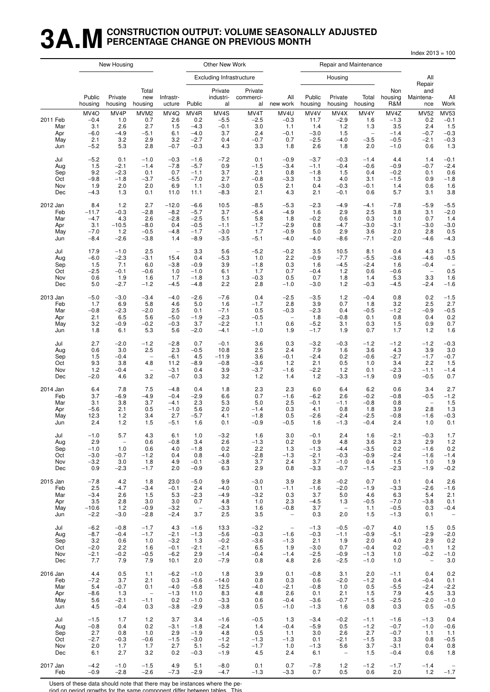## **3A.MCONSTRUCTION OUTPUT: VOLUME SEASONALLY ADJUSTED PERCENTAGE CHANGE ON PREVIOUS MONTH**

Index 2013 = 100

|                                      |                                                               | New Housing                                |                                                        |                                            |                                                     | Other New Work                                |                                               |                                               |                                                |                                               | Repair and Maintenance                                   |                                                     |                                               |                                                         |
|--------------------------------------|---------------------------------------------------------------|--------------------------------------------|--------------------------------------------------------|--------------------------------------------|-----------------------------------------------------|-----------------------------------------------|-----------------------------------------------|-----------------------------------------------|------------------------------------------------|-----------------------------------------------|----------------------------------------------------------|-----------------------------------------------------|-----------------------------------------------|---------------------------------------------------------|
|                                      |                                                               |                                            |                                                        |                                            |                                                     | <b>Excluding Infrastructure</b>               |                                               |                                               |                                                | Housing                                       |                                                          |                                                     | All                                           |                                                         |
|                                      | Public<br>housing                                             | Private<br>housing                         | Total<br>new<br>housing                                | Infrastr-<br>ucture                        | Public                                              | Private<br>industri-<br>al                    | Private<br>commerci-<br>al                    | All<br>new work                               | Public<br>housing                              | Private<br>housing                            | Total<br>housing                                         | Non<br>housing<br>R&M                               | Repair<br>and<br>Maintena-<br>nce             | All<br>Work                                             |
| 2011 Feb<br>Mar<br>Apr<br>May<br>Jun | MV <sub>4</sub> O<br>$-0.4$<br>3.1<br>$-6.0$<br>2.1<br>$-5.2$ | MV4P<br>1.0<br>2.6<br>$-4.9$<br>3.2<br>5.3 | MVM <sub>2</sub><br>0.7<br>2.7<br>$-5.1$<br>2.9<br>2.8 | MV4Q<br>2.6<br>1.5<br>6.1<br>3.2<br>$-0.7$ | MV4R<br>0.2<br>$-4.3$<br>$-4.0$<br>$-2.7$<br>$-0.3$ | MV4S<br>$-5.5$<br>$-0.1$<br>3.7<br>0.4<br>4.3 | MV4T<br>$-2.5$<br>3.0<br>2.4<br>$-0.7$<br>3.3 | MV4U<br>$-0.3$<br>1.1<br>$-0.1$<br>0.7<br>1.8 | MV4V<br>11.7<br>1.4<br>$-3.0$<br>$-2.5$<br>2.6 | MV4X<br>$-2.9$<br>1.2<br>1.5<br>$-4.0$<br>1.8 | MV4Y<br>1.6<br>1.3<br>$\qquad \qquad -$<br>$-3.5$<br>2.0 | MV4Z<br>$-1.3$<br>3.5<br>$-1.4$<br>$-0.5$<br>$-1.0$ | MV52<br>0.2<br>2.4<br>$-0.7$<br>$-2.1$<br>0.6 | <b>MV53</b><br>$-0.1$<br>1.5<br>$-0.3$<br>$-0.3$<br>1.3 |
| Jul                                  | $-5.2$                                                        | 0.1                                        | $-1.0$                                                 | $-0.3$                                     | $-1.6$                                              | $-7.2$                                        | 0.1                                           | $-0.9$                                        | $-3.7$                                         | $-0.3$                                        | $-1.4$                                                   | 4.4                                                 | 1.4                                           | $-0.1$                                                  |
| Aug                                  | 1.5                                                           | $-2.1$                                     | $-1.4$                                                 | $-7.8$                                     | $-5.7$                                              | 0.9                                           | $-1.5$                                        | $-3.4$                                        | $-1.1$                                         | $-0.4$                                        | $-0.6$                                                   | $-0.9$                                              | $-0.7$                                        | $-2.4$                                                  |
| Sep                                  | 9.2                                                           | $-2.3$                                     | 0.1                                                    | 0.7                                        | $-1.1$                                              | 3.7                                           | 2.1                                           | 0.8                                           | $-1.8$                                         | 1.5                                           | 0.4                                                      | $-0.2$                                              | 0.1                                           | 0.6                                                     |
| Oct                                  | $-9.8$                                                        | $-1.8$                                     | $-3.7$                                                 | $-5.5$                                     | $-7.0$                                              | 2.7                                           | $-0.8$                                        | $-3.3$                                        | 1.3                                            | 4.0                                           | 3.1                                                      | $-1.5$                                              | 0.9                                           | $-1.8$                                                  |
| Nov                                  | 1.9                                                           | 2.0                                        | 2.0                                                    | 6.9                                        | 1.1                                                 | $-3.0$                                        | 0.5                                           | 2.1                                           | 0.4                                            | $-0.3$                                        | $-0.1$                                                   | 1.4                                                 | 0.6                                           | 1.6                                                     |
| Dec                                  | $-4.3$                                                        | 1.3                                        | 0.1                                                    | 11.0                                       | 11.1                                                | $-8.3$                                        | 2.1                                           | 4.3                                           | 2.1                                            | $-0.1$                                        | 0.6                                                      | 5.7                                                 | 3.1                                           | 3.8                                                     |
| 2012 Jan                             | 8.4                                                           | 1.2                                        | 2.7                                                    | $-12.0$                                    | $-6.6$                                              | 10.5                                          | $-8.5$                                        | $-5.3$                                        | $-2.3$                                         | $-4.9$                                        | $-4.1$                                                   | $-7.8$                                              | $-5.9$                                        | $-5.5$                                                  |
| Feb                                  | $-11.7$                                                       | $-0.3$                                     | $-2.8$                                                 | $-8.2$                                     | $-5.7$                                              | 3.7                                           | $-5.4$                                        | $-4.9$                                        | 1.6                                            | 2.9                                           | 2.5                                                      | 3.8                                                 | 3.1                                           | $-2.0$                                                  |
| Mar                                  | $-4.7$                                                        | 4.3                                        | 2.6                                                    | $-2.8$                                     | $-2.5$                                              | 5.1                                           | 5.8                                           | 1.8                                           | $-0.2$                                         | 0.6                                           | 0.3                                                      | 1.0                                                 | 0.7                                           | 1.4                                                     |
| Apr                                  | 3.1                                                           | $-10.5$                                    | $-8.0$                                                 | 0.4                                        | $-0.5$                                              | $-1.1$                                        | $-1.7$                                        | $-2.9$                                        | 0.8                                            | $-4.7$                                        | $-3.0$                                                   | $-3.1$                                              | $-3.0$                                        | $-3.0$                                                  |
| May                                  | $-7.0$                                                        | 1.2                                        | $-0.5$                                                 | $-4.8$                                     | $-1.7$                                              | $-3.0$                                        | 1.7                                           | $-0.9$                                        | 5.0                                            | 2.9                                           | 3.6                                                      | 2.0                                                 | 2.8                                           | 0.5                                                     |
| Jun                                  | $-8.4$                                                        | $-2.6$                                     | $-3.8$                                                 | 1.4                                        | $-8.9$                                              | $-3.5$                                        | $-5.1$                                        | $-4.0$                                        | $-4.0$                                         | $-8.6$                                        | $-7.1$                                                   | $-2.0$                                              | $-4.6$                                        | $-4.3$                                                  |
| Jul                                  | 17.9                                                          | $-1.0$                                     | 2.5                                                    | $\overline{\phantom{0}}$                   | 3.3                                                 | 5.6                                           | $-5.2$                                        | $-0.2$                                        | 3.5                                            | 10.5                                          | 8.1                                                      | 0.4                                                 | 4.3                                           | 1.5                                                     |
| Aug                                  | $-6.0$                                                        | $-2.3$                                     | $-3.1$                                                 | 15.4                                       | 0.4                                                 | $-5.3$                                        | 1.0                                           | 2.2                                           | $-0.9$                                         | $-7.7$                                        | $-5.5$                                                   | $-3.6$                                              | $-4.6$                                        | $-0.5$                                                  |
| Sep                                  | 1.5                                                           | 7.1                                        | 6.0                                                    | $-3.8$                                     | $-0.9$                                              | 3.9                                           | $-1.8$                                        | 0.3                                           | 1.6                                            | $-4.5$                                        | $-2.4$                                                   | 1.6                                                 | $-0.4$                                        | $\overline{a}$                                          |
| Oct                                  | $-2.5$                                                        | $-0.1$                                     | $-0.6$                                                 | 1.0                                        | $-1.0$                                              | 6.1                                           | 1.7                                           | 0.7                                           | $-0.4$                                         | 1.2                                           | 0.6                                                      | $-0.6$                                              | $\overline{\phantom{a}}$                      | 0.5                                                     |
| Nov                                  | 0.6                                                           | 1.9                                        | 1.6                                                    | 1.7                                        | $-1.8$                                              | 1.3                                           | $-0.3$                                        | 0.5                                           | 0.7                                            | 1.8                                           | 1.4                                                      | 5.3                                                 | 3.3                                           | 1.6                                                     |
| Dec                                  | 5.0                                                           | $-2.7$                                     | $-1.2$                                                 | $-4.5$                                     | $-4.8$                                              | 2.2                                           | 2.8                                           | $-1.0$                                        | $-3.0$                                         | 1.2                                           | $-0.3$                                                   | $-4.5$                                              | $-2.4$                                        | $-1.6$                                                  |
| 2013 Jan                             | $-5.0$                                                        | $-3.0$                                     | $-3.4$                                                 | $-4.0$                                     | $-2.6$                                              | $-7.6$                                        | 0.4                                           | $-2.5$                                        | $-3.5$                                         | 1.2                                           | $-0.4$                                                   | 0.8                                                 | 0.2                                           | $-1.5$                                                  |
| Feb                                  | 1.7                                                           | 6.9                                        | 5.8                                                    | 4.6                                        | 5.0                                                 | 1.6                                           | $-1.7$                                        | 2.8                                           | 3.9                                            | 0.7                                           | 1.8                                                      | 3.2                                                 | 2.5                                           | 2.7                                                     |
| Mar                                  | $-0.8$                                                        | $-2.3$                                     | $-2.0$                                                 | 2.5                                        | 0.1                                                 | $-7.1$                                        | 0.5                                           | $-0.3$                                        | $-2.3$                                         | 0.4                                           | $-0.5$                                                   | $-1.2$                                              | $-0.9$                                        | $-0.5$                                                  |
| Apr                                  | 2.1                                                           | 6.5                                        | 5.6                                                    | $-5.0$                                     | $-1.9$                                              | $-2.3$                                        | $-0.5$                                        | $\overline{\phantom{a}}$                      | 1.8                                            | $-0.8$                                        | 0.1                                                      | 0.8                                                 | 0.4                                           | 0.2                                                     |
| May                                  | 3.2                                                           | $-0.9$                                     | $-0.2$                                                 | $-0.3$                                     | 3.7                                                 | $-2.2$                                        | 1.1                                           | 0.6                                           | $-5.2$                                         | 3.1                                           | 0.3                                                      | 1.5                                                 | 0.9                                           | 0.7                                                     |
| Jun                                  | 1.8                                                           | 6.1                                        | 5.3                                                    | 5.6                                        | $-2.0$                                              | $-4.1$                                        | $-1.0$                                        | 1.9                                           | $-1.7$                                         | 1.9                                           | 0.7                                                      | 1.7                                                 | 1.2                                           | 1.6                                                     |
| Jul                                  | 2.7                                                           | $-2.0$                                     | $-1.2$                                                 | $-2.8$                                     | 0.7                                                 | $-0.1$                                        | 3.6                                           | 0.3                                           | $-3.2$                                         | $-0.3$                                        | $-1.2$                                                   | $-1.2$                                              | $-1.2$                                        | $-0.3$                                                  |
| Aug                                  | 0.6                                                           | 3.0                                        | 2.5                                                    | 2.3                                        | $-0.5$                                              | 10.8                                          | 2.5                                           | 2.4                                           | 7.9                                            | 1.6                                           | 3.6                                                      | 4.3                                                 | 3.9                                           | 3.0                                                     |
| Sep                                  | 1.5                                                           | $-0.4$                                     | $\overline{\phantom{0}}$                               | $-6.1$                                     | 4.5                                                 | $-11.9$                                       | 3.6                                           | $-0.1$                                        | $-2.4$                                         | 0.2                                           | $-0.6$                                                   | $-2.7$                                              | $-1.7$                                        | $-0.7$                                                  |
| Oct                                  | 9.3                                                           | 3.8                                        | 4.8                                                    | 11.2                                       | $-8.9$                                              | $-0.8$                                        | $-3.6$                                        | 1.2                                           | 2.1                                            | 0.5                                           | 1.0                                                      | 3.4                                                 | 2.2                                           | 1.5                                                     |
| Nov                                  | 1.2                                                           | $-0.4$                                     | $\overline{\phantom{0}}$                               | $-3.1$                                     | 0.4                                                 | 3.9                                           | $-3.7$                                        | $-1.6$                                        | $-2.2$                                         | $1.2$                                         | 0.1                                                      | $-2.3$                                              | $-1.1$                                        | $-1.4$                                                  |
| Dec                                  | $-2.0$                                                        | 4.6                                        | 3.2                                                    | $-0.7$                                     | 0.3                                                 | 3.2                                           | 1.2                                           | 1.4                                           | 1.2                                            | -3.3                                          | $-1.9$                                                   | 0.9                                                 | $-0.5$                                        | 0.7                                                     |
| 2014 Jan                             | 6.4                                                           | 7.8                                        | 7.5                                                    | $-4.8$                                     | 0.4                                                 | 1.8                                           | 2.3                                           | 2.3                                           | 6.0                                            | 6.4                                           | 6.2                                                      | 0.6                                                 | 3.4                                           | 2.7                                                     |
| Feb                                  | 3.7                                                           | $-6.9$                                     | $-4.9$                                                 | $-0.4$                                     | $-2.9$                                              | 6.6                                           | 0.7                                           | $-1.6$                                        | $-6.2$                                         | 2.6                                           | $-0.2$                                                   | $-0.8$                                              | $-0.5$                                        | $-1.2$                                                  |
| Mar                                  | 3.1                                                           | 3.8                                        | 3.7                                                    | $-4.1$                                     | 2.3                                                 | 5.3                                           | 5.0                                           | 2.5                                           | $-0.1$                                         | $-1.1$                                        | $-0.8$                                                   | 0.8                                                 | $\overline{\phantom{a}}$                      | 1.5                                                     |
| Apr                                  | $-5.6$                                                        | 2.1                                        | 0.5                                                    | $-1.0$                                     | 5.6                                                 | 2.0                                           | $-1.4$                                        | 0.3                                           | 4.1                                            | 0.8                                           | 1.8                                                      | 3.9                                                 | 2.8                                           | 1.3                                                     |
| May                                  | 12.3                                                          | 1.2                                        | 3.4                                                    | 2.7                                        | $-5.7$                                              | 4.1                                           | $-1.8$                                        | 0.5                                           | $-2.6$                                         | $-2.4$                                        | $-2.5$                                                   | $-0.8$                                              | $-1.6$                                        | $-0.3$                                                  |
| Jun                                  | 2.4                                                           | 1.2                                        | 1.5                                                    | $-5.1$                                     | 1.6                                                 | 0.1                                           | $-0.9$                                        | $-0.5$                                        | 1.6                                            | $-1.3$                                        | $-0.4$                                                   | 2.4                                                 | 1.0                                           | 0.1                                                     |
| Jul                                  | $-1.0$                                                        | 5.7                                        | 4.3                                                    | 6.1                                        | 1.0                                                 | $-3.2$                                        | 1.6                                           | 3.0                                           | $-0.1$                                         | 2.4                                           | 1.6                                                      | $-2.1$                                              | $-0.3$                                        | 1.7                                                     |
| Aug                                  | 2.9                                                           | $\overline{\phantom{a}}$                   | 0.6                                                    | $-0.8$                                     | 3.4                                                 | 2.6                                           | $-1.3$                                        | 0.2                                           | 0.9                                            | 4.8                                           | 3.6                                                      | 2.3                                                 | 2.9                                           | 1.2                                                     |
| Sep                                  | $-1.0$                                                        | 1.0                                        | 0.6                                                    | 4.0                                        | $-1.8$                                              | 0.2                                           | 2.2                                           | 1.3                                           | $-1.3$                                         | $-4.4$                                        | $-3.5$                                                   | 0.2                                                 | $-1.6$                                        | 0.2                                                     |
| Oct                                  | $-3.0$                                                        | $-0.7$                                     | $-1.2$                                                 | 0.4                                        | 0.8                                                 | $-4.0$                                        | $-2.8$                                        | $-1.3$                                        | $-2.1$                                         | $-0.3$                                        | $-0.9$                                                   | $-2.4$                                              | $-1.6$                                        | $-1.4$                                                  |
| Nov                                  | $-3.2$                                                        | 3.0                                        | 1.8                                                    | 4.9                                        | $-0.1$                                              | $-3.8$                                        | 3.7                                           | 2.4                                           | 3.7                                            | $-1.0$                                        | 0.4                                                      | 1.5                                                 | 1.0                                           | 1.9                                                     |
| Dec                                  | 0.9                                                           | $-2.3$                                     | $-1.7$                                                 | 2.0                                        | $-0.9$                                              | 6.3                                           | 2.9                                           | 0.8                                           | $-3.3$                                         | $-0.7$                                        | $-1.5$                                                   | $-2.3$                                              | $-1.9$                                        | $-0.2$                                                  |
| 2015 Jan                             | $-7.8$                                                        | 4.2                                        | 1.8                                                    | 23.0                                       | $-5.0$                                              | 9.9                                           | $-3.0$                                        | 3.9                                           | 2.8                                            | $-0.2$                                        | 0.7                                                      | 0.1                                                 | 0.4                                           | 2.6                                                     |
| Feb                                  | 2.5                                                           | $-4.7$                                     | $-3.4$                                                 | $-0.1$                                     | 2.4                                                 | $-4.0$                                        | 0.1                                           | $-1.1$                                        | $-1.6$                                         | $-2.0$                                        | $-1.9$                                                   | $-3.3$                                              | $-2.6$                                        | $-1.6$                                                  |
| Mar                                  | $-3.4$                                                        | 2.6                                        | 1.5                                                    | 5.3                                        | $-2.3$                                              | $-4.9$                                        | $-3.2$                                        | 0.3                                           | 3.7                                            | 5.0                                           | 4.6                                                      | 6.3                                                 | 5.4                                           | 2.1                                                     |
| Apr                                  | 3.5                                                           | 2.8                                        | 3.0                                                    | 3.0                                        | 0.7                                                 | 4.8                                           | 1.0                                           | 2.3                                           | $-4.5$                                         | 1.3                                           | $-0.5$                                                   | $-7.0$                                              | $-3.8$                                        | 0.1                                                     |
| May                                  | $-10.6$                                                       | $1.2$                                      | $-0.9$                                                 | $-3.2$                                     | $\overline{\phantom{a}}$                            | $-3.3$                                        | 1.6                                           | $-0.8$                                        | 3.7                                            | $\overline{\phantom{a}}$                      | 1.1                                                      | $-0.5$                                              | 0.3                                           | $-0.4$                                                  |
| Jun                                  | $-2.2$                                                        | $-3.0$                                     | $-2.8$                                                 | $-2.4$                                     | 3.7                                                 | 2.5                                           | 3.5                                           | $\overline{\phantom{a}}$                      | 0.3                                            | 2.0                                           | 1.5                                                      | $-1.3$                                              | 0.1                                           | $\overline{a}$                                          |
| Jul                                  | $-6.2$                                                        | $-0.8$                                     | $-1.7$                                                 | 4.3                                        | $-1.6$                                              | 13.3                                          | $-3.2$                                        | $\overline{\phantom{a}}$                      | $-1.3$                                         | $-0.5$                                        | $-0.7$                                                   | 4.0                                                 | 1.5                                           | 0.5                                                     |
| Aug                                  | $-8.7$                                                        | $-0.4$                                     | $-1.7$                                                 | $-2.1$                                     | $-1.3$                                              | $-5.6$                                        | $-0.3$                                        | $-1.6$                                        | $-0.3$                                         | $-1.1$                                        | $-0.9$                                                   | $-5.1$                                              | $-2.9$                                        | $-2.0$                                                  |
| Sep                                  | 3.2                                                           | 0.6                                        | 1.0                                                    | $-3.2$                                     | 1.3                                                 | $-0.2$                                        | $-3.6$                                        | $-1.3$                                        | 2.1                                            | 1.9                                           | 2.0                                                      | 4.0                                                 | 2.9                                           | 0.2                                                     |
| Oct                                  | $-2.0$                                                        | 2.2                                        | 1.6                                                    | $-0.1$                                     | $-2.1$                                              | $-2.1$                                        | 6.5                                           | 1.9                                           | $-3.0$                                         | 0.7                                           | $-0.4$                                                   | 0.2                                                 | $-0.1$                                        | $1.2$                                                   |
| Nov                                  | $-2.1$                                                        | $-0.2$                                     | $-0.5$                                                 | $-6.2$                                     | 2.9                                                 | $-1.4$                                        | $-0.4$                                        | $-1.4$                                        | $-2.5$                                         | $-0.9$                                        | $-1.3$                                                   | 1.0                                                 | $-0.2$                                        | $-1.0$                                                  |
| Dec                                  | 7.7                                                           | 7.9                                        | 7.9                                                    | 10.1                                       | 2.0                                                 | $-7.9$                                        | 0.8                                           | 4.8                                           | 2.6                                            | $-2.5$                                        | $-1.0$                                                   | 1.0                                                 | $\overline{\phantom{a}}$                      | 3.0                                                     |
| 2016 Jan                             | 4.4                                                           | 0.5                                        | 1.1                                                    | $-6.2$                                     | $-1.0$                                              | 1.8                                           | 3.9                                           | 0.1                                           | $-0.8$                                         | 3.1                                           | 2.0                                                      | $-1.1$                                              | 0.4                                           | 0.2                                                     |
| Feb                                  | $-7.2$                                                        | 3.7                                        | 2.1                                                    | 0.3                                        | $-0.6$                                              | $-14.0$                                       | 0.8                                           | 0.3                                           | 0.6                                            | $-2.0$                                        | $-1.2$                                                   | 0.4                                                 | $-0.4$                                        | 0.1                                                     |
| Mar                                  | 5.4                                                           | $-0.7$                                     | 0.1                                                    | $-4.0$                                     | $-5.8$                                              | 12.5                                          | $-4.0$                                        | $-2.1$                                        | $-0.8$                                         | 1.0                                           | 0.5                                                      | $-5.5$                                              | $-2.4$                                        | $-2.2$                                                  |
| Apr                                  | $-8.6$                                                        | 1.3                                        | $\overline{\phantom{a}}$                               | $-1.3$                                     | 11.0                                                | 8.3                                           | 4.8                                           | 2.6                                           | 0.1                                            | 2.1                                           | 1.5                                                      | 7.9                                                 | 4.5                                           | 3.3                                                     |
| May                                  | 5.6                                                           | $-2.1$                                     | $-1.1$                                                 | 0.2                                        | $-1.0$                                              | $-3.3$                                        | 0.6                                           | $-0.4$                                        | $-3.6$                                         | $-0.7$                                        | $-1.5$                                                   | $-2.5$                                              | $-2.0$                                        | $-1.0$                                                  |
| Jun                                  | 4.5                                                           | $-0.4$                                     | 0.3                                                    | $-3.8$                                     | $-2.9$                                              | $-3.8$                                        | 0.5                                           | $-1.0$                                        | $-1.3$                                         | 1.6                                           | 0.8                                                      | 0.3                                                 | 0.5                                           | $-0.5$                                                  |
| Jul                                  | $-1.5$                                                        | 1.7                                        | $1.2$                                                  | 3.7                                        | 3.4                                                 | $-1.6$                                        | $-0.5$                                        | 1.3                                           | $-3.4$                                         | $-0.2$                                        | $-1.1$                                                   | $-1.6$                                              | $-1.3$                                        | 0.4                                                     |
| Aug                                  | $-0.8$                                                        | 0.4                                        | 0.2                                                    | $-3.1$                                     | $-1.8$                                              | $-2.4$                                        | 1.4                                           | $-0.4$                                        | $-5.9$                                         | 0.5                                           | $-1.2$                                                   | $-0.7$                                              | $-1.0$                                        | $-0.6$                                                  |
| Sep                                  | 2.7                                                           | 0.8                                        | 1.0                                                    | 2.9                                        | $-1.9$                                              | 4.8                                           | 0.5                                           | 1.1                                           | 3.0                                            | 2.6                                           | 2.7                                                      | $-0.7$                                              | 1.1                                           | 1.1                                                     |
| Oct                                  | $-2.7$                                                        | $-0.3$                                     | $-0.6$                                                 | $-1.5$                                     | $-3.0$                                              | $-1.2$                                        | $-1.3$                                        | $-1.3$                                        | 0.1                                            | $-2.1$                                        | $-1.5$                                                   | 3.3                                                 | 0.8                                           | $-0.5$                                                  |
| Nov                                  | 2.0                                                           | 1.7                                        | 1.7                                                    | 2.7                                        | 5.1                                                 | $-5.2$                                        | $-1.7$                                        | 1.0                                           | $-1.3$                                         | 5.6                                           | 3.7                                                      | $-3.1$                                              | 0.4                                           | 0.8                                                     |
| Dec                                  | 6.1                                                           | 2.7                                        | 3.2                                                    | 0.2                                        | $-0.3$                                              | $-1.9$                                        | 4.5                                           | 2.4                                           | 6.1                                            | $\overline{\phantom{a}}$                      | 1.5                                                      | $-0.4$                                              | 0.6                                           | 1.8                                                     |
| 2017 Jan                             | $-4.2$                                                        | $-1.0$                                     | $-1.5$                                                 | 4.9                                        | 5.1                                                 | $-8.0$                                        | 0.1                                           | 0.7                                           | $-7.8$                                         | 1.2                                           | $-1.2$                                                   | $-1.7$                                              | $-1.4$                                        | $-1.7$                                                  |
| Feb                                  | $-0.9$                                                        | $-2.8$                                     | $-2.6$                                                 | $-7.3$                                     | $-2.9$                                              | $-4.7$                                        | $-1.3$                                        | $-3.3$                                        | 0.7                                            | 0.5                                           | 0.6                                                      | 2.0                                                 | 1.2                                           |                                                         |

Users of these data should note that there may be instances where the pe-

riod on period growths for the same component differ between tables. This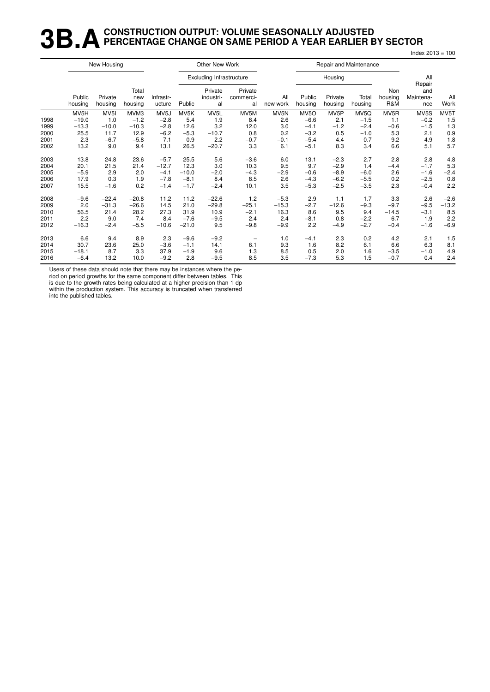## **3B.A** CONSTRUCTION OUTPUT: VOLUME SEASONALLY ADJUSTED<br>**3B.A** PERCENTAGE CHANGE ON SAME PERIOD A YEAR EARLIER E **PERCENTAGE CHANGE ON SAME PERIOD A YEAR EARLIER BY SECTOR**

|      |                   | New Housing        |                         |                     |         | Other New Work                  |                            |                 |                   |                    | Repair and Maintenance |                       |                                   |             |
|------|-------------------|--------------------|-------------------------|---------------------|---------|---------------------------------|----------------------------|-----------------|-------------------|--------------------|------------------------|-----------------------|-----------------------------------|-------------|
|      |                   |                    |                         |                     |         | <b>Excluding Infrastructure</b> |                            |                 |                   | Housing            |                        |                       | All                               |             |
|      | Public<br>housing | Private<br>housing | Total<br>new<br>housing | Infrastr-<br>ucture | Public  | Private<br>industri-<br>al      | Private<br>commerci-<br>al | All<br>new work | Public<br>housing | Private<br>housing | Total<br>housing       | Non<br>housing<br>R&M | Repair<br>and<br>Maintena-<br>nce | All<br>Work |
|      | MV5H              | MV <sub>5</sub> I  | MVM3                    | MV <sub>5</sub> J   | MV5K    | MV <sub>5</sub> L               | MV5M                       | MV5N            | MV <sub>50</sub>  | MV <sub>5</sub> P  | MV5Q                   | MV <sub>5</sub> R     | MV5S                              | MV5T        |
| 1998 | $-19.0$           | 1.0                | $-1.2$                  | $-2.8$              | 5.4     | 1.9                             | 8.4                        | 2.6             | $-6.6$            | 2.1                | $-1.5$                 | 1.1                   | $-0.2$                            | 1.5         |
| 1999 | $-13.3$           | $-10.0$            | $-10.3$                 | $-2.8$              | 12.6    | 3.2                             | 12.0                       | 3.0             | $-4.1$            | $-1.2$             | $-2.4$                 | $-0.6$                | $-1.5$                            | 1.3         |
| 2000 | 25.5              | 11.7               | 12.9                    | $-6.2$              | $-5.3$  | $-10.7$                         | 0.8                        | 0.2             | $-3.2$            | 0.5                | $-1.0$                 | 5.3                   | 2.1                               | 0.9         |
| 2001 | 2.3               | $-6.7$             | $-5.8$                  | 7.1                 | 0.9     | 2.2                             | $-0.7$                     | $-0.1$          | $-5.4$            | 4.4                | 0.7                    | 9.2                   | 4.9                               | 1.8         |
| 2002 | 13.2              | 9.0                | 9.4                     | 13.1                | 26.5    | $-20.7$                         | 3.3                        | 6.1             | $-5.1$            | 8.3                | 3.4                    | 6.6                   | 5.1                               | 5.7         |
| 2003 | 13.8              | 24.8               | 23.6                    | $-5.7$              | 25.5    | 5.6                             | $-3.6$                     | 6.0             | 13.1              | $-2.3$             | 2.7                    | 2.8                   | 2.8                               | 4.8         |
| 2004 | 20.1              | 21.5               | 21.4                    | $-12.7$             | 12.3    | 3.0                             | 10.3                       | 9.5             | 9.7               | $-2.9$             | 1.4                    | $-4.4$                | $-1.7$                            | 5.3         |
| 2005 | $-5.9$            | 2.9                | 2.0                     | $-4.1$              | $-10.0$ | $-2.0$                          | $-4.3$                     | $-2.9$          | $-0.6$            | $-8.9$             | $-6.0$                 | 2.6                   | $-1.6$                            | $-2.4$      |
| 2006 | 17.9              | 0.3                | 1.9                     | $-7.8$              | $-8.1$  | 8.4                             | 8.5                        | 2.6             | $-4.3$            | $-6.2$             | $-5.5$                 | 0.2                   | $-2.5$                            | 0.8         |
| 2007 | 15.5              | $-1.6$             | 0.2                     | $-1.4$              | $-1.7$  | $-2.4$                          | 10.1                       | 3.5             | $-5.3$            | $-2.5$             | $-3.5$                 | 2.3                   | $-0.4$                            | 2.2         |
| 2008 | $-9.6$            | $-22.4$            | $-20.8$                 | 11.2                | 11.2    | $-22.6$                         | 1.2                        | $-5.3$          | 2.9               | 1.1                | 1.7                    | 3.3                   | 2.6                               | $-2.6$      |
| 2009 | 2.0               | $-31.3$            | $-26.6$                 | 14.5                | 21.0    | $-29.8$                         | $-25.1$                    | $-15.3$         | $-2.7$            | $-12.6$            | $-9.3$                 | $-9.7$                | $-9.5$                            | $-13.2$     |
| 2010 | 56.5              | 21.4               | 28.2                    | 27.3                | 31.9    | 10.9                            | $-2.1$                     | 16.3            | 8.6               | 9.5                | 9.4                    | $-14.5$               | $-3.1$                            | 8.5         |
| 2011 | 2.2               | 9.0                | 7.4                     | 8.4                 | $-7.6$  | $-9.5$                          | 2.4                        | 2.4             | $-8.1$            | 0.8                | $-2.2$                 | 6.7                   | 1.9                               | 2.2         |
| 2012 | $-16.3$           | $-2.4$             | $-5.5$                  | $-10.6$             | $-21.0$ | 9.5                             | $-9.8$                     | $-9.9$          | 2.2               | $-4.9$             | $-2.7$                 | $-0.4$                | $-1.6$                            | $-6.9$      |
| 2013 | 6.6               | 9.4                | 8.9                     | 2.3                 | $-9.6$  | $-9.2$                          |                            | 1.0             | $-4.1$            | 2.3                | 0.2                    | 4.2                   | 2.1                               | 1.5         |
| 2014 | 30.7              | 23.6               | 25.0                    | $-3.6$              | $-1.1$  | 14.1                            | 6.1                        | 9.3             | 1.6               | 8.2                | 6.1                    | 6.6                   | 6.3                               | 8.1         |
| 2015 | $-18.1$           | 8.7                | 3.3                     | 37.9                | $-1.9$  | 9.6                             | 1.3                        | 8.5             | 0.5               | 2.0                | 1.6                    | $-3.5$                | $-1.0$                            | 4.9         |
| 2016 | $-6.4$            | 13.2               | 10.0                    | $-9.2$              | 2.8     | $-9.5$                          | 8.5                        | 3.5             | $-7.3$            | 5.3                | 1.5                    | $-0.7$                | 0.4                               | 2.4         |

Users of these data should note that there may be instances where the period on period growths for the same component differ between tables. This

is due to the growth rates being calculated at a higher precision than 1 dp within the production system. This accuracy is truncated when transferred

into the published tables.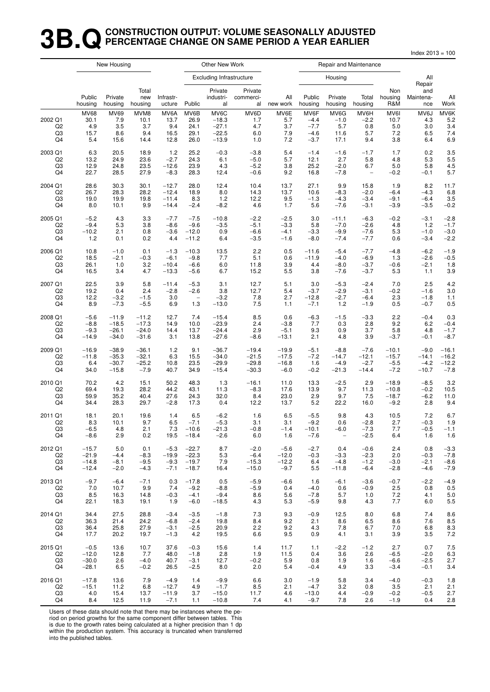#### **3B.QCONSTRUCTION OUTPUT: VOLUME SEASONALLY ADJUSTED PERCENTAGE CHANGE ON SAME PERIOD A YEAR EARLIER**

Index 2013 = 100

|                                       |                                           | New Housing                       |                                    |                                     |                                      | Other New Work                                   |                                  |                                  |                                              |                                       | Repair and Maintenance              |                                   |                                  |                                  |
|---------------------------------------|-------------------------------------------|-----------------------------------|------------------------------------|-------------------------------------|--------------------------------------|--------------------------------------------------|----------------------------------|----------------------------------|----------------------------------------------|---------------------------------------|-------------------------------------|-----------------------------------|----------------------------------|----------------------------------|
|                                       |                                           |                                   |                                    |                                     |                                      | <b>Excluding Infrastructure</b>                  |                                  |                                  |                                              | Housing                               |                                     |                                   | All<br>Repair                    |                                  |
|                                       | Public<br>housing                         | Private<br>housing                | Total<br>new<br>housing            | Infrastr-<br>ucture                 | Public                               | Private<br>industri-<br>al                       | Private<br>commerci-<br>al       | All<br>new work                  | Public<br>housing                            | Private<br>housing                    | Total<br>housing                    | Non<br>housing<br>R&M             | and<br>Maintena-<br>nce          | All<br>Work                      |
| 2002 Q1<br>Q <sub>2</sub><br>Q3<br>Q4 | <b>MV68</b><br>30.1<br>4.9<br>15.7<br>5.4 | MV69<br>7.9<br>3.5<br>8.6<br>15.6 | MVM8<br>10.1<br>3.7<br>9.4<br>14.4 | MV6A<br>13.7<br>9.4<br>16.5<br>12.8 | MV6B<br>26.9<br>24.1<br>29.1<br>26.0 | MV6C<br>$-18.3$<br>$-27.1$<br>$-22.5$<br>$-13.9$ | MV6D<br>1.7<br>4.7<br>6.0<br>1.0 | MV6E<br>5.7<br>3.7<br>7.9<br>7.2 | MV6F<br>$-4.4$<br>$-7.7$<br>$-4.6$<br>$-3.7$ | MV6G<br>$-1.0$<br>5.7<br>11.6<br>17.1 | MV6H<br>$-2.2$<br>0.8<br>5.7<br>9.4 | MV6I<br>10.7<br>5.0<br>7.2<br>3.8 | MV6J<br>4.3<br>3.0<br>6.5<br>6.4 | MV6K<br>5.2<br>3.4<br>7.4<br>6.9 |
| 2003 Q1                               | 6.3                                       | 20.5                              | 18.9                               | 1.2                                 | 25.2                                 | $-0.3$                                           | $-3.8$                           | 5.4                              | $-1.4$                                       | $-1.6$                                | $-1.7$                              | 1.7                               | 0.2                              | 3.5                              |
| Q <sub>2</sub>                        | 13.2                                      | 24.9                              | 23.6                               | $-2.7$                              | 24.3                                 | 6.1                                              | $-5.0$                           | 5.7                              | 12.1                                         | 2.7                                   | 5.8                                 | 4.8                               | 5.3                              | 5.5                              |
| Q3                                    | 12.9                                      | 24.8                              | 23.5                               | $-12.6$                             | 23.9                                 | 4.3                                              | $-5.2$                           | 3.8                              | 25.2                                         | $-2.0$                                | 6.7                                 | 5.0                               | 5.8                              | 4.5                              |
| Q4                                    | 22.7                                      | 28.5                              | 27.9                               | $-8.3$                              | 28.3                                 | 12.4                                             | $-0.6$                           | 9.2                              | 16.8                                         | $-7.8$                                | $\overline{\phantom{a}}$            | $-0.2$                            | $-0.1$                           | 5.7                              |
| 2004 Q1                               | 28.6                                      | 30.3                              | 30.1                               | $-12.7$                             | 28.0                                 | 12.4                                             | 10.4                             | 13.7                             | 27.1                                         | 9.9                                   | 15.8                                | 1.9                               | 8.2                              | 11.7                             |
| Q <sub>2</sub>                        | 26.7                                      | 28.3                              | 28.2                               | $-12.4$                             | 18.9                                 | 8.0                                              | 14.3                             | 13.7                             | 10.6                                         | $-8.3$                                | $-2.0$                              | $-6.4$                            | $-4.3$                           | 6.8                              |
| Q3                                    | 19.0                                      | 19.9                              | 19.8                               | $-11.4$                             | 8.3                                  | 1.2                                              | 12.2                             | 9.5                              | $-1.3$                                       | $-4.3$                                | $-3.4$                              | $-9.1$                            | $-6.4$                           | 3.5                              |
| Q4                                    | 8.0                                       | 10.1                              | 9.9                                | $-14.4$                             | $-2.4$                               | $-8.2$                                           | 4.6                              | 1.7                              | 5.6                                          | $-7.6$                                | $-3.1$                              | $-3.9$                            | $-3.5$                           | $-0.2$                           |
| 2005 Q1                               | $-5.2$                                    | 4.3                               | 3.3                                | $-7.7$                              | $-7.5$                               | $-10.8$                                          | $-2.2$                           | $-2.5$                           | 3.0                                          | $-11.1$                               | $-6.3$                              | $-0.2$                            | $-3.1$                           | $-2.8$                           |
| Q <sub>2</sub>                        | $-9.4$                                    | 5.3                               | 3.8                                | $-8.6$                              | $-9.6$                               | $-3.5$                                           | $-5.1$                           | $-3.3$                           | 5.8                                          | $-7.0$                                | $-2.6$                              | 4.8                               | 1.2                              | $-1.7$                           |
| Q3                                    | $-10.2$                                   | 2.1                               | 0.8                                | $-3.6$                              | $-12.0$                              | 0.9                                              | $-6.6$                           | $-4.1$                           | $-3.3$                                       | $-9.9$                                | $-7.6$                              | 5.3                               | $-1.0$                           | $-3.0$                           |
| Q4                                    | 1.2                                       | 0.1                               | 0.2                                | 4.4                                 | $-11.2$                              | 6.4                                              | $-3.5$                           | $-1.6$                           | $-8.0$                                       | $-7.4$                                | $-7.7$                              | 0.6                               | $-3.4$                           | $-2.2$                           |
| 2006 Q1                               | 10.8                                      | $-1.0$                            | 0.1                                | $-1.3$                              | $-10.3$                              | 13.5                                             | 2.2                              | 0.5                              | $-11.6$                                      | $-5.4$                                | $-7.7$                              | $-4.8$                            | $-6.2$                           | $-1.9$                           |
| Q <sub>2</sub>                        | 18.5                                      | $-2.1$                            | $-0.3$                             | $-6.1$                              | $-9.8$                               | 7.7                                              | 5.1                              | 0.6                              | $-11.9$                                      | $-4.0$                                | $-6.9$                              | 1.3                               | $-2.6$                           | $-0.5$                           |
| Q3                                    | 26.1                                      | 1.0                               | 3.2                                | $-10.4$                             | $-6.6$                               | 6.0                                              | 11.8                             | 3.9                              | 4.4                                          | $-8.0$                                | $-3.7$                              | $-0.6$                            | $-2.1$                           | 1.8                              |
| Q4                                    | 16.5                                      | 3.4                               | 4.7                                | $-13.3$                             | $-5.6$                               | 6.7                                              | 15.2                             | 5.5                              | 3.8                                          | $-7.6$                                | $-3.7$                              | 5.3                               | 1.1                              | 3.9                              |
| 2007 Q1                               | 22.5                                      | 3.9                               | 5.8                                | $-11.4$                             | $-5.3$                               | 3.1                                              | 12.7                             | 5.1                              | 3.0                                          | $-5.3$                                | $-2.4$                              | 7.0                               | 2.5                              | 4.2                              |
| Q <sub>2</sub>                        | 19.2                                      | 0.4                               | 2.4                                | $-2.8$                              | $-2.6$                               | 3.8                                              | 12.7                             | 5.4                              | $-3.7$                                       | $-2.9$                                | $-3.1$                              | $-0.2$                            | $-1.6$                           | 3.0                              |
| Q3                                    | 12.2                                      | $-3.2$                            | $-1.5$                             | 3.0                                 | $\hspace{1.0cm} - \hspace{1.0cm}$    | $-3.2$                                           | 7.8                              | 2.7                              | $-12.8$                                      | $-2.7$                                | $-6.4$                              | 2.3                               | $-1.8$                           | 1.1                              |
| Q4                                    | 8.9                                       | $-7.3$                            | $-5.5$                             | 6.9                                 | 1.3                                  | $-13.0$                                          | 7.5                              | 1.1                              | $-7.1$                                       | 1.2                                   | $-1.9$                              | 0.5                               | $-0.7$                           | 0.5                              |
| 2008 Q1                               | $-5.6$                                    | $-11.9$                           | $-11.2$                            | 12.7                                | 7.4                                  | $-15.4$                                          | 8.5                              | 0.6                              | $-6.3$                                       | $-1.5$                                | $-3.3$                              | 2.2                               | $-0.4$                           | 0.3                              |
| Q <sub>2</sub>                        | $-8.8$                                    | $-18.5$                           | $-17.3$                            | 14.9                                | 10.0                                 | $-23.9$                                          | 2.4                              | $-3.8$                           | 7.7                                          | 0.3                                   | 2.8                                 | 9.2                               | 6.2                              | $-0.4$                           |
| Q3                                    | $-9.3$                                    | $-26.1$                           | $-24.0$                            | 14.4                                | 13.7                                 | $-24.4$                                          | 2.9                              | $-5.1$                           | 9.3                                          | 0.9                                   | 3.7                                 | 5.8                               | 4.8                              | $-1.7$                           |
| Q4                                    | $-14.9$                                   | $-34.0$                           | $-31.6$                            | 3.1                                 | 13.8                                 | $-27.6$                                          | $-8.6$                           | $-13.1$                          | 2.1                                          | 4.8                                   | 3.9                                 | $-3.7$                            | $-0.1$                           | $-8.7$                           |
| 2009 Q1                               | $-16.9$                                   | $-38.9$                           | $-36.1$                            | 1.2                                 | 9.1                                  | $-36.7$                                          | $-19.4$                          | $-19.9$                          | $-5.1$                                       | $-8.8$                                | $-7.6$                              | $-10.1$                           | $-9.0$                           | $-16.1$                          |
| Q <sub>2</sub>                        | $-11.8$                                   | $-35.3$                           | $-32.1$                            | 6.3                                 | 15.5                                 | $-34.0$                                          | $-21.5$                          | $-17.5$                          | $-7.2$                                       | $-14.7$                               | $-12.1$                             | $-15.7$                           | $-14.1$                          | $-16.2$                          |
| Q3                                    | 6.4                                       | $-30.7$                           | $-25.2$                            | 10.8                                | 23.5                                 | $-29.9$                                          | $-29.8$                          | $-16.8$                          | 1.6                                          | $-4.9$                                | $-2.7$                              | $-5.5$                            | $-4.2$                           | $-12.2$                          |
| Q4                                    | 34.0                                      | $-15.8$                           | $-7.9$                             | 40.7                                | 34.9                                 | $-15.4$                                          | $-30.3$                          | $-6.0$                           | $-0.2$                                       | $-21.3$                               | $-14.4$                             | $-7.2$                            | $-10.7$                          | $-7.8$                           |
| 2010 Q1                               | 70.2                                      | 4.2                               | 15.1                               | 50.2                                | 48.3                                 | 1.3                                              | $-16.1$                          | 11.0                             | 13.3                                         | $-2.5$                                | 2.9                                 | $-18.9$                           | $-8.5$                           | 3.2                              |
| Q <sub>2</sub>                        | 69.4                                      | 19.3                              | 28.2                               | 44.2                                | 43.1                                 | 11.3                                             | $-8.3$                           | 17.6                             | 13.9                                         | 9.7                                   | 11.3                                | $-10.8$                           | $-0.2$                           | 10.5                             |
| Q3                                    | 59.9                                      | 35.2                              | 40.4                               | 27.6                                | 24.3                                 | 32.0                                             | 8.4                              | 23.0                             | 2.9                                          | 9.7                                   | 7.5                                 | $-18.7$                           | $-6.2$                           | 11.0                             |
| Q4                                    | 34.4                                      | 28.3                              | 29.7                               | $-2.8$                              | 17.3                                 | 0.4                                              | 12.2                             | 13.7                             | 5.2                                          | 22.2                                  | 16.0                                | $-9.2$                            | 2.8                              | 9.4                              |
| 2011 Q1                               | 18.1                                      | 20.1                              | 19.6                               | 1.4                                 | 6.5                                  | $-6.2$                                           | 1.6                              | 6.5                              | $-5.5$                                       | 9.8                                   | 4.3                                 | 10.5                              | 7.2                              | 6.7                              |
| Q2                                    | 8.3                                       | 10.1                              | 9.7                                | 6.5                                 | $-7.1$                               | $-5.3$                                           | 3.1                              | 3.1                              | $-9.2$                                       | 0.6                                   | $-2.8$                              | 2.7                               | $-0.3$                           | 1.9                              |
| Q3                                    | $-6.5$                                    | 4.8                               | 2.1                                | 7.3                                 | $-10.6$                              | -21.3                                            | $-0.8$                           | $-1.4$                           | $-10.1$                                      | $-6.0$                                | $-7.3$                              | 7.7                               | $-0.5$                           | $-1.1$                           |
| Q4                                    | $-8.6$                                    | 2.9                               | 0.2                                | 19.5                                | $-18.4$                              | $-2.6$                                           | 6.0                              | 1.6                              | $-7.6$                                       | $\overline{\phantom{a}}$              | $-2.5$                              | 6.4                               | 1.6                              | 1.6                              |
| 2012 Q1                               | $-15.7$                                   | 5.0                               | 0.1                                | $-5.3$                              | $-22.7$                              | 8.7                                              | $-2.0$                           | $-5.6$                           | $-2.7$                                       | 0.4                                   | $-0.6$                              | 2.4                               | 0.8                              | $-3.3$                           |
| Q2                                    | $-21.9$                                   | $-4.4$                            | $-8.3$                             | $-19.9$                             | $-22.3$                              | 5.3                                              | $-6.4$                           | $-12.0$                          | $-0.3$                                       | $-3.3$                                | $-2.3$                              | 2.0                               | $-0.3$                           | $-7.8$                           |
| Q3                                    | $-14.8$                                   | $-8.1$                            | $-9.5$                             | $-9.3$                              | $-19.7$                              | 7.9                                              | $-15.3$                          | $-12.2$                          | 6.4                                          | $-4.8$                                | $-1.2$                              | $-3.0$                            | $-2.1$                           | $-8.6$                           |
| Q4                                    | $-12.4$                                   | $-2.0$                            | $-4.3$                             | $-7.1$                              | $-18.7$                              | 16.4                                             | $-15.0$                          | $-9.7$                           | 5.5                                          | $-11.8$                               | $-6.4$                              | $-2.8$                            | $-4.6$                           | $-7.9$                           |
| 2013 Q1                               | $-9.7$                                    | $-6.4$                            | $-7.1$                             | 0.3                                 | $-17.8$                              | 0.5                                              | $-5.9$                           | $-6.6$                           | 1.6                                          | $-6.1$                                | $-3.6$                              | $-0.7$                            | $-2.2$                           | $-4.9$                           |
| Q <sub>2</sub>                        | 7.0                                       | 10.7                              | 9.9                                | 7.4                                 | $-9.2$                               | $-8.8$                                           | $-5.9$                           | 0.4                              | $-4.0$                                       | 0.6                                   | $-0.9$                              | 2.5                               | 0.8                              | 0.5                              |
| Q3                                    | 8.5                                       | 16.3                              | 14.8                               | $-0.3$                              | $-4.1$                               | $-9.4$                                           | 8.6                              | 5.6                              | $-7.8$                                       | 5.7                                   | 1.0                                 | 7.2                               | 4.1                              | 5.0                              |
| Q4                                    | 22.1                                      | 18.3                              | 19.1                               | 1.9                                 | $-6.0$                               | $-18.5$                                          | 4.3                              | 5.3                              | $-5.9$                                       | 9.8                                   | 4.3                                 | 7.7                               | 6.0                              | 5.5                              |
| 2014 Q1                               | 34.4                                      | 27.5                              | 28.8                               | $-3.4$                              | $-3.5$                               | $-1.8$                                           | 7.3                              | 9.3                              | $-0.9$                                       | 12.5                                  | 8.0                                 | 6.8                               | 7.4                              | 8.6                              |
| Q <sub>2</sub>                        | 36.3                                      | 21.4                              | 24.2                               | $-6.8$                              | $-2.4$                               | 19.8                                             | 8.4                              | 9.2                              | 2.1                                          | 8.6                                   | 6.5                                 | 8.6                               | 7.6                              | 8.5                              |
| Q3                                    | 36.4                                      | 25.8                              | 27.9                               | $-3.1$                              | $-2.5$                               | 20.9                                             | 2.2                              | 9.2                              | 4.3                                          | 7.8                                   | 6.7                                 | 7.0                               | 6.8                              | 8.3                              |
| Q4                                    | 17.7                                      | 20.2                              | 19.7                               | $-1.3$                              | 4.2                                  | 19.5                                             | 6.6                              | 9.5                              | 0.9                                          | 4.1                                   | 3.1                                 | 3.9                               | 3.5                              | 7.2                              |
| 2015 Q1                               | $-0.5$                                    | 13.6                              | 10.7                               | 37.6                                | $-0.3$                               | 15.6                                             | 1.4                              | 11.7                             | 1.1                                          | $-2.2$                                | $-1.2$                              | 2.7                               | 0.7                              | 7.5                              |
| Q2                                    | $-12.0$                                   | 12.8                              | 7.7                                | 48.0                                | $-1.8$                               | 2.8                                              | 1.9                              | 11.5                             | 0.4                                          | 3.6                                   | 2.6                                 | $-6.5$                            | $-2.0$                           | 6.3                              |
| Q3                                    | $-30.0$                                   | 2.6                               | $-4.0$                             | 40.7                                | $-3.1$                               | 12.7                                             | $-0.2$                           | 5.9                              | 0.8                                          | 1.9                                   | 1.6                                 | $-6.6$                            | $-2.5$                           | 2.7                              |
| Q4                                    | $-28.1$                                   | 6.5                               | $-0.2$                             | 26.5                                | $-2.5$                               | 8.0                                              | 2.0                              | 5.4                              | $-0.4$                                       | 4.9                                   | 3.3                                 | $-3.4$                            | $-0.1$                           | 3.4                              |
| 2016 Q1                               | $-17.8$                                   | 13.6                              | 7.9                                | $-4.9$                              | 1.4                                  | $-9.9$                                           | 6.6                              | 3.0                              | $-1.9$                                       | 5.8                                   | 3.4                                 | $-4.0$                            | $-0.3$                           | 1.8                              |
| Q <sub>2</sub>                        | $-15.1$                                   | 11.2                              | 6.8                                | $-12.7$                             | 4.9                                  | $-1.7$                                           | 8.5                              | 2.1                              | $-4.7$                                       | 3.2                                   | 0.8                                 | 3.5                               | 2.1                              | 2.1                              |
| Q3                                    | 4.0                                       | 15.4                              | 13.7                               | $-11.9$                             | 3.7                                  | $-15.0$                                          | 11.7                             | 4.6                              | $-13.0$                                      | 4.4                                   | $-0.9$                              | $-0.2$                            | $-0.5$                           | 2.7                              |
| Q4                                    | 8.4                                       | 12.5                              | 11.9                               | $-7.1$                              | 1.1                                  | $-10.8$                                          | 7.4                              | 4.1                              | $-9.7$                                       | 7.8                                   | 2.6                                 | $-1.9$                            | 0.4                              | 2.8                              |

Users of these data should note that there may be instances where the pe-

riod on period growths for the same component differ between tables. This

is due to the growth rates being calculated at a higher precision than 1 dp within the production system. This accuracy is truncated when transferred into the published tables.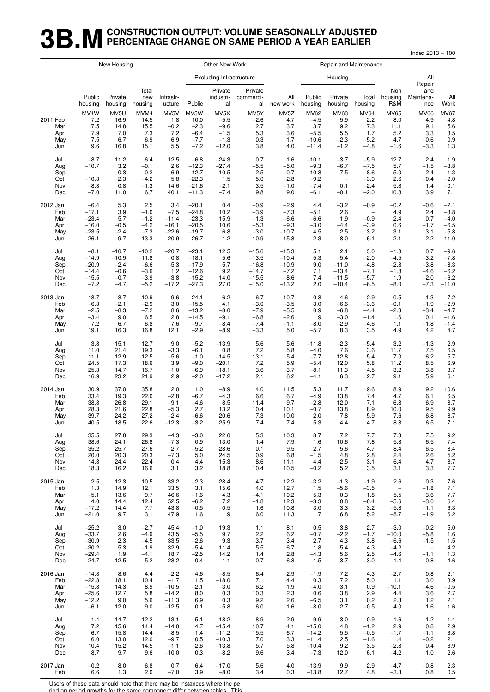## **3B.M** CONSTRUCTION OUTPUT: VOLUME SEASONALLY ADJUSTED<br>**3B.M** PERCENTAGE CHANGE ON SAME PERIOD A YEAR EARLIER **PERCENTAGE CHANGE ON SAME PERIOD A YEAR EARLIER**

Index 2013 = 100

|                                      |                                          | New Housing                                |                                            |                                            |                                                      | Other New Work                                          |                                            |                                         |                                                              | Repair and Maintenance                        |                                                      |                                                    |                                                      |                                                |
|--------------------------------------|------------------------------------------|--------------------------------------------|--------------------------------------------|--------------------------------------------|------------------------------------------------------|---------------------------------------------------------|--------------------------------------------|-----------------------------------------|--------------------------------------------------------------|-----------------------------------------------|------------------------------------------------------|----------------------------------------------------|------------------------------------------------------|------------------------------------------------|
|                                      |                                          |                                            |                                            |                                            |                                                      | <b>Excluding Infrastructure</b>                         |                                            |                                         |                                                              | Housing                                       |                                                      |                                                    | All<br>Repair                                        |                                                |
|                                      | Public<br>housing                        | Private<br>housing                         | Total<br>new<br>housing                    | Infrastr-<br>ucture                        | Public                                               | Private<br>industri-<br>al                              | Private<br>commerci-<br>al                 | All<br>new work                         | Public<br>housing                                            | Private<br>housing                            | Total<br>housing                                     | Non<br>housing<br>R&M                              | and<br>Maintena-<br>nce                              | All<br>Work                                    |
| 2011 Feb<br>Mar<br>Apr<br>May<br>Jun | MV4W<br>7.2<br>17.5<br>7.9<br>7.5<br>9.6 | MV5U<br>16.9<br>14.8<br>7.0<br>6.7<br>16.8 | MVM4<br>14.5<br>15.5<br>7.3<br>6.9<br>15.1 | MV5V<br>1.8<br>$-0.2$<br>7.2<br>6.9<br>5.5 | MV5W<br>10.0<br>$-2.3$<br>$-6.4$<br>$-7.7$<br>$-7.2$ | MV5X<br>$-5.5$<br>$-9.6$<br>$-1.5$<br>$-1.3$<br>$-12.0$ | MV5Y<br>$-2.6$<br>2.7<br>5.3<br>0.3<br>3.8 | MV5Z<br>4.7<br>3.7<br>3.6<br>1.7<br>4.0 | <b>MV62</b><br>$-4.5$<br>3.7<br>$-5.5$<br>$-10.6$<br>$-11.4$ | MV63<br>5.9<br>9.2<br>5.5<br>$-2.3$<br>$-1.2$ | <b>MV64</b><br>2.2<br>7.3<br>1.7<br>$-5.2$<br>$-4.8$ | <b>MV65</b><br>8.0<br>11.1<br>5.2<br>4.7<br>$-1.6$ | <b>MV66</b><br>4.9<br>9.1<br>3.3<br>$-0.6$<br>$-3.3$ | <b>MV67</b><br>4.8<br>5.6<br>3.5<br>0.9<br>1.3 |
| Jul                                  | $-8.7$                                   | 11.2                                       | 6.4                                        | 12.5                                       | $-6.8$                                               | $-24.3$                                                 | 0.7                                        | 1.6                                     | $-10.1$                                                      | $-3.7$                                        | $-5.9$                                               | 12.7                                               | 2.4                                                  | 1.9                                            |
| Aug                                  | $-10.7$                                  | 3.2                                        | $-0.1$                                     | 2.6                                        | $-12.3$                                              | $-27.4$                                                 | $-5.5$                                     | $-5.0$                                  | $-9.3$                                                       | $-6.7$                                        | $-7.5$                                               | 5.7                                                | $-1.5$                                               | $-3.8$                                         |
| Sep                                  | $\qquad \qquad -$                        | 0.3                                        | 0.2                                        | 6.9                                        | $-12.7$                                              | $-10.5$                                                 | 2.5                                        | $-0.7$                                  | $-10.8$                                                      | $-7.5$                                        | $-8.6$                                               | 5.0                                                | $-2.4$                                               | $-1.3$                                         |
| Oct                                  | $-10.3$                                  | $-2.3$                                     | $-4.2$                                     | 5.8                                        | $-22.3$                                              | 1.5                                                     | $5.0$                                      | $-2.8$                                  | $-9.2$                                                       | $\overline{\phantom{a}}$                      | $-3.0$                                               | 2.6                                                | $-0.4$                                               | $-2.0$                                         |
| Nov                                  | $-8.3$                                   | 0.8                                        | $-1.3$                                     | 14.6                                       | $-21.6$                                              | $-2.1$                                                  | 3.5                                        | $-1.0$                                  | $-7.4$                                                       | 0.1                                           | $-2.4$                                               | 5.8                                                | 1.4                                                  | $-0.1$                                         |
| Dec                                  | $-7.0$                                   | 11.0                                       | 6.7                                        | 40.1                                       | $-11.3$                                              | $-7.4$                                                  | 9.8                                        | 9.0                                     | $-6.1$                                                       | $-0.1$                                        | $-2.0$                                               | 10.8                                               | 3.9                                                  | 7.1                                            |
| 2012 Jan                             | $-6.4$                                   | 5.3                                        | 2.5                                        | 3.4                                        | $-20.1$                                              | 0.4                                                     | $-0.9$                                     | $-2.9$                                  | 4.4                                                          | $-3.2$                                        | $-0.9$                                               | $-0.2$                                             | $-0.6$                                               | $-2.1$                                         |
| Feb                                  | $-17.1$                                  | 3.9                                        | $-1.0$                                     | $-7.5$                                     | $-24.8$                                              | 10.2                                                    | $-3.9$                                     | $-7.3$                                  | $-5.1$                                                       | 2.6                                           | $\overline{\phantom{a}}$                             | 4.9                                                | 2.4                                                  | $-3.8$                                         |
| Mar                                  | $-23.4$                                  | 5.7                                        | $-1.2$                                     | $-11.4$                                    | $-23.3$                                              | 15.9                                                    | $-1.3$                                     | $-6.6$                                  | $-6.6$                                                       | 1.9                                           | $-0.9$                                               | 2.4                                                | 0.7                                                  | $-4.0$                                         |
| Apr                                  | $-16.0$                                  | $-0.5$                                     | $-4.2$                                     | $-16.1$                                    | $-20.5$                                              | 10.6                                                    | $-5.3$                                     | $-9.3$                                  | $-3.0$                                                       | $-4.4$                                        | $-3.9$                                               | 0.6                                                | $-1.7$                                               | $-6.5$                                         |
| May                                  | $-23.5$                                  | $-2.4$                                     | $-7.3$                                     | $-22.6$                                    | $-19.7$                                              | 6.8                                                     | $-3.0$                                     | $-10.7$                                 | 4.5                                                          | 2.5                                           | 3.2                                                  | 3.1                                                | 3.1                                                  | $-5.8$                                         |
| Jun                                  | $-26.1$                                  | $-9.7$                                     | $-13.3$                                    | $-20.9$                                    | $-26.7$                                              | $-1.2$                                                  | $-10.9$                                    | $-15.8$                                 | $-2.3$                                                       | $-8.0$                                        | $-6.1$                                               | 2.1                                                | $-2.2$                                               | $-11.0$                                        |
| Jul                                  | $-8.1$                                   | $-10.7$                                    | $-10.2$                                    | $-20.7$                                    | $-23.1$                                              | 12.5                                                    | $-15.6$                                    | $-15.3$                                 | 5.1                                                          | 2.1                                           | 3.0                                                  | $-1.8$                                             | 0.7                                                  | $-9.6$                                         |
| Aug                                  | $-14.9$                                  | $-10.9$                                    | $-11.8$                                    | $-0.8$                                     | $-18.1$                                              | 5.6                                                     | $-13.5$                                    | $-10.4$                                 | 5.3                                                          | $-5.4$                                        | $-2.0$                                               | $-4.5$                                             | $-3.2$                                               | $-7.8$                                         |
| Sep                                  | $-20.9$                                  | $-2.4$                                     | $-6.6$                                     | $-5.3$                                     | $-17.9$                                              | 5.7                                                     | $-16.8$                                    | $-10.9$                                 | 9.0                                                          | $-11.0$                                       | $-4.8$                                               | $-2.8$                                             | $-3.8$                                               | $-8.3$                                         |
| Oct                                  | $-14.4$                                  | $-0.6$                                     | $-3.6$                                     | 1.2                                        | $-12.6$                                              | 9.2                                                     | $-14.7$                                    | $-7.2$                                  | 7.1                                                          | $-13.4$                                       | $-7.1$                                               | $-1.8$                                             | $-4.6$                                               | $-6.2$                                         |
| Nov                                  | $-15.5$                                  | $-0.7$                                     | $-3.9$                                     | $-3.8$                                     | $-15.2$                                              | 14.0                                                    | $-15.5$                                    | $-8.6$                                  | 7.4                                                          | $-11.5$                                       | $-5.7$                                               | 1.9                                                | $-2.0$                                               | $-6.2$                                         |
| Dec                                  | $-7.2$                                   | $-4.7$                                     | $-5.2$                                     | $-17.2$                                    | $-27.3$                                              | 27.0                                                    | $-15.0$                                    | $-13.2$                                 | 2.0                                                          | $-10.4$                                       | $-6.5$                                               | $-8.0$                                             | $-7.3$                                               | $-11.0$                                        |
| 2013 Jan                             | $-18.7$                                  | $-8.7$                                     | $-10.9$                                    | $-9.6$                                     | $-24.1$                                              | 6.2                                                     | $-6.7$                                     | $-10.7$                                 | 0.8                                                          | $-4.6$                                        | $-2.9$                                               | 0.5                                                | $-1.3$                                               | $-7.2$                                         |
| Feb                                  | $-6.3$                                   | $-2.1$                                     | $-2.9$                                     | 3.0                                        | $-15.5$                                              | 4.1                                                     | $-3.0$                                     | $-3.5$                                  | 3.0                                                          | $-6.6$                                        | $-3.6$                                               | $-0.1$                                             | $-1.9$                                               | $-2.9$                                         |
| Mar                                  | $-2.5$                                   | $-8.3$                                     | $-7.2$                                     | 8.6                                        | $-13.2$                                              | $-8.0$                                                  | $-7.9$                                     | $-5.5$                                  | 0.9                                                          | $-6.8$                                        | $-4.4$                                               | $-2.3$                                             | $-3.4$                                               | $-4.7$                                         |
| Apr                                  | $-3.4$                                   | 9.0                                        | 6.5                                        | 2.8                                        | $-14.5$                                              | $-9.1$                                                  | $-6.8$                                     | $-2.6$                                  | 1.9                                                          | $-3.0$                                        | $-1.4$                                               | 1.6                                                | 0.1                                                  | $-1.6$                                         |
| May                                  | 7.2                                      | 6.7                                        | 6.8                                        | 7.6                                        | $-9.7$                                               | $-8.4$                                                  | $-7.4$                                     | $-1.1$                                  | $-8.0$                                                       | $-2.9$                                        | $-4.6$                                               | 1.1                                                | $-1.8$                                               | $-1.4$                                         |
| Jun                                  | 19.1                                     | 16.3                                       | 16.8                                       | 12.1                                       | $-2.9$                                               | $-8.9$                                                  | $-3.3$                                     | 5.0                                     | $-5.7$                                                       | 8.3                                           | 3.5                                                  | 4.9                                                | 4.2                                                  | 4.7                                            |
| Jul                                  | 3.8                                      | 15.1                                       | 12.7                                       | 9.0                                        | $-5.2$                                               | $-13.9$                                                 | 5.6                                        | 5.6                                     | $-11.8$                                                      | $-2.3$                                        | $-5.4$                                               | 3.2                                                | $-1.3$                                               | 2.9                                            |
| Aug                                  | 11.0                                     | 21.4                                       | 19.3                                       | $-3.3$                                     | $-6.1$                                               | 0.8                                                     | 7.2                                        | 5.8                                     | $-4.0$                                                       | 7.6                                           | 3.6                                                  | 11.7                                               | 7.5                                                  | 6.5                                            |
| Sep                                  | 11.1                                     | 12.9                                       | 12.5                                       | $-5.6$                                     | $-1.0$                                               | $-14.5$                                                 | 13.1                                       | 5.4                                     | $-7.7$                                                       | 12.8                                          | 5.4                                                  | 7.0                                                | 6.2                                                  | 5.7                                            |
| Oct                                  | 24.5                                     | 17.3                                       | 18.6                                       | 3.9                                        | $-9.0$                                               | $-20.1$                                                 | 7.2                                        | 5.9                                     | $-5.4$                                                       | 12.0                                          | 5.8                                                  | 11.2                                               | 8.5                                                  | 6.9                                            |
| Nov                                  | 25.3                                     | 14.7                                       | 16.7                                       | $-1.0$                                     | $-6.9$                                               | $-18.1$                                                 | 3.6                                        | 3.7                                     | $-8.1$                                                       | 11.3                                          | 4.5                                                  | 3.2                                                | 3.8                                                  | 3.7                                            |
| Dec                                  | 16.9                                     | 23.2                                       | 21.9                                       | 2.9                                        | $-2.0$                                               | $-17.2$                                                 | 2.1                                        | 6.2                                     | $-4.1$                                                       | 6.3                                           | 2.7                                                  | 9.1                                                | 5.9                                                  | 6.1                                            |
| 2014 Jan                             | 30.9                                     | 37.0                                       | 35.8                                       | 2.0                                        | 1.0                                                  | $-8.9$                                                  | 4.0                                        | 11.5                                    | 5.3                                                          | 11.7                                          | 9.6                                                  | 8.9                                                | 9.2                                                  | 10.6                                           |
| Feb                                  | 33.4                                     | 19.3                                       | 22.0                                       | $-2.8$                                     | $-6.7$                                               | $-4.3$                                                  | 6.6                                        | 6.7                                     | $-4.9$                                                       | 13.8                                          | 7.4                                                  | 4.7                                                | 6.1                                                  | 6.5                                            |
| Mar                                  | 38.8                                     | 26.8                                       | 29.1                                       | $-9.1$                                     | $-4.6$                                               | 8.5                                                     | 11.4                                       | 9.7                                     | $-2.8$                                                       | 12.0                                          | 7.1                                                  | 6.8                                                | 6.9                                                  | 8.7                                            |
| Apr                                  | 28.3                                     | 21.6                                       | 22.8                                       | $-5.3$                                     | 2.7                                                  | 13.2                                                    | 10.4                                       | 10.1                                    | $-0.7$                                                       | 13.8                                          | 8.9                                                  | 10.0                                               | 9.5                                                  | 9.9                                            |
| May                                  | 39.7                                     | 24.2                                       | 27.2                                       | $-2.4$                                     | $-6.6$                                               | 20.6                                                    | 7.3                                        | 10.0                                    | 2.0                                                          | 7.8                                           | 5.9                                                  | 7.6                                                | 6.8                                                  | 8.7                                            |
| Jun                                  | 40.5                                     | 18.5                                       | 22.6                                       | $-12.3$                                    | $-3.2$                                               | 25.9                                                    | 7.4                                        | 7.4                                     | 5.3                                                          | 4.4                                           | 4.7                                                  | 8.3                                                | 6.5                                                  | 7.1                                            |
| Jul                                  | 35.5                                     | 27.8                                       | 29.3                                       | $-4.3$                                     | $-3.0$                                               | 22.0                                                    | 5.3                                        | 10.3                                    | 8.7                                                          | 7.2                                           | 7.7                                                  | $7.3$                                              | 7.5                                                  | 9.2                                            |
| Aug                                  | 38.6                                     | 24.1                                       | 26.8                                       | $-7.3$                                     | 0.9                                                  | 13.0                                                    | 1.4                                        | 7.9                                     | 1.6                                                          | 10.6                                          | 7.8                                                  | 5.3                                                | 6.5                                                  | 7.4                                            |
| Sep                                  | 35.2                                     | 25.7                                       | 27.6                                       | 2.7                                        | $-5.2$                                               | 28.6                                                    | 0.1                                        | 9.5                                     | 2.7                                                          | 5.6                                           | 4.7                                                  | 8.4                                                | 6.5                                                  | 8.4                                            |
| Oct                                  | 20.0                                     | 20.3                                       | 20.3                                       | $-7.3$                                     | 5.0                                                  | 24.5                                                    | 0.9                                        | 6.8                                     | $-1.5$                                                       | 4.8                                           | 2.8                                                  | 2.4                                                | 2.6                                                  | 5.2                                            |
| Nov                                  | 14.8                                     | 24.4                                       | 22.4                                       | 0.4                                        | 4.4                                                  | 15.3                                                    | 8.6                                        | 11.1                                    | 4.4                                                          | 2.5                                           | 3.1                                                  | 6.4                                                | 4.7                                                  | 8.7                                            |
| Dec                                  | 18.3                                     | 16.2                                       | 16.6                                       | 3.1                                        | 3.2                                                  | 18.8                                                    | 10.4                                       | 10.5                                    | $-0.2$                                                       | 5.2                                           | 3.5                                                  | 3.1                                                | 3.3                                                  | 7.7                                            |
| 2015 Jan                             | 2.5                                      | 12.3                                       | 10.5                                       | 33.2                                       | $-2.3$                                               | 28.4                                                    | 4.7                                        | 12.2                                    | $-3.2$                                                       | $-1.3$                                        | $-1.9$                                               | 2.6                                                | 0.3                                                  | 7.6                                            |
| Feb                                  | 1.3                                      | 14.9                                       | 12.1                                       | 33.5                                       | 3.1                                                  | 15.6                                                    | 4.0                                        | 12.7                                    | 1.5                                                          | $-5.6$                                        | $-3.5$                                               | $\overline{\phantom{0}}$                           | $-1.8$                                               | 7.1                                            |
| Mar                                  | $-5.1$                                   | 13.6                                       | 9.7                                        | 46.6                                       | $-1.6$                                               | 4.3                                                     | $-4.1$                                     | 10.2                                    | 5.3                                                          | 0.3                                           | 1.8                                                  | 5.5                                                | 3.6                                                  | 7.7                                            |
| Apr                                  | 4.0                                      | 14.4                                       | 12.4                                       | 52.5                                       | $-6.2$                                               | 7.2                                                     | $-1.8$                                     | 12.3                                    | $-3.3$                                                       | 0.8                                           | $-0.4$                                               | $-5.6$                                             | $-3.0$                                               | 6.4                                            |
| May                                  | $-17.2$                                  | 14.4                                       | 7.7                                        | 43.8                                       | $-0.5$                                               | $-0.5$                                                  | 1.6                                        | 10.8                                    | 3.0                                                          | 3.3                                           | 3.2                                                  | $-5.3$                                             | $-1.1$                                               | 6.3                                            |
| Jun                                  | $-21.0$                                  | 9.7                                        | 3.1                                        | 47.9                                       | 1.6                                                  | 1.9                                                     | 6.0                                        | 11.3                                    | 1.7                                                          | 6.8                                           | 5.2                                                  | $-8.7$                                             | $-1.9$                                               | 6.2                                            |
| Jul                                  | $-25.2$                                  | 3.0                                        | $-2.7$                                     | 45.4                                       | $-1.0$                                               | 19.3                                                    | 1.1                                        | 8.1                                     | 0.5                                                          | 3.8                                           | 2.7                                                  | $-3.0$                                             | $-0.2$                                               | 5.0                                            |
| Aug                                  | $-33.7$                                  | 2.6                                        | $-4.9$                                     | 43.5                                       | $-5.5$                                               | 9.7                                                     | 2.2                                        | 6.2                                     | $-0.7$                                                       | $-2.2$                                        | $-1.7$                                               | $-10.0$                                            | $-5.8$                                               | 1.6                                            |
| Sep                                  | $-30.9$                                  | 2.3                                        | $-4.5$                                     | 33.5                                       | $-2.6$                                               | 9.3                                                     | $-3.7$                                     | 3.4                                     | 2.7                                                          | 4.3                                           | 3.8                                                  | $-6.6$                                             | $-1.5$                                               | $1.5$                                          |
| Oct                                  | $-30.2$                                  | 5.3                                        | $-1.9$                                     | 32.9                                       | -5.4                                                 | 11.4                                                    | 5.5                                        | 6.7                                     | 1.8                                                          | 5.4                                           | 4.3                                                  | $-4.2$                                             | $\overline{\phantom{m}}$                             | 4.2                                            |
| Nov                                  | $-29.4$                                  | 1.9                                        | $-4.1$                                     | 18.7                                       | $-2.5$                                               | 14.2                                                    | 1.4                                        | 2.8                                     | $-4.3$                                                       | 5.6                                           | 2.5                                                  | $-4.6$                                             | $-1.1$                                               | 1.3                                            |
| Dec                                  | $-24.7$                                  | 12.5                                       | 5.2                                        | 28.2                                       | 0.4                                                  | $-1.1$                                                  | $-0.7$                                     | 6.8                                     | 1.5                                                          | 3.7                                           | 3.0                                                  | $-1.4$                                             | 0.8                                                  | 4.6                                            |
| 2016 Jan                             | $-14.8$                                  | 8.6                                        | 4.4                                        | $-2.2$                                     | 4.6                                                  | $-8.5$                                                  | 6.4                                        | 2.9                                     | $-1.9$                                                       | 7.2                                           | 4.3                                                  | $-2.7$                                             | 0.8                                                  | 2.1                                            |
| Feb                                  | $-22.8$                                  | 18.1                                       | 10.4                                       | $-1.7$                                     | 1.5                                                  | $-18.0$                                                 | 7.1                                        | 4.4                                     | 0.3                                                          | 7.2                                           | 5.0                                                  | 1.1                                                | 3.0                                                  | 3.9                                            |
| Mar                                  | $-15.8$                                  | 14.3                                       | 8.9                                        | $-10.5$                                    | $-2.1$                                               | $-3.0$                                                  | 6.2                                        | 1.9                                     | $-4.0$                                                       | 3.1                                           | 0.9                                                  | $-10.1$                                            | $-4.6$                                               | $-0.5$                                         |
| Apr                                  | $-25.6$                                  | 12.7                                       | 5.8                                        | $-14.2$                                    | 8.0                                                  | 0.3                                                     | 10.3                                       | 2.3                                     | 0.6                                                          | 3.8                                           | 2.9                                                  | 4.4                                                | 3.6                                                  | 2.7                                            |
| May                                  | $-12.2$                                  | 9.0                                        | 5.6                                        | $-11.3$                                    | 6.9                                                  | 0.3                                                     | 9.2                                        | 2.6                                     | $-6.5$                                                       | 3.1                                           | 0.2                                                  | 2.3                                                | $1.2$                                                | 2.1                                            |
| Jun                                  | $-6.1$                                   | 12.0                                       | 9.0                                        | $-12.5$                                    | 0.1                                                  | $-5.8$                                                  | 6.0                                        | 1.6                                     | $-8.0$                                                       | 2.7                                           | $-0.5$                                               | 4.0                                                | 1.6                                                  | 1.6                                            |
| Jul                                  | $-1.4$                                   | 14.7                                       | 12.2                                       | $-13.1$                                    | 5.1                                                  | $-18.2$                                                 | 8.9                                        | 2.9                                     | $-9.9$                                                       | 3.0                                           | $-0.9$                                               | $-1.6$                                             | $-1.2$                                               | 1.4                                            |
| Aug                                  | 7.2                                      | 15.6                                       | 14.4                                       | $-14.0$                                    | 4.7                                                  | $-15.4$                                                 | 10.7                                       | 4.1                                     | $-15.0$                                                      | 4.8                                           | $-1.2$                                               | 2.9                                                | 0.8                                                  | 2.9                                            |
| Sep                                  | 6.7                                      | 15.8                                       | 14.4                                       | $-8.5$                                     | 1.4                                                  | $-11.2$                                                 | 15.5                                       | 6.7                                     | $-14.2$                                                      | 5.5                                           | $-0.5$                                               | $-1.7$                                             | $-1.1$                                               | 3.8                                            |
| Oct                                  | 6.0                                      | 13.0                                       | 12.0                                       | $-9.7$                                     | 0.5                                                  | $-10.3$                                                 | 7.0                                        | 3.3                                     | $-11.4$                                                      | 2.5                                           | $-1.6$                                               | 1.4                                                | $-0.2$                                               | 2.1                                            |
| Nov                                  | 10.4                                     | 15.2                                       | 14.5                                       | $-1.1$                                     | 2.6                                                  | $-13.8$                                                 | 5.7                                        | 5.8                                     | $-10.4$                                                      | 9.2                                           | 3.5                                                  | $-2.8$                                             | 0.4                                                  | 3.9                                            |
| Dec                                  | 8.7                                      | 9.7                                        | 9.6                                        | $-10.0$                                    | 0.3                                                  | $-8.2$                                                  | 9.6                                        | 3.4                                     | $-7.3$                                                       | 12.0                                          | 6.1                                                  | $-4.2$                                             | 1.0                                                  | 2.6                                            |
| 2017 Jan                             | $-0.2$                                   | 8.0                                        | 6.8                                        | 0.7                                        | 6.4                                                  | $-17.0$                                                 | 5.6                                        | 4.0                                     | $-13.9$                                                      | 9.9                                           | 2.9                                                  | $-4.7$                                             | $-0.8$                                               | $2.3$                                          |
| Feb                                  | 6.6                                      | $1.3$                                      | 2.0                                        | $-7.0$                                     | 3.9                                                  | $-8.0$                                                  | 3.4                                        | 0.3                                     | $-13.8$                                                      | 12.7                                          | 4.8                                                  | $-3.3$                                             | 0.8                                                  | $0.5\,$                                        |

Users of these data should note that there may be instances where the pe-

riod on period growths for the same component differ between tables. This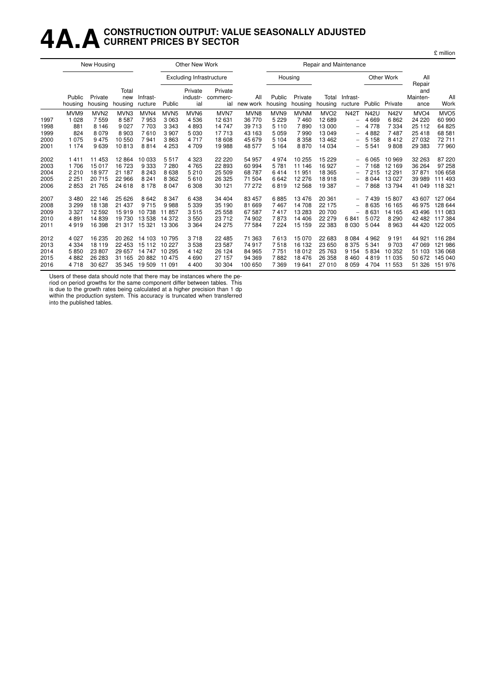## **4A.ACONSTRUCTION OUTPUT: VALUE SEASONALLY ADJUSTED CURRENT PRICES BY SECTOR**

|      |                   | New Housing        |                         |                     |                  | Other New Work                  |                            |                  |                   |                    | Repair and Maintenance |                          |             |             |                                   |                  |
|------|-------------------|--------------------|-------------------------|---------------------|------------------|---------------------------------|----------------------------|------------------|-------------------|--------------------|------------------------|--------------------------|-------------|-------------|-----------------------------------|------------------|
|      |                   |                    |                         |                     |                  | <b>Excluding Infrastructure</b> |                            |                  |                   | Housing            |                        |                          |             | Other Work  | All                               |                  |
|      | Public<br>housing | Private<br>housing | Total<br>new<br>housing | Infrast-<br>ructure | Public           | Private<br>industr-<br>ial      | Private<br>commerc-<br>ial | All<br>new work  | Public<br>housing | Private<br>housing | Total<br>housing       | Infrast-<br>ructure      | Public      | Private     | Repair<br>and<br>Mainten-<br>ance | All<br>Work      |
|      | MVM9              | MVN <sub>2</sub>   | MVN <sub>3</sub>        | MVN4                | MVN <sub>5</sub> | MVN <sub>6</sub>                | MVN7                       | MVN <sub>8</sub> | MVN9              | <b>MVNM</b>        | MVO <sub>2</sub>       | <b>N42T</b>              | <b>N42U</b> | <b>N42V</b> | MVO <sub>4</sub>                  | MVO <sub>5</sub> |
| 1997 | 1 0 2 8           | 7559               | 8587                    | 7953                | 3063             | 4536                            | 12631                      | 36 770           | 5 2 2 9           | 7460               | 12689                  | $\overline{\phantom{0}}$ | 4 6 6 9     | 6862        | 24 220                            | 60 990           |
| 1998 | 881               | 8 1 4 6            | 9 0 2 7                 | 7703                | 3 3 4 3          | 4893                            | 14747                      | 39 713           | 5 1 1 0           | 7890               | 13 000                 | $\qquad \qquad -$        | 4 7 7 8     | 7 3 3 4     | 25 112                            | 64 825           |
| 1999 | 824               | 8079               | 8903                    | 7610                | 3 9 0 7          | 5 0 3 0                         | 17713                      | 43 163           | 5 0 5 9           | 7990               | 13 049                 |                          | 4882        | 7487        | 25 4 18                           | 68 581           |
| 2000 | 1 0 7 5           | 9475               | 10 550                  | 7941                | 3863             | 4 7 1 7                         | 18 608                     | 45 679           | 5 1 0 4           | 8 3 5 8            | 13462                  | -                        | 5 1 5 8     | 8412        | 27 032                            | 72711            |
| 2001 | 1 1 7 4           | 9639               | 10813                   | 8814                | 4 2 5 3          | 4 709                           | 19988                      | 48 577           | 5 1 6 4           | 8870               | 14 0 34                | -                        | 5 5 4 1     | 9808        | 29 383                            | 77960            |
| 2002 | 1411              | 11 453             | 12 8 64                 | 10 033              | 5517             | 4 3 2 3                         | 22 2 2 0                   | 54 957           | 4974              | 10 255             | 15 2 29                | -                        | 6 0 6 5     | 10 969      | 32 263                            | 87 220           |
| 2003 | 1706              | 15 017             | 16 723                  | 9333                | 7 2 8 0          | 4765                            | 22 8 93                    | 60 994           | 5781              | 11 146             | 16 9 27                | -                        | 7 1 6 8     | 12 169      | 36 264                            | 97 258           |
| 2004 | 2 2 1 0           | 18 977             | 21 187                  | 8 2 4 3             | 8638             | 5 2 1 0                         | 25 509                     | 68787            | 6414              | 11 951             | 18 3 65                |                          | 7 2 1 5     | 12 291      | 37 871                            | 106 658          |
| 2005 | 2 2 5 1           | 20 715             | 22 966                  | 8 2 4 1             | 8 3 6 2          | 5610                            | 26 3 25                    | 71 504           | 6642              | 12 276             | 18918                  |                          | 8 0 4 4     | 13 0 27     | 39 989                            | 111 493          |
| 2006 | 2853              | 21 765             | 24 618                  | 8 1 7 8             | 8 0 4 7          | 6 3 0 8                         | 30 121                     | 77 272           | 6819              | 12 5 68            | 19 387                 |                          | 7868        | 13794       | 41 049                            | 118 321          |
| 2007 | 3 4 8 0           | 22 146             | 25 6 26                 | 8642                | 8 3 4 7          | 6438                            | 34 404                     | 83 457           | 6885              | 13 4 76            | 20 361                 |                          | 7439        | 15807       | 43 607                            | 127 064          |
| 2008 | 3 2 9 9           | 18 138             | 21 437                  | 9715                | 9988             | 5 3 3 9                         | 35 190                     | 81 669           | 7467              | 14 708             | 22 175                 | $\overline{\phantom{m}}$ | 8 6 3 5     | 16 165      | 46 975                            | 128 644          |
| 2009 | 3 3 2 7           | 12 592             | 15919                   | 10738               | 11857            | 3515                            | 25 5 5 8                   | 67 587           | 7417              | 13 283             | 20 700                 | -                        | 8631        | 14 165      | 43 496                            | 111 083          |
| 2010 | 4891              | 14 839             | 19 730                  | 13538               | 14 3 72          | 3550                            | 23712                      | 74 902           | 7873              | 14 40 6            | 22 279                 | 6841                     | 5 0 7 2     | 8 2 9 0     | 42 482                            | 117384           |
| 2011 | 4919              | 16 398             | 21 317                  | 15 3 21             | 13 306           | 3 3 6 4                         | 24 275                     | 77 584           | 7 2 2 4           | 15 15 9            | 22 3 8 3               | 8 0 3 0                  | 5 0 4 4     | 8963        | 44 4 20                           | 122 005          |
| 2012 | 4 0 27            | 16 235             | 20 26 2                 | 14 103              | 10795            | 3718                            | 22 4 8 5                   | 71 363           | 7613              | 15 0 70            | 22 683                 | 8 0 8 4                  | 4 9 6 2     | 9 1 9 1     | 44 921                            | 116 284          |
| 2013 | 4 3 3 4           | 18 119             | 22 453                  | 15 112              | 10 227           | 3538                            | 23 587                     | 74 917           | 7518              | 16 132             | 23 650                 | 8 3 7 5                  | 5 3 4 1     | 9 7 0 3     | 47 069                            | 121 986          |
| 2014 | 5850              | 23 807             | 29 657                  | 14 747              | 10 295           | 4 1 4 2                         | 26 124                     | 84 965           | 7751              | 18 012             | 25 7 63                | 9 1 5 4                  | 5834        | 10 352      | 51 103                            | 136 068          |
| 2015 | 4882              | 26 283             | 31 165                  | 20882               | 10 475           | 4690                            | 27 157                     | 94 369           | 7882              | 18 4 76            | 26 358                 | 8 4 6 0                  | 4819        | 11 035      | 50 672                            | 145 040          |
| 2016 | 4 7 1 8           | 30 627             | 35 345                  | 19 509              | 11 091           | 4 4 0 0                         | 30 304                     | 100 650          | 7 3 6 9           | 19641              | 27 010                 | 8 0 5 9                  | 4 704       | 11 553      | 51 326                            | 151976           |

Users of these data should note that there may be instances where the pe-

riod on period growths for the same component differ between tables. This is due to the growth rates being calculated at a higher precision than 1 dp within the production system. This accuracy is truncated when transferred into the published tables.

£ million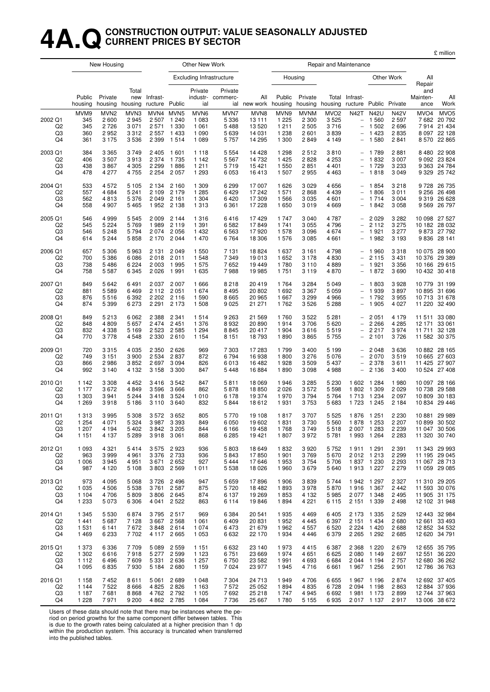#### **4A.QCONSTRUCTION OUTPUT: VALUE SEASONALLY ADJUSTED CURRENT PRICES BY SECTOR**

|                                                   |                                          | New Housing                                        |                                            |                                          |                                                    | Other New Work                                   |                                               |                                               |                                                |                                                    | Repair and Maintenance                                 |                                                                                          |                                                                  |                                                |                                     |                                                                            |
|---------------------------------------------------|------------------------------------------|----------------------------------------------------|--------------------------------------------|------------------------------------------|----------------------------------------------------|--------------------------------------------------|-----------------------------------------------|-----------------------------------------------|------------------------------------------------|----------------------------------------------------|--------------------------------------------------------|------------------------------------------------------------------------------------------|------------------------------------------------------------------|------------------------------------------------|-------------------------------------|----------------------------------------------------------------------------|
|                                                   |                                          |                                                    |                                            |                                          |                                                    |                                                  | <b>Excluding Infrastructure</b>               |                                               |                                                | Housing                                            |                                                        |                                                                                          |                                                                  | Other Work                                     | All<br>Repair                       |                                                                            |
|                                                   | Public<br>housing                        | Private<br>housing                                 | Total<br>housing                           | new Infrast-<br>ructure Public           |                                                    | Private<br>ial                                   | Private<br>industr- commerc-                  | All<br>ial new work                           | Public<br>housing                              | Private<br>housing                                 | housing                                                | Total Infrast-<br>ructure Public Private                                                 |                                                                  |                                                | and<br>Mainten-<br>ance             | All<br>Work                                                                |
| 2002 Q1<br>Q <sub>2</sub><br>Q3<br>Q4             | MVM9<br>345<br>345<br>360<br>361         | MVN <sub>2</sub><br>2 600<br>2726<br>2952<br>3 175 | MVN3<br>2945<br>3 0 7 1<br>3312<br>3 5 3 6 | 2 5 0 7<br>2 5 7 1<br>2 5 5 7<br>2 3 9 9 | MVN4 MVN5<br>1 2 4 0<br>1 3 3 0<br>1433<br>1514    | MVN6<br>1 0 8 3<br>1 0 6 1<br>1 0 9 0<br>1 0 8 9 | MVN7<br>5 3 3 6<br>5488<br>5 6 3 9<br>5 7 5 7 | MVN8<br>13 111<br>13 5 20<br>14 031<br>14 295 | MVN9<br>1 2 2 5<br>1 2 1 1<br>1 2 3 8<br>1 300 | <b>MVNM</b><br>2 3 0 0<br>2 5 0 5<br>2 601<br>2849 | MVO <sub>2</sub><br>3 5 2 5<br>3716<br>3839<br>4 1 4 9 | <b>N42T</b><br>$\qquad \qquad -$<br>$\overline{\phantom{0}}$<br>$\overline{\phantom{0}}$ | <b>N42U</b><br>1560<br>1 502<br>1423<br>1580                     | <b>N42V</b><br>2 5 9 7<br>2696<br>2835<br>2841 | MVO <sub>4</sub><br>7914            | MVO <sub>5</sub><br>7 682 20 792<br>21 434<br>8 097 22 128<br>8 570 22 865 |
| 2003 Q1<br>Q2<br>Q3<br>Q <sub>4</sub>             | 384<br>406<br>438<br>478                 | 3 3 6 5<br>3507<br>3867<br>4 2 7 7                 | 3749<br>3913<br>4 3 0 5<br>4 7 5 5         | 2 4 0 5<br>2 3 7 4<br>2 2 9 9<br>2 2 5 4 | 1 601<br>1 7 3 5<br>1886<br>2057                   | 1 1 1 8<br>1 1 4 2<br>1 2 1 1<br>1 2 9 3         | 5 5 5 4<br>5 5 6 7<br>5719<br>6 0 5 3         | 14 4 28<br>14 732<br>15 4 21<br>16413         | 1 2 9 8<br>1 4 2 5<br>1 550<br>1 507           | 2512<br>2828<br>2851<br>2955                       | 3810<br>4 2 5 3<br>4 4 0 1<br>4 4 6 3                  | $\qquad \qquad -$<br>$\overline{\phantom{0}}$                                            | 1 789<br>1832<br>1 7 2 9<br>1818                                 | 2881<br>3 0 0 7<br>3 2 3 3<br>3 0 4 9          | 9 3 6 3                             | 8 480 22 908<br>9 0 9 2 2 3 8 2 4<br>24 784<br>9 329 25 742                |
| 2004 Q1<br>Q <sub>2</sub><br>Q3<br>Q <sub>4</sub> | 533<br>557<br>562<br>558                 | 4 5 7 2<br>4 6 8 4<br>4813<br>4 9 0 7              | 5 1 0 5<br>5 2 4 1<br>5 3 7 6<br>5 4 6 5   | 2 1 3 4<br>2 1 0 9<br>2 0 4 9<br>1952    | 2 1 6 0<br>2 1 7 9<br>2 1 6 1<br>2 1 3 8           | 1 309<br>1 2 8 5<br>1 3 0 4<br>1 3 1 3           | 6 2 9 9<br>6429<br>6420<br>6 3 6 1            | 17 007<br>17 242<br>17 309<br>17 228          | 1 6 2 6<br>1 571<br>1 5 6 6<br>1 650           | 3 0 2 9<br>2868<br>3 0 3 5<br>3019                 | 4 6 5 6<br>4 4 3 9<br>4 601<br>4 6 6 9                 |                                                                                          | 1854<br>1806<br>1 7 1 4<br>1842                                  | 3218<br>3011<br>3 0 0 4<br>3 0 5 8             | 9 7 28<br>9 2 5 6<br>9569           | 26 735<br>26 498<br>9 319 26 628<br>26 797                                 |
| 2005 Q1<br>Q <sub>2</sub><br>Q3<br>Q4             | 546<br>545<br>546<br>614                 | 4 9 9 9<br>5 2 2 4<br>5 2 4 8<br>5 2 4 4           | 5 5 4 5<br>5769<br>5 7 9 4<br>5858         | 2 0 0 9<br>1989<br>2 0 7 4<br>2 1 7 0    | 2 1 4 4<br>2 1 1 9<br>2056<br>2044                 | 1 3 1 6<br>1 3 9 1<br>1 4 3 2<br>1 470           | 6416<br>6 5 8 2<br>6 5 63<br>6764             | 17429<br>17849<br>17920<br>18 306             | 1 7 4 7<br>1 741<br>1 578<br>1 576             | 3 0 4 0<br>3 0 5 5<br>3096<br>3 0 8 5              | 4 7 8 7<br>4796<br>4674<br>4 6 6 1                     | $\overline{\phantom{0}}$<br>$\overline{\phantom{0}}$                                     | 2 0 2 9<br>2 1 1 2<br>1921<br>1982                               | 3 2 8 2<br>3 2 7 5<br>3 2 7 7<br>3 1 9 3       |                                     | 10 098 27 527<br>10 182 28 032<br>9873 27792<br>9 836 28 141               |
| 2006 Q1<br>Q <sub>2</sub><br>Q3<br>Q <sub>4</sub> | 657<br>700<br>738<br>758                 | 5 3 0 6<br>5 3 8 6<br>5486<br>5 5 8 7              | 5963<br>6 0 8 6<br>6 2 2 4<br>6 3 4 5      | 2 1 3 1<br>2018<br>2 0 0 3<br>2 0 2 6    | 2049<br>2011<br>1995<br>1991                       | 1 550<br>1 548<br>1 575<br>1 6 3 5               | 7 1 3 1<br>7 3 4 9<br>7652<br>7988            | 18 824<br>19 013<br>19 449<br>19 985          | 1 637<br>1 652<br>1780<br>1751                 | 3 1 6 1<br>3 1 7 8<br>3 1 1 0<br>3 1 1 9           | 4798<br>4830<br>4889<br>4870                           | $\overline{\phantom{0}}$<br>$\overline{\phantom{0}}$                                     | 1960<br>2 1 1 5<br>1921<br>1872                                  | 3318<br>3 4 3 1<br>3 3 5 6<br>3690             | 10 376<br>10 166                    | 10 075 28 900<br>29 389<br>29 615<br>10 432 30 418                         |
| 2007 Q1<br>Q <sub>2</sub><br>Q3<br>Q <sub>4</sub> | 849<br>881<br>876<br>874                 | 5 6 4 2<br>5 5 8 9<br>5516<br>5 3 9 9              | 6491<br>6469<br>6 3 9 2<br>6 2 7 3         | 2 0 3 7<br>2 1 1 2<br>2 2 0 2<br>2 2 9 1 | 2 0 0 7<br>2051<br>2 1 1 6<br>2 1 7 3              | 1666<br>1674<br>1 5 9 0<br>1 508                 | 8218<br>8 4 9 5<br>8 6 6 5<br>9 0 25          | 20 419<br>20 802<br>20 965<br>21 271          | 1764<br>1 6 9 2<br>1 667<br>1762               | 3 2 8 4<br>3 3 6 7<br>3 2 9 9<br>3 5 2 6           | 5 0 4 9<br>5 0 5 9<br>4 9 6 6<br>5 2 8 8               | $\overline{\phantom{0}}$                                                                 | 1803<br>1939<br>1792<br>1 9 0 5                                  | 3928<br>3897<br>3955<br>4 0 2 7                | 10 779<br>10895<br>11 220           | 31 199<br>31 696<br>10 713 31 678<br>32 490                                |
| 2008 Q1<br>Q <sub>2</sub><br>Q3<br>Q4             | 849<br>848<br>832<br>770                 | 5 2 1 3<br>4 8 0 9<br>4 3 3 8<br>3778              | 6 0 62<br>5 6 5 7<br>5 1 6 9<br>4 5 4 8    | 2 3 8 8<br>2474<br>2 5 2 3<br>2 3 3 0    | 2 3 4 1<br>2451<br>2585<br>2610                    | 1514<br>1 376<br>1 2 9 4<br>1 1 5 4              | 9 2 6 3<br>8932<br>8845<br>8 1 5 1            | 21 5 69<br>20 890<br>20 417<br>18 793         | 1760<br>1914<br>1 904<br>1890                  | 3 5 2 2<br>3706<br>3616<br>3865                    | 5 2 8 1<br>5 6 20<br>5519<br>5 7 5 5                   | $\overline{\phantom{0}}$<br>$\overline{\phantom{0}}$                                     | 2 0 5 1<br>2 2 6 6<br>2 2 1 7<br>2 1 0 1                         | 4 1 7 9<br>4 2 8 5<br>3974<br>3726             | 12 171<br>11 711                    | 11 511 33 080<br>33 061<br>32 1 28<br>11 582 30 375                        |
| 2009 Q1<br>Q2<br>Q3<br>Q <sub>4</sub>             | 720<br>749<br>866<br>992                 | 3 3 1 5<br>3 1 5 1<br>2986<br>3 140                | 4 0 3 5<br>3 9 0 0<br>3852<br>4 1 3 2      | 2 3 5 0<br>2 5 3 4<br>2697<br>3 1 5 8    | 2626<br>2837<br>3 0 9 4<br>3 3 0 0                 | 969<br>872<br>826<br>847                         | 7 303<br>6794<br>6013<br>5448                 | 17 283<br>16 938<br>16 482<br>16884           | 1799<br>1800<br>1928<br>1890                   | 3 4 0 0<br>3 2 7 6<br>3509<br>3 0 9 8              | 5 1 9 9<br>5 0 7 6<br>5 4 3 7<br>4988                  | $\overline{\phantom{0}}$<br>$\overline{\phantom{0}}$<br>$\overline{\phantom{0}}$         | 2 0 4 8<br>2 0 7 0<br>2 3 7 8<br>2 1 3 6                         | 3636<br>3519<br>3611<br>3 4 0 0                | 10 665<br>11 425                    | 10 882 28 165<br>27 603<br>27 907<br>10 524 27 408                         |
| 2010 Q1<br>Q <sub>2</sub><br>Q3<br>Q4             | 1 1 4 2<br>1 1 7 7<br>1 303<br>1 2 6 9   | 3 3 0 8<br>3672<br>3 9 4 1<br>3918                 | 4 4 5 2<br>4849<br>5 2 4 4<br>5 1 8 6      | 3416<br>3596<br>3418<br>3 1 1 0          | 3542<br>3666<br>3524<br>3640                       | 847<br>862<br>1 0 1 0<br>832                     | 5811<br>5878<br>6 1 7 8<br>5844               | 18 069<br>18850<br>19 374<br>18612            | 1946<br>2 0 2 6<br>1970<br>1931                | 3 2 8 5<br>3572<br>3794<br>3 7 5 3                 | 5 2 3 0<br>5 5 9 8<br>5 7 6 4<br>5 6 8 3               | 1 602<br>1802<br>1713<br>1723                                                            | 1 2 8 4<br>1 309<br>1 2 3 4<br>1 2 4 5                           | 1980<br>2029<br>2097<br>2 1 8 4                | 10 097<br>10 738<br>10 809<br>10834 | 28 166<br>29 588<br>30 183<br>29 4 4 6                                     |
| 2011 Q1<br>Q <sub>2</sub><br>Q3<br>Q4             | 1 3 1 3<br>1 2 5 4<br>1 207<br>1 1 5 1   | 3 9 9 5<br>4 0 7 1<br>4 194<br>4 1 3 7             | 5 3 0 8<br>5 3 2 4<br>5402<br>5 2 8 9      | 3572<br>3987                             | 3652<br>3 3 9 3<br>3842 3205<br>3918 3061          | 805<br>849<br>844<br>868                         | 5770<br>6 0 5 0<br>6 166<br>6 2 8 5           | 19 108<br>19 602<br>19 458<br>19 4 21         | 1817<br>1831<br>1768<br>1807                   | 3707<br>3730<br>3749<br>3972                       | 5 5 2 5<br>5 5 6 0<br>5 5 1 8<br>5781                  | 1876<br>1878                                                                             | 1 251<br>1 2 5 3<br>2 007 1 283<br>1993 1264                     | 2 2 3 0<br>2 2 0 7<br>2 2 3 9<br>2 2 8 3       | 10881                               | 29 989<br>10 899 30 502<br>11 047 30 506<br>11 320 30 740                  |
| 2012 Q1<br>Q2<br>Q3<br>Q <sub>4</sub>             | 1 0 9 3<br>963<br>1 0 0 6<br>987         | 4 3 2 1<br>3999<br>3945<br>4 1 2 0                 | 5414<br>4 9 6 1<br>4 9 5 1<br>5 1 0 8      | 3 575<br>3671                            | 2923<br>3 376 2 733<br>2652<br>3 803 2 569         | 936<br>936<br>927<br>1011                        | 5803<br>5843<br>5444<br>5 5 3 8               | 18 649<br>17850<br>17646<br>18 0 26           | 1832<br>1 901<br>1953<br>1960                  | 3920<br>3769<br>3 7 5 4<br>3679                    | 5752<br>5670<br>5706<br>5 640                          |                                                                                          | 1911 1291<br>2012 1213<br>1837 1230<br>1913 1227                 | 2 3 9 1<br>2 2 9 9<br>2 2 9 3<br>2 2 7 9       |                                     | 11 343 29 993<br>11 195 29 045<br>11 067 28 713<br>11 059 29 085           |
| 2013 Q1<br>Q2<br>Q3<br>Q4                         | 973<br>1 0 3 5<br>1 1 0 4<br>1 2 3 3     | 4 0 9 5<br>4 5 0 6<br>4706<br>5 0 7 3              | 5 0 68<br>5 5 3 8<br>5809<br>6 3 0 6       | 3726<br>3 761                            | 2496<br>2587<br>3 806 2 645<br>4 041 2 522         | 947<br>875<br>874<br>863                         | 5 6 5 9<br>5720<br>6 137<br>6 1 1 4           | 17896<br>18 482<br>19 269<br>19846            | 1 906<br>1893<br>1853<br>1894                  | 3839<br>3978<br>4 1 3 2<br>4 2 2 1                 | 5744<br>5870<br>5985<br>6 1 1 5                        |                                                                                          | 1942 1297<br>1916 1367<br>2 077 1 348<br>2 151 1 339             | 2 3 2 7<br>2442<br>2 4 9 5<br>2 4 9 8          |                                     | 11 310 29 205<br>11 593 30 076<br>11 905 31 175<br>12 102 31 948           |
| 2014 Q1<br>Q <sub>2</sub><br>Q3<br>Q4             | 1 3 4 5<br>1441<br>1 5 3 1<br>1469       | 5 5 3 0<br>5 6 8 7<br>6 141<br>6 2 3 3             | 6874<br>7 1 2 8<br>7672<br>7702            | 3795<br>3667                             | 2517<br>2 5 6 8<br>3848 2614<br>4 117 2 665        | 969<br>1 0 6 1<br>1 0 7 4<br>1 0 5 3             | 6 3 8 4<br>6409<br>6473<br>6632               | 20 541<br>20 831<br>21 679<br>22 170          | 1935<br>1952<br>1962<br>1934                   | 4 4 6 9<br>4 4 4 5<br>4 5 5 7<br>4 4 4 6           | 6405<br>6 3 9 7<br>6 5 20<br>6 3 7 9                   |                                                                                          | 2 173 1 335<br>2 151 1 434<br>2 2 2 4 1 4 2 0<br>2 2 6 5 1 2 9 2 | 2 5 2 9<br>2680<br>2688<br>2685                |                                     | 12 443 32 984<br>12 661 33 493<br>12 852 34 532<br>12 620 34 791           |
| 2015 Q1<br>Q2<br>Q3<br>Q <sub>4</sub>             | 1 3 7 3<br>1 3 0 2<br>1 1 1 2<br>1 0 9 5 | 6 3 3 6<br>6616<br>6496<br>6835                    | 7709<br>7918<br>7609<br>7930               | 5 0 8 9<br>5 3 3 1<br>5 184              | 2 5 5 9<br>5 277 2 599<br>2636<br>2680             | 1 1 5 1<br>1 1 2 3<br>1 257<br>1 1 5 9           | 6632<br>6751<br>6750<br>7024                  | 23 140<br>23 6 69<br>23 5 82<br>23 977        | 1973<br>1974<br>1991<br>1945                   | 4415<br>4 6 5 1<br>4 6 9 3<br>4 7 1 6              | 6 3 8 7<br>6625<br>6684<br>6 6 6 1                     |                                                                                          | 2 368 1 2 20<br>2 080 1 149<br>2 044 1 194<br>1967 1256          | 2679<br>2697<br>2 7 5 7<br>2 9 0 1             |                                     | 12 655 35 795<br>12 551 36 220<br>12 680 36 262<br>12 786 36 763           |
| 2016 Q1<br>Q2<br>Q3<br>Q4                         | 1 1 5 8<br>1 1 4 4<br>1 1 8 7<br>1 2 2 8 | 7452<br>7 5 22<br>7681<br>7971                     | 8611<br>8 6 6 6<br>8868<br>9 200           | 4 825                                    | 5 061 2 689<br>2826<br>4762 2792<br>4 8 62 2 7 8 5 | 1 0 4 8<br>1 1 6 3<br>1 1 0 5<br>1 0 8 4         | 7 3 0 4<br>7572<br>7692<br>7736               | 24 713<br>25 052<br>25 218<br>25 667          | 1949<br>1894<br>1747<br>1780                   | 4 706<br>4 8 3 5<br>4 9 4 5<br>5 1 5 5             | 6655<br>6728<br>6692<br>6935                           |                                                                                          | 1967 1196<br>2 0 94 1 1 98<br>1981 1173<br>2 017 1 137           | 2874<br>2863<br>2899<br>2917                   |                                     | 12 692 37 405<br>12 884 37 936<br>12 744 37 963<br>13 006 38 672           |

Users of these data should note that there may be instances where the pe-

riod on period growths for the same component differ between tables. This

is due to the growth rates being calculated at a higher precision than 1 dp within the production system. This accuracy is truncated when transferred into the published tables.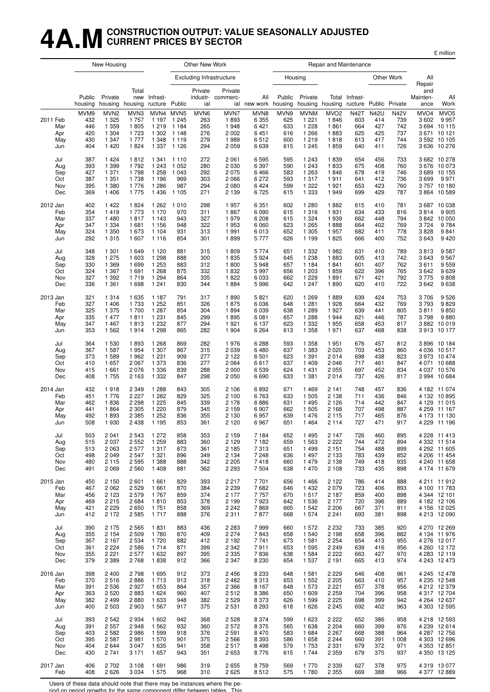## **4A.MCONSTRUCTION OUTPUT: VALUE SEASONALLY ADJUSTED CURRENT PRICES BY SECTOR**

£ million

|                                             |                                         | New Housing                                                      |                                                    |                                                                |                                                         | Other New Work                          |                                                 |                                                    |                                         |                                                                    | Repair and Maintenance                                   |                                                |                                                |                                                |                                      |                                                                                          |
|---------------------------------------------|-----------------------------------------|------------------------------------------------------------------|----------------------------------------------------|----------------------------------------------------------------|---------------------------------------------------------|-----------------------------------------|-------------------------------------------------|----------------------------------------------------|-----------------------------------------|--------------------------------------------------------------------|----------------------------------------------------------|------------------------------------------------|------------------------------------------------|------------------------------------------------|--------------------------------------|------------------------------------------------------------------------------------------|
|                                             |                                         |                                                                  |                                                    |                                                                |                                                         |                                         | <b>Excluding Infrastructure</b>                 |                                                    |                                         | Housing                                                            |                                                          |                                                |                                                | Other Work                                     | All                                  |                                                                                          |
|                                             | Public<br>housing                       | Private<br>housing                                               | Total<br>new<br>housing                            | Infrast-<br>ructure Public                                     |                                                         | Private<br>ial                          | Private<br>industr- commerc-<br>ial             | All<br>new work housing                            | Public                                  | Private<br>housing                                                 | housing                                                  | Total Infrast-<br>ructure Public Private       |                                                |                                                | Repair<br>and<br>Mainten-<br>ance    | All<br>Work                                                                              |
| 2011 Feb<br>Mar<br>Apr<br>May<br>Jun        | MVM9<br>432<br>446<br>420<br>430<br>404 | MVN <sub>2</sub><br>1 3 2 5<br>1 359<br>1 304<br>1 3 4 7<br>1420 | MVN3<br>1 7 5 7<br>1805<br>1723<br>1 7 7 7<br>1824 | MVN4 MVN5<br>1 1 9 7<br>1 2 1 9<br>1 3 4 8<br>1 3 3 7          | 1 2 4 5<br>1 1 8 4<br>1 302 1 148<br>1 1 1 9<br>1 1 2 6 | MVN6<br>263<br>265<br>276<br>279<br>294 | MVN7<br>1893<br>1948<br>2002<br>1989<br>2059    | MVN8<br>6 3 5 5<br>6421<br>6451<br>6512<br>6639    | MVN9<br>625<br>633<br>616<br>600<br>615 | <b>MVNM</b><br>1 2 2 1<br>1 2 2 8<br>1 2 6 6<br>1 2 1 9<br>1 2 4 5 | MVO <sub>2</sub><br>1846<br>1861<br>1883<br>1818<br>1859 | <b>N42T</b><br>603<br>664<br>625<br>613<br>640 | <b>N42U</b><br>414<br>427<br>425<br>417<br>411 | <b>N42V</b><br>739<br>742<br>737<br>744<br>726 | MVO <sub>4</sub><br>3602             | MVO <sub>5</sub><br>9957<br>3 694 10 115<br>3 671 10 121<br>3 592 10 105<br>3 636 10 276 |
| Jul                                         | 387                                     | 1424                                                             | 1812                                               | 1 3 4 1                                                        | 1 1 1 0                                                 | 272                                     | 2061                                            | 6595                                               | 595                                     | 1 2 4 3                                                            | 1839                                                     | 654                                            | 456                                            | 733                                            | 3699                                 | 3 682 10 278                                                                             |
| Aug                                         | 393                                     | 1 3 9 9                                                          | 1792                                               | 1 2 4 3                                                        | 1 0 5 2                                                 | 280                                     | 2030                                            | 6 3 9 7                                            | 590                                     | 1 2 4 3                                                            | 1833                                                     | 675                                            | 408                                            | 760                                            |                                      | 3 676 10 073                                                                             |
| Sep                                         | 427                                     | 1 371                                                            | 1798                                               | 1 2 5 8                                                        | 1 0 4 3                                                 | 292                                     | 2075                                            | 6466                                               | 583                                     | 1 2 6 3                                                            | 1846                                                     | 678                                            | 419                                            | 746                                            |                                      | 3 689 10 155                                                                             |
| Oct                                         | 387                                     | 1 3 5 1                                                          | 1738                                               | 1 1 9 6                                                        | 969                                                     | 303                                     | 2066                                            | 6 2 7 2                                            | 593                                     | 1 3 1 7                                                            | 1911                                                     | 641                                            | 412                                            | 736                                            |                                      | 9971                                                                                     |
| Nov                                         | 395                                     | 1 3 8 0                                                          | 1 7 7 6                                            | 1 2 8 6                                                        | 987                                                     | 294                                     | 2080                                            | 6424                                               | 599                                     | 1 3 2 2                                                            | 1921                                                     | 653                                            | 423                                            | 760                                            |                                      | 3757 10 180                                                                              |
| Dec                                         | 369                                     | 1 4 0 6                                                          | 1 7 7 5                                            | 1436                                                           | 1 1 0 5                                                 | 271                                     | 2 1 3 9                                         | 6725                                               | 615                                     | 1 3 3 3                                                            | 1949                                                     | 699                                            | 429                                            | 787                                            |                                      | 3 864 10 589                                                                             |
| 2012 Jan<br>Feb<br>Mar<br>Apr<br>May<br>Jun | 402<br>354<br>337<br>347<br>324<br>292  | 1422<br>1419<br>1 4 8 0<br>1 3 3 4<br>1 3 5 0<br>1 3 1 5         | 1824<br>1 7 7 3<br>1817<br>1681<br>1673<br>1 607   | 1 2 6 2<br>1 1 7 0<br>1 1 4 3<br>1 1 5 6<br>1 1 0 4<br>1 1 1 6 | 1010<br>970<br>943<br>948<br>931<br>854                 | 298<br>311<br>327<br>322<br>313<br>301  | 1957<br>1867<br>1979<br>1953<br>1991<br>1899    | 6 3 5 1<br>6090<br>6 2 0 8<br>6060<br>6013<br>5777 | 602<br>615<br>615<br>623<br>652<br>626  | 1 2 8 0<br>1 3 1 6<br>1 3 2 4<br>1 2 6 5<br>1 3 0 5<br>1 1 9 9     | 1882<br>1931<br>1939<br>1888<br>1957<br>1825             | 615<br>634<br>662<br>664<br>682<br>666         | 410<br>433<br>448<br>402<br>411<br>400         | 781<br>816<br>794<br>769<br>778<br>752         | 3814<br>3842<br>3724<br>3828<br>3643 | 3 687 10 038<br>9 9 0 5<br>10 050<br>9784<br>9841<br>9 4 2 0                             |
| Jul                                         | 348                                     | 1 301                                                            | 1 649                                              | 1 1 2 0                                                        | 881                                                     | 315                                     | 1809                                            | 5 7 7 4                                            | 651                                     | 1 3 3 2                                                            | 1982                                                     | 631                                            | 410                                            | 789                                            | 3813                                 | 9587                                                                                     |
| Aug                                         | 328                                     | 1 275                                                            | 1 603                                              | 1 2 9 8                                                        | 888                                                     | 300                                     | 1835                                            | 5924                                               | 645                                     | 1 2 3 8                                                            | 1883                                                     | 605                                            | 413                                            | 742                                            | 3643                                 | 9567                                                                                     |
| Sep                                         | 330                                     | 1 3 6 9                                                          | 1699                                               | 1 2 5 3                                                        | 883                                                     | 312                                     | 1800                                            | 5948                                               | 657                                     | 1 1 8 4                                                            | 1841                                                     | 601                                            | 407                                            | 762                                            | 3611                                 | 9559                                                                                     |
| Oct                                         | 324                                     | 1 3 6 7                                                          | 1691                                               | 1 2 6 8                                                        | 875                                                     | 332                                     | 1832                                            | 5997                                               | 656                                     | 1 203                                                              | 1859                                                     | 622                                            | 396                                            | 765                                            | 3642                                 | 9639                                                                                     |
| Nov                                         | 327                                     | 1 3 9 2                                                          | 1719                                               | 1 2 9 4                                                        | 864                                                     | 335                                     | 1822                                            | 6033                                               | 662                                     | 1 2 2 9                                                            | 1891                                                     | 671                                            | 421                                            | 792                                            | 3775                                 | 9808                                                                                     |
| Dec                                         | 336                                     | 1 3 6 1                                                          | 1698                                               | 1 2 4 1                                                        | 830                                                     | 344                                     | 1884                                            | 5996                                               | 642                                     | 1 247                                                              | 1890                                                     | 620                                            | 410                                            | 722                                            | 3642                                 | 9638                                                                                     |
| 2013 Jan<br>Feb<br>Mar<br>Apr<br>May<br>Jun | 321<br>327<br>325<br>335<br>347<br>353  | 1 3 1 4<br>1 4 0 6<br>1 375<br>1 477<br>1 4 6 7<br>1 5 6 2       | 1 6 3 5<br>1 7 3 3<br>1700<br>1811<br>1813<br>1914 | 1 1 8 7<br>1 2 5 2<br>1 2 8 7<br>1 2 3 1<br>1 2 3 2<br>1 2 9 8 | 791<br>851<br>854<br>845<br>877<br>865                  | 317<br>326<br>304<br>299<br>294<br>282  | 1890<br>1875<br>1894<br>1895<br>1921<br>1 9 0 4 | 5821<br>6036<br>6039<br>6081<br>6 1 3 7<br>6 2 6 4 | 620<br>648<br>638<br>657<br>623<br>613  | 1 2 6 9<br>1 2 8 1<br>1 2 8 9<br>1 2 8 8<br>1 3 3 2<br>1 358       | 1889<br>1928<br>1927<br>1944<br>1955<br>1971             | 639<br>664<br>639<br>621<br>658<br>637         | 424<br>432<br>441<br>446<br>453<br>468         | 753<br>769<br>805<br>787<br>817<br>838         | 3706<br>3793<br>3811<br>3798         | 9526<br>9829<br>9850<br>9880<br>3 882 10 019<br>3913 10 177                              |
| Jul                                         | 364                                     | 1 530                                                            | 1893                                               | 1 2 6 8                                                        | 869                                                     | 282                                     | 1976                                            | 6 2 8 8                                            | 593                                     | 1 358                                                              | 1951                                                     | 676                                            | 457                                            | 812                                            |                                      | 3896 10184                                                                               |
| Aug                                         | 367                                     | 1 587                                                            | 1954                                               | 1 3 0 7                                                        | 867                                                     | 315                                     | 2 0 3 9                                         | 6480                                               | 637                                     | 1 3 8 3                                                            | 2020                                                     | 703                                            | 453                                            | 860                                            |                                      | 4 0 36 10 517                                                                            |
| Sep                                         | 373                                     | 1589                                                             | 1962                                               | 1 2 3 1                                                        | 909                                                     | 277                                     | 2 1 2 2                                         | 6501                                               | 623                                     | 1 3 9 1                                                            | 2014                                                     | 698                                            | 438                                            | 823                                            |                                      | 3 973 10 474                                                                             |
| Oct                                         | 410                                     | 1657                                                             | 2 0 6 7                                            | 1 3 7 3                                                        | 836                                                     | 277                                     | 2064                                            | 6617                                               | 637                                     | 1 4 0 9                                                            | 2046                                                     | 717                                            | 461                                            | 847                                            |                                      | 4 0 71 10 688                                                                            |
| Nov                                         | 415                                     | 1 661                                                            | 2076                                               | 1 3 3 6                                                        | 839                                                     | 288                                     | 2000                                            | 6539                                               | 624                                     | 1431                                                               | 2055                                                     | 697                                            | 452                                            | 834                                            |                                      | 4 037 10 576                                                                             |
| Dec                                         | 408                                     | 1755                                                             | 2 1 6 3                                            | 1 3 3 2                                                        | 847                                                     | 298                                     | 2050                                            | 6690                                               | 633                                     | 1 381                                                              | 2014                                                     | 737                                            | 426                                            | 817                                            |                                      | 3 994 10 684                                                                             |
| 2014 Jan                                    | 432                                     | 1918                                                             | 2 3 4 9                                            | 1 2 8 8                                                        | 843                                                     | 305                                     | 2 1 0 6                                         | 6892                                               | 671                                     | 1 4 6 9                                                            | 2 1 4 1                                                  | 748                                            | 457                                            | 836                                            | 4 1 2 9                              | 4 182 11 074                                                                             |
| Feb                                         | 451                                     | 1776                                                             | 2 2 2 7                                            | 1 2 8 2                                                        | 829                                                     | 325                                     | 2 100                                           | 6763                                               | 633                                     | 1 505                                                              | 2 1 3 8                                                  | 711                                            | 436                                            | 846                                            |                                      | 4 132 10 895                                                                             |
| Mar                                         | 462                                     | 1836                                                             | 2 2 9 8                                            | 1 2 2 5                                                        | 845                                                     | 339                                     | 2 1 7 8                                         | 6886                                               | 631                                     | 1495                                                               | 2 1 2 6                                                  | 714                                            | 442                                            | 847                                            |                                      | 11 015                                                                                   |
| Apr                                         | 441                                     | 1864                                                             | 2 3 0 5                                            | 1 2 2 0                                                        | 879                                                     | 345                                     | 2 1 5 9                                         | 6907                                               | 662                                     | 1 505                                                              | 2 1 6 8                                                  | 707                                            | 498                                            | 887                                            |                                      | 4 259 11 167                                                                             |
| May                                         | 492                                     | 1893                                                             | 2 3 8 5                                            | 1 2 5 2                                                        | 836                                                     | 355                                     | 2 1 3 0                                         | 6957                                               | 639                                     | 1476                                                               | 2 1 1 5                                                  | 717                                            | 465                                            | 876                                            |                                      | 4 173 11 130                                                                             |
| Jun                                         | 508                                     | 1930                                                             | 2 4 3 8                                            | 1 1 9 5                                                        | 853                                                     | 361                                     | 2 1 2 0                                         | 6967                                               | 651                                     | 1464                                                               | 2 1 1 4                                                  | 727                                            | 471                                            | 917                                            |                                      | 4 2 29 11 196                                                                            |
| Jul                                         | 503                                     | 2 0 4 1                                                          | 2 5 4 3                                            | 1 2 7 2                                                        | 858                                                     | 353                                     | 2 1 5 9                                         | 7 1 8 4                                            | 652                                     | 1495                                                               | 2 1 4 7                                                  | 726                                            | 460                                            | 895                                            |                                      | 4 2 28 11 4 13                                                                           |
| Aug                                         | 515                                     | 2 0 3 7                                                          | 2 5 5 2                                            | 1 2 5 9                                                        | 883                                                     | 360                                     | 2 1 2 9                                         | 7 1 8 2                                            | 659                                     | 1 5 6 3                                                            | 2 2 2 2                                                  | 744                                            | 472                                            | 894                                            |                                      | 4 3 32 11 5 14                                                                           |
| Sep                                         | 513                                     | 2 0 6 3                                                          | 2577                                               | 1317                                                           | 873                                                     | 361                                     | 2 1 8 5                                         | 7313                                               | 651                                     | 1499                                                               | 2 1 5 1                                                  | 754                                            | 488                                            | 899                                            |                                      | 4 292 11 605                                                                             |
| Oct                                         | 498                                     | 2 0 4 9                                                          | 2 5 4 7                                            | 1 3 2 1                                                        | 896                                                     | 349                                     | 2 1 3 4                                         | 7 2 4 8                                            | 636                                     | 1 4 9 7                                                            | 2 1 3 3                                                  | 783                                            | 439                                            | 852                                            |                                      | 4 206 11 454                                                                             |
| Nov                                         | 480                                     | 2 1 1 5                                                          | 2 5 9 5                                            | 1 3 8 8                                                        | 888                                                     | 342                                     | 2 2 0 5                                         | 7418                                               | 660                                     | 1 479                                                              | 2 1 3 8                                                  | 749                                            | 418                                            | 935                                            |                                      | 4 240 11 658                                                                             |
| Dec                                         | 491                                     | 2 0 6 9                                                          | 2 5 6 0                                            | 1408                                                           | 881                                                     | 362                                     | 2 2 9 3                                         | 7504                                               | 638                                     | 1 470                                                              | 2 1 0 8                                                  | 733                                            | 435                                            | 898                                            |                                      | 4 174 11 679                                                                             |
| 2015 Jan                                    | 450                                     | 2 150                                                            | 2 601                                              | 1661                                                           | 829                                                     | 393                                     | 2217                                            | 7701                                               | 656                                     | 1466                                                               | 2 1 2 2                                                  | 786                                            | 414                                            | 888                                            |                                      | 4 211 11 912                                                                             |
| Feb                                         | 467                                     | 2 0 6 2                                                          | 2 5 2 9                                            | 1661                                                           | 870                                                     | 384                                     | 2 2 3 9                                         | 7682                                               | 646                                     | 1 4 3 2                                                            | 2079                                                     | 723                                            | 406                                            | 893                                            |                                      | 4 100 11 783                                                                             |
| Mar                                         | 456                                     | 2 1 2 3                                                          | 2 5 7 9                                            | 1767                                                           | 859                                                     | 374                                     | 2 1 7 7                                         | 7757                                               | 670                                     | 1517                                                               | 2 1 8 7                                                  | 859                                            | 400                                            | 898                                            |                                      | 4 344 12 101                                                                             |
| Apr                                         | 469                                     | 2 2 1 5                                                          | 2684                                               | 1810                                                           | 853                                                     | 378                                     | 2 1 9 9                                         | 7923                                               | 642                                     | 1 5 3 6                                                            | 2 1 7 7                                                  | 720                                            | 396                                            | 889                                            |                                      | 4 182 12 106                                                                             |
| May                                         | 421                                     | 2 2 2 9                                                          | 2650                                               | 1751                                                           | 858                                                     | 369                                     | 2 2 4 2                                         | 7869                                               | 665                                     | 1 542                                                              | 2 2 0 6                                                  | 667                                            | 371                                            | 911                                            |                                      | 4 156 12 025                                                                             |
| Jun                                         | 412                                     | 2 172                                                            | 2 5 8 5                                            | 1717                                                           | 888                                                     | 376                                     | 2311                                            | 7877                                               | 668                                     | 1 574                                                              | 2 2 4 1                                                  | 693                                            | 381                                            | 898                                            |                                      | 4 213 12 090                                                                             |
| Jul                                         | 390                                     | 2 1 7 5                                                          | 2 5 6 5                                            | 1831                                                           | 883                                                     | 436                                     | 2 2 8 3                                         | 7999                                               | 660                                     | 1 572                                                              | 2 2 3 2                                                  | 733                                            | 385                                            | 920                                            |                                      | 4 270 12 269                                                                             |
| Aug                                         | 355                                     | 2 1 5 4                                                          | 2 5 0 9                                            | 1780                                                           | 870                                                     | 409                                     | 2 2 7 4                                         | 7843                                               | 658                                     | 1 540                                                              | 2 1 9 8                                                  | 658                                            | 396                                            | 882                                            |                                      | 4 134 11 976                                                                             |
| Sep                                         | 367                                     | 2 1 6 7                                                          | 2 5 3 4                                            | 1720                                                           | 882                                                     | 412                                     | 2 1 9 2                                         | 7741                                               | 673                                     | 1 5 8 1                                                            | 2 2 5 4                                                  | 654                                            | 413                                            | 955                                            |                                      | 4 276 12 017                                                                             |
| Oct                                         | 361                                     | 2 2 2 4                                                          | 2 5 8 6                                            | 1714                                                           | 871                                                     | 399                                     | 2 3 4 2                                         | 7911                                               | 653                                     | 1 5 9 5                                                            | 2 2 4 9                                                  | 639                                            | 416                                            | 956                                            |                                      | 4 260 12 172                                                                             |
| Nov                                         | 355                                     | 2 2 2 1                                                          | 2577                                               | 1632                                                           | 897                                                     | 395                                     | 2 3 3 5                                         | 7836                                               | 638                                     | 1 5 8 4                                                            | 2 2 2 2                                                  | 663                                            | 427                                            | 970                                            |                                      | 4 283 12 119                                                                             |
| Dec                                         | 379                                     | 2 3 8 9                                                          | 2768                                               | 1838                                                           | 912                                                     | 366                                     | 2 3 4 7                                         | 8 2 3 0                                            | 654                                     | 1 537                                                              | 2 1 9 1                                                  | 665                                            | 413                                            | 974                                            |                                      | 4 243 12 473                                                                             |
| 2016 Jan                                    | 398                                     | 2 4 0 0                                                          | 2798                                               | 1695                                                           | 912                                                     | 373                                     | 2456                                            | 8 2 3 3                                            | 648                                     | 1 5 8 1                                                            | 2 2 2 9                                                  | 646                                            | 408                                            | 961                                            |                                      | 4 245 12 478                                                                             |
| Feb                                         | 370                                     | 2516                                                             | 2886                                               | 1713                                                           | 913                                                     | 318                                     | 2482                                            | 8313                                               | 653                                     | 1 5 5 2                                                            | 2 2 0 5                                                  | 663                                            | 410                                            | 957                                            |                                      | 4 235 12 548                                                                             |
| Mar                                         | 391                                     | 2 5 3 6                                                          | 2927                                               | 1653                                                           | 864                                                     | 357                                     | 2 3 6 6                                         | 8 1 6 7                                            | 648                                     | 1 573                                                              | 2 2 2 1                                                  | 657                                            | 378                                            | 956                                            |                                      | 4 212 12 379                                                                             |
| Apr                                         | 363                                     | 2 5 20                                                           | 2883                                               | 1624                                                           | 960                                                     | 407                                     | 2512                                            | 8 3 8 6                                            | 650                                     | 1 609                                                              | 2 2 5 9                                                  | 704                                            | 396                                            | 958                                            |                                      | 4 317 12 704                                                                             |
| May                                         | 382                                     | 2 4 9 9                                                          | 2880                                               | 1633                                                           | 948                                                     | 382                                     | 2529                                            | 8373                                               | 626                                     | 1 5 9 9                                                            | 2 2 2 5                                                  | 698                                            | 399                                            | 942                                            |                                      | 4 2 64 12 6 37                                                                           |
| Jun                                         | 400                                     | 2 5 0 3                                                          | 2 9 0 3                                            | 1567                                                           | 917                                                     | 375                                     | 2531                                            | 8 2 9 3                                            | 618                                     | 1626                                                               | 2 2 4 5                                                  | 692                                            | 402                                            | 963                                            |                                      | 4 303 12 595                                                                             |
| Jul                                         | 393                                     | 2 5 4 2                                                          | 2934                                               | 1602                                                           | 942                                                     | 368                                     | 2528                                            | 8 3 7 4                                            | 599                                     | 1 623                                                              | 2 2 2 2                                                  | 652                                            | 386                                            | 958                                            |                                      | 4 218 12 593                                                                             |
| Aug                                         | 391                                     | 2 5 5 7                                                          | 2948                                               | 1562                                                           | 932                                                     | 360                                     | 2572                                            | 8 3 7 5                                            | 565                                     | 1 638                                                              | 2 2 0 4                                                  | 660                                            | 399                                            | 976                                            |                                      | 4 239 12 614                                                                             |
| Sep                                         | 403                                     | 2 5 8 2                                                          | 2986                                               | 1599                                                           | 918                                                     | 376                                     | 2591                                            | 8470                                               | 583                                     | 1 684                                                              | 2 2 6 7                                                  | 668                                            | 388                                            | 964                                            |                                      | 4 287 12 756                                                                             |
| Oct                                         | 395                                     | 2 5 8 7                                                          | 2981                                               | 1570                                                           | 901                                                     | 375                                     | 2566                                            | 8 3 9 3                                            | 586                                     | 1658                                                               | 2 2 4 4                                                  | 660                                            | 391                                            | 1 0 0 8                                        |                                      | 4 303 12 696                                                                             |
| Nov                                         | 404                                     | 2644                                                             | 3 0 4 7                                            | 1635                                                           | 941                                                     | 358                                     | 2517                                            | 8498                                               | 579                                     | 1753                                                               | 2 3 3 1                                                  | 679                                            | 372                                            | 971                                            |                                      | 4 3 53 12 8 51                                                                           |
| Dec                                         | 430                                     | 2741                                                             | 3 1 7 1                                            | 1657                                                           | 943                                                     | 351                                     | 2653                                            | 8776                                               | 615                                     | 1744                                                               | 2 3 5 9                                                  | 679                                            | 375                                            | 937                                            |                                      | 4 350 13 125                                                                             |
| 2017 Jan<br>Feb                             | 406<br>408                              | 2 702<br>2626                                                    | 3 1 0 8                                            | 1691<br>3 0 34 1 5 7 5                                         | 986<br>968                                              | 319<br>310                              | 2655<br>2625                                    | 8759<br>8512                                       | 569<br>575                              | 1 770<br>1 7 8 0                                                   | 2 3 3 9<br>2 3 5 5                                       | 627<br>669                                     | 378<br>388                                     | 975<br>966                                     |                                      | 4 3 1 9 1 3 0 7 7<br>4 377 12 889                                                        |

Users of these data should note that there may be instances where the pe-

riod on period growths for the same component differ between tables. This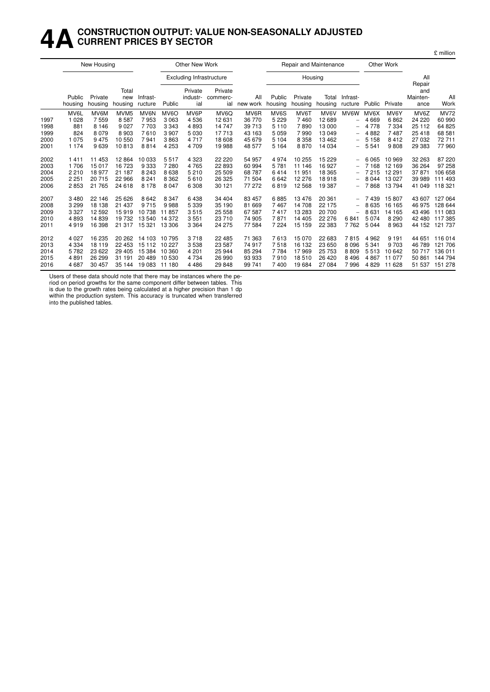## **4ACONSTRUCTION OUTPUT: VALUE NON-SEASONALLY ADJUSTED CURRENT PRICES BY SECTOR**

|                                      |                                               | New Housing                                     |                                                      |                                                 |                                                            | Other New Work                             |                                                |                                                |                                                  | Repair and Maintenance                          |                                                  |                                                                           |                                            | Other Work                                       |                                                |                                                     |
|--------------------------------------|-----------------------------------------------|-------------------------------------------------|------------------------------------------------------|-------------------------------------------------|------------------------------------------------------------|--------------------------------------------|------------------------------------------------|------------------------------------------------|--------------------------------------------------|-------------------------------------------------|--------------------------------------------------|---------------------------------------------------------------------------|--------------------------------------------|--------------------------------------------------|------------------------------------------------|-----------------------------------------------------|
|                                      |                                               |                                                 |                                                      |                                                 |                                                            | <b>Excluding Infrastructure</b>            |                                                |                                                |                                                  | Housing                                         |                                                  |                                                                           |                                            |                                                  | All<br>Repair                                  |                                                     |
|                                      | Public<br>housing                             | Private<br>housing                              | Total<br>new<br>housing                              | Infrast-<br>ructure                             | Public                                                     | Private<br>industr-<br>ial                 | Private<br>commerc-<br>ial                     | All<br>new work                                | Public<br>housing                                | Private<br>housing                              | Total<br>housing                                 | Infrast-<br>ructure                                                       | Public                                     | Private                                          | and<br>Mainten-<br>ance                        | All<br>Work                                         |
| 1997<br>1998<br>1999<br>2000         | MV6L<br>1 0 2 8<br>881<br>824<br>1 0 7 5      | MV6M<br>7559<br>8 1 4 6<br>8079<br>9475         | MVM <sub>5</sub><br>8587<br>9 0 27<br>8903<br>10 550 | MV6N<br>7953<br>7 703<br>7610<br>7941           | MV <sub>6</sub> O<br>3 0 6 3<br>3 3 4 3<br>3 9 0 7<br>3863 | MV6P<br>4536<br>4893<br>5 0 3 0<br>4717    | MV6Q<br>12 631<br>14 747<br>17 713<br>18 608   | MV6R<br>36 770<br>39 713<br>43 163<br>45 679   | MV6S<br>5 2 2 9<br>5 1 1 0<br>5 0 5 9<br>5 1 0 4 | MV6T<br>7460<br>7890<br>7990<br>8 3 5 8         | MV6V<br>12 689<br>13 000<br>13 049<br>13 4 6 2   | MV6W<br>-<br>-<br>-<br>-                                                  | MV6X<br>4669<br>4 7 7 8<br>4882<br>5 1 5 8 | MV6Y<br>6862<br>7 3 3 4<br>7487<br>8412          | MV6Z<br>24 220<br>25 112<br>25 418<br>27 032   | <b>MV72</b><br>60 990<br>64 825<br>68 581<br>72711  |
| 2001<br>2002<br>2003<br>2004         | 1 1 7 4<br>1411<br>1706<br>2 2 1 0            | 9639<br>11 453<br>15017<br>18977                | 10813<br>12864<br>16723<br>21 187                    | 8814<br>10 033<br>9 3 3 3<br>8 2 4 3            | 4 2 5 3<br>5517<br>7 280<br>8638                           | 4709<br>4 3 2 3<br>4765<br>5210            | 19 988<br>22 2 20<br>22 893<br>25 509          | 48 577<br>54 957<br>60 994<br>68 787           | 5 1 6 4<br>4974<br>5781<br>6414                  | 8870<br>10 255<br>11 146<br>11 951              | 14 0 34<br>15 2 29<br>16927<br>18 3 65           | -<br>-<br>-                                                               | 5 5 4 1<br>6065<br>7 1 6 8<br>7215         | 9808<br>10 969<br>12 169<br>12 291               | 29 383<br>32 263<br>36 264<br>37 871           | 77960<br>87 220<br>97 258<br>106 658                |
| 2005<br>2006                         | 2 2 5 1<br>2853                               | 20715<br>21 7 65                                | 22 966<br>24 618                                     | 8 2 4 1<br>8 1 7 8                              | 8 3 6 2<br>8 0 4 7                                         | 5610<br>6 3 0 8                            | 26 3 25<br>30 121                              | 71 504<br>77 272                               | 6642<br>6819                                     | 12 276<br>12 5 68                               | 18918<br>19 387                                  | -                                                                         | 8044<br>7868                               | 13 0 27<br>13794                                 | 39 989<br>41 049                               | 111 493<br>118 321                                  |
| 2007<br>2008<br>2009<br>2010<br>2011 | 3 4 8 0<br>3 2 9 9<br>3 3 2 7<br>4893<br>4919 | 22 146<br>18 138<br>12 5 9 2<br>14839<br>16 398 | 25 6 26<br>21 437<br>15919<br>19732<br>21 317        | 8642<br>9715<br>10 738<br>13 540<br>15 321      | 8 3 4 7<br>9988<br>11857<br>14 372<br>13 306               | 6438<br>5 3 3 9<br>3515<br>3551<br>3 3 6 4 | 34 404<br>35 190<br>25 558<br>23 710<br>24 275 | 83 457<br>81 669<br>67 587<br>74 905<br>77 584 | 6885<br>7467<br>7417<br>7871<br>7 2 2 4          | 13 4 76<br>14 708<br>13 283<br>14 405<br>15 159 | 20 361<br>22 175<br>20 700<br>22 276<br>22 3 8 3 | -<br>$\overline{\phantom{0}}$<br>$\overline{\phantom{0}}$<br>6841<br>7762 | 7439<br>8635<br>8631<br>5074<br>5044       | 15 807<br>16 165<br>14 165<br>8 2 9 0<br>8963    | 43 607<br>46 975<br>43 496<br>42 480<br>44 152 | 127 064<br>128 644<br>111 083<br>117 385<br>121 737 |
| 2012<br>2013<br>2014<br>2015<br>2016 | 4 0 2 7<br>4 3 3 4<br>5782<br>4891<br>4687    | 16 235<br>18 119<br>23 6 22<br>26 299<br>30 457 | 20 26 2<br>22 453<br>29 4 05<br>31 191<br>35 144     | 14 103<br>15 112<br>15 3 84<br>20 489<br>19 083 | 10 795<br>10 227<br>10 360<br>10 530<br>11 180             | 3718<br>3538<br>4 2 0 1<br>4734<br>4486    | 22 485<br>23 587<br>25 944<br>26 990<br>29 848 | 71 363<br>74 917<br>85 294<br>93 933<br>99 741 | 7613<br>7518<br>7784<br>7910<br>7400             | 15 0 70<br>16 132<br>17969<br>18510<br>19 684   | 22 683<br>23 650<br>25 7 53<br>26 4 20<br>27 084 | 7815<br>8 0 9 6<br>8809<br>8 4 9 6<br>7996                                | 4 9 6 2<br>5 3 4 1<br>5513<br>4867<br>4829 | 9 1 9 1<br>9 7 0 3<br>10 642<br>11 077<br>11 628 | 44 651<br>46 789<br>50 717<br>50 861<br>51 537 | 116 014<br>121 706<br>136 011<br>144 794<br>151 278 |

Users of these data should note that there may be instances where the pe-

riod on period growths for the same component differ between tables. This is due to the growth rates being calculated at a higher precision than 1 dp within the production system. This accuracy is truncated when transferred into the published tables.

£ million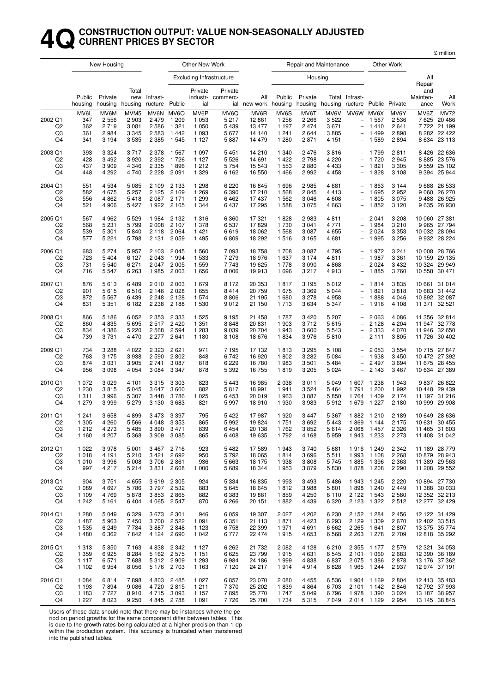#### **4QCONSTRUCTION OUTPUT: VALUE NON-SEASONALLY ADJUSTED CURRENT PRICES BY SECTOR**

£ million

|                                                   |                                          | New Housing                                |                                                              |                                                 |                                                           | Other New Work                                   |                                            |                                             |                                                  |                                          | Repair and Maintenance                     |                                                                                                               |                                                         | Other Work                               |                            |                                                                  |
|---------------------------------------------------|------------------------------------------|--------------------------------------------|--------------------------------------------------------------|-------------------------------------------------|-----------------------------------------------------------|--------------------------------------------------|--------------------------------------------|---------------------------------------------|--------------------------------------------------|------------------------------------------|--------------------------------------------|---------------------------------------------------------------------------------------------------------------|---------------------------------------------------------|------------------------------------------|----------------------------|------------------------------------------------------------------|
|                                                   |                                          |                                            |                                                              |                                                 |                                                           |                                                  | Excluding Infrastructure                   |                                             |                                                  | Housing                                  |                                            |                                                                                                               |                                                         |                                          | All<br>Repair              |                                                                  |
|                                                   | Public<br>housing                        | Private<br>housing                         | Total<br>housing                                             | new Infrast-<br>ructure                         | Public                                                    | Private<br>ial                                   | Private<br>industr- commerc-               | All<br>ial new work housing                 | Public                                           | Private                                  | housing housing                            | Total Infrast-<br>ructure Public Private                                                                      |                                                         |                                          | and<br>Mainten-<br>ance    | All<br>Work                                                      |
| 2002 Q1<br>Q <sub>2</sub><br>Q3<br>Q4             | MV6L<br>347<br>362<br>361<br>341         | MV6M<br>2 5 5 6<br>2719<br>2984<br>3 1 9 4 | MVM <sub>5</sub><br>2 9 0 3<br>3 0 8 1<br>3 3 4 5<br>3 5 3 5 | MV6N MV6O<br>2479<br>2586<br>2 5 8 3<br>2 3 8 5 | 1 209<br>1 3 2 1<br>1442<br>1 5 4 5                       | MV6P<br>1 0 5 3<br>1 0 5 0<br>1 0 9 3<br>1 1 2 7 | MV6Q<br>5 2 1 7<br>5 4 3 9<br>5677<br>5887 | MV6R<br>12861<br>13 477<br>14 140<br>14 479 | MV6S<br>1 2 5 6<br>1 1 9 7<br>1 2 4 1<br>1 2 8 0 | MV6T<br>2 2 6 6<br>2474<br>2644<br>2871  | MV6V<br>3 5 2 2<br>3671<br>3885<br>4 1 5 1 | MV6W<br>$\qquad \qquad -$<br>$\overline{\phantom{0}}$<br>$\overline{\phantom{0}}$<br>$\overline{\phantom{0}}$ | MV6X<br>1 5 6 7<br>1410<br>1499<br>1589                 | MV6Y<br>2536<br>2641<br>2898<br>2894     | MV6Z<br>7625<br>8 6 3 4    | <b>MV72</b><br>20 486<br>7 722 21 199<br>8 282 22 422<br>23 113  |
| 2003 Q1<br>Q <sub>2</sub><br>Q3<br>Q4             | 393<br>428<br>437<br>448                 | 3 3 2 4<br>3 4 9 2<br>3 9 0 9<br>4 2 9 2   | 3717<br>3920<br>4 3 4 6<br>4740                              | 2 3 7 8<br>2 3 9 2<br>2 3 3 5<br>2 2 2 8        | 1 5 6 7<br>1726<br>1896<br>2 0 9 1                        | 1 0 9 7<br>1 1 2 7<br>1 2 1 2<br>1 3 2 9         | 5 4 5 1<br>5 5 2 6<br>5 7 5 4<br>6 1 6 2   | 14 210<br>14 691<br>15 543<br>16 550        | 1 3 4 0<br>1422<br>1 5 5 3<br>1466               | 2476<br>2798<br>2880<br>2992             | 3816<br>4 2 2 0<br>4 4 3 3<br>4 4 5 8      | $\overline{\phantom{m}}$<br>$\overline{\phantom{0}}$                                                          | 1 7 9 9<br>1720<br>1821<br>1828                         | 2811<br>2945<br>3 3 0 5<br>3 1 0 8       | 8885                       | 8 426 22 636<br>23 576<br>9 559 25 102<br>9 3 9 4 2 5 9 4 4      |
| 2004 Q1<br>Q2<br>Q3<br>Q4                         | 551<br>582<br>556<br>521                 | 4 5 3 4<br>4675<br>4 8 6 2<br>4 9 0 6      | 5 0 8 5<br>5 2 5 7<br>5418<br>5 4 2 7                        | 2 1 0 9<br>2 1 2 5<br>2087<br>1922              | 2 1 3 3<br>2 1 6 9<br>2 1 7 1<br>2 1 6 5                  | 1 2 9 8<br>1 2 6 9<br>1 2 9 9<br>1 3 4 4         | 6 2 2 0<br>6 3 9 0<br>6462<br>6 4 3 7      | 16845<br>17210<br>17437<br>17 295           | 1696<br>1568<br>1562<br>1588                     | 2985<br>2845<br>3 0 4 6<br>3 0 7 5       | 4681<br>4413<br>4 608<br>4 6 63            | $\qquad \qquad -$<br>$\qquad \qquad -$<br>$\overline{a}$                                                      | 1863<br>1695<br>1805<br>1852                            | 3 1 4 4<br>2952<br>3 0 7 5<br>3 1 2 0    | 9488<br>9635               | 9 688 26 533<br>9 060 26 270<br>26 925<br>26 930                 |
| 2005 Q1<br>Q <sub>2</sub><br>Q3<br>Q4             | 567<br>568<br>539<br>577                 | 4 9 6 2<br>5 2 3 1<br>5 3 0 1<br>5 2 2 1   | 5 5 2 9<br>5799<br>5840<br>5798                              | 1984<br>2008<br>2 1 1 8<br>2 1 3 1              | 2 1 3 2<br>2 107<br>2 0 6 4<br>2 0 5 9                    | 1316<br>1 378<br>1421<br>1495                    | 6 3 6 0<br>6537<br>6619<br>6809            | 17321<br>17829<br>18 062<br>18 29 2         | 1828<br>1730<br>1568<br>1516                     | 2983<br>3 0 4 1<br>3 0 8 7<br>3 1 6 5    | 4811<br>4 7 7 1<br>4 6 5 5<br>4681         | $\overline{\phantom{a}}$<br>$\overline{\phantom{0}}$<br>$\overline{\phantom{0}}$                              | 2 0 4 1<br>1984<br>2 0 2 4<br>1995                      | 3 2 0 8<br>3 2 1 0<br>3 3 5 3<br>3 2 5 6 | 9965                       | 10 060 27 381<br>27 794<br>10 032 28 094<br>9 9 32 28 2 24       |
| 2006 Q1<br>Q <sub>2</sub><br>Q3<br>Q4             | 683<br>723<br>731<br>716                 | 5 2 7 4<br>5 4 0 4<br>5 5 4 0<br>5 5 4 7   | 5957<br>6 1 2 7<br>6 271<br>6 2 6 3                          | 2 1 0 3<br>2 0 4 3<br>2 0 4 7<br>1985           | 2 0 4 5<br>1994<br>2 0 0 5<br>2 0 0 3                     | 1560<br>1 5 3 3<br>1559<br>1656                  | 7 0 9 3<br>7 2 7 9<br>7 7 4 3<br>8 0 0 6   | 18758<br>18976<br>19625<br>19913            | 1708<br>1637<br>1778<br>1696                     | 3 0 8 7<br>3 1 7 4<br>3 0 9 0<br>3 2 1 7 | 4795<br>4811<br>4868<br>4913               | $\overline{\phantom{0}}$<br>$\overline{\phantom{0}}$                                                          | 1972<br>1987<br>2 0 2 4<br>1885                         | 3 2 4 1<br>3 3 6 1<br>3 4 3 2<br>3760    | 10 159                     | 10 008 28 766<br>29 135<br>10 324 29 949<br>10 558 30 471        |
| 2007 Q1<br>Q2<br>Q3<br>Q4                         | 876<br>901<br>872<br>831                 | 5613<br>5615<br>5 5 6 7<br>5 3 5 1         | 6489<br>6516<br>6439<br>6 182                                | 2010<br>2 1 4 6<br>2 2 4 8<br>2 2 3 8           | 2 0 0 3<br>2028<br>2 1 2 8<br>2 1 8 8                     | 1679<br>1655<br>1574<br>1530                     | 8 1 7 2<br>8414<br>8806<br>9012            | 20 353<br>20759<br>21 195<br>21 150         | 1817<br>1675<br>1680<br>1713                     | 3 1 9 5<br>3 3 6 9<br>3 2 7 8<br>3 6 3 4 | 5012<br>5 0 4 4<br>4 9 5 8<br>5 3 4 7      | $\overline{\phantom{0}}$<br>$\overline{a}$<br>$\overline{\phantom{0}}$                                        | 1814<br>1821<br>1888<br>1916                            | 3835<br>3818<br>4 0 4 6<br>4 108         | 10 661<br>11 371           | 31 014<br>10 683 31 442<br>10 892 32 087<br>32 521               |
| 2008 Q1<br>Q <sub>2</sub><br>Q3<br>Q4             | 866<br>860<br>834<br>739                 | 5 1 8 6<br>4835<br>4 3 8 6<br>3731         | 6 0 5 2<br>5 6 9 5<br>5 2 2 0<br>4 4 7 0                     | 2 3 5 3<br>2517<br>2 5 6 8<br>2 2 7 7           | 2 3 3 3<br>2 4 2 0<br>2 5 9 4<br>2641                     | 1 5 2 5<br>1 3 5 1<br>1 2 8 3<br>1 1 8 0         | 9 1 9 5<br>8848<br>9 0 3 9<br>8 1 0 8      | 21 458<br>20 831<br>20 704<br>18676         | 1787<br>1903<br>1943<br>1834                     | 3 4 2 0<br>3712<br>3600<br>3976          | 5 207<br>5615<br>5 5 4 3<br>5810           | $\overline{\phantom{0}}$<br>$\overline{\phantom{0}}$<br>$\overline{\phantom{0}}$                              | 2 0 6 3<br>2 1 2 8<br>2 3 3 3<br>2 1 1 1                | 4 0 8 6<br>4 204<br>4 0 7 0<br>3805      | 11 947<br>11 946<br>11 726 | 11 356 32 814<br>32 778<br>32 650<br>30 402                      |
| 2009 Q1<br>Q <sub>2</sub><br>Q3<br>Q4             | 734<br>763<br>874<br>956                 | 3 2 8 8<br>3 1 7 5<br>3 0 3 1<br>3 0 9 8   | 4 0 2 2<br>3938<br>3 9 0 5<br>4 0 5 4                        | 2 3 2 3<br>2 5 9 0<br>2741<br>3 0 8 4           | 2 6 2 1<br>2802<br>3 0 8 7<br>3 3 4 7                     | 971<br>848<br>818<br>878                         | 7 1 9 5<br>6742<br>6 2 2 9<br>5 3 9 2      | 17 132<br>16920<br>16780<br>16755           | 1813<br>1802<br>1983<br>1819                     | 3 2 9 5<br>3 2 8 2<br>3501<br>3 2 0 5    | 5 1 0 8<br>5 0 8 4<br>5484<br>5 0 24       | $\overline{\phantom{0}}$<br>$\overline{\phantom{0}}$                                                          | 2 0 5 3<br>1938<br>2 4 9 7<br>2 1 4 3                   | 3 5 5 4<br>3 4 5 0<br>3694<br>3 4 6 7    |                            | 10 715 27 847<br>10 472 27 392<br>11 675 28 455<br>10 634 27 389 |
| 2010 Q1<br>Q <sub>2</sub><br>Q <sub>3</sub><br>Q4 | 1 0 7 2<br>1 2 3 0<br>1 3 1 1<br>1 2 7 9 | 3 0 2 9<br>3815<br>3996<br>3999            | 4 101<br>5 0 4 5<br>5 3 0 7<br>5 2 7 9                       | 3315<br>3647<br>3 4 4 8<br>3 1 3 0              | 3 3 0 3<br>3600<br>3786<br>3683                           | 823<br>882<br>1 0 2 5<br>821                     | 5 4 4 3<br>5817<br>6453<br>5997            | 16985<br>18 991<br>20 019<br>18910          | 2038<br>1941<br>1963<br>1930                     | 3011<br>3524<br>3887<br>3983             | 5 0 4 9<br>5464<br>5850<br>5912            | 1 607<br>1791<br>1764<br>1679                                                                                 | 1 2 3 8<br>1 200<br>1409<br>1 2 2 7                     | 1943<br>1992<br>2 1 7 4<br>2 180         |                            | 9 837 26 822<br>10 448 29 439<br>11 197 31 216<br>10 999 29 908  |
| 2011 Q1<br>Q2<br>Q3<br>Q4                         | 1 2 4 1<br>1 3 0 5<br>1 2 1 2<br>1 1 6 0 | 3658<br>4 260<br>4 273<br>4 207            | 4899<br>5566<br>5485<br>5 3 6 8                              | 3 4 7 3<br>4 0 4 8<br>3909                      | 3 3 9 7<br>3 3 5 3<br>3890 3471<br>3 0 8 5                | 795<br>865<br>839<br>865                         | 5422<br>5992<br>6454<br>6408               | 17987<br>19824<br>20 138<br>19635           | 1920<br>1751<br>1762<br>1792                     | 3 4 4 7<br>3692<br>3852<br>4 1 6 8       | 5 3 6 7<br>5443<br>5 6 1 4<br>5959         | 1882<br>1869                                                                                                  | 1 2 1 0<br>1 144<br>2 068 1 457<br>1943 1233            | 2 1 8 9<br>2 1 7 5<br>2 3 2 6<br>2 2 7 3 |                            | 10 649 28 636<br>10 631 30 455<br>11 465 31 603<br>11 408 31 042 |
| 2012 Q1<br>Q <sub>2</sub><br>Q3<br>Q4             | 1 0 2 2<br>1018<br>1 0 1 0<br>997        | 3978<br>4 1 9 1<br>3996<br>4 217           | 5 0 0 1<br>5 2 1 0<br>5 0 0 8<br>5214                        | 3421<br>3706                                    | 3 467 2 716<br>2692<br>2 8 6 1<br>3831 2608               | 923<br>950<br>936<br>1 0 0 0                     | 5482<br>5792<br>5 6 6 3<br>5 6 8 9         | 17589<br>18 0 65<br>18 175<br>18 344        | 1943<br>1814<br>1938<br>1953                     | 3740<br>3696<br>3808<br>3879             | 5681<br>5511<br>5745<br>5830               | 1885                                                                                                          | 1916 1249<br>1993 1108<br>1 3 9 6<br>1878 1208          | 2 3 4 2<br>2 2 6 8<br>2 3 6 3<br>2 2 9 0 |                            | 11 189 28 779<br>10 879 28 943<br>11 389 29 563<br>11 208 29 552 |
| 2013 Q1<br>Q2<br>Q3<br>Q4                         | 904<br>1 0 8 9<br>1 1 0 9<br>1 242       | 3751<br>4 6 9 7<br>4769<br>5 1 6 1         | 4 6 5 5<br>5786<br>5878<br>6404                              | 3619<br>3853                                    | 2 3 0 5<br>3797 2532<br>2865<br>4 0 65 2 547              | 924<br>883<br>882<br>870                         | 5 3 3 4<br>5 6 4 5<br>6 3 8 3<br>6 2 6 6   | 16835<br>18 645<br>19861<br>20 151          | 1993<br>1812<br>1859<br>1882                     | 3 4 9 3<br>3988<br>4 2 5 0<br>4 4 3 9    | 5486<br>5801<br>6 1 1 0<br>6 3 2 0         | 2 1 2 2                                                                                                       | 1943 1245<br>1898 1240<br>1 543<br>2 123 1 322          | 2 2 2 0<br>2449<br>2580<br>2512          |                            | 10 894 27 730<br>11 388 30 033<br>12 352 32 213<br>12 277 32 429 |
| 2014 Q1<br>Q2<br>Q3<br>Q4                         | 1 2 8 0<br>1 4 8 7<br>1 5 3 5<br>1 4 8 0 | 5 0 4 9<br>5963<br>6 2 4 9<br>6 3 6 2      | 6 3 2 9<br>7450<br>7 7 8 4<br>7842                           | 3673<br>3700<br>4 1 2 4                         | 2 3 0 1<br>2 5 2 2<br>3887 2848<br>2690                   | 946<br>1 0 9 1<br>1 1 2 3<br>1 0 4 2             | 6 0 5 9<br>6 3 5 1<br>6758<br>6777         | 19 307<br>21 1 1 3<br>22 399<br>22 474      | 2 0 2 7<br>1871<br>1971<br>1915                  | 4 202<br>4 4 2 3<br>4 6 9 1<br>4 6 5 3   | 6 2 3 0<br>6 2 9 3<br>6662<br>6568         | 2 1 5 2<br>2 1 2 9                                                                                            | 1 2 8 4<br>1 309<br>2 2 65 1 641<br>2 2 63 1 2 78       | 2456<br>2670<br>2807<br>2709             |                            | 12 122 31 429<br>12 402 33 515<br>13 375 35 774<br>12 818 35 292 |
| 2015 Q1<br>Q <sub>2</sub><br>Q3<br>Q4             | 1 3 1 3<br>1 3 5 9<br>1 1 1 7<br>1 1 0 2 | 5850<br>6925<br>6 5 7 1<br>6954            | 7 1 6 3<br>8 2 8 4<br>7688<br>8 0 5 6                        |                                                 | 4 8 38 2 342<br>5 162 2 575<br>5 312 2 909<br>5 176 2 703 | 1 1 2 7<br>1 1 5 1<br>1 2 9 3<br>1 1 6 3         | 6 2 6 2<br>6625<br>6984<br>7 1 2 0         | 21 732<br>23 799<br>24 186<br>24 217        | 2 0 8 2<br>1915<br>1999<br>1914                  | 4 1 2 8<br>4 6 31<br>4838<br>4914        | 6210<br>6545<br>6837<br>6828               |                                                                                                               | 2 3 55 1 177<br>2 101 1 060<br>2 075 1 386<br>1965 1244 | 2579<br>2683<br>2878<br>2937             |                            | 12 321 34 053<br>12 390 36 189<br>13 176 37 362<br>12 974 37 191 |
| 2016 Q1<br>Q2<br>Q3<br>Q4                         | 1 0 8 4<br>1 1 9 3<br>1 1 8 3<br>1 2 2 7 | 6814<br>7894<br>7727<br>8 0 2 3            | 7898<br>9086<br>8910<br>9 2 5 0                              | 4 8 0 3<br>4 7 2 0<br>4715                      | 2 4 8 5<br>2815<br>3 0 9 3<br>4845 2788                   | 1 0 2 7<br>1211<br>1 1 5 7<br>1 0 9 1            | 6857<br>7 370<br>7895<br>7726              | 23 070<br>25 202<br>25 770<br>25 700        | 2 0 8 0<br>1839<br>1 747<br>1 7 3 4              | 4 4 5 5<br>4 8 6 4<br>5 0 4 9<br>5315    | 6 5 3 6<br>6703<br>6796<br>7049            |                                                                                                               | 1904 1169<br>2 101 1 142<br>1978 1390<br>2 014 1 129    | 2804<br>2846<br>3 0 2 4<br>2954          |                            | 12 413 35 483<br>12 792 37 993<br>13 187 38 957<br>13 145 38 845 |

Users of these data should note that there may be instances where the pe-

riod on period growths for the same component differ between tables. This

is due to the growth rates being calculated at a higher precision than 1 dp within the production system. This accuracy is truncated when transferred into the published tables.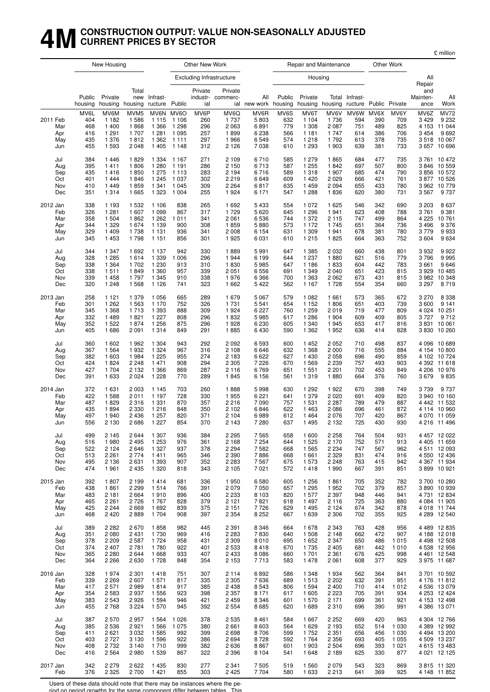## **4MCONSTRUCTION OUTPUT: VALUE NON-SEASONALLY ADJUSTED CURRENT PRICES BY SECTOR**

|                                             |                                         | New Housing                                               |                                                              |                                                                |                                                              | Other New Work                          |                                                           |                                                       |                                         |                                                              | Repair and Maintenance                                      |                                         |                                         | Other Work                              |                                                       |                                                                                |
|---------------------------------------------|-----------------------------------------|-----------------------------------------------------------|--------------------------------------------------------------|----------------------------------------------------------------|--------------------------------------------------------------|-----------------------------------------|-----------------------------------------------------------|-------------------------------------------------------|-----------------------------------------|--------------------------------------------------------------|-------------------------------------------------------------|-----------------------------------------|-----------------------------------------|-----------------------------------------|-------------------------------------------------------|--------------------------------------------------------------------------------|
|                                             |                                         |                                                           |                                                              |                                                                |                                                              |                                         | <b>Excluding Infrastructure</b>                           |                                                       |                                         | Housing                                                      |                                                             |                                         |                                         |                                         | All                                                   |                                                                                |
|                                             | Public<br>housing                       | Private<br>housing                                        | Total<br>new<br>housing                                      | Infrast-<br>ructure Public                                     |                                                              | Private<br>ial                          | Private<br>industr- commerc-<br>ial                       | All<br>new work housing                               | Public                                  | Private<br>housing                                           | housing ructure Public Private                              | Total Infrast-                          |                                         |                                         | Repair<br>and<br>Mainten-<br>ance                     | All<br>Work                                                                    |
| 2011 Feb<br>Mar<br>Apr<br>May<br>Jun        | MV6L<br>404<br>468<br>416<br>435<br>455 | MV6M<br>1 1 8 2<br>1 400<br>1 2 9 1<br>1 3 7 6<br>1 5 9 3 | MVM <sub>5</sub><br>1586<br>1868<br>1 707<br>1812<br>2 0 4 8 | MV6N<br>1 1 1 5<br>1 3 6 6<br>1 2 8 1<br>1 3 6 2<br>1 4 0 5    | MV6O<br>1 1 0 6<br>1 2 9 8<br>1 0 9 5<br>1 1 1 1<br>1 1 4 8  | MV6P<br>260<br>296<br>257<br>297<br>312 | MV6Q<br>1 7 3 7<br>2 0 6 3<br>1899<br>1966<br>2 1 2 6     | MV6R<br>5803<br>6891<br>6 2 3 8<br>6549<br>7038       | MV6S<br>632<br>779<br>566<br>574<br>610 | MV6T<br>1 1 0 4<br>1 308<br>1 1 8 1<br>1 2 1 8<br>1 2 9 3    | MV6V<br>1736<br>2 0 8 7<br>1 7 4 7<br>1792<br>1 903         | MV6W<br>594<br>751<br>614<br>613<br>639 | MV6X<br>390<br>489<br>386<br>378<br>381 | MV6Y<br>709<br>825<br>706<br>735<br>733 | MV6Z<br>3 4 2 9<br>4 1 5 3<br>3 4 5 4<br>3518<br>3657 | <b>MV72</b><br>9 2 3 2<br>11 044<br>9692<br>10 067<br>10 696                   |
| Jul<br>Aug<br>Sep<br>Oct<br>Nov<br>Dec      | 384<br>395<br>435<br>401<br>410<br>351  | 1446<br>1411<br>1416<br>1444<br>1449<br>1 3 1 4           | 1829<br>1806<br>1850<br>1846<br>1859<br>1665                 | 1 3 3 4<br>1 2 8 0<br>1 2 7 5<br>1 2 4 5<br>1 3 4 1<br>1 3 2 3 | 1 167<br>1 1 9 1<br>1 1 1 3<br>1 0 3 7<br>1 0 4 5<br>1 0 0 4 | 271<br>286<br>283<br>302<br>309<br>255  | 2 1 0 9<br>2 150<br>2 194<br>2 2 1 9<br>2 2 6 4<br>1924   | 6710<br>6713<br>6716<br>6649<br>6817<br>6 1 7 1       | 585<br>587<br>589<br>609<br>635<br>547  | 1 2 7 9<br>1 2 5 5<br>1 3 1 8<br>1420<br>1 4 5 9<br>1 2 8 8  | 1865<br>1842<br>1 907<br>2 0 2 9<br>2 0 9 4<br>1836         | 684<br>697<br>685<br>666<br>655<br>620  | 477<br>507<br>474<br>421<br>433<br>380  | 735<br>800<br>790<br>761<br>780<br>731  | 3846<br>3856<br>3962<br>3567                          | 3761 10472<br>10 559<br>10 572<br>3 877 10 526<br>10 779<br>9737               |
| 2012 Jan                                    | 338                                     | 1 1 9 3                                                   | 1 5 3 2                                                      | 1 1 0 6                                                        | 838                                                          | 265                                     | 1692                                                      | 5433                                                  | 554                                     | 1 0 7 2                                                      | 1 6 2 5                                                     | 546                                     | 342                                     | 690                                     | 3 2 0 3                                               | 8 6 3 7                                                                        |
| Feb                                         | 326                                     | 1 2 8 1                                                   | 1 607                                                        | 1 0 9 9                                                        | 867                                                          | 317                                     | 1729                                                      | 5620                                                  | 645                                     | 1 2 9 6                                                      | 1941                                                        | 623                                     | 408                                     | 788                                     | 3761                                                  | 9 3 8 1                                                                        |
| Mar                                         | 358                                     | 1 504                                                     | 1862                                                         | 1 2 6 2                                                        | 1011                                                         | 341                                     | 2 0 6 1                                                   | 6536                                                  | 744                                     | 1 372                                                        | 2 1 1 5                                                     | 747                                     | 499                                     | 864                                     | 4 2 2 5                                               | 10761                                                                          |
| Apr                                         | 344                                     | 1 3 2 9                                                   | 1674                                                         | 1 1 3 9                                                        | 900                                                          | 308                                     | 1859                                                      | 5880                                                  | 573                                     | 1 172                                                        | 1745                                                        | 651                                     | 364                                     | 736                                     | 3 4 9 6                                               | 9 3 7 6                                                                        |
| May                                         | 329                                     | 1 4 0 9                                                   | 1738                                                         | 1 1 3 1                                                        | 936                                                          | 341                                     | 2 0 0 8                                                   | 6 1 5 4                                               | 631                                     | 1 309                                                        | 1941                                                        | 678                                     | 381                                     | 780                                     | 3779                                                  | 9933                                                                           |
| Jun                                         | 345                                     | 1 4 5 3                                                   | 1798                                                         | 1 1 5 1                                                        | 856                                                          | 301                                     | 1925                                                      | 6031                                                  | 610                                     | 1 2 1 5                                                      | 1825                                                        | 664                                     | 363                                     | 752                                     | 3604                                                  | 9634                                                                           |
| Jul                                         | 344                                     | 1 3 4 7                                                   | 1692                                                         | 1 1 3 7                                                        | 942                                                          | 330                                     | 1889                                                      | 5991                                                  | 647                                     | 1 3 8 5                                                      | 2 0 3 2                                                     | 660                                     | 438                                     | 801                                     | 3932                                                  | 9922                                                                           |
| Aug                                         | 328                                     | 1 2 8 5                                                   | 1614                                                         | 1 3 3 9                                                        | 1 0 0 6                                                      | 296                                     | 1944                                                      | 6 1 9 9                                               | 644                                     | 1 2 3 7                                                      | 1880                                                        | 621                                     | 516                                     | 779                                     | 3796                                                  | 9995                                                                           |
| Sep                                         | 338                                     | 1 3 6 4                                                   | 1702                                                         | 1 2 3 0                                                        | 913                                                          | 310                                     | 1830                                                      | 5985                                                  | 647                                     | 1 1 8 6                                                      | 1833                                                        | 604                                     | 442                                     | 783                                     | 3661                                                  | 9646                                                                           |
| Oct                                         | 338                                     | 1511                                                      | 1849                                                         | 1 3 6 0                                                        | 957                                                          | 339                                     | 2 0 5 1                                                   | 6556                                                  | 691                                     | 1 3 4 9                                                      | 2 0 4 0                                                     | 651                                     | 423                                     | 815                                     | 3929                                                  | 10 485                                                                         |
| Nov                                         | 339                                     | 1458                                                      | 1797                                                         | 1 3 4 5                                                        | 910                                                          | 338                                     | 1976                                                      | 6 3 6 6                                               | 700                                     | 1 3 6 3                                                      | 2 0 6 2                                                     | 673                                     | 431                                     | 815                                     | 3982                                                  | 10 348                                                                         |
| Dec                                         | 320                                     | 1 248                                                     | 1 5 6 8                                                      | 1 1 2 6                                                        | 741                                                          | 323                                     | 1 6 6 2                                                   | 5422                                                  | 562                                     | 1 1 6 7                                                      | 1728                                                        | 554                                     | 354                                     | 660                                     | 3 2 9 7                                               | 8719                                                                           |
| 2013 Jan<br>Feb<br>Mar<br>Apr<br>May<br>Jun | 258<br>301<br>345<br>332<br>352<br>405  | 1 1 2 1<br>1 2 6 2<br>1 3 6 8<br>1489<br>1 5 2 2<br>1686  | 1 3 7 9<br>1 5 6 3<br>1713<br>1821<br>1874<br>2 0 9 1        | 1 0 5 6<br>1 1 7 0<br>1 3 9 3<br>1 2 2 7<br>1 2 5 6<br>1 3 1 4 | 665<br>752<br>888<br>808<br>875<br>849                       | 289<br>326<br>309<br>296<br>296<br>291  | 1679<br>1 7 3 1<br>1924<br>1832<br>1928<br>1885           | 5 0 6 7<br>5541<br>6 2 2 7<br>5985<br>6 2 3 0<br>6430 | 579<br>654<br>760<br>617<br>605<br>590  | 1 0 8 2<br>1 1 5 2<br>1 2 5 9<br>1 2 8 6<br>1 340<br>1 3 6 2 | 1 661<br>1806<br>2019<br>1 904<br>1945<br>1952              | 573<br>651<br>719<br>609<br>653<br>636  | 365<br>403<br>477<br>409<br>417<br>414  | 672<br>739<br>809<br>805<br>816<br>828  | 3 2 7 0<br>3600<br>3727<br>3831                       | 8 3 3 8<br>9 1 4 1<br>4 0 24 10 251<br>9712<br>10 061<br>3 830 10 260          |
| Jul<br>Aug<br>Sep<br>Oct<br>Nov<br>Dec      | 360<br>367<br>382<br>424<br>427<br>391  | 1 602<br>1 5 6 4<br>1 603<br>1824<br>1 704<br>1 633       | 1962<br>1932<br>1984<br>2 2 4 8<br>2 1 3 2<br>2 0 2 4        | 1 3 0 4<br>1 3 2 4<br>1 2 2 5<br>1471<br>1 3 6 6<br>1 2 2 8    | 943<br>967<br>955<br>908<br>869<br>770                       | 292<br>316<br>274<br>294<br>287<br>289  | 2 0 9 2<br>2 108<br>2 1 8 3<br>2 3 0 5<br>2 1 1 6<br>1845 | 6593<br>6646<br>6622<br>7 2 2 6<br>6769<br>6 1 5 6    | 600<br>632<br>627<br>670<br>651<br>561  | 1 4 5 2<br>1 3 6 8<br>1 4 3 0<br>1 5 6 9<br>1 551<br>1 3 1 9 | 2 0 5 2<br>2 0 0 0<br>2 0 5 8<br>2 2 3 9<br>2 2 0 1<br>1880 | 710<br>716<br>696<br>757<br>702<br>664  | 498<br>555<br>490<br>493<br>453<br>376  | 837<br>884<br>859<br>903<br>849<br>760  | 4 0 9 6<br>4 3 9 2<br>4 206<br>3679                   | 10 689<br>4 154 10 800<br>4 102 10 724<br>11 618<br>10 976<br>9835             |
| 2014 Jan<br>Feb<br>Mar<br>Apr<br>May<br>Jun | 372<br>422<br>487<br>435<br>497<br>556  | 1 631<br>1588<br>1829<br>1894<br>1940<br>2 1 3 0          | 2 0 0 3<br>2011<br>2 3 1 6<br>2 3 3 0<br>2436<br>2686        | 1 1 4 5<br>1 1 9 7<br>1 3 3 1<br>1 2 1 6<br>1 2 5 7<br>1 2 2 7 | 703<br>728<br>870<br>848<br>820<br>854                       | 260<br>330<br>357<br>350<br>371<br>370  | 1888<br>1955<br>2 2 1 6<br>2 102<br>2 104<br>2 143        | 5998<br>6 2 2 1<br>7090<br>6846<br>6989<br>7 2 8 0    | 630<br>641<br>757<br>622<br>612<br>637  | 1 2 9 2<br>1 379<br>1 531<br>1463<br>1464<br>1495            | 1922<br>2 0 2 0<br>2 2 8 7<br>2086<br>2076<br>2 1 3 2       | 670<br>691<br>789<br>696<br>707<br>725  | 398<br>409<br>479<br>461<br>420<br>430  | 749<br>820<br>887<br>872<br>867<br>930  | 3739<br>4 4 4 2                                       | 9737<br>3 940 10 160<br>11 532<br>4 114 10 960<br>4 070 11 059<br>4 216 11 496 |
| Jul                                         | 499                                     | 2 1 4 5                                                   | 2644                                                         | 1 307                                                          | 936                                                          | 384                                     | 2 2 9 5                                                   | 7565                                                  | 658                                     | 1 600                                                        | 2 2 5 8                                                     | 764                                     | 504                                     | 931                                     |                                                       | 4 457 12 022                                                                   |
| Aug                                         | 516                                     | 1980                                                      | 2 4 9 5                                                      | 1 2 5 3                                                        | 976                                                          | 361                                     | 2 1 6 8                                                   | 7 2 5 4                                               | 644                                     | 1 5 2 5                                                      | 2 1 7 0                                                     | 752                                     | 571                                     | 913                                     |                                                       | 4 405 11 659                                                                   |
| Sep                                         | 522                                     | 2 1 2 4                                                   | 2646                                                         | 1 3 2 7                                                        | 937                                                          | 378                                     | 2 2 9 4                                                   | 7582                                                  | 668                                     | 1 5 6 5                                                      | 2 2 3 4                                                     | 747                                     | 567                                     | 962                                     |                                                       | 4511 12093                                                                     |
| Oct                                         | 513                                     | 2 2 6 1                                                   | 2 7 7 4                                                      | 1411                                                           | 965                                                          | 346                                     | 2 3 9 0                                                   | 7886                                                  | 668                                     | 1 661                                                        | 2 3 2 9                                                     | 831                                     | 474                                     | 916                                     |                                                       | 4 550 12 436                                                                   |
| Nov                                         | 495                                     | 2 1 3 6                                                   | 2631                                                         | 1 3 9 3                                                        | 907                                                          | 352                                     | 2 2 8 3                                                   | 7567                                                  | 675                                     | 1 573                                                        | 2 2 4 8                                                     | 763                                     | 415                                     | 942                                     |                                                       | 4 367 11 934                                                                   |
| Dec                                         | 474                                     | 1961                                                      | 2 4 3 5                                                      | 1 3 2 0                                                        | 818                                                          | 343                                     | 2 1 0 5                                                   | 7021                                                  | 572                                     | 1418                                                         | 1990                                                        | 667                                     | 391                                     | 851                                     |                                                       | 3 899 10 921                                                                   |
| 2015 Jan                                    | 392                                     | 1807                                                      | 2 1 9 9                                                      | 1414                                                           | 681                                                          | 336                                     | 1950                                                      | 6580                                                  | 605                                     | 1 2 5 6                                                      | 1861                                                        | 705                                     | 352                                     | 782                                     |                                                       | 3700 10 280                                                                    |
| Feb                                         | 438                                     | 1861                                                      | 2 2 9 9                                                      | 1514                                                           | 766                                                          | 391                                     | 2079                                                      | 7 0 5 0                                               | 657                                     | 1 2 9 5                                                      | 1952                                                        | 702                                     | 379                                     | 857                                     |                                                       | 3 890 10 939                                                                   |
| Mar                                         | 483                                     | 2 1 8 1                                                   | 2 6 6 4                                                      | 1910                                                           | 896                                                          | 400                                     | 2 2 3 3                                                   | 8 1 0 3                                               | 820                                     | 1577                                                         | 2 3 9 7                                                     | 948                                     | 446                                     | 941                                     |                                                       | 4 731 12 834                                                                   |
| Apr                                         | 465                                     | 2 2 6 1                                                   | 2726                                                         | 1767                                                           | 828                                                          | 379                                     | 2 1 2 1                                                   | 7821                                                  | 618                                     | 1 4 9 7                                                      | 2 1 1 6                                                     | 725                                     | 363                                     | 880                                     |                                                       | 4 084 11 905                                                                   |
| May                                         | 425                                     | 2 2 4 4                                                   | 2 6 6 9                                                      | 1692                                                           | 839                                                          | 375                                     | 2 151                                                     | 7726                                                  | 629                                     | 1495                                                         | 2 1 2 4                                                     | 674                                     | 342                                     | 878                                     |                                                       | 4 018 11 744                                                                   |
| Jun                                         | 468                                     | 2 4 2 0                                                   | 2889                                                         | 1 704                                                          | 908                                                          | 397                                     | 2 3 5 4                                                   | 8 2 5 2                                               | 667                                     | 1 6 3 9                                                      | 2 3 0 6                                                     | 702                                     | 355                                     | 925                                     |                                                       | 4 289 12 540                                                                   |
| Jul                                         | 389                                     | 2 2 8 2                                                   | 2670                                                         | 1858                                                           | 982                                                          | 445                                     | 2 3 9 1                                                   | 8 3 4 6                                               | 664                                     | 1678                                                         | 2 3 4 3                                                     | 763                                     | 428                                     | 956                                     |                                                       | 4 489 12 835                                                                   |
| Aug                                         | 351                                     | 2 0 8 0                                                   | 2 4 3 1                                                      | 1730                                                           | 969                                                          | 416                                     | 2 2 8 3                                                   | 7830                                                  | 640                                     | 1 508                                                        | 2 1 4 8                                                     | 662                                     | 472                                     | 907                                     |                                                       | 4 188 12 018                                                                   |
| Sep                                         | 378                                     | 2 2 0 9                                                   | 2 5 8 7                                                      | 1724                                                           | 958                                                          | 431                                     | 2 3 0 9                                                   | 8010                                                  | 695                                     | 1652                                                         | 2 3 4 7                                                     | 650                                     | 486                                     | 1015                                    |                                                       | 4 4 98 12 5 08                                                                 |
| Oct                                         | 374                                     | 2 4 0 7                                                   | 2 7 8 1                                                      | 1780                                                           | 922                                                          | 401                                     | 2 5 3 3                                                   | 8418                                                  | 670                                     | 1735                                                         | 2 4 0 5                                                     | 681                                     | 442                                     | 1010                                    |                                                       | 4 538 12 956                                                                   |
| Nov                                         | 365                                     | 2 2 8 0                                                   | 2644                                                         | 1668                                                           | 933                                                          | 407                                     | 2 4 3 3                                                   | 8086                                                  | 660                                     | 1 701                                                        | 2 3 6 1                                                     | 676                                     | 425                                     | 998                                     |                                                       | 4 4 61 12 5 48                                                                 |
| Dec                                         | 364                                     | 2 2 6 6                                                   | 2630                                                         | 1728                                                           | 848                                                          | 354                                     | 2 1 5 3                                                   | 7713                                                  | 583                                     | 1478                                                         | 2 0 6 1                                                     | 608                                     | 377                                     | 929                                     |                                                       | 3 975 11 687                                                                   |
| 2016 Jan                                    | 328                                     | 1974                                                      | 2 3 0 1                                                      | 1418                                                           | 751                                                          | 307                                     | 2 1 1 4                                                   | 6892                                                  | 586                                     | 1 3 4 8                                                      | 1934                                                        | 562                                     | 364                                     | 841                                     |                                                       | 3701 10592                                                                     |
| Feb                                         | 339                                     | 2 2 6 9                                                   | 2 607                                                        | 1571                                                           | 817                                                          | 335                                     | 2 3 0 5                                                   | 7636                                                  | 689                                     | 1513                                                         | 2 2 0 2                                                     | 632                                     | 391                                     | 951                                     |                                                       | 4 176 11 812                                                                   |
| Mar                                         | 417                                     | 2 5 7 1                                                   | 2989                                                         | 1814                                                           | 917                                                          | 385                                     | 2 4 3 8                                                   | 8543                                                  | 806                                     | 1 5 9 4                                                      | 2 4 0 0                                                     | 710                                     | 414                                     | 1 0 1 2                                 |                                                       | 4 536 13 079                                                                   |
| Apr                                         | 354                                     | 2 5 8 3                                                   | 2937                                                         | 1 5 5 6                                                        | 923                                                          | 398                                     | 2 3 5 7                                                   | 8 1 7 1                                               | 617                                     | 1 605                                                        | 2 2 2 3                                                     | 705                                     | 391                                     | 934                                     |                                                       | 4 253 12 424                                                                   |
| May                                         | 383                                     | 2 5 4 3                                                   | 2926                                                         | 1594                                                           | 946                                                          | 421                                     | 2 4 5 9                                                   | 8 3 4 6                                               | 601                                     | 1 570                                                        | 2 1 7 1                                                     | 699                                     | 361                                     | 921                                     |                                                       | 4 153 12 498                                                                   |
| Jun                                         | 455                                     | 2768                                                      | 3 2 2 4                                                      | 1570                                                           | 945                                                          | 392                                     | 2 5 5 4                                                   | 8685                                                  | 620                                     | 1 689                                                        | 2 3 1 0                                                     | 696                                     | 390                                     | 991                                     |                                                       | 4 386 13 071                                                                   |
| Jul                                         | 387                                     | 2570                                                      | 2957                                                         | 1564                                                           | 1 0 2 6                                                      | 378                                     | 2 5 3 5                                                   | 8461                                                  | 584                                     | 1 667                                                        | 2 2 5 2                                                     | 669                                     | 420                                     | 963                                     |                                                       | 4 304 12 766                                                                   |
| Aug                                         | 385                                     | 2 5 3 6                                                   | 2921                                                         | 1566                                                           | 1 0 7 5                                                      | 380                                     | 2 6 6 1                                                   | 8603                                                  | 564                                     | 1629                                                         | 2 1 9 3                                                     | 652                                     | 514                                     | 1 0 3 0                                 |                                                       | 4 389 12 992                                                                   |
| Sep                                         | 411                                     | 2621                                                      | 3 0 3 2                                                      | 1585                                                           | 992                                                          | 399                                     | 2698                                                      | 8706                                                  | 599                                     | 1752                                                         | 2 3 5 1                                                     | 656                                     | 456                                     | 1 0 3 0                                 |                                                       | 4 4 94 13 200                                                                  |
| Oct                                         | 403                                     | 2727                                                      | 3 1 3 0                                                      | 1596                                                           | 922                                                          | 386                                     | 2694                                                      | 8728                                                  | 592                                     | 1764                                                         | 2 3 5 6                                                     | 693                                     | 405                                     | 1 0 5 5                                 |                                                       | 4 509 13 237                                                                   |
| Nov                                         | 408                                     | 2 7 3 2                                                   | 3 1 4 0                                                      | 1710                                                           | 999                                                          | 382                                     | 2636                                                      | 8867                                                  | 601                                     | 1 903                                                        | 2 5 0 4                                                     | 696                                     | 393                                     | 1 0 2 1                                 |                                                       | 4 615 13 483                                                                   |
| Dec                                         | 416                                     | 2 5 6 4                                                   | 2980                                                         | 1539                                                           | 867                                                          | 322                                     | 2 3 9 6                                                   | 8 1 0 4                                               | 541                                     | 1648                                                         | 2 1 8 9                                                     | 625                                     | 330                                     | 877                                     |                                                       | 4 021 12 125                                                                   |
| 2017 Jan                                    | 342                                     | 2 2 7 9                                                   | 2622                                                         | 1435                                                           | 830                                                          | 277                                     | 2 3 4 1                                                   | 7505                                                  | 519                                     | 1 560                                                        | 2 0 7 9                                                     | 543                                     | 323                                     | 869                                     |                                                       | 3815 11320                                                                     |
| Feb                                         | 376                                     | 2 3 2 5                                                   | 2 700                                                        | 1421                                                           | 855                                                          | 303                                     | 2 4 2 5                                                   | 7704                                                  | 580                                     | 1 633                                                        | 2 2 1 3                                                     | 641                                     | 369                                     | 925                                     |                                                       | 4 148 11 852                                                                   |

Users of these data should note that there may be instances where the pe-

riod on period growths for the same component differ between tables. This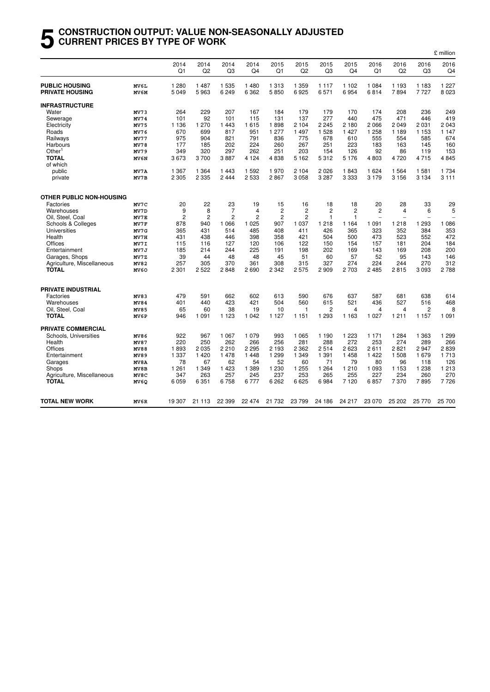#### **5 CONSTRUCTION OUTPUT: VALUE NON-SEASONALLY ADJUSTED CURRENT PRICES BY TYPE OF WORK**

|                                                 |                  |                    |                 |                        |                        |                 |                        |                 |                        |                          |                          |                        | £ million          |
|-------------------------------------------------|------------------|--------------------|-----------------|------------------------|------------------------|-----------------|------------------------|-----------------|------------------------|--------------------------|--------------------------|------------------------|--------------------|
|                                                 |                  | 2014<br>Q1         | 2014<br>Q2      | 2014<br>Q <sub>3</sub> | 2014<br>Q <sub>4</sub> | 2015<br>Q1      | 2015<br>Q <sub>2</sub> | 2015<br>Q3      | 2015<br>Q <sub>4</sub> | 2016<br>Q1               | 2016<br>Q <sub>2</sub>   | 2016<br>Q <sub>3</sub> | 2016<br>Q4         |
| <b>PUBLIC HOUSING</b><br><b>PRIVATE HOUSING</b> | MV6L<br>MV6M     | 1 2 8 0<br>5 0 4 9 | 1 4 8 7<br>5963 | 1 5 3 5<br>6249        | 1 4 8 0<br>6 3 6 2     | 1 3 1 3<br>5850 | 1 3 5 9<br>6925        | 1 1 1 7<br>6571 | 1 1 0 2<br>6954        | 1 0 8 4<br>6814          | 1 1 9 3<br>7894          | 1 1 8 3<br>7727        | 1 2 2 7<br>8 0 2 3 |
|                                                 |                  |                    |                 |                        |                        |                 |                        |                 |                        |                          |                          |                        |                    |
| INFRASTRUCTURE                                  |                  |                    | 229             | 207                    |                        |                 |                        | 179             | 170                    | 174                      |                          |                        | 249                |
| Water                                           | MV73<br>MV74     | 264<br>101         | 92              | 101                    | 167<br>115             | 184<br>131      | 179<br>137             | 277             | 440                    | 475                      | 208<br>471               | 236<br>446             | 419                |
| Sewerage<br>Electricity                         | MV75             | 1 1 3 6            | 1 270           | 1443                   | 1615                   | 1898            | 2 1 0 4                | 2 2 4 5         | 2 1 8 0                | 2066                     | 2049                     | 2 0 3 1                | 2 0 4 3            |
| Roads                                           | MV76             | 670                | 699             | 817                    | 951                    | 1 277           | 1 4 9 7                | 1 5 2 8         | 1 4 2 7                | 1 2 5 8                  | 1 1 8 9                  | 1 1 5 3                | 1 1 4 7            |
| Railways                                        | <b>MV77</b>      | 975                | 904             | 821                    | 791                    | 836             | 775                    | 678             | 610                    | 555                      | 554                      | 585                    | 674                |
| Harbours                                        | MV78             | 177                | 185             | 202                    | 224                    | 260             | 267                    | 251             | 223                    | 183                      | 163                      | 145                    | 160                |
| Other <sup>1</sup>                              | MV79             | 349                | 320             | 297                    | 262                    | 251             | 203                    | 154             | 126                    | 92                       | 86                       | 119                    | 153                |
| <b>TOTAL</b>                                    | MV6N             | 3673               | 3700            | 3887                   | 4 1 2 4                | 4838            | 5 1 6 2                | 5312            | 5 1 7 6                | 4803                     | 4720                     | 4715                   | 4845               |
| of which                                        |                  |                    |                 |                        |                        |                 |                        |                 |                        |                          |                          |                        |                    |
| public                                          | MV7A             | 1 3 6 7            | 1 3 6 4         | 1443                   | 1 5 9 2                | 1970            | 2 1 0 4                | 2 0 2 6         | 1843                   | 1 6 2 4                  | 1 5 6 4                  | 1 581                  | 1 7 3 4            |
| private                                         | MV7B             | 2 3 0 5            | 2 3 3 5         | 2444                   | 2 5 3 3                | 2867            | 3058                   | 3 2 8 7         | 3 3 3 3                | 3 1 7 9                  | 3 1 5 6                  | 3 1 3 4                | 3 1 1 1            |
| <b>OTHER PUBLIC NON-HOUSING</b>                 |                  |                    |                 |                        |                        |                 |                        |                 |                        |                          |                          |                        |                    |
| Factories                                       | MV7C             | 20                 | 22              | 23                     | 19                     | 15              | 16                     | 18              | 18                     | 20                       | 28                       | 33                     | 29                 |
| Warehouses                                      | MV7D             | 9                  | 8               | $\overline{7}$         | 4                      | $\overline{c}$  | $\overline{c}$         | $\overline{c}$  | $\overline{c}$         | $\overline{2}$           | $\overline{4}$           | 6                      | 5                  |
| Oil, Steel, Coal                                | MV7E             | 2                  | $\overline{c}$  | 2                      | 2                      | 2               | 2                      | 1               | $\mathbf{1}$           | $\overline{\phantom{a}}$ | $\overline{\phantom{a}}$ | ÷                      |                    |
| Schools & Colleges                              | MV7F             | 878                | 940             | 1 0 6 6                | 1 0 2 5                | 907             | 1 0 3 7                | 1 2 1 8         | 1 1 6 4                | 1 0 9 1                  | 1 2 1 8                  | 1 2 9 3                | 1 0 8 6            |
| Universities                                    | MV7G             | 365                | 431             | 514                    | 485                    | 408             | 411                    | 426             | 365                    | 323                      | 352                      | 384                    | 353                |
| Health                                          | MV7H             | 431                | 438             | 446                    | 398                    | 358             | 421                    | 504             | 500                    | 473                      | 523                      | 552                    | 472                |
| Offices                                         | MV7I             | 115                | 116             | 127                    | 120                    | 106             | 122                    | 150             | 154                    | 157                      | 181                      | 204                    | 184                |
| Entertainment                                   | MV7J             | 185                | 214             | 244                    | 225                    | 191             | 198                    | 202             | 169                    | 143                      | 169                      | 208                    | 200                |
| Garages, Shops                                  | MV7Z             | 39                 | 44              | 48                     | 48                     | 45              | 51                     | 60              | 57                     | 52                       | 95                       | 143                    | 146                |
| Agriculture, Miscellaneous                      | MV82             | 257                | 305             | 370                    | 361                    | 308             | 315                    | 327             | 274                    | 224                      | 244                      | 270                    | 312                |
| <b>TOTAL</b>                                    | MV <sub>60</sub> | 2 301              | 2 5 2 2         | 2848                   | 2690                   | 2 3 4 2         | 2575                   | 2 9 0 9         | 2 703                  | 2 4 8 5                  | 2815                     | 3 0 9 3                | 2788               |
| <b>PRIVATE INDUSTRIAL</b>                       |                  |                    |                 |                        |                        |                 |                        |                 |                        |                          |                          |                        |                    |
| Factories                                       | MV83             | 479                | 591             | 662                    | 602                    | 613             | 590                    | 676             | 637                    | 587                      | 681                      | 638                    | 614                |
| Warehouses                                      | MV84             | 401                | 440             | 423                    | 421                    | 504             | 560                    | 615             | 521                    | 436                      | 527                      | 516                    | 468                |
| Oil, Steel, Coal                                | <b>MV85</b>      | 65                 | 60              | 38                     | 19                     | 10              | 1                      | 2               | 4                      | 4                        | 4                        | 2                      | 8                  |
| <b>TOTAL</b>                                    | MV6P             | 946                | 1 0 9 1         | 1 1 2 3                | 1 0 4 2                | 1 1 2 7         | 1 1 5 1                | 1 2 9 3         | 1 1 6 3                | 1 0 2 7                  | 1 2 1 1                  | 1 1 5 7                | 1 0 9 1            |
| <b>PRIVATE COMMERCIAL</b>                       |                  |                    |                 |                        |                        |                 |                        |                 |                        |                          |                          |                        |                    |
| Schools, Universities                           | MV86             | 922                | 967             | 1 0 6 7                | 1 0 7 9                | 993             | 1 0 6 5                | 1 1 9 0         | 1 2 2 3                | 1 1 7 1                  | 1 2 8 4                  | 1 3 6 3                | 1 2 9 9            |
| Health                                          | MV87             | 220                | 250             | 262                    | 266                    | 256             | 281                    | 288             | 272                    | 253                      | 274                      | 289                    | 266                |
| Offices                                         | MV88             | 1893               | 2 0 3 5         | 2210                   | 2 2 9 5                | 2 1 9 3         | 2 3 6 2                | 2514            | 2623                   | 2611                     | 2821                     | 2947                   | 2839               |
| Entertainment                                   | MV89             | 1 337              | 1 4 2 0         | 1478                   | 1448                   | 1 2 9 9         | 1 3 4 9                | 1 3 9 1         | 1458                   | 1422                     | 1 508                    | 1679                   | 1713               |
| Garages                                         | MV8A             | 78                 | 67              | 62                     | 54                     | 52              | 60                     | 71              | 79                     | 80                       | 96                       | 118                    | 126                |
| Shops                                           | MV8B             | 1 2 6 1            | 1 3 4 9         | 1 4 2 3                | 1 3 8 9                | 1 2 3 0         | 1 2 5 5                | 1 2 6 4         | 1 2 1 0                | 1 0 9 3                  | 1 1 5 3                  | 1 2 3 8                | 1 2 1 3            |
| Agriculture, Miscellaneous                      | MV8C             | 347                | 263             | 257                    | 245                    | 237             | 253                    | 265             | 255                    | 227                      | 234                      | 260                    | 270                |
| <b>TOTAL</b>                                    | MV6Q             | 6 0 5 9            | 6 3 5 1         | 6758                   | 6777                   | 6 2 6 2         | 6625                   | 6984            | 7 1 2 0                | 6857                     | 7370                     | 7895                   | 7726               |
| TOTAL NEW WORK                                  | MV6R             | 19 307             | 21 113          | 22 3 9 9               | 22 474                 | 21 732          | 23 799                 | 24 186          | 24 217                 | 23 0 70                  | 25 202                   | 25 770                 | 25 700             |
|                                                 |                  |                    |                 |                        |                        |                 |                        |                 |                        |                          |                          |                        |                    |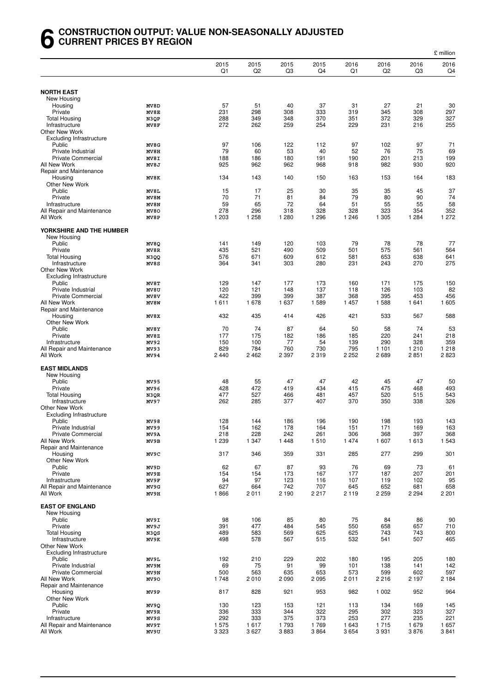#### **6 CONSTRUCTION OUTPUT: VALUE NON-SEASONALLY ADJUSTED CURRENT PRICES BY REGION**

|                                                   |              |            |            |            |            |            |            |            | £ million  |
|---------------------------------------------------|--------------|------------|------------|------------|------------|------------|------------|------------|------------|
|                                                   |              | 2015<br>Q1 | 2015<br>Q2 | 2015<br>Q3 | 2015<br>Q4 | 2016<br>Q1 | 2016<br>Q2 | 2016<br>Q3 | 2016<br>Q4 |
| <b>NORTH EAST</b>                                 |              |            |            |            |            |            |            |            |            |
| New Housing                                       |              |            |            |            |            |            |            |            |            |
| Housing                                           | MV8D         | 57         | 51         | 40         | 37         | 31         | 27         | 21         | 30         |
| Private                                           | MV8E         | 231        | 298        | 308        | 333        | 319        | 345        | 308        | 297        |
| <b>Total Housing</b>                              | N3QP         | 288        | 349        | 348        | 370        | 351        | 372        | 329        | 327        |
| Infrastructure                                    | MV8F         | 272        | 262        | 259        | 254        | 229        | 231        | 216        | 255        |
| Other New Work<br><b>Excluding Infrastructure</b> |              |            |            |            |            |            |            |            |            |
| Public                                            | MV8G         | 97         | 106        | 122        | 112        | 97         | 102        | 97         | 71         |
| Private Industrial                                | MV8H         | 79         | 60         | 53         | 40         | 52         | 76         | 75         | 69         |
| <b>Private Commercial</b>                         | MV8I         | 188        | 186        | 180        | 191        | 190        | 201        | 213        | 199        |
| All New Work                                      | MV8J         | 925        | 962        | 962        | 968        | 918        | 982        | 930        | 920        |
| Repair and Maintenance                            |              |            |            |            |            |            |            |            |            |
| Housing                                           | MV8K         | 134        | 143        | 140        | 150        | 163        | 153        | 164        | 183        |
| Other New Work<br>Public                          |              |            |            | 25         |            | 35         |            |            | 37         |
| Private                                           | MV8L<br>MV8M | 15<br>70   | 17<br>71   | 81         | 30<br>84   | 79         | 35<br>80   | 45<br>90   | 74         |
| Infrastructure                                    | MV8N         | 59         | 65         | 72         | 64         | 51         | 55         | 55         | 58         |
| All Repair and Maintenance                        | MV80         | 278        | 296        | 318        | 328        | 328        | 323        | 354        | 352        |
| All Work                                          | MV8P         | 1 203      | 1 2 5 8    | 1 2 8 0    | 1 2 9 6    | 1 2 4 6    | 1 3 0 5    | 1 2 8 4    | 1 2 7 2    |
| YORKSHIRE AND THE HUMBER                          |              |            |            |            |            |            |            |            |            |
| New Housing<br>Public                             |              | 141        | 149        | 120        | 103        |            | 78         | 78         | 77         |
| Private                                           | MV8Q<br>MV8R | 435        | 521        | 490        | 509        | 79<br>501  | 575        | 561        | 564        |
| <b>Total Housing</b>                              | N3QQ         | 576        | 671        | 609        | 612        | 581        | 653        | 638        | 641        |
| Infrastructure                                    | MV8S         | 364        | 341        | 303        | 280        | 231        | 243        | 270        | 275        |
| Other New Work                                    |              |            |            |            |            |            |            |            |            |
| <b>Excluding Infrastructure</b>                   |              |            |            |            |            |            |            |            |            |
| Public                                            | MV8T         | 129        | 147        | 177        | 173        | 160        | 171        | 175        | 150        |
| Private Industrial                                | MV8U         | 120        | 121        | 148        | 137        | 118        | 126        | 103        | 82         |
| <b>Private Commercial</b>                         | MV8V         | 422        | 399        | 399        | 387        | 368        | 395        | 453        | 456        |
| All New Work                                      | MV8W         | 1611       | 1678       | 1 637      | 1589       | 1457       | 1588       | 1641       | 1 605      |
| Repair and Maintenance                            |              |            |            |            |            |            |            | 567        | 588        |
| Housing<br>Other New Work                         | MV8X         | 432        | 435        | 414        | 426        | 421        | 533        |            |            |
| Public                                            | MV8Y         | 70         | 74         | 87         | 64         | 50         | 58         | 74         | 53         |
| Private                                           | MV8Z         | 177        | 175        | 182        | 186        | 185        | 220        | 241        | 218        |
| Infrastructure                                    | MV92         | 150        | 100        | 77         | 54         | 139        | 290        | 328        | 359        |
| All Repair and Maintenance                        | MV93         | 829        | 784        | 760        | 730        | 795        | 1 1 0 1    | 1 2 1 0    | 1 2 1 8    |
| All Work                                          | MV94         | 2440       | 2462       | 2 3 9 7    | 2 3 1 9    | 2 2 5 2    | 2689       | 2851       | 2823       |
|                                                   |              |            |            |            |            |            |            |            |            |
| <b>EAST MIDLANDS</b>                              |              |            |            |            |            |            |            |            |            |
| New Housing<br>Public                             | MV95         | 48         | 55         | 47         | 47         | 42         | 45         | 47         | 50         |
| Private                                           | MV96         | 428        | 472        | 419        | 434        | 415        | 475        | 468        | 493        |
| <b>Total Housing</b>                              | N3QR         | 477        | 527        | 466        | 481        | 457        | 520        | 515        | 543        |
| Infrastructure                                    | MV97         | 262        | 285        | 377        | 407        | 370        | 350        | 338        | 326        |
| Other New Work                                    |              |            |            |            |            |            |            |            |            |
| <b>Excluding Infrastructure</b>                   |              |            |            |            |            |            |            |            |            |
| Public                                            | MV98         | 128        | 144        | 186        | 196        | 190        | 198        | 193        | 143        |
| Private Industrial                                | MV99         | 154        | 162        | 178        | 164        | 151        | 171        | 169        | 163        |
| Private Commercial                                | MV9A         | 218        | 228        | 242        | 261        | 306        | 368        | 397        | 368        |
| All New Work<br>Repair and Maintenance            | MV9B         | 1 2 3 9    | 1 3 4 7    | 1448       | 1510       | 1474       | 1607       | 1613       | 1 5 4 3    |
| Housing                                           | MV9C         | 317        | 346        | 359        | 331        | 285        | 277        | 299        | 301        |
| Other New Work                                    |              |            |            |            |            |            |            |            |            |
| Public                                            | MV9D         | 62         | 67         | 87         | 93         | 76         | 69         | 73         | 61         |
| Private                                           | MV9E         | 154        | 154        | 173        | 167        | 177        | 187        | 207        | 201        |
| Infrastructure                                    | MV9F         | 94         | 97         | 123        | 116        | 107        | 119        | 102        | 95         |
| All Repair and Maintenance                        | MV9G         | 627        | 664        | 742        | 707        | 645        | 652        | 681        | 658        |
| All Work                                          | MV9H         | 1866       | 2011       | 2 1 9 0    | 2 2 1 7    | 2 1 1 9    | 2 2 5 9    | 2 2 9 4    | 2 2 0 1    |
| <b>EAST OF ENGLAND</b>                            |              |            |            |            |            |            |            |            |            |
| New Housing                                       |              |            |            |            |            |            |            |            |            |
| Public                                            | MV9I         | 98         | 106        | 85         | 80         | 75         | 84         | 86         | 90         |
| Private                                           | MV9J         | 391        | 477        | 484        | 545        | 550        | 658        | 657        | 710        |
| <b>Total Housing</b>                              | N3QS         | 489        | 583        | 569        | 625        | 625        | 743        | 743        | 800        |
| Infrastructure                                    | MV9K         | 498        | 578        | 567        | 515        | 532        | 541        | 507        | 465        |
| Other New Work                                    |              |            |            |            |            |            |            |            |            |
| Excluding Infrastructure                          |              |            |            |            |            |            |            |            |            |
| Public                                            | MV9L         | 192        | 210        | 229        | 202        | 180        | 195        | 205        | 180        |
| Private Industrial<br>Private Commercial          | MV9M<br>MV9N | 69<br>500  | 75<br>563  | 91<br>635  | 99<br>653  | 101<br>573 | 138<br>599 | 141<br>602 | 142<br>597 |
| All New Work                                      | MV90         | 1748       | 2010       | 2 0 9 0    | 2 0 9 5    | 2011       | 2216       | 2 1 9 7    | 2 1 8 4    |
| Repair and Maintenance                            |              |            |            |            |            |            |            |            |            |
| Housing                                           | MV9P         | 817        | 828        | 921        | 953        | 982        | 1 0 0 2    | 952        | 964        |
| Other New Work                                    |              |            |            |            |            |            |            |            |            |
| Public                                            | MV9Q         | 130        | 123        | 153        | 121        | 113        | 134        | 169        | 145        |
| Private                                           | MV9R         | 336        | 333        | 344        | 322        | 295        | 302        | 323        | 327        |
| Infrastructure                                    | MV9S         | 292        | 333        | 375        | 373        | 253        | 277        | 235        | 221        |
| All Repair and Maintenance                        | MV9T         | 1 575      | 1617       | 1793       | 1769       | 1 643      | 1715       | 1679       | 1657       |
| All Work                                          | MV9U         | 3 3 2 3    | 3627       | 3883       | 3864       | 3654       | 3931       | 3876       | 3841       |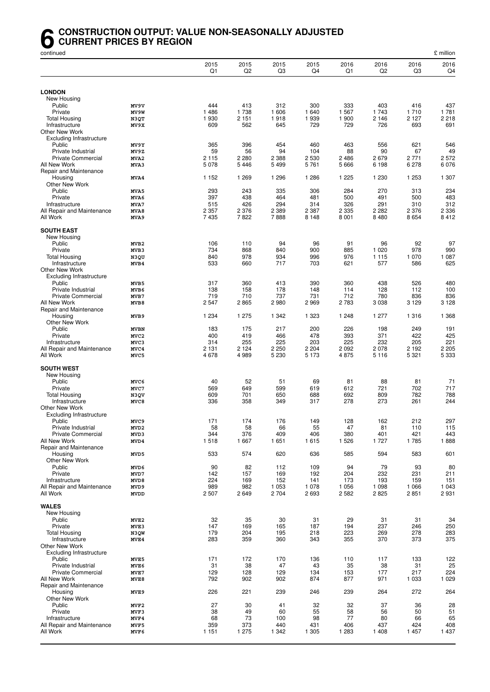#### **6** CONSTRUCTION OUTPUT: VALUE NON-SEASONALLY ADJUSTED<br>CURRENT PRICES BY REGION<br>continued **CURRENT PRICES BY REGION**

| continued                                       |                          |                |                        |                |                |                |                |                | £ million      |
|-------------------------------------------------|--------------------------|----------------|------------------------|----------------|----------------|----------------|----------------|----------------|----------------|
|                                                 |                          | 2015<br>Q1     | 2015<br>Q <sub>2</sub> | 2015<br>Q3     | 2015<br>Q4     | 2016<br>Q1     | 2016<br>Q2     | 2016<br>Q3     | 2016<br>Q4     |
|                                                 |                          |                |                        |                |                |                |                |                |                |
| <b>LONDON</b>                                   |                          |                |                        |                |                |                |                |                |                |
| New Housing<br>Public                           | MV9V                     | 444            | 413                    | 312            | 300            | 333            | 403            | 416            | 437            |
| Private                                         | MV9W                     | 1486           | 1738                   | 1 606          | 1 640          | 1 5 6 7        | 1 743          | 1710           | 1781           |
| <b>Total Housing</b>                            | N3QT                     | 1930           | 2 1 5 1                | 1918           | 1939           | 1 900          | 2 1 4 6        | 2 127          | 2 2 1 8        |
| Infrastructure                                  | MV9X                     | 609            | 562                    | 645            | 729            | 729            | 726            | 693            | 691            |
| <b>Other New Work</b>                           |                          |                |                        |                |                |                |                |                |                |
| Excluding Infrastructure                        |                          |                |                        |                |                |                |                |                |                |
| Public                                          | MV9Y                     | 365            | 396                    | 454            | 460            | 463            | 556            | 621            | 546            |
| Private Industrial<br>Private Commercial        | MV9Z                     | 59<br>2 1 1 5  | 56<br>2 2 8 0          | 94<br>2 3 8 8  | 104<br>2 5 3 0 | 88<br>2 4 8 6  | 90<br>2679     | 67<br>2771     | 49<br>2572     |
| All New Work                                    | MVA2<br>MVA3             | 5078           | 5446                   | 5 4 9 9        | 5761           | 5 6 6 6        | 6 1 9 8        | 6 2 7 8        | 6076           |
| Repair and Maintenance                          |                          |                |                        |                |                |                |                |                |                |
| Housing                                         | MVA4                     | 1 1 5 2        | 1 2 6 9                | 1 2 9 6        | 1 2 8 6        | 1 2 2 5        | 1 2 3 0        | 1 2 5 3        | 1 307          |
| Other New Work                                  |                          |                |                        |                |                |                |                |                |                |
| Public                                          | MVA5                     | 293            | 243                    | 335            | 306            | 284            | 270            | 313            | 234            |
| Private                                         | MVA6                     | 397            | 438                    | 464            | 481            | 500            | 491            | 500            | 483            |
| Infrastructure<br>All Repair and Maintenance    | MVA7                     | 515<br>2 3 5 7 | 426<br>2 3 7 6         | 294<br>2 3 8 9 | 314<br>2 3 8 7 | 326<br>2 3 3 5 | 291<br>2 2 8 2 | 310            | 312<br>2 3 3 6 |
| All Work                                        | MVA8<br>MVA9             | 7435           | 7822                   | 7888           | 8 1 4 8        | 8 0 0 1        | 8 4 8 0        | 2 376<br>8654  | 8412           |
|                                                 |                          |                |                        |                |                |                |                |                |                |
| <b>SOUTH EAST</b>                               |                          |                |                        |                |                |                |                |                |                |
| New Housing                                     |                          |                |                        |                |                |                |                |                |                |
| Public                                          | MVB2                     | 106            | 110                    | 94             | 96             | 91             | 96             | 92             | 97             |
| Private                                         | MVB3                     | 734            | 868                    | 840            | 900            | 885            | 1 0 2 0        | 978            | 990            |
| <b>Total Housing</b>                            | N3QU                     | 840<br>533     | 978<br>660             | 934<br>717     | 996<br>703     | 976<br>621     | 1 1 1 5<br>577 | 1 0 7 0<br>586 | 1 0 8 7<br>625 |
| Infrastructure<br><b>Other New Work</b>         | MVB4                     |                |                        |                |                |                |                |                |                |
| <b>Excluding Infrastructure</b>                 |                          |                |                        |                |                |                |                |                |                |
| Public                                          | MVB5                     | 317            | 360                    | 413            | 390            | 360            | 438            | 526            | 480            |
| Private Industrial                              | MVB6                     | 138            | 158                    | 178            | 148            | 114            | 128            | 112            | 100            |
| Private Commercial                              | MVB7                     | 719            | 710                    | 737            | 731            | 712            | 780            | 836            | 836            |
| All New Work                                    | MVB8                     | 2547           | 2865                   | 2980           | 2969           | 2 7 8 3        | 3 0 38         | 3 1 2 9        | 3 1 2 8        |
| Repair and Maintenance                          |                          |                |                        |                |                |                |                |                |                |
| Housing                                         | MVB9                     | 1 2 3 4        | 1 2 7 5                | 1 3 4 2        | 1 3 2 3        | 1 2 4 8        | 1 277          | 1 3 1 6        | 1 3 6 8        |
| Other New Work<br>Public                        | <b>MVBN</b>              | 183            | 175                    | 217            | 200            | 226            | 198            | 249            | 191            |
| Private                                         | MVC <sub>2</sub>         | 400            | 419                    | 466            | 478            | 393            | 371            | 422            | 425            |
| Infrastructure                                  | MVC3                     | 314            | 255                    | 225            | 203            | 225            | 232            | 205            | 221            |
| All Repair and Maintenance                      | MVC4                     | 2 1 3 1        | 2 1 2 4                | 2 2 5 0        | 2 2 0 4        | 2 0 9 2        | 2 0 7 8        | 2 192          | 2 2 0 5        |
| All Work                                        | MVC5                     | 4678           | 4989                   | 5 2 3 0        | 5 1 7 3        | 4875           | 5 1 1 6        | 5 3 2 1        | 5 3 3 3        |
|                                                 |                          |                |                        |                |                |                |                |                |                |
| <b>SOUTH WEST</b><br>New Housing                |                          |                |                        |                |                |                |                |                |                |
| Public                                          | MVC6                     | 40             | 52                     | 51             | 69             | 81             | 88             | 81             | 71             |
| Private                                         | MVC7                     | 569            | 649                    | 599            | 619            | 612            | 721            | 702            | 717            |
| <b>Total Housing</b>                            | N3QV                     | 609            | 701                    | 650            | 688            | 692            | 809            | 782            | 788            |
| Infrastructure                                  | MVC8                     | 336            | 358                    | 349            | 317            | 278            | 273            | 261            | 244            |
| <b>Other New Work</b>                           |                          |                |                        |                |                |                |                |                |                |
| <b>Excluding Infrastructure</b>                 |                          |                |                        |                |                |                |                |                |                |
| Public                                          | MVC9                     | 171            | 174                    | 176            | 149            | 128            | 162            | 212            | 297            |
| Private Industrial<br><b>Private Commercial</b> | MVD <sub>2</sub><br>MVD3 | 58<br>344      | 58<br>376              | 66<br>409      | 55<br>406      | 47<br>380      | 81<br>401      | 110<br>421     | 115<br>443     |
| All New Work                                    | MVD4                     | 1518           | 1667                   | 1651           | 1615           | 1 5 2 6        | 1 7 2 7        | 1785           | 1888           |
| Repair and Maintenance                          |                          |                |                        |                |                |                |                |                |                |
| Housing                                         | MVD5                     | 533            | 574                    | 620            | 636            | 585            | 594            | 583            | 601            |
| Other New Work                                  |                          |                |                        |                |                |                |                |                |                |
| Public                                          | MVD6                     | 90             | 82                     | 112            | 109            | 94             | 79             | 93             | 80             |
| Private                                         | MVD7                     | 142            | 157                    | 169            | 192            | 204            | 232            | 231            | 211            |
| Infrastructure<br>All Repair and Maintenance    | MVD8<br>MVD9             | 224<br>989     | 169<br>982             | 152<br>1 0 5 3 | 141<br>1 0 7 8 | 173<br>1 0 5 6 | 193<br>1 0 9 8 | 159<br>1 0 6 6 | 151<br>1 0 4 3 |
| All Work                                        | <b>MVDD</b>              | 2507           | 2649                   | 2704           | 2693           | 2 5 8 2        | 2825           | 2851           | 2931           |
|                                                 |                          |                |                        |                |                |                |                |                |                |
| <b>WALES</b>                                    |                          |                |                        |                |                |                |                |                |                |
| New Housing                                     |                          |                |                        |                |                |                |                |                |                |
| Public                                          | MVE <sub>2</sub>         | 32             | 35                     | 30             | 31             | 29             | 31             | 31             | 34             |
| Private<br><b>Total Housing</b>                 | MVE3<br>N3QW             | 147<br>179     | 169<br>204             | 165<br>195     | 187<br>218     | 194<br>223     | 237<br>269     | 246<br>278     | 250<br>283     |
| Infrastructure                                  | MVE4                     | 283            | 359                    | 360            | 343            | 355            | 370            | 373            | 375            |
| <b>Other New Work</b>                           |                          |                |                        |                |                |                |                |                |                |
| <b>Excluding Infrastructure</b>                 |                          |                |                        |                |                |                |                |                |                |
| Public                                          | MVE5                     | 171            | 172                    | 170            | 136            | 110            | 117            | 133            | 122            |
| Private Industrial                              | MVE6                     | 31             | 38                     | 47             | 43             | 35             | 38             | 31             | 25             |
| <b>Private Commercial</b>                       | MVE7                     | 129            | 128                    | 129            | 134            | 153            | 177            | 217            | 224            |
| All New Work                                    | MVE8                     | 792            | 902                    | 902            | 874            | 877            | 971            | 1 0 3 3        | 1 0 2 9        |
| Repair and Maintenance<br>Housing               |                          | 226            | 221                    | 239            | 246            | 239            | 264            | 272            | 264            |
| Other New Work                                  | MVE9                     |                |                        |                |                |                |                |                |                |
| Public                                          | MVF2                     | 27             | 30                     | 41             | 32             | 32             | 37             | 36             | 28             |
| Private                                         | MVF3                     | 38             | 49                     | 60             | 55             | 58             | 56             | 50             | 51             |
| Infrastructure                                  | MVF4                     | 68             | 73                     | 100            | 98             | 77             | 80             | 66             | 65             |
| All Repair and Maintenance                      | MVF5                     | 359            | 373                    | 440            | 431            | 406            | 437            | 424            | 408            |
| All Work                                        | MVF6                     | 1 1 5 1        | 1 2 7 5                | 1 3 4 2        | 1 3 0 5        | 1 2 8 3        | 1 4 0 8        | 1457           | 1 4 3 7        |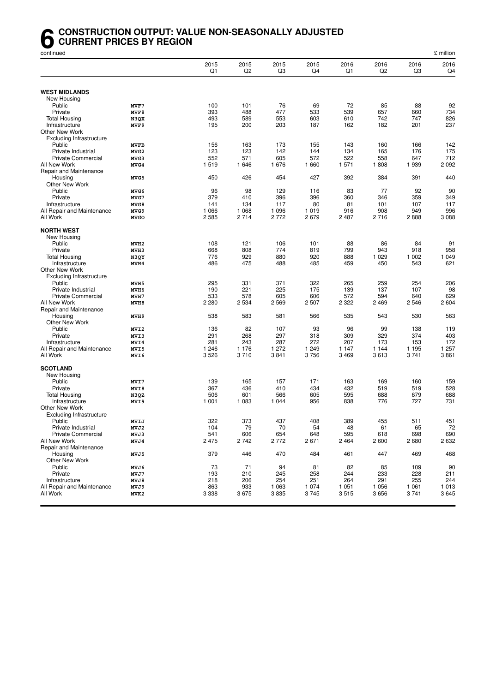#### **6** CONSTRUCTION OUTPUT: VALUE NON-SEASONALLY ADJUSTED<br>CURRENT PRICES BY REGION<br>continued **CURRENT PRICES BY REGION**

| continued                                |                  |                |                        |             |                |                |                |                | £ million    |
|------------------------------------------|------------------|----------------|------------------------|-------------|----------------|----------------|----------------|----------------|--------------|
|                                          |                  | 2015<br>Q1     | 2015<br>Q <sub>2</sub> | 2015<br>Q3  | 2015<br>Q4     | 2016<br>Q1     | 2016<br>Q2     | 2016<br>Q3     | 2016<br>Q4   |
|                                          |                  |                |                        |             |                |                |                |                |              |
| <b>WEST MIDLANDS</b>                     |                  |                |                        |             |                |                |                |                |              |
| New Housing<br>Public                    | MVF7             | 100            | 101                    | 76          | 69             | 72             | 85             | 88             | 92           |
| Private                                  | MVF8             | 393            | 488                    | 477         | 533            | 539            | 657            | 660            | 734          |
| <b>Total Housing</b>                     | N3QX             | 493            | 589                    | 553         | 603            | 610            | 742            | 747            | 826          |
| Infrastructure                           | MVF9             | 195            | 200                    | 203         | 187            | 162            | 182            | 201            | 237          |
| <b>Other New Work</b>                    |                  |                |                        |             |                |                |                |                |              |
| Excluding Infrastructure                 |                  |                |                        |             |                |                |                |                |              |
| Public                                   | <b>MVFB</b>      | 156            | 163                    | 173         | 155            | 143            | 160            | 166            | 142          |
| Private Industrial                       | MVG <sub>2</sub> | 123            | 123                    | 142         | 144            | 134            | 165            | 176            | 175          |
| Private Commercial                       | MVG3             | 552            | 571                    | 605         | 572            | 522            | 558            | 647            | 712          |
| All New Work                             | MVG4             | 1519           | 1646                   | 1676        | 1 660          | 1 571          | 1808           | 1939           | 2092         |
| Repair and Maintenance<br>Housing        | MVG5             | 450            | 426                    | 454         | 427            | 392            | 384            | 391            | 440          |
| Other New Work                           |                  |                |                        |             |                |                |                |                |              |
| Public                                   | MVG6             | 96             | 98                     | 129         | 116            | 83             | 77             | 92             | 90           |
| Private                                  | MVG7             | 379            | 410                    | 396         | 396            | 360            | 346            | 359            | 349          |
| Infrastructure                           | MVG8             | 141            | 134                    | 117         | 80             | 81             | 101            | 107            | 117          |
| All Repair and Maintenance               | MVG9             | 1 0 6 6        | 1 0 6 8                | 1 0 9 6     | 1019           | 916            | 908            | 949            | 996          |
| All Work                                 | <b>MVGO</b>      | 2585           | 2714                   | 2772        | 2679           | 2 4 8 7        | 2716           | 2888           | 3088         |
| <b>NORTH WEST</b>                        |                  |                |                        |             |                |                |                |                |              |
| New Housing<br>Public                    | MVH <sub>2</sub> | 108            | 121                    | 106         | 101            | 88             | 86             | 84             | 91           |
| Private                                  | MVH3             | 668            | 808                    | 774         | 819            | 799            | 943            | 918            | 958          |
| <b>Total Housing</b>                     | N3QY             | 776            | 929                    | 880         | 920            | 888            | 1 0 2 9        | 1 0 0 2        | 1 0 4 9      |
| Infrastructure                           | MVH4             | 486            | 475                    | 488         | 485            | 459            | 450            | 543            | 621          |
| <b>Other New Work</b>                    |                  |                |                        |             |                |                |                |                |              |
| <b>Excluding Infrastructure</b>          |                  |                |                        |             |                |                |                |                |              |
| Public                                   | MVH5             | 295            | 331                    | 371         | 322            | 265            | 259            | 254            | 206          |
| Private Industrial                       | MVH6             | 190            | 221                    | 225         | 175            | 139            | 137            | 107            | 98           |
| Private Commercial<br>All New Work       | MVH7             | 533<br>2 2 8 0 | 578<br>2 5 3 4         | 605<br>2569 | 606<br>2 5 0 7 | 572<br>2 3 2 2 | 594<br>2 4 6 9 | 640<br>2 5 4 6 | 629<br>2 604 |
| Repair and Maintenance                   | MVH8             |                |                        |             |                |                |                |                |              |
| Housing                                  | MVH9             | 538            | 583                    | 581         | 566            | 535            | 543            | 530            | 563          |
| Other New Work                           |                  |                |                        |             |                |                |                |                |              |
| Public                                   | MVI2             | 136            | 82                     | 107         | 93             | 96             | 99             | 138            | 119          |
| Private                                  | MVI3             | 291            | 268                    | 297         | 318            | 309            | 329            | 374            | 403          |
| Infrastructure                           | MVI4             | 281            | 243                    | 287         | 272            | 207            | 173            | 153            | 172          |
| All Repair and Maintenance               | MVI5             | 1 2 4 6        | 1 1 7 6                | 1 272       | 1 2 4 9        | 1 1 4 7        | 1 1 4 4        | 1 1 9 5        | 1 257        |
| All Work                                 | MVI6             | 3526           | 3710                   | 3841        | 3756           | 3 4 6 9        | 3613           | 3741           | 3861         |
| <b>SCOTLAND</b>                          |                  |                |                        |             |                |                |                |                |              |
| New Housing                              |                  |                |                        |             |                |                |                |                |              |
| Public                                   | MVI7             | 139            | 165                    | 157         | 171            | 163            | 169            | 160            | 159          |
| Private                                  | MVI8             | 367            | 436                    | 410         | 434            | 432            | 519            | 519            | 528          |
| <b>Total Housing</b>                     | N3QZ             | 506            | 601                    | 566         | 605            | 595            | 688            | 679            | 688          |
| Infrastructure                           | MVI9             | 1 0 0 1        | 1 0 8 3                | 1 044       | 956            | 838            | 776            | 727            | 731          |
| <b>Other New Work</b>                    |                  |                |                        |             |                |                |                |                |              |
| <b>Excluding Infrastructure</b>          |                  |                |                        |             |                |                |                |                |              |
| Public                                   | MVIJ             | 322<br>104     | 373<br>79              | 437<br>70   | 408<br>54      | 389            | 455            | 511            | 451<br>72    |
| Private Industrial<br>Private Commercial | MVJ2<br>MVJ3     | 541            | 606                    | 654         | 648            | 48<br>595      | 61<br>618      | 65<br>698      | 690          |
| All New Work                             | MVJ4             | 2 4 7 5        | 2742                   | 2772        | 2671           | 2 4 6 4        | 2 600          | 2680           | 2632         |
| Repair and Maintenance                   |                  |                |                        |             |                |                |                |                |              |
| Housing                                  | MVJ5             | 379            | 446                    | 470         | 484            | 461            | 447            | 469            | 468          |
| Other New Work                           |                  |                |                        |             |                |                |                |                |              |
| Public                                   | MVJ6             | 73             | 71                     | 94          | 81             | 82             | 85             | 109            | 90           |
| Private                                  | MVJ7             | 193            | 210                    | 245         | 258            | 244            | 233            | 228            | 211          |
| Infrastructure                           | MVJ8             | 218            | 206                    | 254         | 251            | 264            | 291            | 255            | 244          |
| All Repair and Maintenance<br>All Work   | MVJ9             | 863            | 933                    | 1 0 6 3     | 1 0 7 4        | 1 0 5 1        | 1 0 5 6        | 1 0 6 1        | 1013         |
|                                          | MVK2             | 3 3 3 8        | 3675                   | 3835        | 3745           | 3515           | 3656           | 3741           | 3645         |
|                                          |                  |                |                        |             |                |                |                |                |              |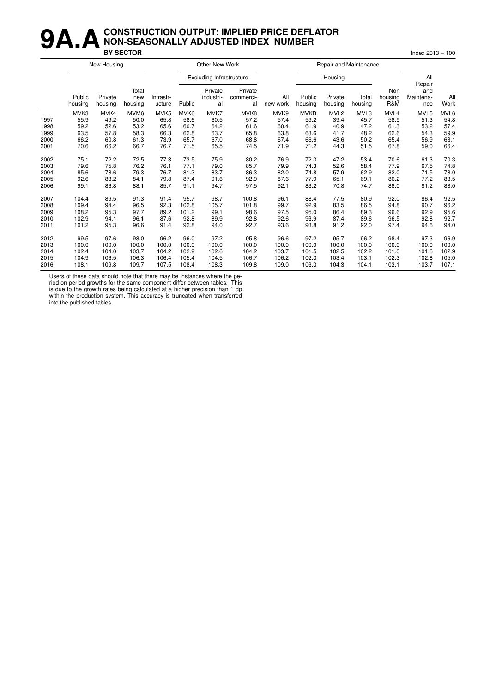#### **9A.A** CONSTRUCTION OUTPUT: IMPLIED PRICE DEFLATOR<br>BY SECTOR **NON-SEASONALLY ADJUSTED INDEX NUMBER BY SECTOR** Index 2013 = 100

|      | New Housing       |                    |                         |                     |        | Other New Work                  |                            |                 |                   | Repair and Maintenance |                  |                       |                                   |             |
|------|-------------------|--------------------|-------------------------|---------------------|--------|---------------------------------|----------------------------|-----------------|-------------------|------------------------|------------------|-----------------------|-----------------------------------|-------------|
|      |                   |                    |                         |                     |        | <b>Excluding Infrastructure</b> |                            |                 |                   | Housing                |                  |                       | All                               |             |
|      | Public<br>housing | Private<br>housing | Total<br>new<br>housing | Infrastr-<br>ucture | Public | Private<br>industri-<br>al      | Private<br>commerci-<br>al | All<br>new work | Public<br>housing | Private<br>housing     | Total<br>housing | Non<br>housing<br>R&M | Repair<br>and<br>Maintena-<br>nce | All<br>Work |
|      | MVK3              | MVK4               | MVM6                    | MVK5                | MVK6   | MVK7                            | MVK8                       | MVK9            | <b>MVKB</b>       | MVL <sub>2</sub>       | MVL3             | MVL4                  | MVL5                              | MVL6        |
| 1997 | 55.9              | 49.2               | 50.0                    | 65.8                | 58.6   | 60.5                            | 57.2                       | 57.4            | 59.2              | 39.4                   | 45.7             | 58.9                  | 51.3                              | 54.8        |
| 1998 | 59.2              | 52.6               | 53.2                    | 65.6                | 60.7   | 64.2                            | 61.6                       | 60.4            | 61.9              | 40.9                   | 47.2             | 61.3                  | 53.2                              | 57.4        |
| 1999 | 63.5              | 57.8               | 58.3                    | 66.3                | 62.8   | 63.7                            | 65.8                       | 63.8            | 63.6              | 41.7                   | 48.2             | 62.6                  | 54.3                              | 59.9        |
| 2000 | 66.2              | 60.8               | 61.3                    | 73.9                | 65.7   | 67.0                            | 68.8                       | 67.4            | 66.6              | 43.6                   | 50.2             | 65.4                  | 56.9                              | 63.1        |
| 2001 | 70.6              | 66.2               | 66.7                    | 76.7                | 71.5   | 65.5                            | 74.5                       | 71.9            | 71.2              | 44.3                   | 51.5             | 67.8                  | 59.0                              | 66.4        |
| 2002 | 75.1              | 72.2               | 72.5                    | 77.3                | 73.5   | 75.9                            | 80.2                       | 76.9            | 72.3              | 47.2                   | 53.4             | 70.6                  | 61.3                              | 70.3        |
| 2003 | 79.6              | 75.8               | 76.2                    | 76.1                | 77.1   | 79.0                            | 85.7                       | 79.9            | 74.3              | 52.6                   | 58.4             | 77.9                  | 67.5                              | 74.8        |
| 2004 | 85.6              | 78.6               | 79.3                    | 76.7                | 81.3   | 83.7                            | 86.3                       | 82.0            | 74.8              | 57.9                   | 62.9             | 82.0                  | 71.5                              | 78.0        |
| 2005 | 92.6              | 83.2               | 84.1                    | 79.8                | 87.4   | 91.6                            | 92.9                       | 87.6            | 77.9              | 65.1                   | 69.1             | 86.2                  | 77.2                              | 83.5        |
| 2006 | 99.1              | 86.8               | 88.1                    | 85.7                | 91.1   | 94.7                            | 97.5                       | 92.1            | 83.2              | 70.8                   | 74.7             | 88.0                  | 81.2                              | 88.0        |
| 2007 | 104.4             | 89.5               | 91.3                    | 91.4                | 95.7   | 98.7                            | 100.8                      | 96.1            | 88.4              | 77.5                   | 80.9             | 92.0                  | 86.4                              | 92.5        |
| 2008 | 109.4             | 94.4               | 96.5                    | 92.3                | 102.8  | 105.7                           | 101.8                      | 99.7            | 92.9              | 83.5                   | 86.5             | 94.8                  | 90.7                              | 96.2        |
| 2009 | 108.2             | 95.3               | 97.7                    | 89.2                | 101.2  | 99.1                            | 98.6                       | 97.5            | 95.0              | 86.4                   | 89.3             | 96.6                  | 92.9                              | 95.6        |
| 2010 | 102.9             | 94.1               | 96.1                    | 87.6                | 92.8   | 89.9                            | 92.8                       | 92.6            | 93.9              | 87.4                   | 89.6             | 96.5                  | 92.8                              | 92.7        |
| 2011 | 101.2             | 95.3               | 96.6                    | 91.4                | 92.8   | 94.0                            | 92.7                       | 93.6            | 93.8              | 91.2                   | 92.0             | 97.4                  | 94.6                              | 94.0        |
| 2012 | 99.5              | 97.6               | 98.0                    | 96.2                | 96.0   | 97.2                            | 95.8                       | 96.6            | 97.2              | 95.7                   | 96.2             | 98.4                  | 97.3                              | 96.9        |
| 2013 | 100.0             | 100.0              | 100.0                   | 100.0               | 100.0  | 100.0                           | 100.0                      | 100.0           | 100.0             | 100.0                  | 100.0            | 100.0                 | 100.0                             | 100.0       |
| 2014 | 102.4             | 104.0              | 103.7                   | 104.2               | 102.9  | 102.6                           | 104.2                      | 103.7           | 101.5             | 102.5                  | 102.2            | 101.0                 | 101.6                             | 102.9       |
| 2015 | 104.9             | 106.5              | 106.3                   | 106.4               | 105.4  | 104.5                           | 106.7                      | 106.2           | 102.3             | 103.4                  | 103.1            | 102.3                 | 102.8                             | 105.0       |
| 2016 | 108.1             | 109.8              | 109.7                   | 107.5               | 108.4  | 108.3                           | 109.8                      | 109.0           | 103.3             | 104.3                  | 104.1            | 103.1                 | 103.7                             | 107.1       |

Users of these data should note that there may be instances where the pe-

riod on period growths for the same component differ between tables. This is due to the growth rates being calculated at a higher precision than 1 dp within the production system. This accuracy is truncated when transferred into the published tables.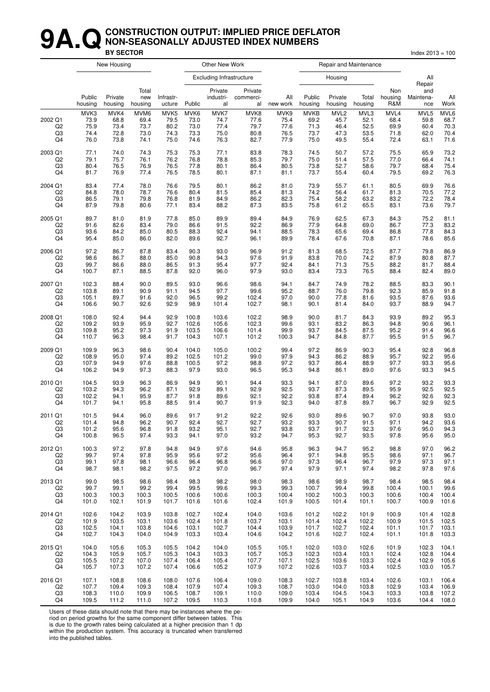#### **9A. Q** CONSTRUCTION OUTPUT: IMPLIED PRICE DEFLATOR<br>BY SECTOR **NON-SEASONALLY ADJUSTED INDEX NUMBERS BY SECTOR** Index 2013 = 100

|                     | New Housing<br>Other New Work<br>Repair and Maintenance |                              |                              |                              |                              |                                 |                              |                              |                                     |                                          |                              |                              |                              |                              |
|---------------------|---------------------------------------------------------|------------------------------|------------------------------|------------------------------|------------------------------|---------------------------------|------------------------------|------------------------------|-------------------------------------|------------------------------------------|------------------------------|------------------------------|------------------------------|------------------------------|
|                     |                                                         |                              |                              |                              |                              | <b>Excluding Infrastructure</b> |                              |                              |                                     | Housing                                  |                              |                              | All<br>Repair                |                              |
|                     | Public<br>housing                                       | Private<br>housing           | Total<br>new<br>housing      | Infrastr-<br>ucture          | Public                       | Private<br>industri-<br>al      | Private<br>commerci-<br>al   | All<br>new work              | Public<br>housing                   | Private<br>housing                       | Total<br>housing             | Non<br>housing<br>R&M        | and<br>Maintena-<br>nce      | All<br>Work                  |
| 2002 Q1<br>Q2<br>Q3 | MVK3<br>73.9<br>75.9<br>74.4                            | MVK4<br>68.8<br>73.4<br>72.8 | MVM6<br>69.4<br>73.7<br>73.0 | MVK5<br>79.5<br>80.2<br>74.3 | MVK6<br>73.0<br>73.0<br>73.3 | MVK7<br>74.7<br>77.4<br>75.0    | MVK8<br>77.6<br>79.7<br>80.8 | MVK9<br>75.4<br>77.6<br>76.5 | <b>MVKB</b><br>69.2<br>71.3<br>73.7 | MVL <sub>2</sub><br>45.7<br>46.4<br>47.3 | MVL3<br>52.1<br>52.5<br>53.5 | MVL4<br>68.4<br>69.9<br>71.8 | MVL5<br>59.8<br>60.4<br>62.0 | MVL6<br>68.7<br>70.3<br>70.4 |
| Q4                  | 76.0                                                    | 73.8                         | 74.1                         | 75.0                         | 74.6                         | 76.3                            | 82.7                         | 77.9                         | 75.0                                | 49.5                                     | 55.4                         | 72.4                         | 63.1                         | 71.6                         |
| 2003 Q1             | 77.1                                                    | 74.0                         | 74.3                         | 75.3                         | 75.3                         | 77.1                            | 83.8                         | 78.3                         | 74.5                                | 50.7                                     | 57.2                         | 75.5                         | 65.9                         | 73.2                         |
| Q <sub>2</sub>      | 79.1                                                    | 75.7                         | 76.1                         | 76.2                         | 76.8                         | 78.8                            | 85.3                         | 79.7                         | 75.0                                | 51.4                                     | 57.5                         | 77.0                         | 66.4                         | 74.1                         |
| Q3                  | 80.4                                                    | 76.5                         | 76.9                         | 76.5                         | 77.8                         | 80.1                            | 86.4                         | 80.5                         | 73.8                                | 52.7                                     | 58.6                         | 79.7                         | 68.4                         | 75.4                         |
| Q <sub>4</sub>      | 81.7                                                    | 76.9                         | 77.4                         | 76.5                         | 78.5                         | 80.1                            | 87.1                         | 81.1                         | 73.7                                | 55.4                                     | 60.4                         | 79.5                         | 69.2                         | 76.3                         |
| 2004 Q1             | 83.4                                                    | 77.4                         | 78.0                         | 76.6                         | 79.5                         | 80.1                            | 86.2                         | 81.0                         | 73.9                                | 55.7                                     | 61.1                         | 80.5                         | 69.9                         | 76.6                         |
| Q2                  | 84.8                                                    | 78.0                         | 78.7                         | 76.6                         | 80.4                         | 81.5                            | 85.4                         | 81.3                         | 74.2                                | 56.4                                     | 61.7                         | 81.3                         | 70.5                         | 77.2                         |
| Q3                  | 86.5                                                    | 79.1                         | 79.8                         | 76.8                         | 81.9                         | 84.9                            | 86.2                         | 82.3                         | 75.4                                | 58.2                                     | 63.2                         | 83.2                         | 72.2                         | 78.4                         |
| Q <sub>4</sub>      | 87.9                                                    | 79.8                         | 80.6                         | 77.1                         | 83.4                         | 88.2                            | 87.3                         | 83.5                         | 75.8                                | 61.2                                     | 65.5                         | 83.1                         | 73.6                         | 79.7                         |
| 2005 Q1             | 89.7                                                    | 81.0                         | 81.9                         | 77.8                         | 85.0                         | 89.9                            | 89.4                         | 84.9                         | 76.9                                | 62.5                                     | 67.3                         | 84.3                         | 75.2                         | 81.1                         |
| Q <sub>2</sub>      | 91.6                                                    | 82.6                         | 83.4                         | 79.0                         | 86.6                         | 91.5                            | 92.2                         | 86.9                         | 77.9                                | 64.8                                     | 69.0                         | 86.7                         | 77.3                         | 83.2                         |
| Q3                  | 93.6                                                    | 84.2                         | 85.0                         | 80.5                         | 88.3                         | 92.4                            | 94.1                         | 88.5                         | 78.3                                | 65.6                                     | 69.4                         | 86.8                         | 77.8                         | 84.3                         |
| Q4                  | 95.4                                                    | 85.0                         | 86.0                         | 82.0                         | 89.6                         | 92.7                            | 96.1                         | 89.9                         | 78.4                                | 67.6                                     | 70.8                         | 87.1                         | 78.6                         | 85.6                         |
| 2006 Q1             | 97.2                                                    | 86.7                         | 87.8                         | 83.4                         | 90.3                         | 93.0                            | 96.9                         | 91.2                         | 81.3                                | 68.5                                     | 72.5                         | 87.7                         | 79.8                         | 86.9                         |
| Q <sub>2</sub>      | 98.6                                                    | 86.7                         | 88.0                         | 85.0                         | 90.8                         | 94.3                            | 97.6                         | 91.9                         | 83.8                                | 70.0                                     | 74.2                         | 87.9                         | 80.8                         | 87.7                         |
| Q3                  | 99.7                                                    | 86.6                         | 88.0                         | 86.5                         | 91.3                         | 95.4                            | 97.7                         | 92.4                         | 84.1                                | 71.3                                     | 75.5                         | 88.2                         | 81.7                         | 88.4                         |
| Q <sub>4</sub>      | 100.7                                                   | 87.1                         | 88.5                         | 87.8                         | 92.0                         | 96.0                            | 97.9                         | 93.0                         | 83.4                                | 73.3                                     | 76.5                         | 88.4                         | 82.4                         | 89.0                         |
| 2007 Q1             | 102.3                                                   | 88.4                         | 90.0                         | 89.5                         | 93.0                         | 96.6                            | 98.6                         | 94.1                         | 84.7                                | 74.9                                     | 78.2                         | 88.5                         | 83.3                         | 90.1                         |
| Q <sub>2</sub>      | 103.8                                                   | 89.1                         | 90.9                         | 91.1                         | 94.5                         | 97.7                            | 99.6                         | 95.2                         | 88.7                                | 76.0                                     | 79.8                         | 92.3                         | 85.9                         | 91.8                         |
| Q3                  | 105.1                                                   | 89.7                         | 91.6                         | 92.0                         | 96.5                         | 99.2                            | 102.4                        | 97.0                         | 90.0                                | 77.8                                     | 81.6                         | 93.5                         | 87.6                         | 93.6                         |
| Q <sub>4</sub>      | 106.6                                                   | 90.7                         | 92.6                         | 92.9                         | 98.9                         | 101.4                           | 102.7                        | 98.1                         | 90.1                                | 81.4                                     | 84.0                         | 93.7                         | 88.9                         | 94.7                         |
| 2008 Q1             | 108.0                                                   | 92.4                         | 94.4                         | 92.9                         | 100.8                        | 103.6                           | 102.2                        | 98.9                         | 90.0                                | 81.7                                     | 84.3                         | 93.9                         | 89.2                         | 95.3                         |
| Q2                  | 109.2                                                   | 93.9                         | 95.9                         | 92.7                         | 102.6                        | 105.6                           | 102.3                        | 99.6                         | 93.1                                | 83.2                                     | 86.3                         | 94.8                         | 90.6                         | 96.1                         |
| Q3                  | 109.8                                                   | 95.2                         | 97.3                         | 91.9                         | 103.5                        | 106.6                           | 101.4                        | 99.9                         | 93.7                                | 84.5                                     | 87.5                         | 95.2                         | 91.4                         | 96.6                         |
| Q4                  | 110.7                                                   | 96.3                         | 98.4                         | 91.7                         | 104.3                        | 107.1                           | 101.2                        | 100.3                        | 94.7                                | 84.8                                     | 87.7                         | 95.5                         | 91.5                         | 96.7                         |
| 2009 Q1             | 109.9                                                   | 96.3                         | 98.6                         | 90.4                         | 104.0                        | 105.0                           | 100.2                        | 99.4                         | 97.2                                | 86.9                                     | 90.3                         | 95.4                         | 92.8                         | 96.8                         |
| Q <sub>2</sub>      | 108.9                                                   | 95.0                         | 97.4                         | 89.2                         | 102.5                        | 101.2                           | 99.0                         | 97.9                         | 94.3                                | 86.2                                     | 88.9                         | 95.7                         | 92.2                         | 95.6                         |
| Q3                  | 107.9                                                   | 94.9                         | 97.6                         | 88.8                         | 100.5                        | 97.2                            | 98.8                         | 97.2                         | 93.7                                | 86.4                                     | 88.9                         | 97.7                         | 93.3                         | 95.6                         |
| Q <sub>4</sub>      | 106.2                                                   | 94.9                         | 97.3                         | 88.3                         | 97.9                         | 93.0                            | 96.5                         | 95.3                         | 94.8                                | 86.1                                     | 89.0                         | 97.6                         | 93.3                         | 94.5                         |
| 2010 Q1             | 104.5                                                   | 93.9                         | 96.3                         | 86.9                         | 94.9                         | 90.1                            | 94.4                         | 93.3                         | 94.1                                | 87.0                                     | 89.6                         | 97.2                         | 93.2                         | 93.3                         |
| Q2                  | 103.2                                                   | 94.3                         | 96.2                         | 87.1                         | 92.9                         | 89.1                            | 92.9                         | 92.5                         | 93.7                                | 87.3                                     | 89.5                         | 95.9                         | 92.5                         | 92.5                         |
| Q <sub>3</sub>      | 102.2                                                   | 94.1                         | 95.9                         | 87.7                         | 91.8                         | 89.6                            | 92.1                         | 92.2                         | 93.8                                | 87.4                                     | 89.4                         | 96.2                         | 92.6                         | 92.3                         |
| Q <sub>4</sub>      | 101.7                                                   | 94.1                         | 95.8                         | 88.5                         | 91.4                         | 90.7                            | 91.9                         | 92.3                         | 94.0                                | 87.8                                     | 89.7                         | 96.7                         | 92.9                         | 92.5                         |
| 2011 Q1             | 101.5                                                   | 94.4                         | 96.0                         | 89.6                         | 91.7                         | 91.2                            | 92.2                         | 92.6                         | 93.0                                | 89.6                                     | 90.7                         | 97.0                         | 93.8                         | 93.0                         |
| Q2                  | 101.4                                                   | 94.8                         | 96.2                         | 90.7                         | 92.4                         | 92.7                            | 92.7                         | 93.2                         | 93.3                                | 90.7                                     | 91.5                         | 97.1                         | 94.2                         | 93.6                         |
| Q3                  | 101.2                                                   | 95.6                         | 96.8                         | 91.8                         | 93.2                         | 95.1                            | 92.7                         | 93.8                         | 93.7                                | 91.7                                     | 92.3                         | 97.6                         | 95.0                         | 94.3                         |
| Q4                  | 100.8                                                   | 96.5                         | 97.4                         | 93.3                         | 94.1                         | 97.0                            | 93.2                         | 94.7                         | 95.3                                | 92.7                                     | 93.5                         | 97.8                         | 95.6                         | 95.0                         |
| 2012 Q1             | 100.3                                                   | 97.2                         | 97.8                         | 94.8                         | 94.9                         | 97.6                            | 94.6                         | 95.8                         | 96.3                                | 94.7                                     | 95.2                         | 98.8                         | 97.0                         | 96.2                         |
| Q2                  | 99.7                                                    | 97.4                         | 97.8                         | 95.9                         | 95.6                         | 97.2                            | 95.6                         | 96.4                         | 97.1                                | 94.8                                     | 95.5                         | 98.6                         | 97.1                         | 96.7                         |
| Q3                  | 99.1                                                    | 97.8                         | 98.1                         | 96.6                         | 96.4                         | 96.8                            | 96.6                         | 97.0                         | 97.3                                | 96.4                                     | 96.7                         | 97.9                         | 97.3                         | 97.1                         |
| Q4                  | 98.7                                                    | 98.1                         | 98.2                         | 97.5                         | 97.2                         | 97.0                            | 96.7                         | 97.4                         | 97.9                                | 97.1                                     | 97.4                         | 98.2                         | 97.8                         | 97.6                         |
| 2013 Q1             | 99.0                                                    | 98.5                         | 98.6                         | 98.4                         | 98.3                         | 98.2                            | 98.0                         | 98.3                         | 98.6                                | 98.9                                     | 98.7                         | 98.4                         | 98.5                         | 98.4                         |
| Q2                  | 99.7                                                    | 99.1                         | 99.2                         | 99.4                         | 99.5                         | 99.6                            | 99.3                         | 99.3                         | 100.7                               | 99.4                                     | 99.8                         | 100.4                        | 100.1                        | 99.6                         |
| Q3                  | 100.3                                                   | 100.3                        | 100.3                        | 100.5                        | 100.6                        | 100.6                           | 100.3                        | 100.4                        | 100.2                               | 100.3                                    | 100.3                        | 100.6                        | 100.4                        | 100.4                        |
| Q4                  | 101.0                                                   | 102.1                        | 101.9                        | 101.7                        | 101.6                        | 101.6                           | 102.4                        | 101.9                        | 100.5                               | 101.4                                    | 101.1                        | 100.7                        | 100.9                        | 101.6                        |
| 2014 Q1             | 102.6                                                   | 104.2                        | 103.9                        | 103.8                        | 102.7                        | 102.4                           | 104.0                        | 103.6                        | 101.2                               | 102.2                                    | 101.9                        | 100.9                        | 101.4                        | 102.8                        |
| Q2                  | 101.9                                                   | 103.5                        | 103.1                        | 103.6                        | 102.4                        | 101.8                           | 103.7                        | 103.1                        | 101.4                               | 102.4                                    | 102.2                        | 100.9                        | 101.5                        | 102.5                        |
| Q3                  | 102.5                                                   | 104.1                        | 103.8                        | 104.6                        | 103.1                        | 102.7                           | 104.4                        | 103.9                        | 101.7                               | 102.7                                    | 102.4                        | 101.1                        | 101.7                        | 103.1                        |
| Q4                  | 102.7                                                   | 104.3                        | 104.0                        | 104.9                        | 103.3                        | 103.4                           | 104.6                        | 104.2                        | 101.6                               | 102.7                                    | 102.4                        | 101.1                        | 101.8                        | 103.3                        |
| 2015 Q1             | 104.0                                                   | 105.6                        | 105.3                        | 105.5                        | 104.2                        | 104.0                           | 105.5                        | 105.1                        | 102.0                               | 103.0                                    | 102.6                        | 101.9                        | 102.3                        | 104.1                        |
| Q2                  | 104.3                                                   | 105.9                        | 105.7                        | 105.3                        | 104.3                        | 103.3                           | 105.7                        | 105.3                        | 102.3                               | 103.4                                    | 103.1                        | 102.4                        | 102.8                        | 104.4                        |
| Q3                  | 105.5                                                   | 107.2                        | 107.0                        | 107.4                        | 106.4                        | 105.4                           | 107.7                        | 107.1                        | 102.5                               | 103.6                                    | 103.3                        | 102.4                        | 102.9                        | 105.6                        |
| Q4                  | 105.7                                                   | 107.3                        | 107.2                        | 107.4                        | 106.6                        | 105.2                           | 107.9                        | 107.2                        | 102.6                               | 103.7                                    | 103.4                        | 102.5                        | 103.0                        | 105.7                        |
| 2016 Q1             | 107.1                                                   | 108.8                        | 108.6                        | 108.0                        | 107.6                        | 106.4                           | 109.0                        | 108.3                        | 102.7                               | 103.8                                    | 103.4                        | 102.6                        | 103.1                        | 106.4                        |
| Q2                  | 107.7                                                   | 109.4                        | 109.3                        | 108.4                        | 107.9                        | 107.4                           | 109.3                        | 108.7                        | 103.0                               | 104.0                                    | 103.8                        | 102.9                        | 103.4                        | 106.9                        |
| Q3                  | 108.3                                                   | 110.0                        | 109.9                        | 106.5                        | 108.7                        | 109.1                           | 110.0                        | 109.0                        | 103.4                               | 104.5                                    | 104.3                        | 103.3                        | 103.8                        | 107.2                        |
| Q4                  | 109.5                                                   | 111.2                        | 111.0                        | 107.2                        | 109.5                        | 110.3                           | 110.8                        | 109.9                        | 104.0                               | 105.1                                    | 104.9                        | 103.6                        | 104.4                        | 108.0                        |

Users of these data should note that there may be instances where the pe-

riod on period growths for the same component differ between tables. This

is due to the growth rates being calculated at a higher precision than 1 dp within the production system. This accuracy is truncated when transferred into the published tables.